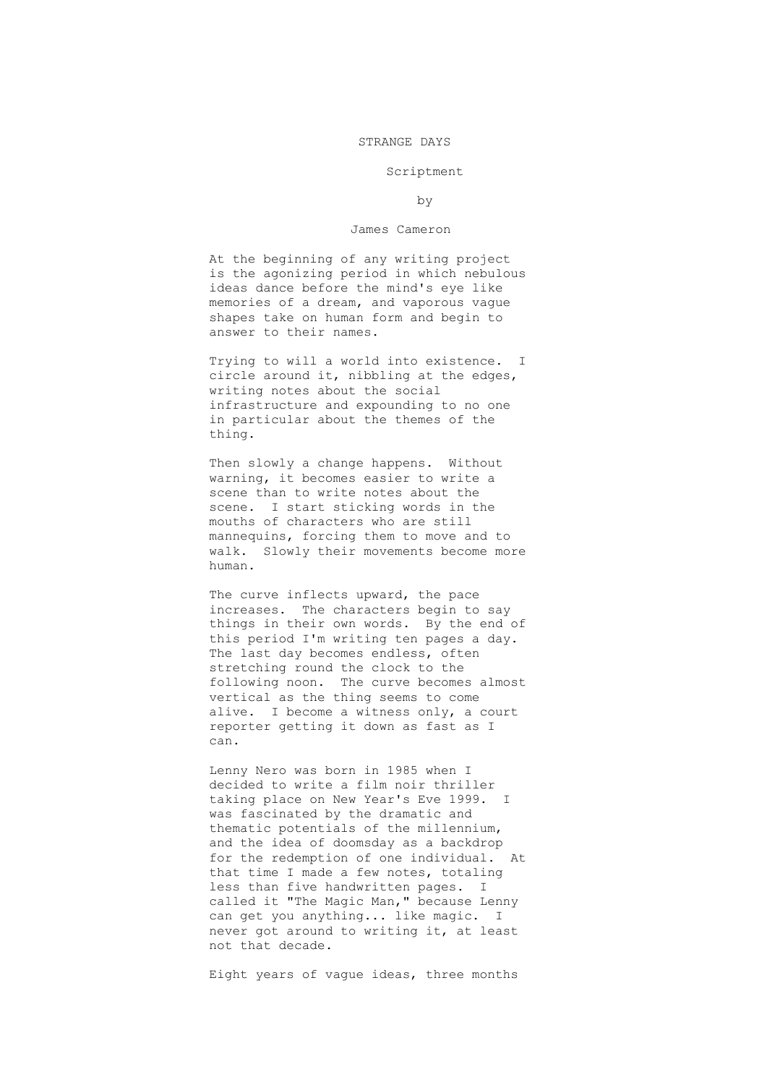#### STRANGE DAYS

# Scriptment

### by

## James Cameron

At the beginning of any writing project is the agonizing period in which nebulous ideas dance before the mind's eye like memories of a dream, and vaporous vague shapes take on human form and begin to answer to their names.

Trying to will a world into existence. I circle around it, nibbling at the edges, writing notes about the social infrastructure and expounding to no one in particular about the themes of the thing.

Then slowly a change happens. Without warning, it becomes easier to write a scene than to write notes about the scene. I start sticking words in the mouths of characters who are still mannequins, forcing them to move and to walk. Slowly their movements become more human.

The curve inflects upward, the pace increases. The characters begin to say things in their own words. By the end of this period I'm writing ten pages a day. The last day becomes endless, often stretching round the clock to the following noon. The curve becomes almost vertical as the thing seems to come alive. I become a witness only, a court reporter getting it down as fast as I can.

Lenny Nero was born in 1985 when I decided to write a film noir thriller taking place on New Year's Eve 1999. I was fascinated by the dramatic and thematic potentials of the millennium, and the idea of doomsday as a backdrop for the redemption of one individual. At that time I made a few notes, totaling less than five handwritten pages. I called it "The Magic Man," because Lenny can get you anything... like magic. I never got around to writing it, at least not that decade.

Eight years of vague ideas, three months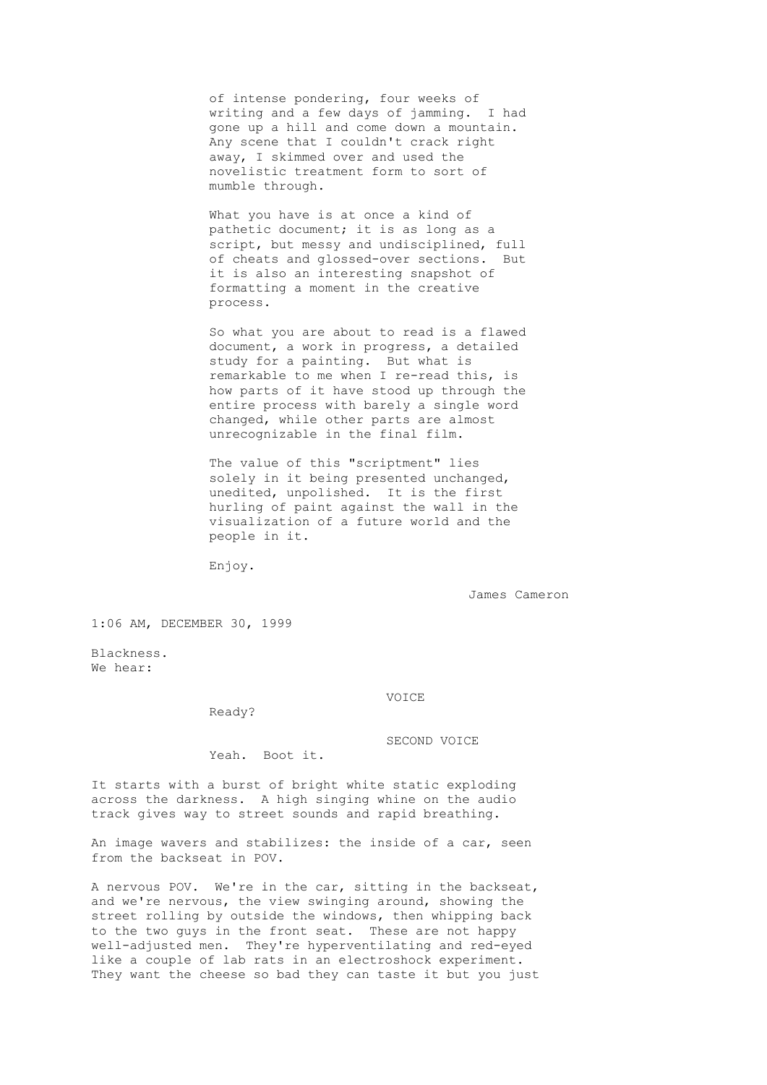of intense pondering, four weeks of writing and a few days of jamming. I had gone up a hill and come down a mountain. Any scene that I couldn't crack right away, I skimmed over and used the novelistic treatment form to sort of mumble through.

What you have is at once a kind of pathetic document; it is as long as a script, but messy and undisciplined, full of cheats and glossed-over sections. But it is also an interesting snapshot of formatting a moment in the creative process.

So what you are about to read is a flawed document, a work in progress, a detailed study for a painting. But what is remarkable to me when I re-read this, is how parts of it have stood up through the entire process with barely a single word changed, while other parts are almost unrecognizable in the final film.

The value of this "scriptment" lies solely in it being presented unchanged, unedited, unpolished. It is the first hurling of paint against the wall in the visualization of a future world and the people in it.

Enjoy.

James Cameron

1:06 AM, DECEMBER 30, 1999

Blackness. We hear:

### VOICE

Ready?

#### SECOND VOICE

Yeah. Boot it.

It starts with a burst of bright white static exploding across the darkness. A high singing whine on the audio track gives way to street sounds and rapid breathing.

An image wavers and stabilizes: the inside of a car, seen from the backseat in POV.

A nervous POV. We're in the car, sitting in the backseat, and we're nervous, the view swinging around, showing the street rolling by outside the windows, then whipping back to the two guys in the front seat. These are not happy well-adjusted men. They're hyperventilating and red-eyed like a couple of lab rats in an electroshock experiment. They want the cheese so bad they can taste it but you just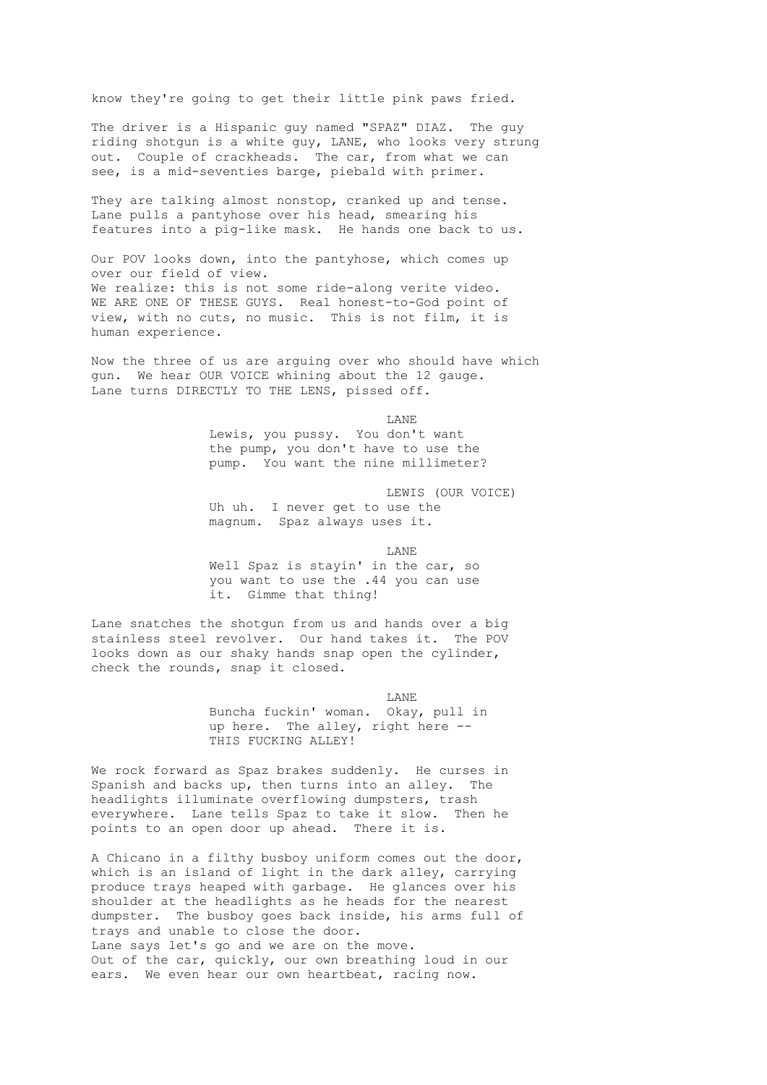know they're going to get their little pink paws fried.

The driver is a Hispanic guy named "SPAZ" DIAZ. The guy riding shotgun is a white guy, LANE, who looks very strung out. Couple of crackheads. The car, from what we can see, is a mid-seventies barge, piebald with primer.

They are talking almost nonstop, cranked up and tense. Lane pulls a pantyhose over his head, smearing his features into a pig-like mask. He hands one back to us.

Our POV looks down, into the pantyhose, which comes up over our field of view. We realize: this is not some ride-along verite video. WE ARE ONE OF THESE GUYS. Real honest-to-God point of view, with no cuts, no music. This is not film, it is human experience.

Now the three of us are arguing over who should have which gun. We hear OUR VOICE whining about the 12 gauge. Lane turns DIRECTLY TO THE LENS, pissed off.

LANE

Lewis, you pussy. You don't want the pump, you don't have to use the pump. You want the nine millimeter?

LEWIS (OUR VOICE) Uh uh. I never get to use the magnum. Spaz always uses it.

LANE

Well Spaz is stayin' in the car, so you want to use the .44 you can use it. Gimme that thing!

Lane snatches the shotgun from us and hands over a big stainless steel revolver. Our hand takes it. The POV looks down as our shaky hands snap open the cylinder, check the rounds, snap it closed.

> LANE Buncha fuckin' woman. Okay, pull in up here. The alley, right here -- THIS FUCKING ALLEY!

We rock forward as Spaz brakes suddenly. He curses in Spanish and backs up, then turns into an alley. The headlights illuminate overflowing dumpsters, trash everywhere. Lane tells Spaz to take it slow. Then he points to an open door up ahead. There it is.

A Chicano in a filthy busboy uniform comes out the door, which is an island of light in the dark alley, carrying produce trays heaped with garbage. He glances over his shoulder at the headlights as he heads for the nearest dumpster. The busboy goes back inside, his arms full of trays and unable to close the door. Lane says let's go and we are on the move. Out of the car, quickly, our own breathing loud in our ears. We even hear our own heartbeat, racing now.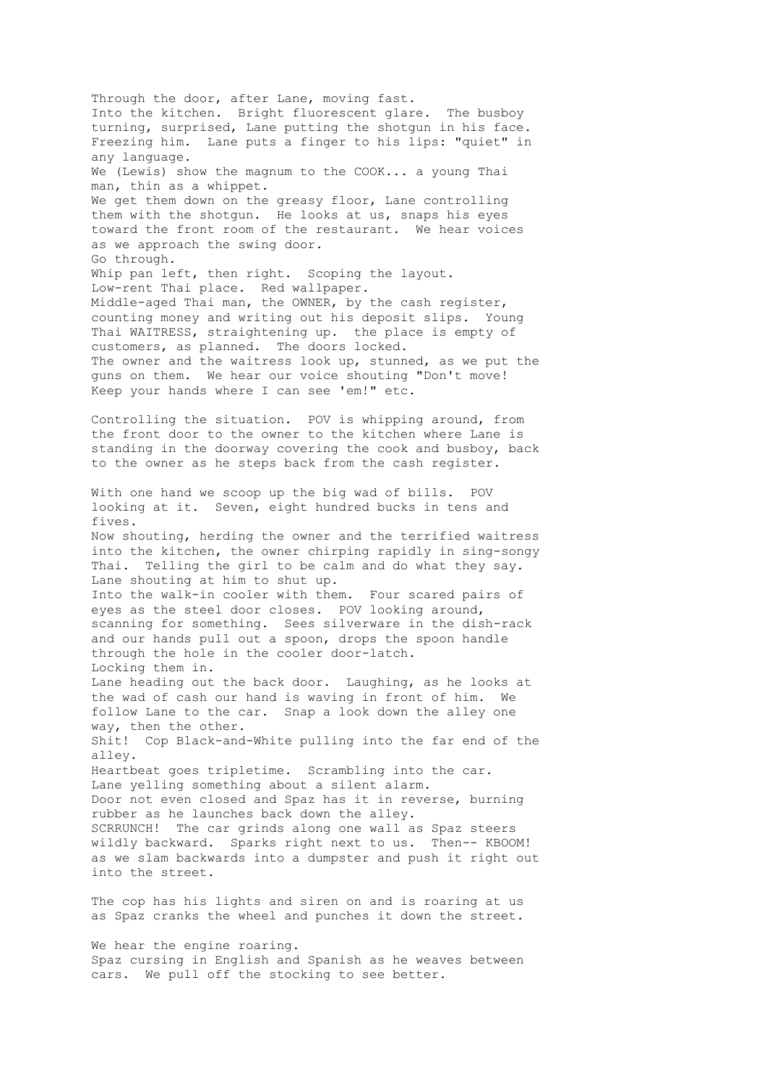Through the door, after Lane, moving fast. Into the kitchen. Bright fluorescent glare. The busboy turning, surprised, Lane putting the shotgun in his face. Freezing him. Lane puts a finger to his lips: "quiet" in any language. We (Lewis) show the magnum to the COOK... a young Thai man, thin as a whippet. We get them down on the greasy floor, Lane controlling them with the shotgun. He looks at us, snaps his eyes toward the front room of the restaurant. We hear voices as we approach the swing door. Go through. Whip pan left, then right. Scoping the layout. Low-rent Thai place. Red wallpaper. Middle-aged Thai man, the OWNER, by the cash register, counting money and writing out his deposit slips. Young Thai WAITRESS, straightening up. the place is empty of customers, as planned. The doors locked. The owner and the waitress look up, stunned, as we put the guns on them. We hear our voice shouting "Don't move! Keep your hands where I can see 'em!" etc. Controlling the situation. POV is whipping around, from the front door to the owner to the kitchen where Lane is standing in the doorway covering the cook and busboy, back to the owner as he steps back from the cash register. With one hand we scoop up the big wad of bills. POV looking at it. Seven, eight hundred bucks in tens and fives. Now shouting, herding the owner and the terrified waitress into the kitchen, the owner chirping rapidly in sing-songy Thai. Telling the girl to be calm and do what they say. Lane shouting at him to shut up. Into the walk-in cooler with them. Four scared pairs of eyes as the steel door closes. POV looking around, scanning for something. Sees silverware in the dish-rack and our hands pull out a spoon, drops the spoon handle through the hole in the cooler door-latch. Locking them in. Lane heading out the back door. Laughing, as he looks at the wad of cash our hand is waving in front of him. We follow Lane to the car. Snap a look down the alley one way, then the other. Shit! Cop Black-and-White pulling into the far end of the alley. Heartbeat goes tripletime. Scrambling into the car. Lane yelling something about a silent alarm. Door not even closed and Spaz has it in reverse, burning rubber as he launches back down the alley. SCRRUNCH! The car grinds along one wall as Spaz steers wildly backward. Sparks right next to us. Then-- KBOOM! as we slam backwards into a dumpster and push it right out into the street.

The cop has his lights and siren on and is roaring at us as Spaz cranks the wheel and punches it down the street.

We hear the engine roaring. Spaz cursing in English and Spanish as he weaves between cars. We pull off the stocking to see better.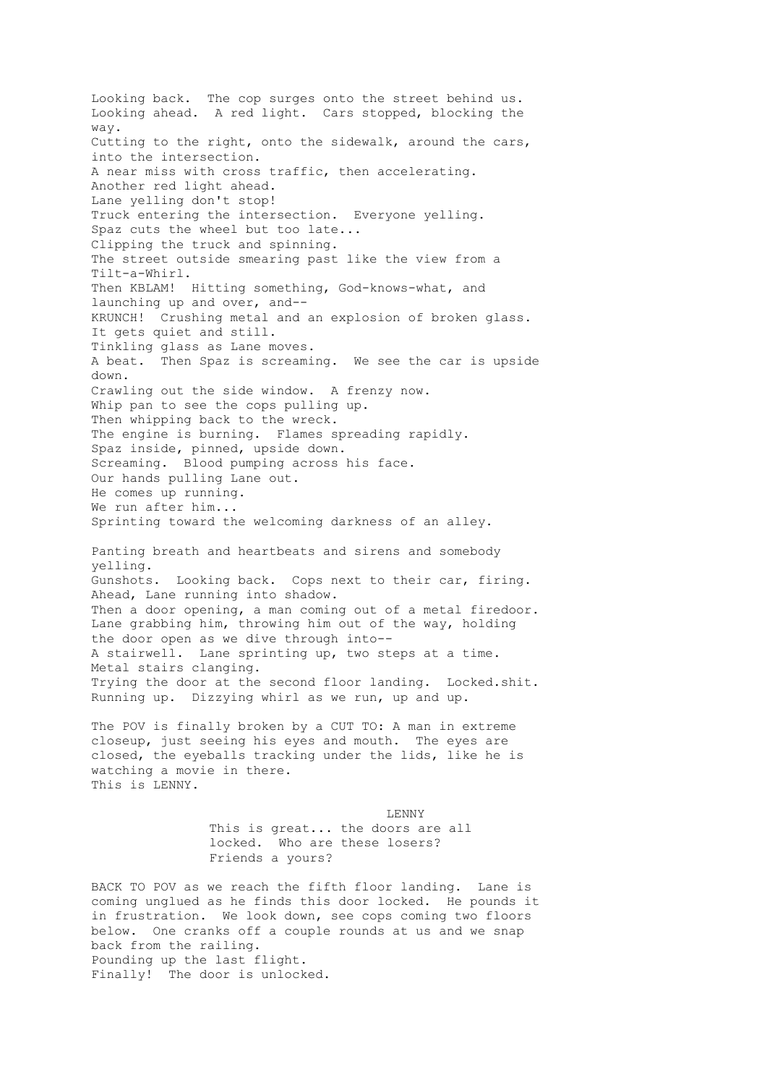Looking back. The cop surges onto the street behind us. Looking ahead. A red light. Cars stopped, blocking the way. Cutting to the right, onto the sidewalk, around the cars, into the intersection. A near miss with cross traffic, then accelerating. Another red light ahead. Lane yelling don't stop! Truck entering the intersection. Everyone yelling. Spaz cuts the wheel but too late... Clipping the truck and spinning. The street outside smearing past like the view from a Tilt-a-Whirl. Then KBLAM! Hitting something, God-knows-what, and launching up and over, and-- KRUNCH! Crushing metal and an explosion of broken glass. It gets quiet and still. Tinkling glass as Lane moves. A beat. Then Spaz is screaming. We see the car is upside down. Crawling out the side window. A frenzy now. Whip pan to see the cops pulling up. Then whipping back to the wreck. The engine is burning. Flames spreading rapidly. Spaz inside, pinned, upside down. Screaming. Blood pumping across his face. Our hands pulling Lane out. He comes up running. We run after him... Sprinting toward the welcoming darkness of an alley. Panting breath and heartbeats and sirens and somebody yelling. Gunshots. Looking back. Cops next to their car, firing. Ahead, Lane running into shadow. Then a door opening, a man coming out of a metal firedoor. Lane grabbing him, throwing him out of the way, holding the door open as we dive through into-- A stairwell. Lane sprinting up, two steps at a time. Metal stairs clanging. Trying the door at the second floor landing. Locked.shit. Running up. Dizzying whirl as we run, up and up. The POV is finally broken by a CUT TO: A man in extreme closeup, just seeing his eyes and mouth. The eyes are closed, the eyeballs tracking under the lids, like he is watching a movie in there. This is LENNY. LENNY

This is great... the doors are all locked. Who are these losers? Friends a yours?

BACK TO POV as we reach the fifth floor landing. Lane is coming unglued as he finds this door locked. He pounds it in frustration. We look down, see cops coming two floors below. One cranks off a couple rounds at us and we snap back from the railing. Pounding up the last flight. Finally! The door is unlocked.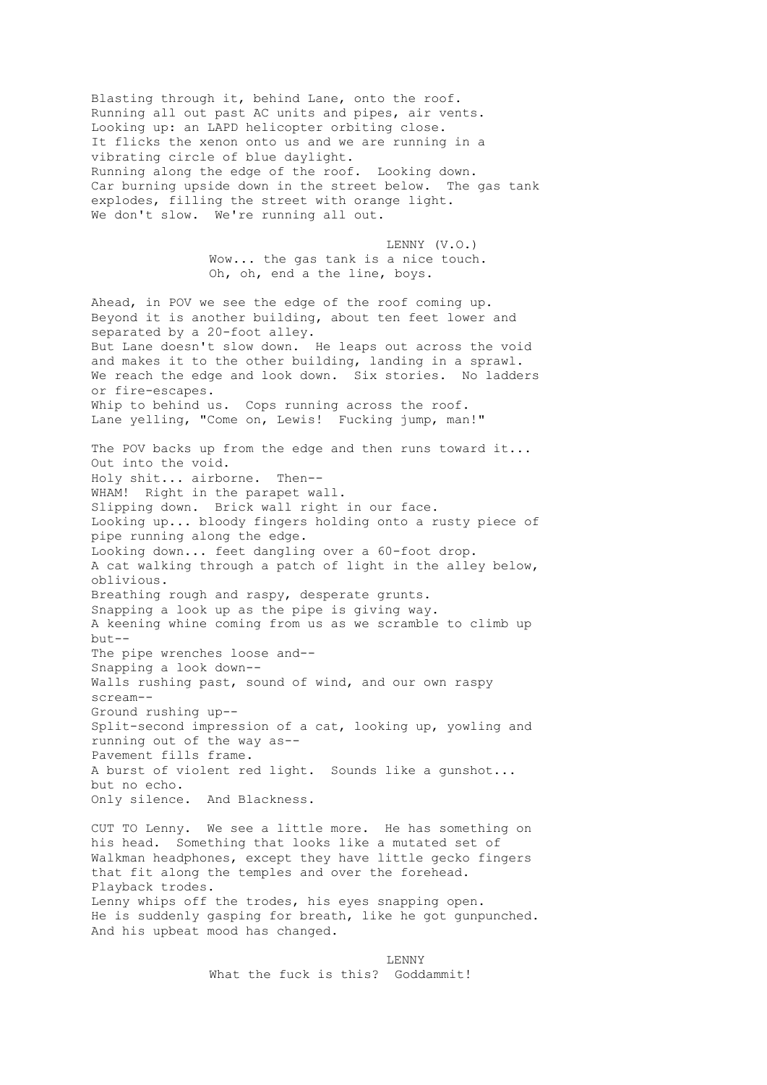Blasting through it, behind Lane, onto the roof. Running all out past AC units and pipes, air vents. Looking up: an LAPD helicopter orbiting close. It flicks the xenon onto us and we are running in a vibrating circle of blue daylight. Running along the edge of the roof. Looking down. Car burning upside down in the street below. The gas tank explodes, filling the street with orange light. We don't slow. We're running all out.

> LENNY (V.O.) Wow... the gas tank is a nice touch. Oh, oh, end a the line, boys.

Ahead, in POV we see the edge of the roof coming up. Beyond it is another building, about ten feet lower and separated by a 20-foot alley. But Lane doesn't slow down. He leaps out across the void and makes it to the other building, landing in a sprawl. We reach the edge and look down. Six stories. No ladders or fire-escapes. Whip to behind us. Cops running across the roof. Lane yelling, "Come on, Lewis! Fucking jump, man!"

The POV backs up from the edge and then runs toward it... Out into the void. Holy shit... airborne. Then-- WHAM! Right in the parapet wall. Slipping down. Brick wall right in our face. Looking up... bloody fingers holding onto a rusty piece of pipe running along the edge. Looking down... feet dangling over a 60-foot drop. A cat walking through a patch of light in the alley below, oblivious. Breathing rough and raspy, desperate grunts. Snapping a look up as the pipe is giving way. A keening whine coming from us as we scramble to climb up  $b$ ut- $-$ The pipe wrenches loose and-- Snapping a look down-- Walls rushing past, sound of wind, and our own raspy scream-- Ground rushing up-- Split-second impression of a cat, looking up, yowling and running out of the way as-- Pavement fills frame. A burst of violent red light. Sounds like a gunshot... but no echo. Only silence. And Blackness.

CUT TO Lenny. We see a little more. He has something on his head. Something that looks like a mutated set of Walkman headphones, except they have little gecko fingers that fit along the temples and over the forehead. Playback trodes. Lenny whips off the trodes, his eyes snapping open. He is suddenly gasping for breath, like he got gunpunched. And his upbeat mood has changed.

> LENNY What the fuck is this? Goddammit!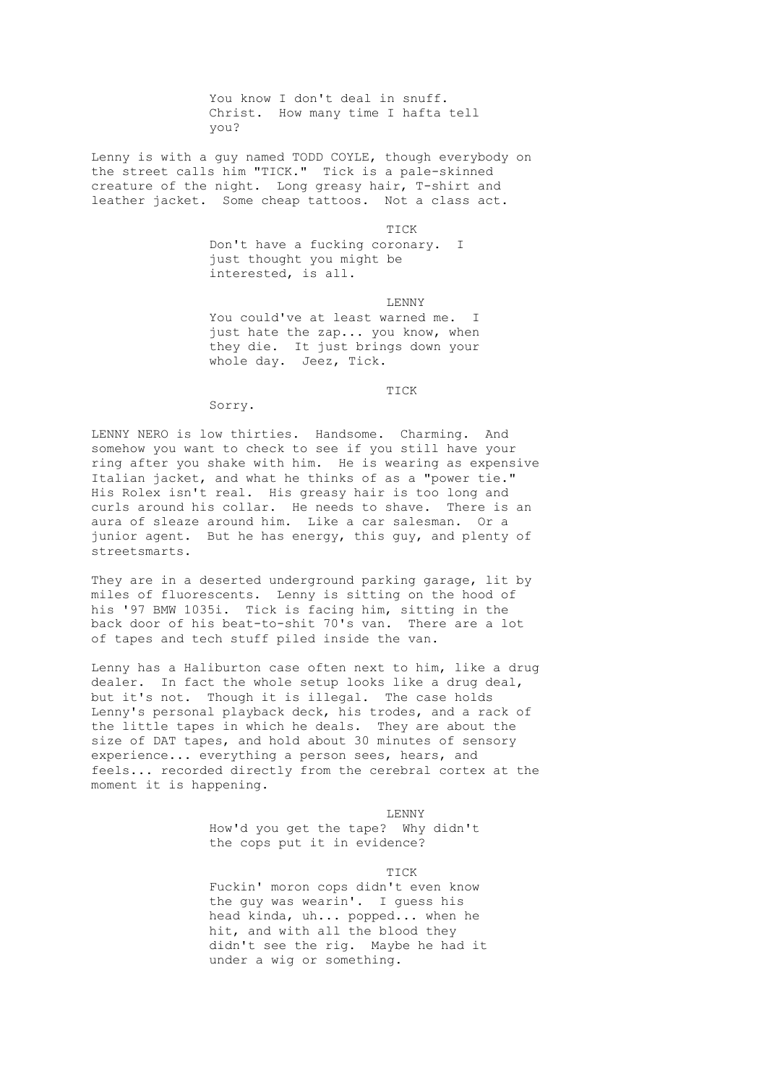You know I don't deal in snuff. Christ. How many time I hafta tell you?

Lenny is with a guy named TODD COYLE, though everybody on the street calls him "TICK." Tick is a pale-skinned creature of the night. Long greasy hair, T-shirt and leather jacket. Some cheap tattoos. Not a class act.

TICK

Don't have a fucking coronary. I just thought you might be interested, is all.

LENNY You could've at least warned me. just hate the zap... you know, when they die. It just brings down your whole day. Jeez, Tick.

TICK

Sorry.

LENNY NERO is low thirties. Handsome. Charming. And somehow you want to check to see if you still have your ring after you shake with him. He is wearing as expensive Italian jacket, and what he thinks of as a "power tie." His Rolex isn't real. His greasy hair is too long and curls around his collar. He needs to shave. There is an aura of sleaze around him. Like a car salesman. Or a junior agent. But he has energy, this guy, and plenty of streetsmarts.

They are in a deserted underground parking garage, lit by miles of fluorescents. Lenny is sitting on the hood of his '97 BMW 1035i. Tick is facing him, sitting in the back door of his beat-to-shit 70's van. There are a lot of tapes and tech stuff piled inside the van.

Lenny has a Haliburton case often next to him, like a drug dealer. In fact the whole setup looks like a drug deal, but it's not. Though it is illegal. The case holds Lenny's personal playback deck, his trodes, and a rack of the little tapes in which he deals. They are about the size of DAT tapes, and hold about 30 minutes of sensory experience... everything a person sees, hears, and feels... recorded directly from the cerebral cortex at the moment it is happening.

> LENNY How'd you get the tape? Why didn't the cops put it in evidence?

> > TICK

Fuckin' moron cops didn't even know the guy was wearin'. I guess his head kinda, uh... popped... when he hit, and with all the blood they didn't see the rig. Maybe he had it under a wig or something.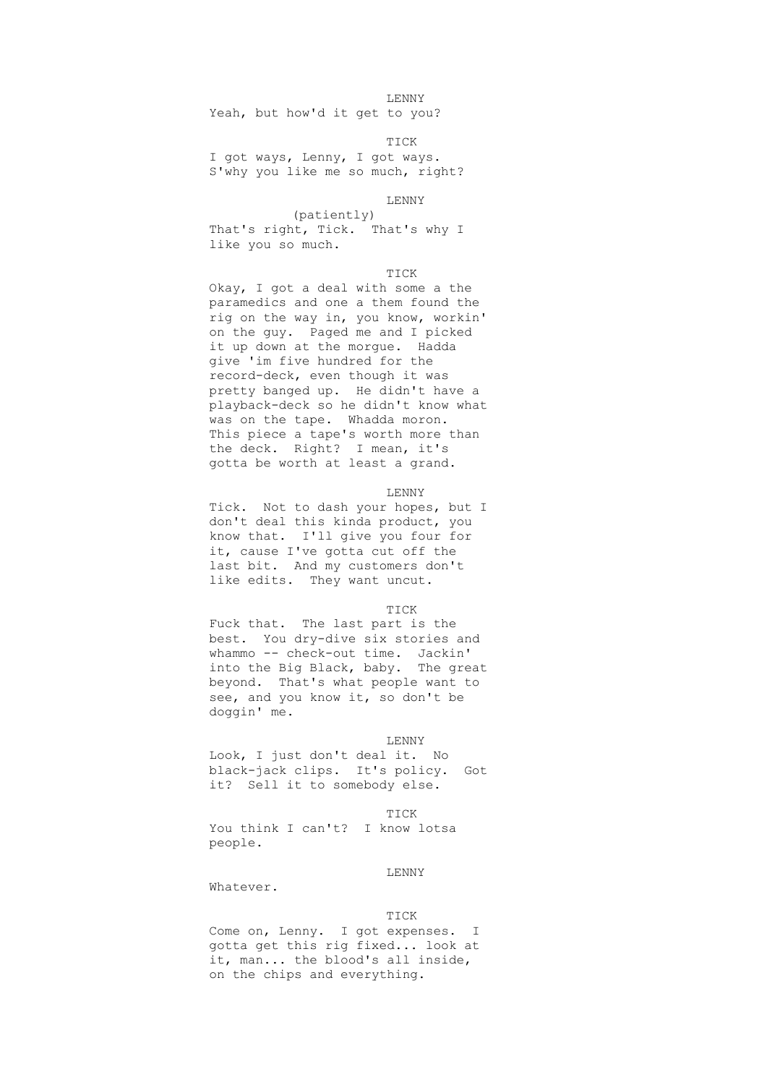# LENNY

Yeah, but how'd it get to you?

TICK

I got ways, Lenny, I got ways. S'why you like me so much, right?

#### LENNY

 (patiently) That's right, Tick. That's why I like you so much.

### TICK

Okay, I got a deal with some a the paramedics and one a them found the rig on the way in, you know, workin' on the guy. Paged me and I picked it up down at the morgue. Hadda give 'im five hundred for the record-deck, even though it was pretty banged up. He didn't have a playback-deck so he didn't know what was on the tape. Whadda moron. This piece a tape's worth more than the deck. Right? I mean, it's gotta be worth at least a grand.

LENNY

Tick. Not to dash your hopes, but I don't deal this kinda product, you know that. I'll give you four for it, cause I've gotta cut off the last bit. And my customers don't like edits. They want uncut.

#### TICK

Fuck that. The last part is the best. You dry-dive six stories and whammo -- check-out time. Jackin' into the Big Black, baby. The great beyond. That's what people want to see, and you know it, so don't be doggin' me.

#### LENNY

Look, I just don't deal it. No black-jack clips. It's policy. Got it? Sell it to somebody else.

### TICK

You think I can't? I know lotsa people.

## LENNY

Whatever.

#### TICK

Come on, Lenny. I got expenses. I gotta get this rig fixed... look at it, man... the blood's all inside, on the chips and everything.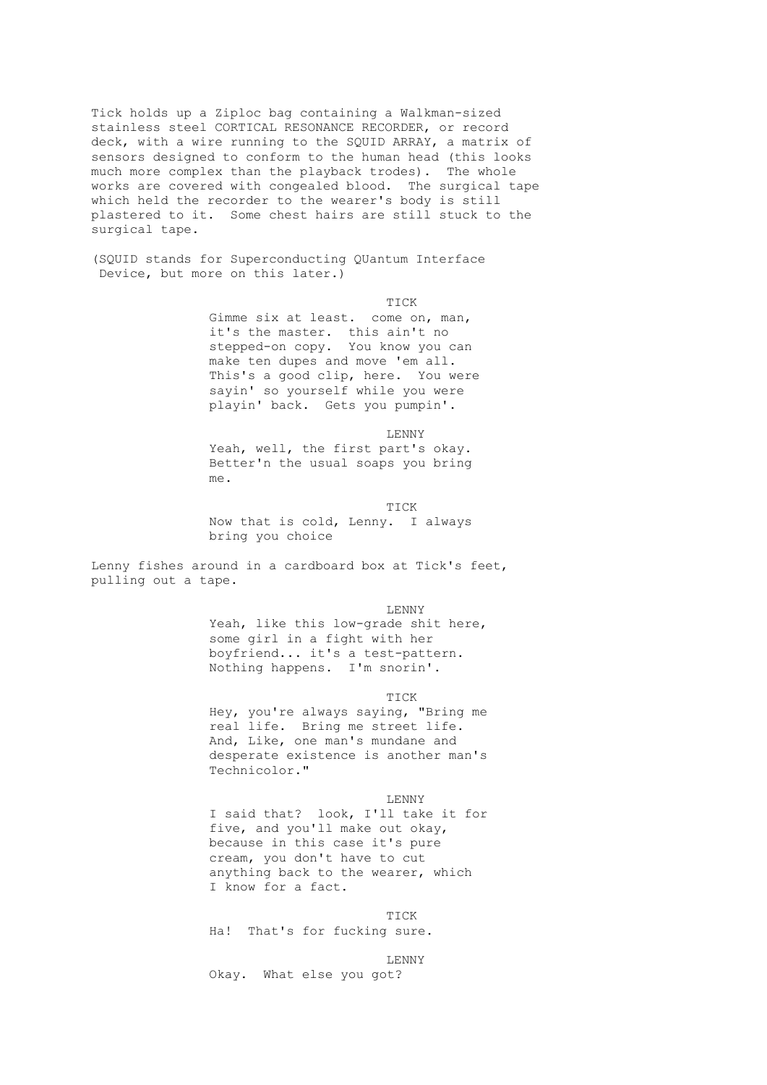Tick holds up a Ziploc bag containing a Walkman-sized stainless steel CORTICAL RESONANCE RECORDER, or record deck, with a wire running to the SQUID ARRAY, a matrix of sensors designed to conform to the human head (this looks much more complex than the playback trodes). The whole works are covered with congealed blood. The surgical tape which held the recorder to the wearer's body is still plastered to it. Some chest hairs are still stuck to the surgical tape.

(SQUID stands for Superconducting QUantum Interface Device, but more on this later.)

TICK

Gimme six at least. come on, man, it's the master. this ain't no stepped-on copy. You know you can make ten dupes and move 'em all. This's a good clip, here. You were sayin' so yourself while you were playin' back. Gets you pumpin'.

LENNY

Yeah, well, the first part's okay. Better'n the usual soaps you bring me.

TICK Now that is cold, Lenny. I always bring you choice

Lenny fishes around in a cardboard box at Tick's feet, pulling out a tape.

LENNY

Yeah, like this low-grade shit here, some girl in a fight with her boyfriend... it's a test-pattern. Nothing happens. I'm snorin'.

TICK

Hey, you're always saying, "Bring me real life. Bring me street life. And, Like, one man's mundane and desperate existence is another man's Technicolor."

LENNY

I said that? look, I'll take it for five, and you'll make out okay, because in this case it's pure cream, you don't have to cut anything back to the wearer, which I know for a fact.

TICK Ha! That's for fucking sure.

LENNY Okay. What else you got?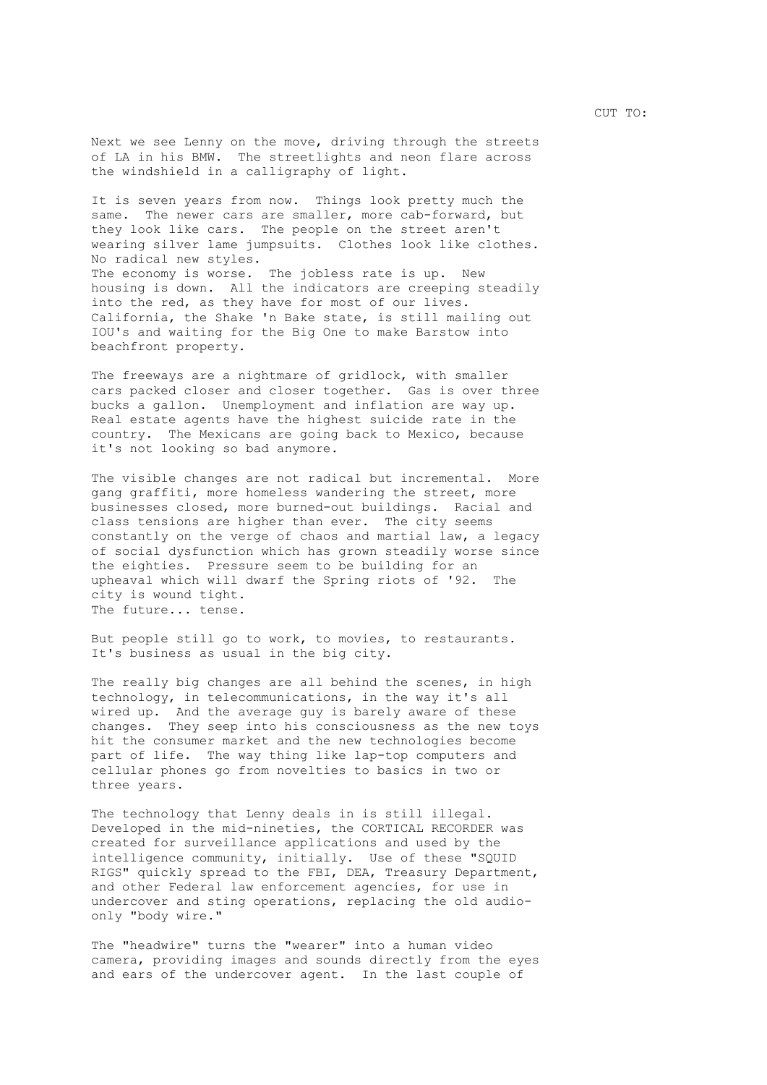Next we see Lenny on the move, driving through the streets of LA in his BMW. The streetlights and neon flare across the windshield in a calligraphy of light.

It is seven years from now. Things look pretty much the same. The newer cars are smaller, more cab-forward, but they look like cars. The people on the street aren't wearing silver lame jumpsuits. Clothes look like clothes. No radical new styles. The economy is worse. The jobless rate is up. New housing is down. All the indicators are creeping steadily into the red, as they have for most of our lives. California, the Shake 'n Bake state, is still mailing out IOU's and waiting for the Big One to make Barstow into beachfront property.

The freeways are a nightmare of gridlock, with smaller cars packed closer and closer together. Gas is over three bucks a gallon. Unemployment and inflation are way up. Real estate agents have the highest suicide rate in the country. The Mexicans are going back to Mexico, because it's not looking so bad anymore.

The visible changes are not radical but incremental. More gang graffiti, more homeless wandering the street, more businesses closed, more burned-out buildings. Racial and class tensions are higher than ever. The city seems constantly on the verge of chaos and martial law, a legacy of social dysfunction which has grown steadily worse since the eighties. Pressure seem to be building for an upheaval which will dwarf the Spring riots of '92. The city is wound tight. The future... tense.

But people still go to work, to movies, to restaurants. It's business as usual in the big city.

The really big changes are all behind the scenes, in high technology, in telecommunications, in the way it's all wired up. And the average guy is barely aware of these changes. They seep into his consciousness as the new toys hit the consumer market and the new technologies become part of life. The way thing like lap-top computers and cellular phones go from novelties to basics in two or three years.

The technology that Lenny deals in is still illegal. Developed in the mid-nineties, the CORTICAL RECORDER was created for surveillance applications and used by the intelligence community, initially. Use of these "SQUID RIGS" quickly spread to the FBI, DEA, Treasury Department, and other Federal law enforcement agencies, for use in undercover and sting operations, replacing the old audioonly "body wire."

The "headwire" turns the "wearer" into a human video camera, providing images and sounds directly from the eyes and ears of the undercover agent. In the last couple of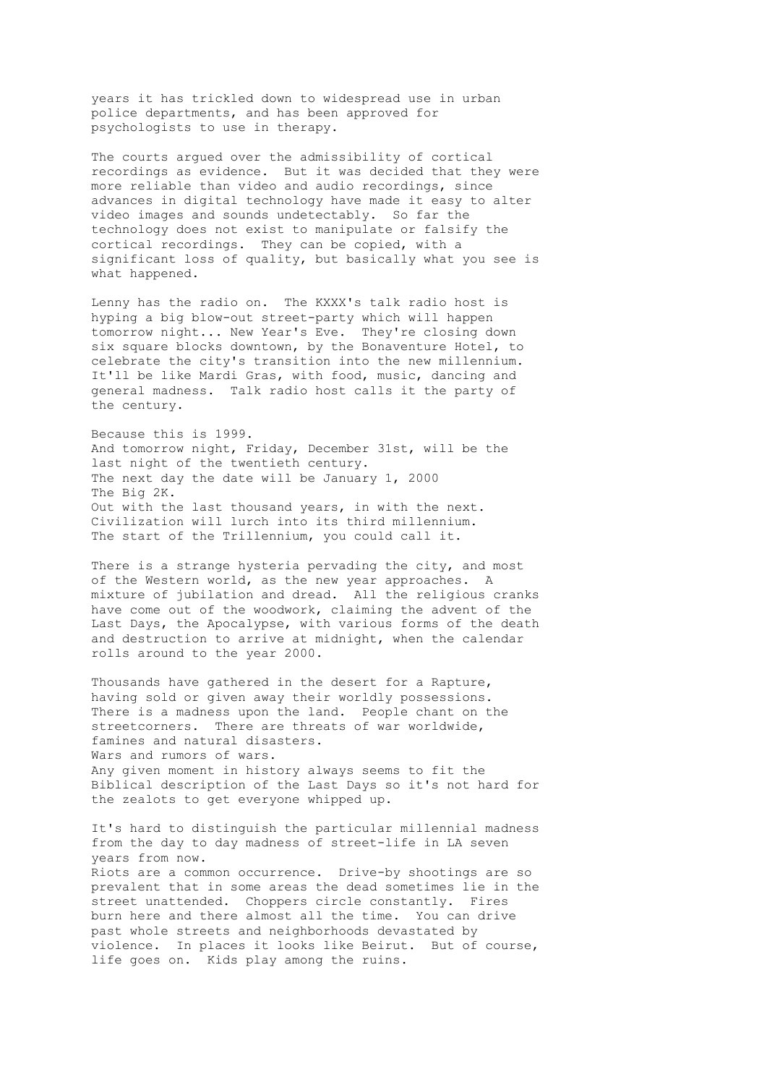years it has trickled down to widespread use in urban police departments, and has been approved for psychologists to use in therapy.

The courts argued over the admissibility of cortical recordings as evidence. But it was decided that they were more reliable than video and audio recordings, since advances in digital technology have made it easy to alter video images and sounds undetectably. So far the technology does not exist to manipulate or falsify the cortical recordings. They can be copied, with a significant loss of quality, but basically what you see is what happened.

Lenny has the radio on. The KXXX's talk radio host is hyping a big blow-out street-party which will happen tomorrow night... New Year's Eve. They're closing down six square blocks downtown, by the Bonaventure Hotel, to celebrate the city's transition into the new millennium. It'll be like Mardi Gras, with food, music, dancing and general madness. Talk radio host calls it the party of the century.

Because this is 1999. And tomorrow night, Friday, December 31st, will be the last night of the twentieth century. The next day the date will be January 1, 2000 The Big 2K. Out with the last thousand years, in with the next. Civilization will lurch into its third millennium. The start of the Trillennium, you could call it.

There is a strange hysteria pervading the city, and most of the Western world, as the new year approaches. A mixture of jubilation and dread. All the religious cranks have come out of the woodwork, claiming the advent of the Last Days, the Apocalypse, with various forms of the death and destruction to arrive at midnight, when the calendar rolls around to the year 2000.

Thousands have gathered in the desert for a Rapture, having sold or given away their worldly possessions. There is a madness upon the land. People chant on the streetcorners. There are threats of war worldwide, famines and natural disasters. Wars and rumors of wars. Any given moment in history always seems to fit the Biblical description of the Last Days so it's not hard for the zealots to get everyone whipped up.

It's hard to distinguish the particular millennial madness from the day to day madness of street-life in LA seven years from now. Riots are a common occurrence. Drive-by shootings are so prevalent that in some areas the dead sometimes lie in the street unattended. Choppers circle constantly. Fires burn here and there almost all the time. You can drive past whole streets and neighborhoods devastated by violence. In places it looks like Beirut. But of course, life goes on. Kids play among the ruins.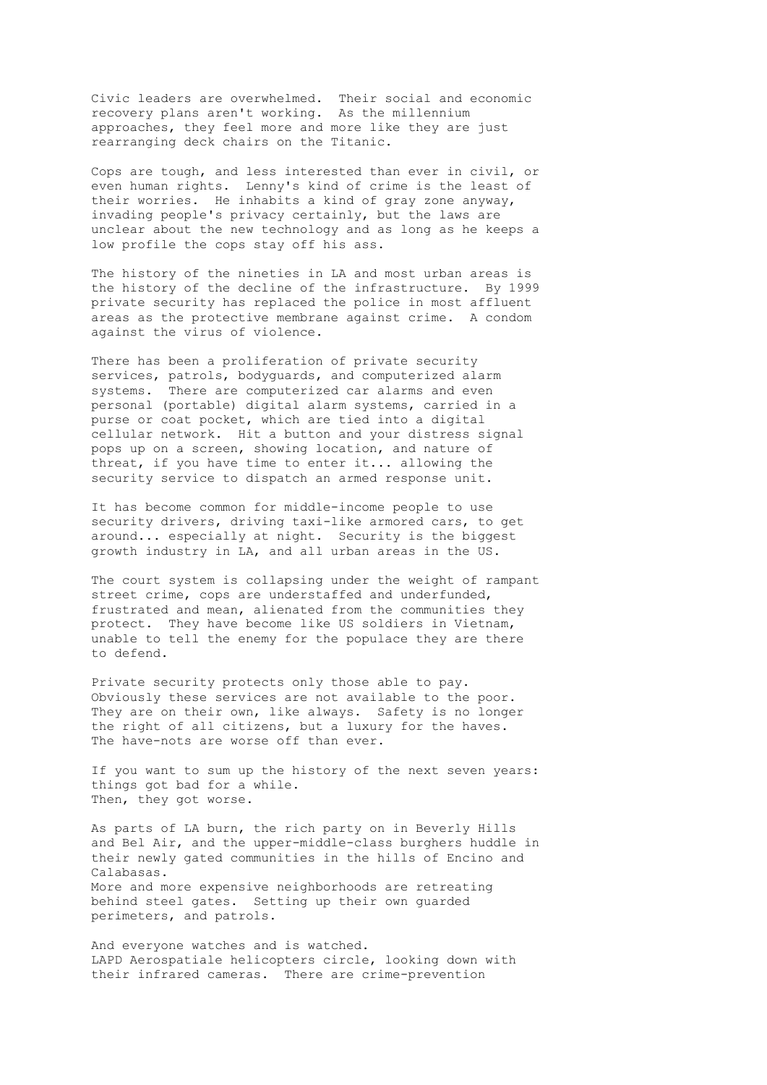Civic leaders are overwhelmed. Their social and economic recovery plans aren't working. As the millennium approaches, they feel more and more like they are just rearranging deck chairs on the Titanic.

Cops are tough, and less interested than ever in civil, or even human rights. Lenny's kind of crime is the least of their worries. He inhabits a kind of gray zone anyway, invading people's privacy certainly, but the laws are unclear about the new technology and as long as he keeps a low profile the cops stay off his ass.

The history of the nineties in LA and most urban areas is the history of the decline of the infrastructure. By 1999 private security has replaced the police in most affluent areas as the protective membrane against crime. A condom against the virus of violence.

There has been a proliferation of private security services, patrols, bodyguards, and computerized alarm systems. There are computerized car alarms and even personal (portable) digital alarm systems, carried in a purse or coat pocket, which are tied into a digital cellular network. Hit a button and your distress signal pops up on a screen, showing location, and nature of threat, if you have time to enter it... allowing the security service to dispatch an armed response unit.

It has become common for middle-income people to use security drivers, driving taxi-like armored cars, to get around... especially at night. Security is the biggest growth industry in LA, and all urban areas in the US.

The court system is collapsing under the weight of rampant street crime, cops are understaffed and underfunded, frustrated and mean, alienated from the communities they protect. They have become like US soldiers in Vietnam, unable to tell the enemy for the populace they are there to defend.

Private security protects only those able to pay. Obviously these services are not available to the poor. They are on their own, like always. Safety is no longer the right of all citizens, but a luxury for the haves. The have-nots are worse off than ever.

If you want to sum up the history of the next seven years: things got bad for a while. Then, they got worse.

As parts of LA burn, the rich party on in Beverly Hills and Bel Air, and the upper-middle-class burghers huddle in their newly gated communities in the hills of Encino and Calabasas. More and more expensive neighborhoods are retreating behind steel gates. Setting up their own guarded perimeters, and patrols.

And everyone watches and is watched. LAPD Aerospatiale helicopters circle, looking down with their infrared cameras. There are crime-prevention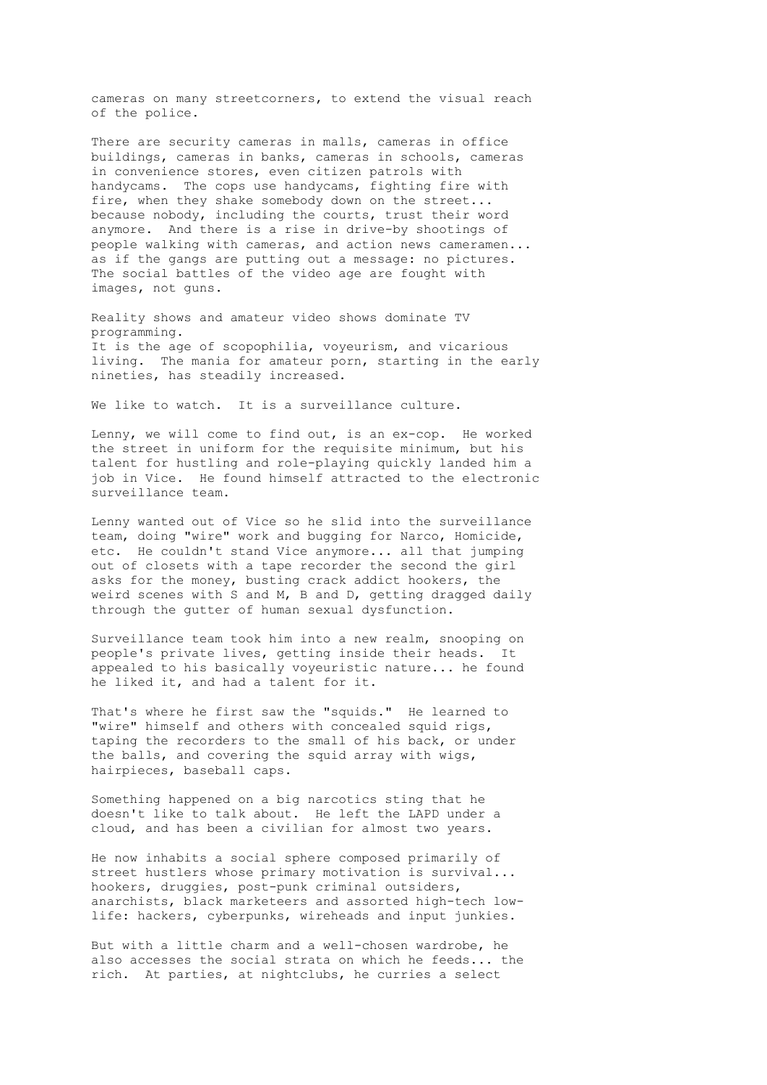cameras on many streetcorners, to extend the visual reach of the police.

There are security cameras in malls, cameras in office buildings, cameras in banks, cameras in schools, cameras in convenience stores, even citizen patrols with handycams. The cops use handycams, fighting fire with fire, when they shake somebody down on the street... because nobody, including the courts, trust their word anymore. And there is a rise in drive-by shootings of people walking with cameras, and action news cameramen... as if the gangs are putting out a message: no pictures. The social battles of the video age are fought with images, not guns.

Reality shows and amateur video shows dominate TV programming. It is the age of scopophilia, voyeurism, and vicarious living. The mania for amateur porn, starting in the early nineties, has steadily increased.

We like to watch. It is a surveillance culture.

Lenny, we will come to find out, is an ex-cop. He worked the street in uniform for the requisite minimum, but his talent for hustling and role-playing quickly landed him a job in Vice. He found himself attracted to the electronic surveillance team.

Lenny wanted out of Vice so he slid into the surveillance team, doing "wire" work and bugging for Narco, Homicide, etc. He couldn't stand Vice anymore... all that jumping out of closets with a tape recorder the second the girl asks for the money, busting crack addict hookers, the weird scenes with S and M, B and D, getting dragged daily through the gutter of human sexual dysfunction.

Surveillance team took him into a new realm, snooping on people's private lives, getting inside their heads. It appealed to his basically voyeuristic nature... he found he liked it, and had a talent for it.

That's where he first saw the "squids." He learned to "wire" himself and others with concealed squid rigs, taping the recorders to the small of his back, or under the balls, and covering the squid array with wigs, hairpieces, baseball caps.

Something happened on a big narcotics sting that he doesn't like to talk about. He left the LAPD under a cloud, and has been a civilian for almost two years.

He now inhabits a social sphere composed primarily of street hustlers whose primary motivation is survival... hookers, druggies, post-punk criminal outsiders, anarchists, black marketeers and assorted high-tech lowlife: hackers, cyberpunks, wireheads and input junkies.

But with a little charm and a well-chosen wardrobe, he also accesses the social strata on which he feeds... the rich. At parties, at nightclubs, he curries a select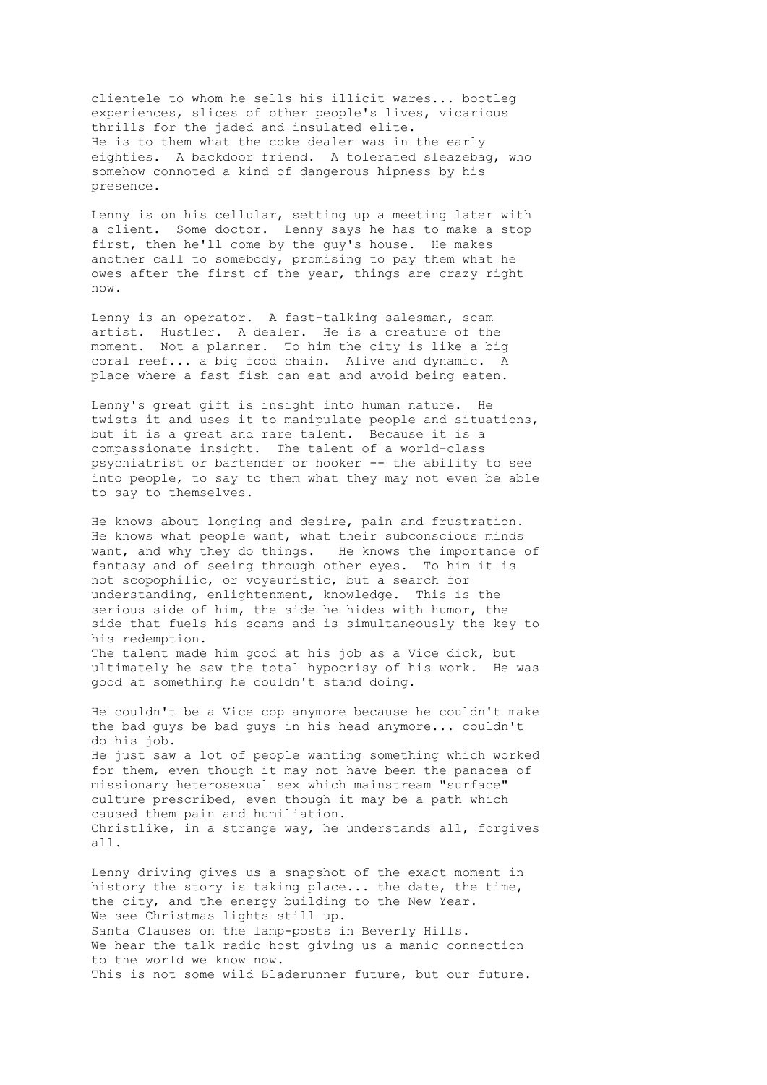clientele to whom he sells his illicit wares... bootleg experiences, slices of other people's lives, vicarious thrills for the jaded and insulated elite. He is to them what the coke dealer was in the early eighties. A backdoor friend. A tolerated sleazebag, who somehow connoted a kind of dangerous hipness by his presence.

Lenny is on his cellular, setting up a meeting later with a client. Some doctor. Lenny says he has to make a stop first, then he'll come by the guy's house. He makes another call to somebody, promising to pay them what he owes after the first of the year, things are crazy right now.

Lenny is an operator. A fast-talking salesman, scam artist. Hustler. A dealer. He is a creature of the moment. Not a planner. To him the city is like a big coral reef... a big food chain. Alive and dynamic. place where a fast fish can eat and avoid being eaten.

Lenny's great gift is insight into human nature. He twists it and uses it to manipulate people and situations, but it is a great and rare talent. Because it is a compassionate insight. The talent of a world-class psychiatrist or bartender or hooker -- the ability to see into people, to say to them what they may not even be able to say to themselves.

He knows about longing and desire, pain and frustration. He knows what people want, what their subconscious minds want, and why they do things. He knows the importance of fantasy and of seeing through other eyes. To him it is not scopophilic, or voyeuristic, but a search for understanding, enlightenment, knowledge. This is the serious side of him, the side he hides with humor, the side that fuels his scams and is simultaneously the key to his redemption. The talent made him good at his job as a Vice dick, but

ultimately he saw the total hypocrisy of his work. He was good at something he couldn't stand doing.

He couldn't be a Vice cop anymore because he couldn't make the bad guys be bad guys in his head anymore... couldn't do his job. He just saw a lot of people wanting something which worked for them, even though it may not have been the panacea of missionary heterosexual sex which mainstream "surface" culture prescribed, even though it may be a path which caused them pain and humiliation. Christlike, in a strange way, he understands all, forgives all.

Lenny driving gives us a snapshot of the exact moment in history the story is taking place... the date, the time, the city, and the energy building to the New Year. We see Christmas lights still up. Santa Clauses on the lamp-posts in Beverly Hills. We hear the talk radio host giving us a manic connection to the world we know now. This is not some wild Bladerunner future, but our future.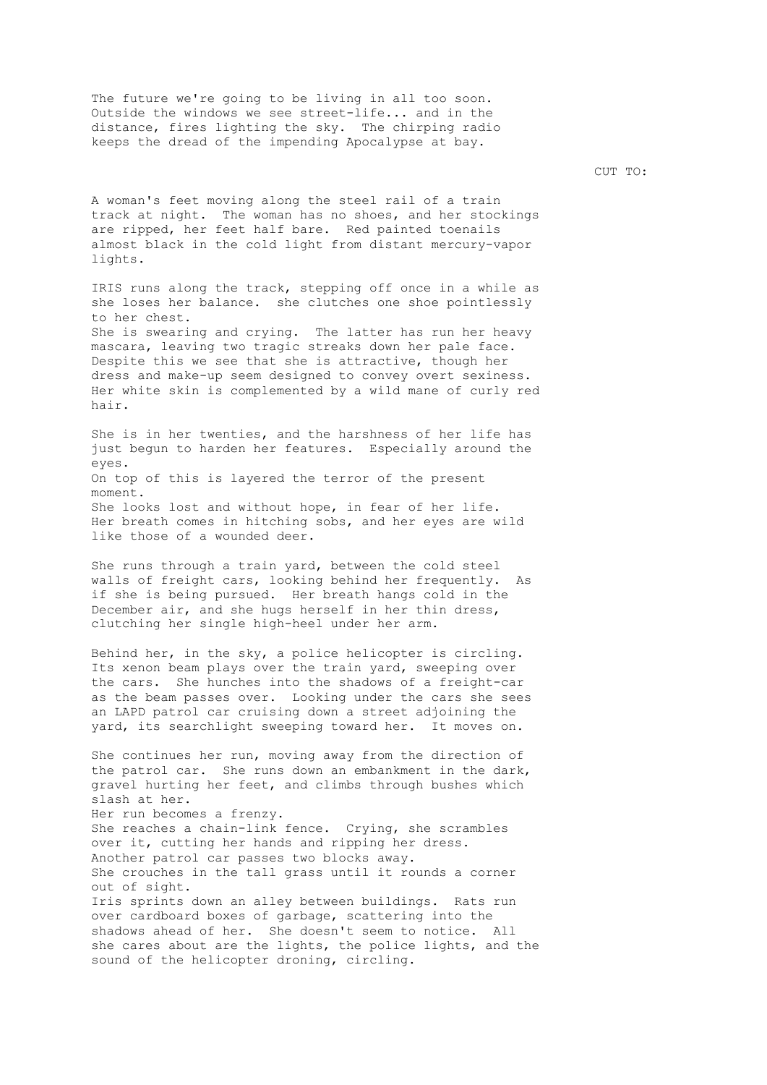The future we're going to be living in all too soon. Outside the windows we see street-life... and in the distance, fires lighting the sky. The chirping radio keeps the dread of the impending Apocalypse at bay.

A woman's feet moving along the steel rail of a train track at night. The woman has no shoes, and her stockings are ripped, her feet half bare. Red painted toenails almost black in the cold light from distant mercury-vapor lights.

IRIS runs along the track, stepping off once in a while as she loses her balance. she clutches one shoe pointlessly to her chest. She is swearing and crying. The latter has run her heavy mascara, leaving two tragic streaks down her pale face. Despite this we see that she is attractive, though her dress and make-up seem designed to convey overt sexiness. Her white skin is complemented by a wild mane of curly red hair.

She is in her twenties, and the harshness of her life has just begun to harden her features. Especially around the eyes. On top of this is layered the terror of the present moment. She looks lost and without hope, in fear of her life. Her breath comes in hitching sobs, and her eyes are wild like those of a wounded deer.

She runs through a train yard, between the cold steel walls of freight cars, looking behind her frequently. As if she is being pursued. Her breath hangs cold in the December air, and she hugs herself in her thin dress, clutching her single high-heel under her arm.

Behind her, in the sky, a police helicopter is circling. Its xenon beam plays over the train yard, sweeping over the cars. She hunches into the shadows of a freight-car as the beam passes over. Looking under the cars she sees an LAPD patrol car cruising down a street adjoining the yard, its searchlight sweeping toward her. It moves on.

She continues her run, moving away from the direction of the patrol car. She runs down an embankment in the dark, gravel hurting her feet, and climbs through bushes which slash at her. Her run becomes a frenzy. She reaches a chain-link fence. Crying, she scrambles over it, cutting her hands and ripping her dress. Another patrol car passes two blocks away. She crouches in the tall grass until it rounds a corner out of sight. Iris sprints down an alley between buildings. Rats run over cardboard boxes of garbage, scattering into the shadows ahead of her. She doesn't seem to notice. All she cares about are the lights, the police lights, and the sound of the helicopter droning, circling.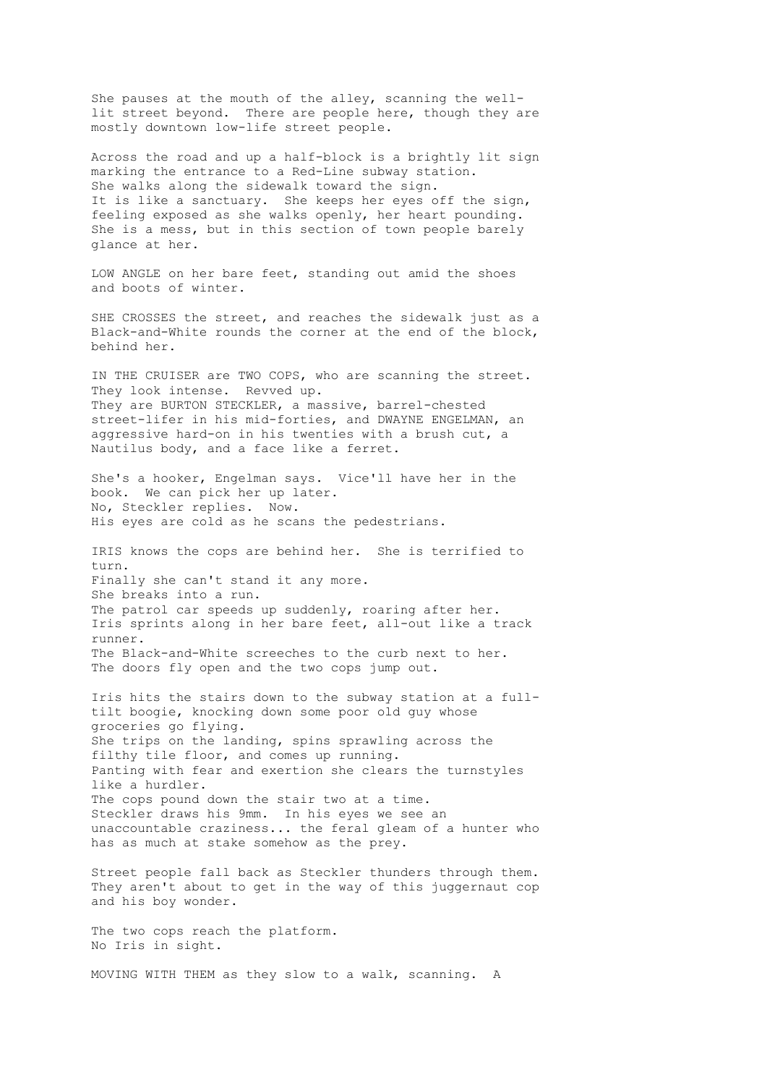She pauses at the mouth of the alley, scanning the welllit street beyond. There are people here, though they are mostly downtown low-life street people.

Across the road and up a half-block is a brightly lit sign marking the entrance to a Red-Line subway station. She walks along the sidewalk toward the sign. It is like a sanctuary. She keeps her eyes off the sign, feeling exposed as she walks openly, her heart pounding. She is a mess, but in this section of town people barely glance at her.

LOW ANGLE on her bare feet, standing out amid the shoes and boots of winter.

SHE CROSSES the street, and reaches the sidewalk just as a Black-and-White rounds the corner at the end of the block, behind her.

IN THE CRUISER are TWO COPS, who are scanning the street. They look intense. Revved up. They are BURTON STECKLER, a massive, barrel-chested street-lifer in his mid-forties, and DWAYNE ENGELMAN, an aggressive hard-on in his twenties with a brush cut, a Nautilus body, and a face like a ferret.

She's a hooker, Engelman says. Vice'll have her in the book. We can pick her up later. No, Steckler replies. Now. His eyes are cold as he scans the pedestrians.

IRIS knows the cops are behind her. She is terrified to turn. Finally she can't stand it any more. She breaks into a run. The patrol car speeds up suddenly, roaring after her. Iris sprints along in her bare feet, all-out like a track runner. The Black-and-White screeches to the curb next to her. The doors fly open and the two cops jump out.

Iris hits the stairs down to the subway station at a fulltilt boogie, knocking down some poor old guy whose groceries go flying. She trips on the landing, spins sprawling across the filthy tile floor, and comes up running. Panting with fear and exertion she clears the turnstyles like a hurdler. The cops pound down the stair two at a time. Steckler draws his 9mm. In his eyes we see an unaccountable craziness... the feral gleam of a hunter who has as much at stake somehow as the prey.

Street people fall back as Steckler thunders through them. They aren't about to get in the way of this juggernaut cop and his boy wonder.

The two cops reach the platform. No Iris in sight.

MOVING WITH THEM as they slow to a walk, scanning. A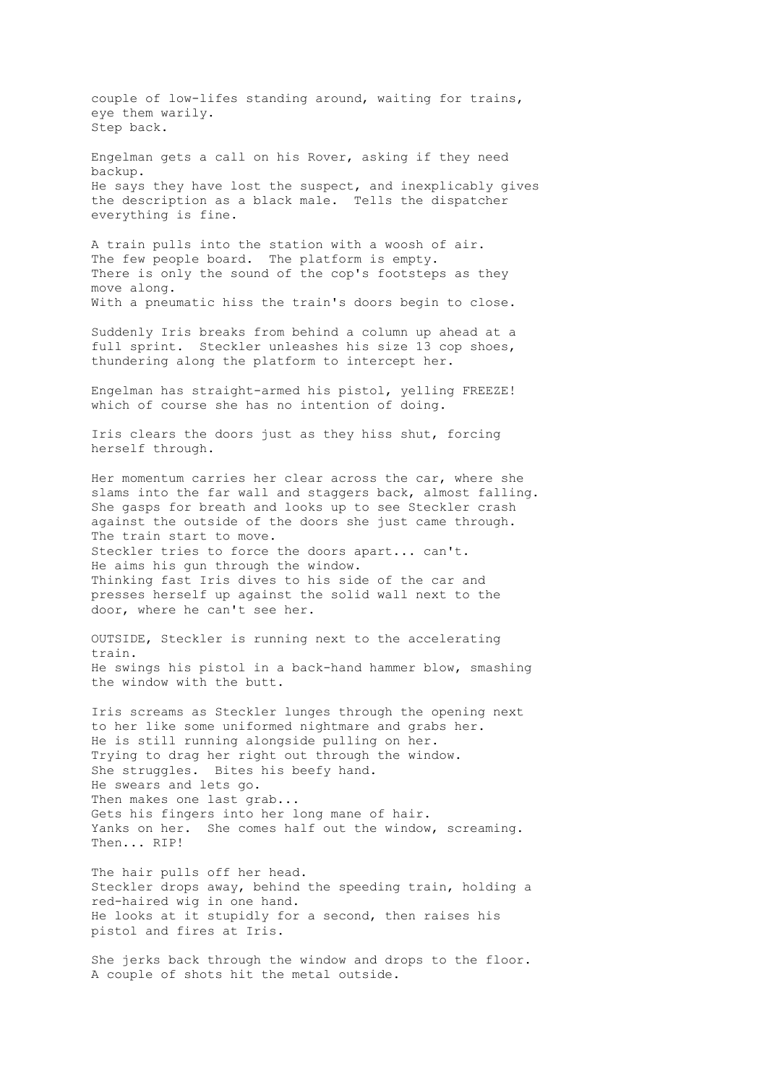couple of low-lifes standing around, waiting for trains, eye them warily. Step back. Engelman gets a call on his Rover, asking if they need backup. He says they have lost the suspect, and inexplicably gives the description as a black male. Tells the dispatcher everything is fine. A train pulls into the station with a woosh of air. The few people board. The platform is empty. There is only the sound of the cop's footsteps as they move along. With a pneumatic hiss the train's doors begin to close. Suddenly Iris breaks from behind a column up ahead at a full sprint. Steckler unleashes his size 13 cop shoes, thundering along the platform to intercept her. Engelman has straight-armed his pistol, yelling FREEZE! which of course she has no intention of doing. Iris clears the doors just as they hiss shut, forcing herself through. Her momentum carries her clear across the car, where she slams into the far wall and staggers back, almost falling. She gasps for breath and looks up to see Steckler crash against the outside of the doors she just came through. The train start to move. Steckler tries to force the doors apart... can't. He aims his gun through the window. Thinking fast Iris dives to his side of the car and presses herself up against the solid wall next to the door, where he can't see her. OUTSIDE, Steckler is running next to the accelerating train. He swings his pistol in a back-hand hammer blow, smashing the window with the butt. Iris screams as Steckler lunges through the opening next to her like some uniformed nightmare and grabs her. He is still running alongside pulling on her. Trying to drag her right out through the window. She struggles. Bites his beefy hand. He swears and lets go. Then makes one last grab... Gets his fingers into her long mane of hair. Yanks on her. She comes half out the window, screaming. Then... RIP! The hair pulls off her head. Steckler drops away, behind the speeding train, holding a red-haired wig in one hand. He looks at it stupidly for a second, then raises his pistol and fires at Iris.

She jerks back through the window and drops to the floor. A couple of shots hit the metal outside.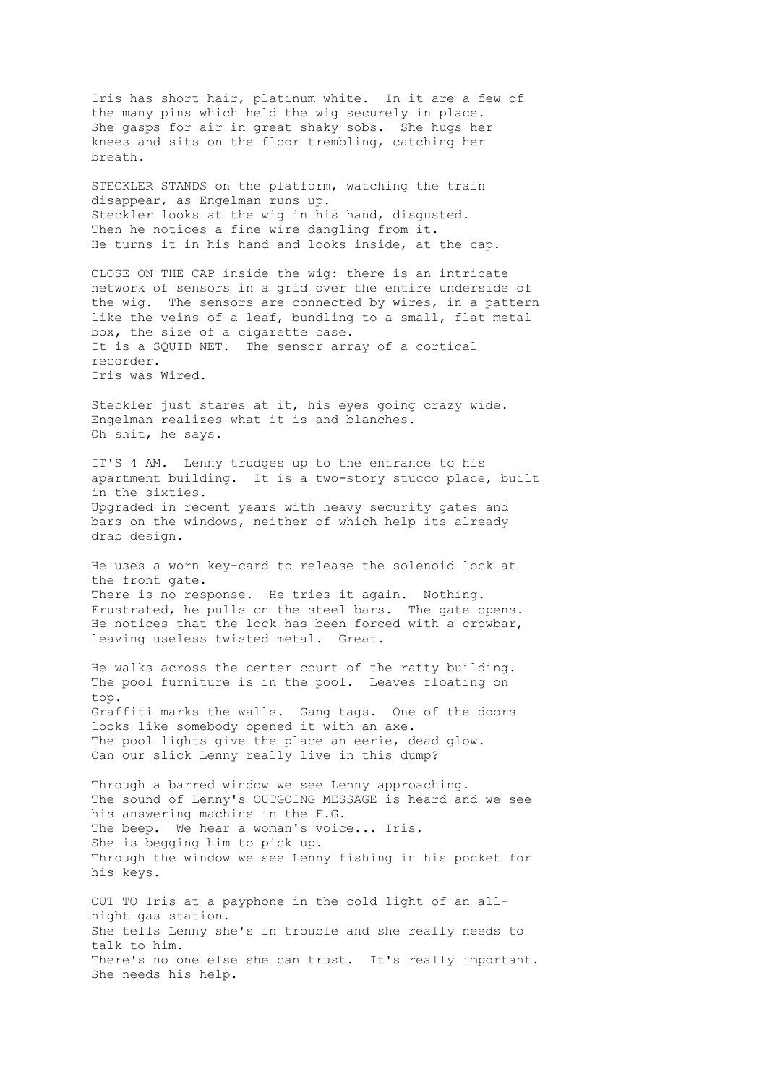Iris has short hair, platinum white. In it are a few of the many pins which held the wig securely in place. She gasps for air in great shaky sobs. She hugs her knees and sits on the floor trembling, catching her breath. STECKLER STANDS on the platform, watching the train disappear, as Engelman runs up. Steckler looks at the wig in his hand, disgusted. Then he notices a fine wire dangling from it. He turns it in his hand and looks inside, at the cap. CLOSE ON THE CAP inside the wig: there is an intricate network of sensors in a grid over the entire underside of the wig. The sensors are connected by wires, in a pattern like the veins of a leaf, bundling to a small, flat metal box, the size of a cigarette case. It is a SQUID NET. The sensor array of a cortical recorder. Iris was Wired. Steckler just stares at it, his eyes going crazy wide. Engelman realizes what it is and blanches. Oh shit, he says. IT'S 4 AM. Lenny trudges up to the entrance to his apartment building. It is a two-story stucco place, built in the sixties. Upgraded in recent years with heavy security gates and bars on the windows, neither of which help its already drab design. He uses a worn key-card to release the solenoid lock at the front gate. There is no response. He tries it again. Nothing. Frustrated, he pulls on the steel bars. The gate opens. He notices that the lock has been forced with a crowbar, leaving useless twisted metal. Great. He walks across the center court of the ratty building. The pool furniture is in the pool. Leaves floating on top. Graffiti marks the walls. Gang tags. One of the doors looks like somebody opened it with an axe. The pool lights give the place an eerie, dead glow. Can our slick Lenny really live in this dump? Through a barred window we see Lenny approaching. The sound of Lenny's OUTGOING MESSAGE is heard and we see his answering machine in the F.G. The beep. We hear a woman's voice... Iris. She is begging him to pick up. Through the window we see Lenny fishing in his pocket for his keys. CUT TO Iris at a payphone in the cold light of an allnight gas station. She tells Lenny she's in trouble and she really needs to talk to him. There's no one else she can trust. It's really important. She needs his help.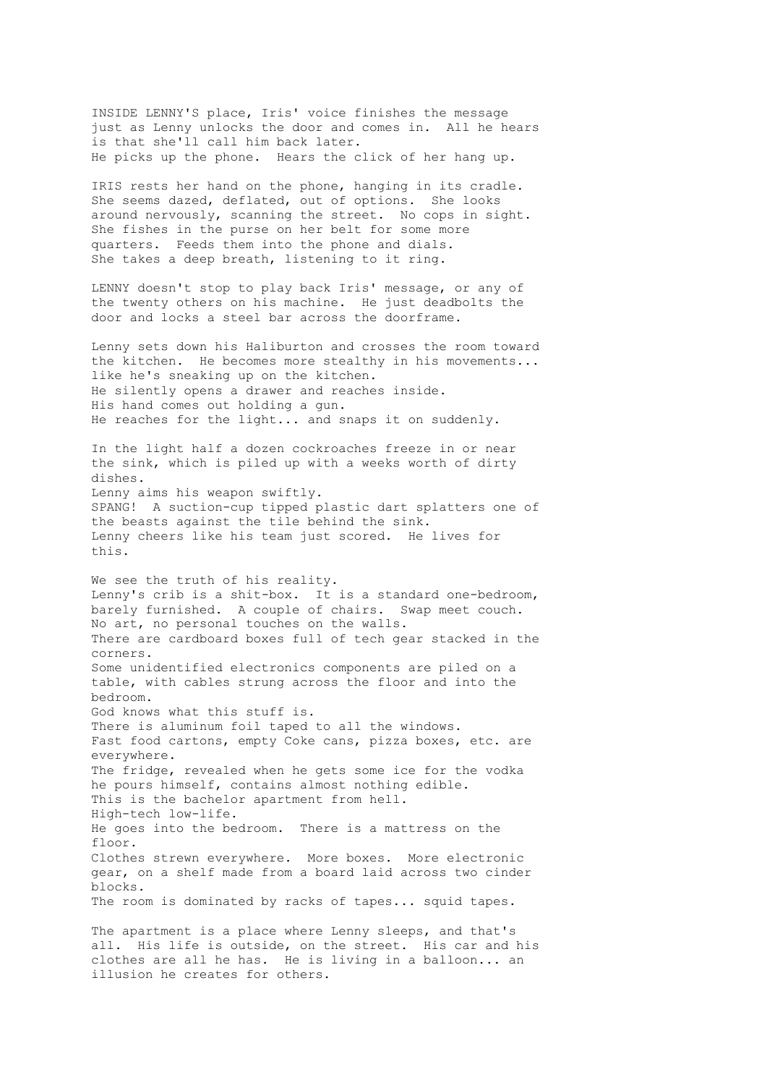INSIDE LENNY'S place, Iris' voice finishes the message just as Lenny unlocks the door and comes in. All he hears is that she'll call him back later. He picks up the phone. Hears the click of her hang up.

IRIS rests her hand on the phone, hanging in its cradle. She seems dazed, deflated, out of options. She looks around nervously, scanning the street. No cops in sight. She fishes in the purse on her belt for some more quarters. Feeds them into the phone and dials. She takes a deep breath, listening to it ring.

LENNY doesn't stop to play back Iris' message, or any of the twenty others on his machine. He just deadbolts the door and locks a steel bar across the doorframe.

Lenny sets down his Haliburton and crosses the room toward the kitchen. He becomes more stealthy in his movements... like he's sneaking up on the kitchen. He silently opens a drawer and reaches inside. His hand comes out holding a gun. He reaches for the light... and snaps it on suddenly.

In the light half a dozen cockroaches freeze in or near the sink, which is piled up with a weeks worth of dirty dishes. Lenny aims his weapon swiftly. SPANG! A suction-cup tipped plastic dart splatters one of the beasts against the tile behind the sink. Lenny cheers like his team just scored. He lives for this.

We see the truth of his reality. Lenny's crib is a shit-box. It is a standard one-bedroom, barely furnished. A couple of chairs. Swap meet couch. No art, no personal touches on the walls. There are cardboard boxes full of tech gear stacked in the corners. Some unidentified electronics components are piled on a table, with cables strung across the floor and into the bedroom. God knows what this stuff is. There is aluminum foil taped to all the windows. Fast food cartons, empty Coke cans, pizza boxes, etc. are everywhere. The fridge, revealed when he gets some ice for the vodka he pours himself, contains almost nothing edible. This is the bachelor apartment from hell. High-tech low-life. He goes into the bedroom. There is a mattress on the floor. Clothes strewn everywhere. More boxes. More electronic gear, on a shelf made from a board laid across two cinder blocks. The room is dominated by racks of tapes... squid tapes. The apartment is a place where Lenny sleeps, and that's all. His life is outside, on the street. His car and his

clothes are all he has. He is living in a balloon... an

illusion he creates for others.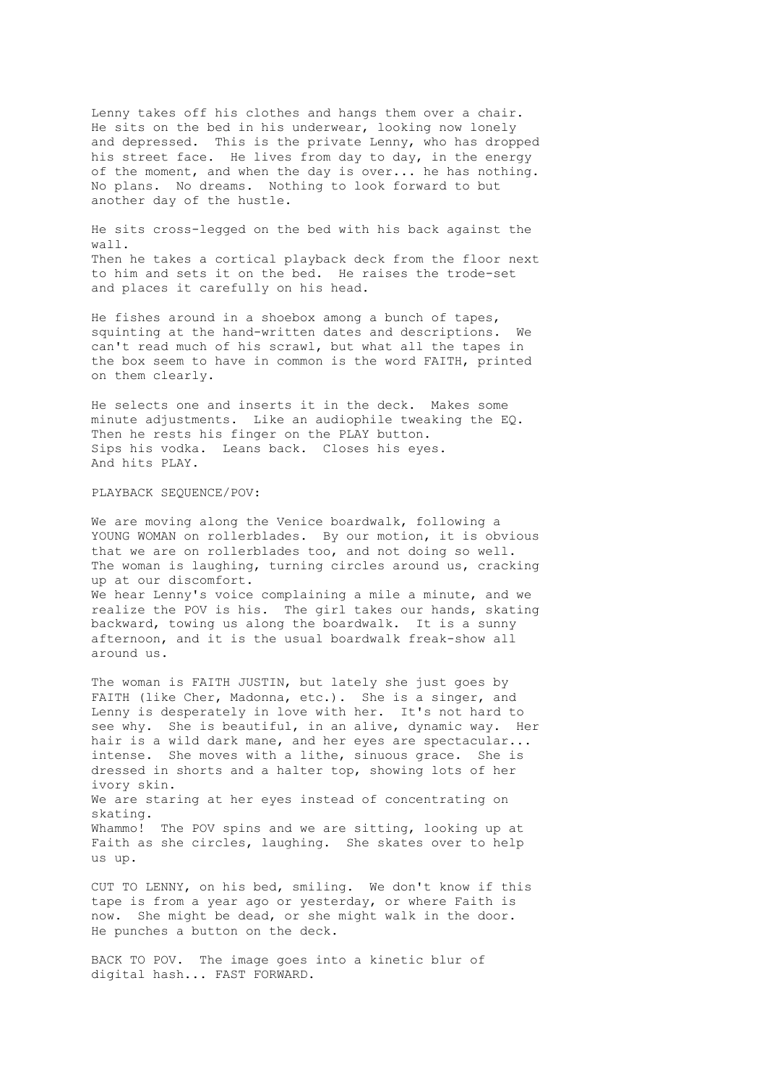Lenny takes off his clothes and hangs them over a chair. He sits on the bed in his underwear, looking now lonely and depressed. This is the private Lenny, who has dropped his street face. He lives from day to day, in the energy of the moment, and when the day is over... he has nothing. No plans. No dreams. Nothing to look forward to but another day of the hustle.

He sits cross-legged on the bed with his back against the wall. Then he takes a cortical playback deck from the floor next to him and sets it on the bed. He raises the trode-set and places it carefully on his head.

He fishes around in a shoebox among a bunch of tapes, squinting at the hand-written dates and descriptions. We can't read much of his scrawl, but what all the tapes in the box seem to have in common is the word FAITH, printed on them clearly.

He selects one and inserts it in the deck. Makes some minute adjustments. Like an audiophile tweaking the EQ. Then he rests his finger on the PLAY button. Sips his vodka. Leans back. Closes his eyes. And hits PLAY.

# PLAYBACK SEQUENCE/POV:

We are moving along the Venice boardwalk, following a YOUNG WOMAN on rollerblades. By our motion, it is obvious that we are on rollerblades too, and not doing so well. The woman is laughing, turning circles around us, cracking up at our discomfort. We hear Lenny's voice complaining a mile a minute, and we realize the POV is his. The girl takes our hands, skating backward, towing us along the boardwalk. It is a sunny afternoon, and it is the usual boardwalk freak-show all around us.

The woman is FAITH JUSTIN, but lately she just goes by FAITH (like Cher, Madonna, etc.). She is a singer, and Lenny is desperately in love with her. It's not hard to see why. She is beautiful, in an alive, dynamic way. Her hair is a wild dark mane, and her eyes are spectacular... intense. She moves with a lithe, sinuous grace. She is dressed in shorts and a halter top, showing lots of her ivory skin. We are staring at her eyes instead of concentrating on skating. Whammo! The POV spins and we are sitting, looking up at Faith as she circles, laughing. She skates over to help us up.

CUT TO LENNY, on his bed, smiling. We don't know if this tape is from a year ago or yesterday, or where Faith is now. She might be dead, or she might walk in the door. He punches a button on the deck.

BACK TO POV. The image goes into a kinetic blur of digital hash... FAST FORWARD.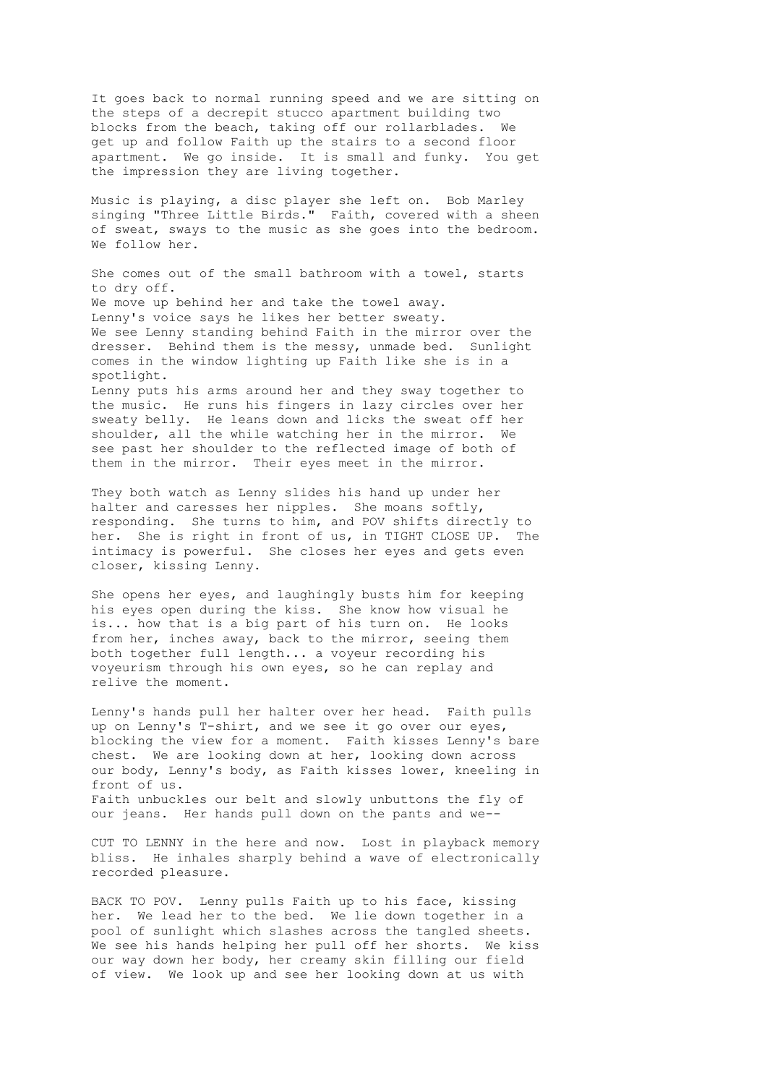It goes back to normal running speed and we are sitting on the steps of a decrepit stucco apartment building two blocks from the beach, taking off our rollarblades. We get up and follow Faith up the stairs to a second floor apartment. We go inside. It is small and funky. You get the impression they are living together.

Music is playing, a disc player she left on. Bob Marley singing "Three Little Birds." Faith, covered with a sheen of sweat, sways to the music as she goes into the bedroom. We follow her.

She comes out of the small bathroom with a towel, starts to dry off. We move up behind her and take the towel away. Lenny's voice says he likes her better sweaty. We see Lenny standing behind Faith in the mirror over the dresser. Behind them is the messy, unmade bed. Sunlight comes in the window lighting up Faith like she is in a spotlight. Lenny puts his arms around her and they sway together to the music. He runs his fingers in lazy circles over her sweaty belly. He leans down and licks the sweat off her shoulder, all the while watching her in the mirror. see past her shoulder to the reflected image of both of them in the mirror. Their eyes meet in the mirror.

They both watch as Lenny slides his hand up under her halter and caresses her nipples. She moans softly, responding. She turns to him, and POV shifts directly to her. She is right in front of us, in TIGHT CLOSE UP. The intimacy is powerful. She closes her eyes and gets even closer, kissing Lenny.

She opens her eyes, and laughingly busts him for keeping his eyes open during the kiss. She know how visual he is... how that is a big part of his turn on. He looks from her, inches away, back to the mirror, seeing them both together full length... a voyeur recording his voyeurism through his own eyes, so he can replay and relive the moment.

Lenny's hands pull her halter over her head. Faith pulls up on Lenny's T-shirt, and we see it go over our eyes, blocking the view for a moment. Faith kisses Lenny's bare chest. We are looking down at her, looking down across our body, Lenny's body, as Faith kisses lower, kneeling in front of us. Faith unbuckles our belt and slowly unbuttons the fly of our jeans. Her hands pull down on the pants and we--

CUT TO LENNY in the here and now. Lost in playback memory bliss. He inhales sharply behind a wave of electronically recorded pleasure.

BACK TO POV. Lenny pulls Faith up to his face, kissing her. We lead her to the bed. We lie down together in a pool of sunlight which slashes across the tangled sheets. We see his hands helping her pull off her shorts. We kiss our way down her body, her creamy skin filling our field of view. We look up and see her looking down at us with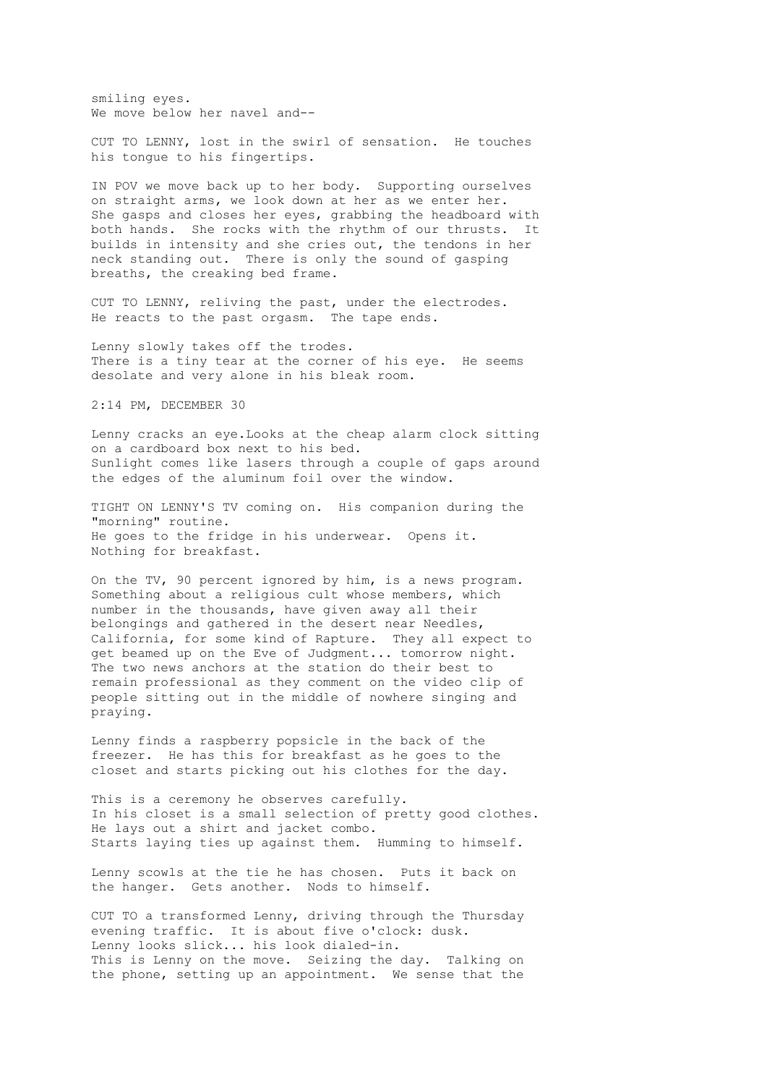smiling eyes. We move below her navel and--

CUT TO LENNY, lost in the swirl of sensation. He touches his tongue to his fingertips.

IN POV we move back up to her body. Supporting ourselves on straight arms, we look down at her as we enter her. She gasps and closes her eyes, grabbing the headboard with both hands. She rocks with the rhythm of our thrusts. It builds in intensity and she cries out, the tendons in her neck standing out. There is only the sound of gasping breaths, the creaking bed frame.

CUT TO LENNY, reliving the past, under the electrodes. He reacts to the past orgasm. The tape ends.

Lenny slowly takes off the trodes. There is a tiny tear at the corner of his eye. He seems desolate and very alone in his bleak room.

2:14 PM, DECEMBER 30

Lenny cracks an eye.Looks at the cheap alarm clock sitting on a cardboard box next to his bed. Sunlight comes like lasers through a couple of gaps around the edges of the aluminum foil over the window.

TIGHT ON LENNY'S TV coming on. His companion during the "morning" routine. He goes to the fridge in his underwear. Opens it. Nothing for breakfast.

On the TV, 90 percent ignored by him, is a news program. Something about a religious cult whose members, which number in the thousands, have given away all their belongings and gathered in the desert near Needles, California, for some kind of Rapture. They all expect to get beamed up on the Eve of Judgment... tomorrow night. The two news anchors at the station do their best to remain professional as they comment on the video clip of people sitting out in the middle of nowhere singing and praying.

Lenny finds a raspberry popsicle in the back of the freezer. He has this for breakfast as he goes to the closet and starts picking out his clothes for the day.

This is a ceremony he observes carefully. In his closet is a small selection of pretty good clothes. He lays out a shirt and jacket combo. Starts laying ties up against them. Humming to himself.

Lenny scowls at the tie he has chosen. Puts it back on the hanger. Gets another. Nods to himself.

CUT TO a transformed Lenny, driving through the Thursday evening traffic. It is about five o'clock: dusk. Lenny looks slick... his look dialed-in. This is Lenny on the move. Seizing the day. Talking on the phone, setting up an appointment. We sense that the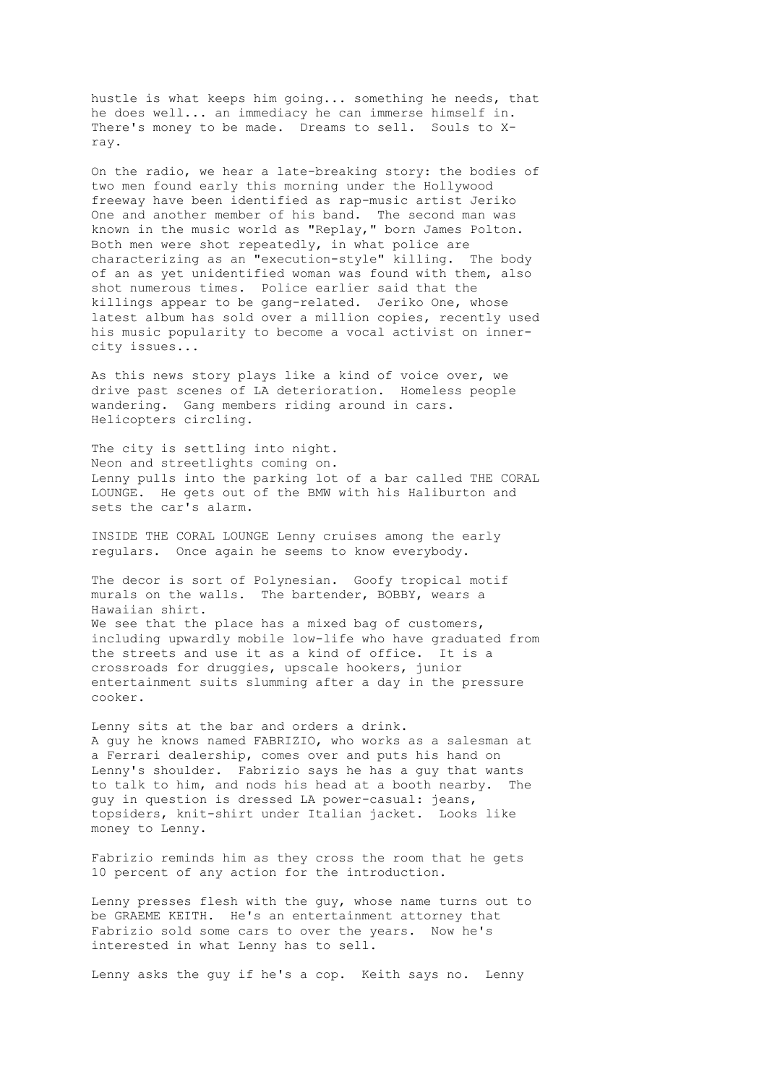hustle is what keeps him going... something he needs, that he does well... an immediacy he can immerse himself in. There's money to be made. Dreams to sell. Souls to Xray.

On the radio, we hear a late-breaking story: the bodies of two men found early this morning under the Hollywood freeway have been identified as rap-music artist Jeriko One and another member of his band. The second man was known in the music world as "Replay," born James Polton. Both men were shot repeatedly, in what police are characterizing as an "execution-style" killing. The body of an as yet unidentified woman was found with them, also shot numerous times. Police earlier said that the killings appear to be gang-related. Jeriko One, whose latest album has sold over a million copies, recently used his music popularity to become a vocal activist on innercity issues...

As this news story plays like a kind of voice over, we drive past scenes of LA deterioration. Homeless people wandering. Gang members riding around in cars. Helicopters circling.

The city is settling into night. Neon and streetlights coming on. Lenny pulls into the parking lot of a bar called THE CORAL LOUNGE. He gets out of the BMW with his Haliburton and sets the car's alarm.

INSIDE THE CORAL LOUNGE Lenny cruises among the early regulars. Once again he seems to know everybody.

The decor is sort of Polynesian. Goofy tropical motif murals on the walls. The bartender, BOBBY, wears a Hawaiian shirt. We see that the place has a mixed bag of customers, including upwardly mobile low-life who have graduated from the streets and use it as a kind of office. It is a crossroads for druggies, upscale hookers, junior entertainment suits slumming after a day in the pressure cooker.

Lenny sits at the bar and orders a drink. A guy he knows named FABRIZIO, who works as a salesman at a Ferrari dealership, comes over and puts his hand on Lenny's shoulder. Fabrizio says he has a guy that wants to talk to him, and nods his head at a booth nearby. The guy in question is dressed LA power-casual: jeans, topsiders, knit-shirt under Italian jacket. Looks like money to Lenny.

Fabrizio reminds him as they cross the room that he gets 10 percent of any action for the introduction.

Lenny presses flesh with the guy, whose name turns out to be GRAEME KEITH. He's an entertainment attorney that Fabrizio sold some cars to over the years. Now he's interested in what Lenny has to sell.

Lenny asks the guy if he's a cop. Keith says no. Lenny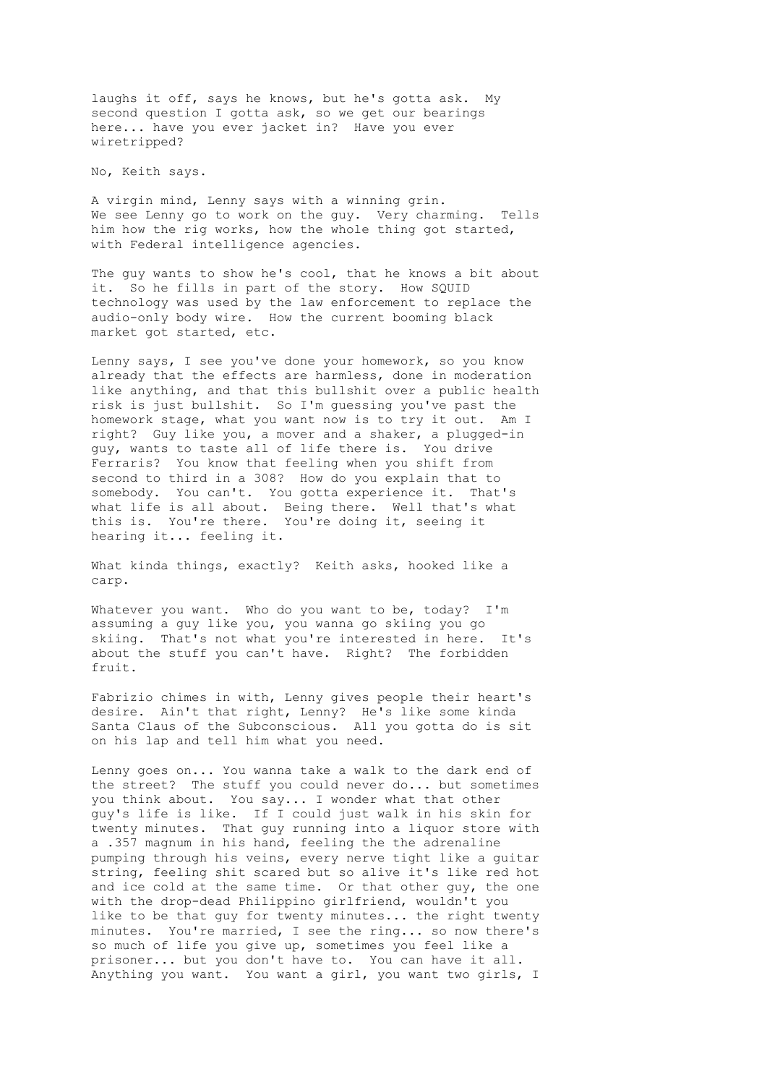laughs it off, says he knows, but he's gotta ask. My second question I gotta ask, so we get our bearings here... have you ever jacket in? Have you ever wiretripped?

No, Keith says.

A virgin mind, Lenny says with a winning grin. We see Lenny go to work on the guy. Very charming. Tells him how the rig works, how the whole thing got started, with Federal intelligence agencies.

The guy wants to show he's cool, that he knows a bit about it. So he fills in part of the story. How SQUID technology was used by the law enforcement to replace the audio-only body wire. How the current booming black market got started, etc.

Lenny says, I see you've done your homework, so you know already that the effects are harmless, done in moderation like anything, and that this bullshit over a public health risk is just bullshit. So I'm guessing you've past the homework stage, what you want now is to try it out. Am I right? Guy like you, a mover and a shaker, a plugged-in guy, wants to taste all of life there is. You drive Ferraris? You know that feeling when you shift from second to third in a 308? How do you explain that to somebody. You can't. You gotta experience it. That's what life is all about. Being there. Well that's what this is. You're there. You're doing it, seeing it hearing it... feeling it.

What kinda things, exactly? Keith asks, hooked like a carp.

Whatever you want. Who do you want to be, today? I'm assuming a guy like you, you wanna go skiing you go skiing. That's not what you're interested in here. It's about the stuff you can't have. Right? The forbidden fruit.

Fabrizio chimes in with, Lenny gives people their heart's desire. Ain't that right, Lenny? He's like some kinda Santa Claus of the Subconscious. All you gotta do is sit on his lap and tell him what you need.

Lenny goes on... You wanna take a walk to the dark end of the street? The stuff you could never do... but sometimes you think about. You say... I wonder what that other guy's life is like. If I could just walk in his skin for twenty minutes. That guy running into a liquor store with a .357 magnum in his hand, feeling the the adrenaline pumping through his veins, every nerve tight like a guitar string, feeling shit scared but so alive it's like red hot and ice cold at the same time. Or that other guy, the one with the drop-dead Philippino girlfriend, wouldn't you like to be that guy for twenty minutes... the right twenty minutes. You're married, I see the ring... so now there's so much of life you give up, sometimes you feel like a prisoner... but you don't have to. You can have it all. Anything you want. You want a girl, you want two girls, I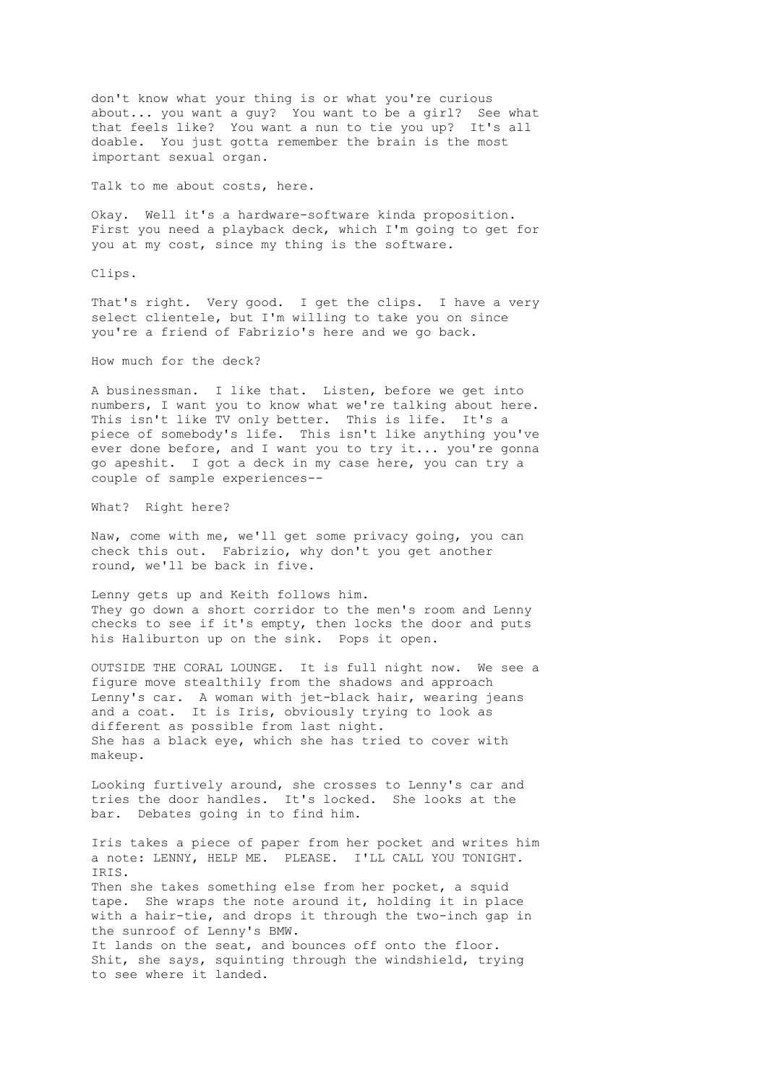don't know what your thing is or what you're curious about... you want a guy? You want to be a girl? See what that feels like? You want a nun to tie you up? It's all doable. You just gotta remember the brain is the most important sexual organ.

Talk to me about costs, here.

Okay. Well it's a hardware-software kinda proposition. First you need a playback deck, which I'm going to get for you at my cost, since my thing is the software.

Clips.

That's right. Very good. I get the clips. I have a very select clientele, but I'm willing to take you on since you're a friend of Fabrizio's here and we go back.

How much for the deck?

A businessman. I like that. Listen, before we get into numbers, I want you to know what we're talking about here. This isn't like TV only better. This is life. It's a piece of somebody's life. This isn't like anything you've ever done before, and I want you to try it... you're gonna go apeshit. I got a deck in my case here, you can try a couple of sample experiences--

What? Right here?

Naw, come with me, we'll get some privacy going, you can check this out. Fabrizio, why don't you get another round, we'll be back in five.

Lenny gets up and Keith follows him. They go down a short corridor to the men's room and Lenny checks to see if it's empty, then locks the door and puts his Haliburton up on the sink. Pops it open.

OUTSIDE THE CORAL LOUNGE. It is full night now. We see a figure move stealthily from the shadows and approach Lenny's car. A woman with jet-black hair, wearing jeans and a coat. It is Iris, obviously trying to look as different as possible from last night. She has a black eye, which she has tried to cover with makeup.

Looking furtively around, she crosses to Lenny's car and tries the door handles. It's locked. She looks at the bar. Debates going in to find him.

Iris takes a piece of paper from her pocket and writes him a note: LENNY, HELP ME. PLEASE. I'LL CALL YOU TONIGHT. IRIS. Then she takes something else from her pocket, a squid tape. She wraps the note around it, holding it in place with a hair-tie, and drops it through the two-inch gap in the sunroof of Lenny's BMW. It lands on the seat, and bounces off onto the floor. Shit, she says, squinting through the windshield, trying to see where it landed.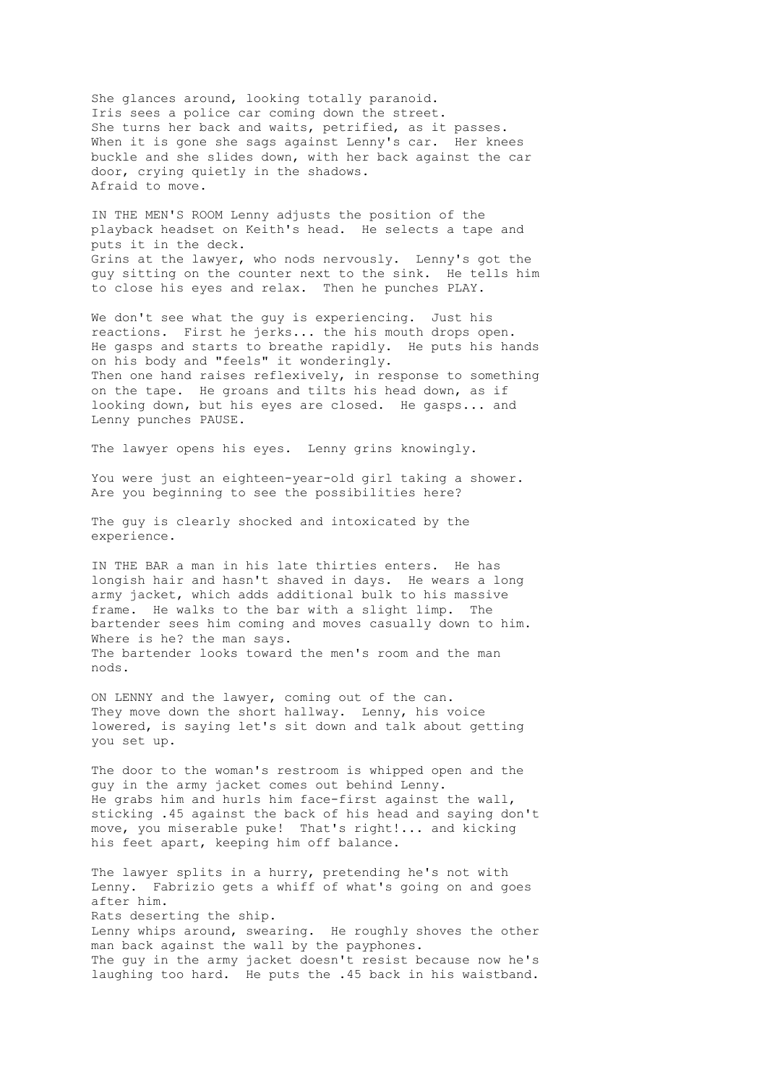She glances around, looking totally paranoid. Iris sees a police car coming down the street. She turns her back and waits, petrified, as it passes. When it is gone she sags against Lenny's car. Her knees buckle and she slides down, with her back against the car door, crying quietly in the shadows. Afraid to move.

IN THE MEN'S ROOM Lenny adjusts the position of the playback headset on Keith's head. He selects a tape and puts it in the deck. Grins at the lawyer, who nods nervously. Lenny's got the guy sitting on the counter next to the sink. He tells him to close his eyes and relax. Then he punches PLAY.

We don't see what the guy is experiencing. Just his reactions. First he jerks... the his mouth drops open. He gasps and starts to breathe rapidly. He puts his hands on his body and "feels" it wonderingly. Then one hand raises reflexively, in response to something on the tape. He groans and tilts his head down, as if looking down, but his eyes are closed. He gasps... and Lenny punches PAUSE.

The lawyer opens his eyes. Lenny grins knowingly.

You were just an eighteen-year-old girl taking a shower. Are you beginning to see the possibilities here?

The guy is clearly shocked and intoxicated by the experience.

IN THE BAR a man in his late thirties enters. He has longish hair and hasn't shaved in days. He wears a long army jacket, which adds additional bulk to his massive frame. He walks to the bar with a slight limp. The bartender sees him coming and moves casually down to him. Where is he? the man says. The bartender looks toward the men's room and the man nods.

ON LENNY and the lawyer, coming out of the can. They move down the short hallway. Lenny, his voice lowered, is saying let's sit down and talk about getting you set up.

The door to the woman's restroom is whipped open and the guy in the army jacket comes out behind Lenny. He grabs him and hurls him face-first against the wall, sticking .45 against the back of his head and saying don't move, you miserable puke! That's right!... and kicking his feet apart, keeping him off balance.

The lawyer splits in a hurry, pretending he's not with Lenny. Fabrizio gets a whiff of what's going on and goes after him. Rats deserting the ship. Lenny whips around, swearing. He roughly shoves the other man back against the wall by the payphones. The guy in the army jacket doesn't resist because now he's laughing too hard. He puts the .45 back in his waistband.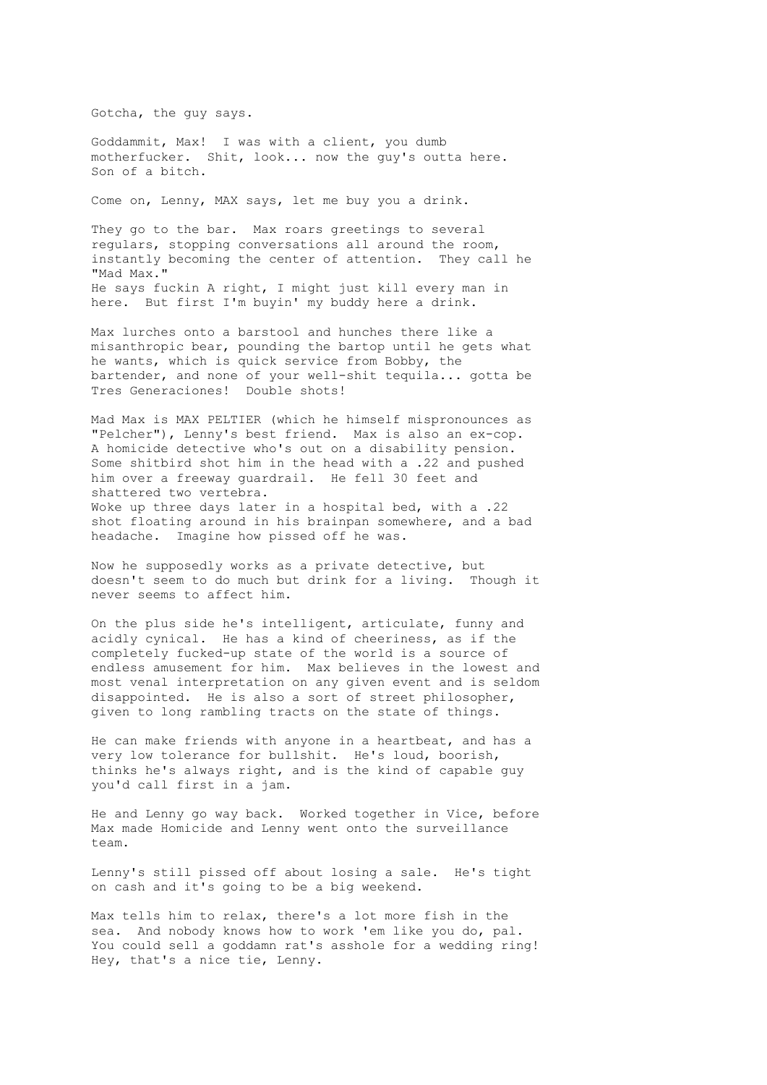Gotcha, the guy says.

Goddammit, Max! I was with a client, you dumb motherfucker. Shit, look... now the guy's outta here. Son of a bitch.

Come on, Lenny, MAX says, let me buy you a drink.

They go to the bar. Max roars greetings to several regulars, stopping conversations all around the room, instantly becoming the center of attention. They call he "Mad Max." He says fuckin A right, I might just kill every man in here. But first I'm buyin' my buddy here a drink.

Max lurches onto a barstool and hunches there like a misanthropic bear, pounding the bartop until he gets what he wants, which is quick service from Bobby, the bartender, and none of your well-shit tequila... gotta be Tres Generaciones! Double shots!

Mad Max is MAX PELTIER (which he himself mispronounces as "Pelcher"), Lenny's best friend. Max is also an ex-cop. A homicide detective who's out on a disability pension. Some shitbird shot him in the head with a .22 and pushed him over a freeway guardrail. He fell 30 feet and shattered two vertebra. Woke up three days later in a hospital bed, with a .22 shot floating around in his brainpan somewhere, and a bad headache. Imagine how pissed off he was.

Now he supposedly works as a private detective, but doesn't seem to do much but drink for a living. Though it never seems to affect him.

On the plus side he's intelligent, articulate, funny and acidly cynical. He has a kind of cheeriness, as if the completely fucked-up state of the world is a source of endless amusement for him. Max believes in the lowest and most venal interpretation on any given event and is seldom disappointed. He is also a sort of street philosopher, given to long rambling tracts on the state of things.

He can make friends with anyone in a heartbeat, and has a very low tolerance for bullshit. He's loud, boorish, thinks he's always right, and is the kind of capable guy you'd call first in a jam.

He and Lenny go way back. Worked together in Vice, before Max made Homicide and Lenny went onto the surveillance team.

Lenny's still pissed off about losing a sale. He's tight on cash and it's going to be a big weekend.

Max tells him to relax, there's a lot more fish in the sea. And nobody knows how to work 'em like you do, pal. You could sell a goddamn rat's asshole for a wedding ring! Hey, that's a nice tie, Lenny.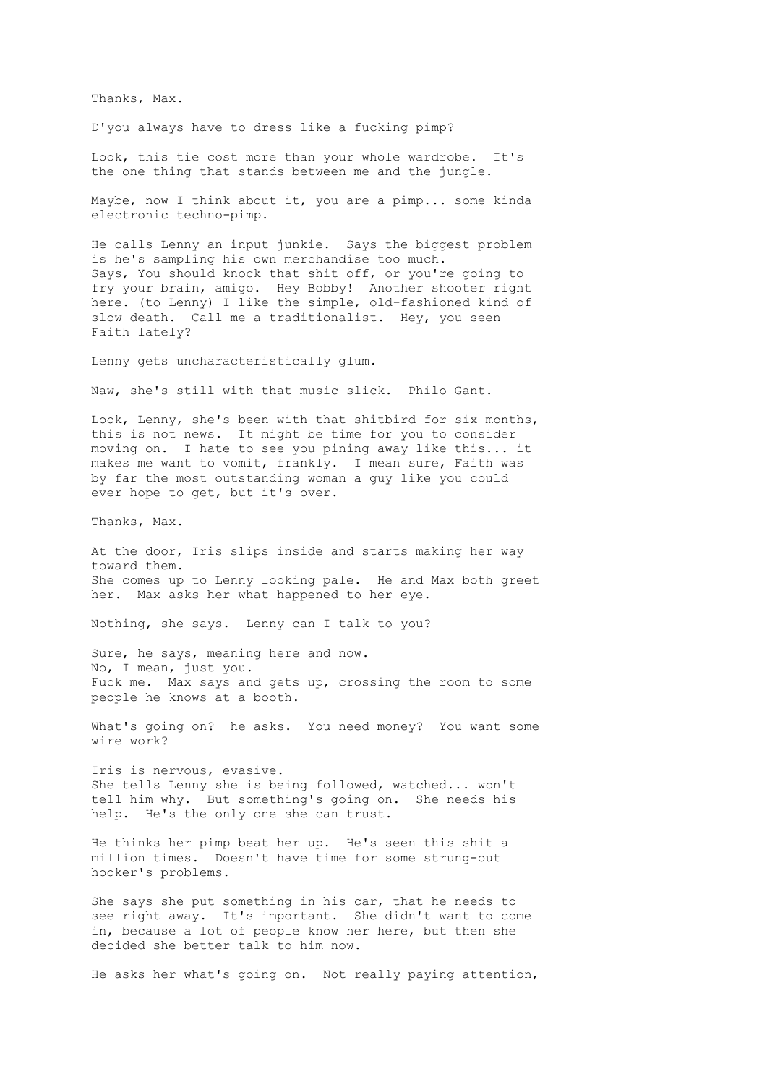Thanks, Max.

D'you always have to dress like a fucking pimp?

Look, this tie cost more than your whole wardrobe. It's the one thing that stands between me and the jungle.

Maybe, now I think about it, you are a pimp... some kinda electronic techno-pimp.

He calls Lenny an input junkie. Says the biggest problem is he's sampling his own merchandise too much. Says, You should knock that shit off, or you're going to fry your brain, amigo. Hey Bobby! Another shooter right here. (to Lenny) I like the simple, old-fashioned kind of slow death. Call me a traditionalist. Hey, you seen Faith lately?

Lenny gets uncharacteristically glum.

Naw, she's still with that music slick. Philo Gant.

Look, Lenny, she's been with that shitbird for six months, this is not news. It might be time for you to consider moving on. I hate to see you pining away like this... it makes me want to vomit, frankly. I mean sure, Faith was by far the most outstanding woman a guy like you could ever hope to get, but it's over.

Thanks, Max.

At the door, Iris slips inside and starts making her way toward them. She comes up to Lenny looking pale. He and Max both greet her. Max asks her what happened to her eye.

Nothing, she says. Lenny can I talk to you?

Sure, he says, meaning here and now. No, I mean, just you. Fuck me. Max says and gets up, crossing the room to some people he knows at a booth.

What's going on? he asks. You need money? You want some wire work?

Iris is nervous, evasive. She tells Lenny she is being followed, watched... won't tell him why. But something's going on. She needs his help. He's the only one she can trust.

He thinks her pimp beat her up. He's seen this shit a million times. Doesn't have time for some strung-out hooker's problems.

She says she put something in his car, that he needs to see right away. It's important. She didn't want to come in, because a lot of people know her here, but then she decided she better talk to him now.

He asks her what's going on. Not really paying attention,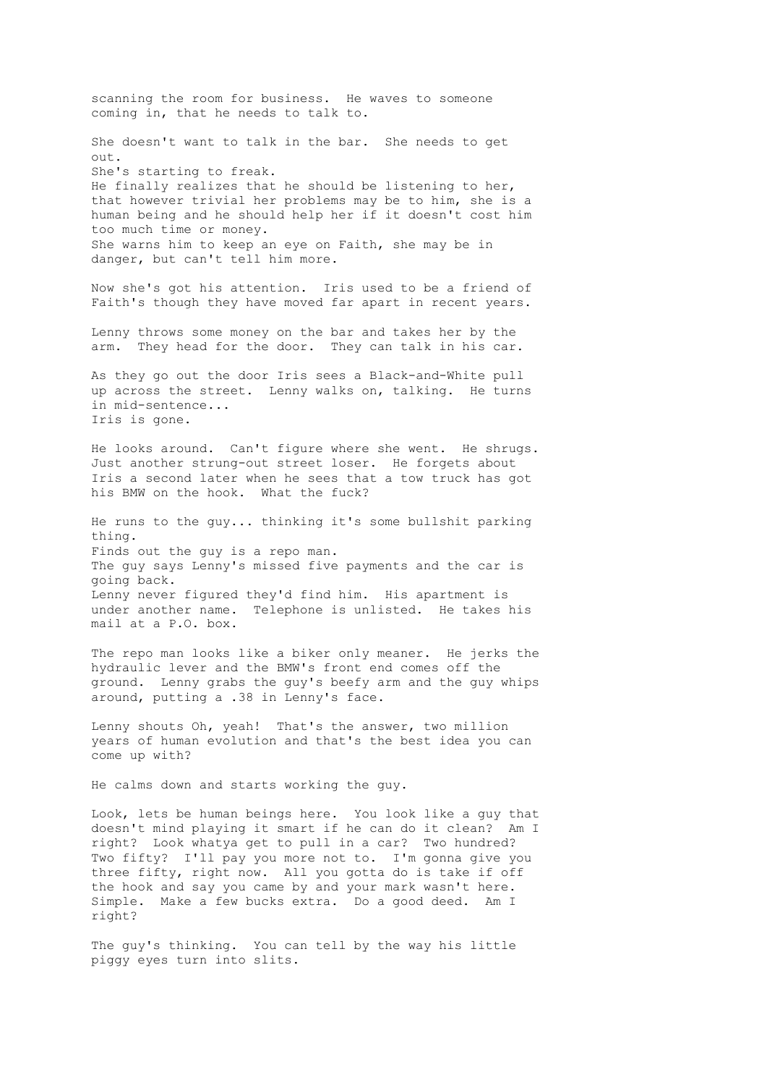scanning the room for business. He waves to someone coming in, that he needs to talk to. She doesn't want to talk in the bar. She needs to get  $\bigcap_{\alpha=1}$ She's starting to freak. He finally realizes that he should be listening to her, that however trivial her problems may be to him, she is a human being and he should help her if it doesn't cost him too much time or money. She warns him to keep an eye on Faith, she may be in danger, but can't tell him more. Now she's got his attention. Iris used to be a friend of Faith's though they have moved far apart in recent years. Lenny throws some money on the bar and takes her by the arm. They head for the door. They can talk in his car. As they go out the door Iris sees a Black-and-White pull up across the street. Lenny walks on, talking. He turns in mid-sentence... Iris is gone. He looks around. Can't figure where she went. He shrugs. Just another strung-out street loser. He forgets about Iris a second later when he sees that a tow truck has got his BMW on the hook. What the fuck? He runs to the guy... thinking it's some bullshit parking thing. Finds out the guy is a repo man. The guy says Lenny's missed five payments and the car is going back. Lenny never figured they'd find him. His apartment is under another name. Telephone is unlisted. He takes his mail at a P.O. box. The repo man looks like a biker only meaner. He jerks the hydraulic lever and the BMW's front end comes off the ground. Lenny grabs the guy's beefy arm and the guy whips around, putting a .38 in Lenny's face. Lenny shouts Oh, yeah! That's the answer, two million years of human evolution and that's the best idea you can come up with? He calms down and starts working the guy. Look, lets be human beings here. You look like a guy that doesn't mind playing it smart if he can do it clean? Am I right? Look whatya get to pull in a car? Two hundred? Two fifty? I'll pay you more not to. I'm gonna give you three fifty, right now. All you gotta do is take if off the hook and say you came by and your mark wasn't here. Simple. Make a few bucks extra. Do a good deed. Am I right?

The guy's thinking. You can tell by the way his little piggy eyes turn into slits.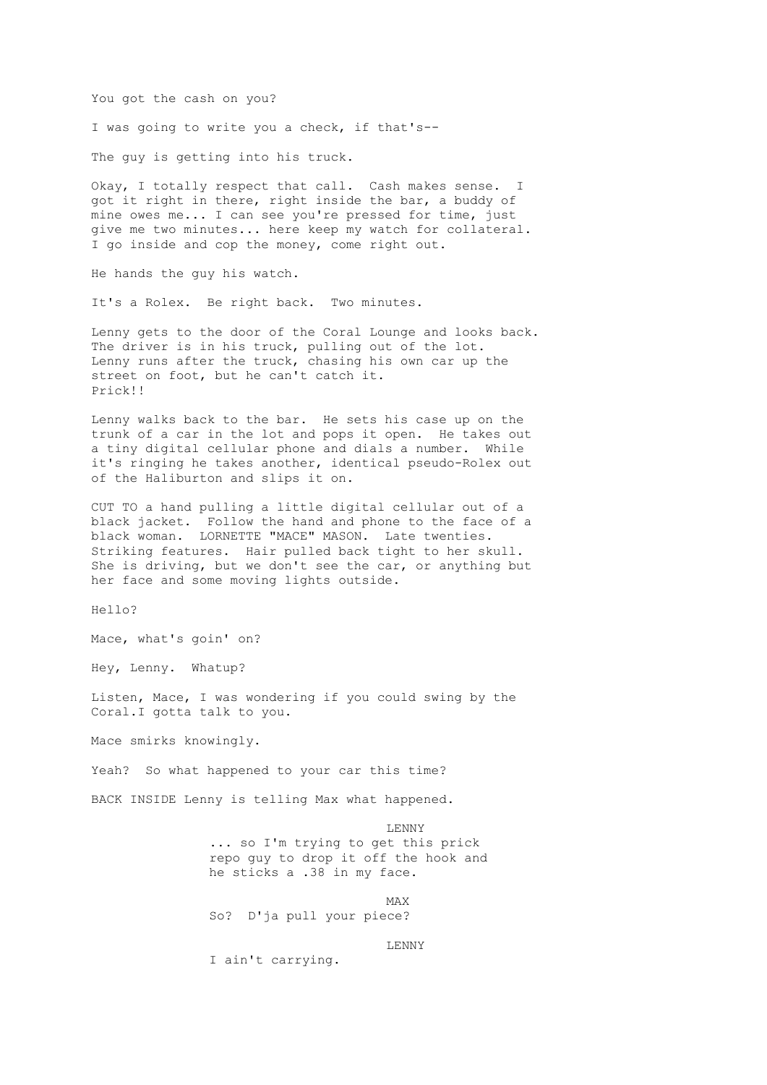You got the cash on you?

I was going to write you a check, if that's--

The guy is getting into his truck.

Okay, I totally respect that call. Cash makes sense. got it right in there, right inside the bar, a buddy of mine owes me... I can see you're pressed for time, just give me two minutes... here keep my watch for collateral. I go inside and cop the money, come right out.

He hands the guy his watch.

It's a Rolex. Be right back. Two minutes.

Lenny gets to the door of the Coral Lounge and looks back. The driver is in his truck, pulling out of the lot. Lenny runs after the truck, chasing his own car up the street on foot, but he can't catch it. Prick!!

Lenny walks back to the bar. He sets his case up on the trunk of a car in the lot and pops it open. He takes out a tiny digital cellular phone and dials a number. While it's ringing he takes another, identical pseudo-Rolex out of the Haliburton and slips it on.

CUT TO a hand pulling a little digital cellular out of a black jacket. Follow the hand and phone to the face of a black woman. LORNETTE "MACE" MASON. Late twenties. Striking features. Hair pulled back tight to her skull. She is driving, but we don't see the car, or anything but her face and some moving lights outside.

Hello?

Mace, what's goin' on?

Hey, Lenny. Whatup?

Listen, Mace, I was wondering if you could swing by the Coral.I gotta talk to you.

Mace smirks knowingly.

Yeah? So what happened to your car this time?

BACK INSIDE Lenny is telling Max what happened.

LENNY ... so I'm trying to get this prick repo guy to drop it off the hook and he sticks a .38 in my face.

MAX So? D'ja pull your piece?

LENNY

I ain't carrying.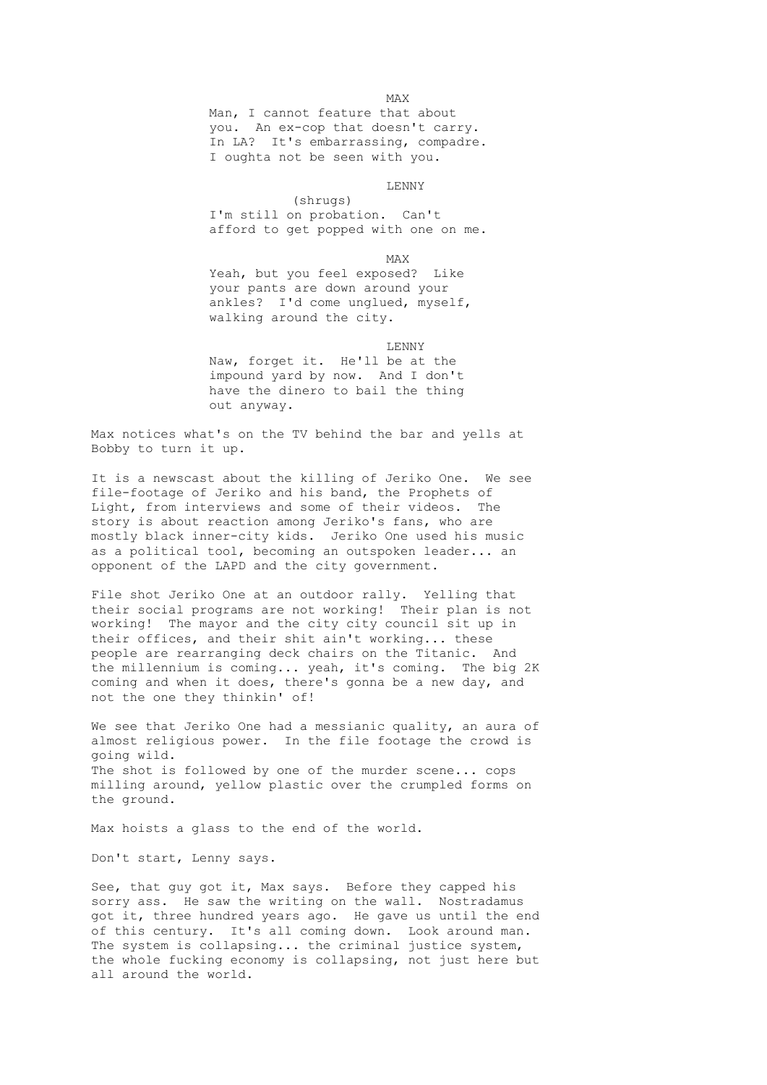Man, I cannot feature that about you. An ex-cop that doesn't carry. In LA? It's embarrassing, compadre. I oughta not be seen with you.

LENNY

 (shrugs) I'm still on probation. Can't afford to get popped with one on me.

MAX

Yeah, but you feel exposed? Like your pants are down around your ankles? I'd come unglued, myself, walking around the city.

LENNY

Naw, forget it. He'll be at the impound yard by now. And I don't have the dinero to bail the thing out anyway.

Max notices what's on the TV behind the bar and yells at Bobby to turn it up.

It is a newscast about the killing of Jeriko One. We see file-footage of Jeriko and his band, the Prophets of Light, from interviews and some of their videos. The story is about reaction among Jeriko's fans, who are mostly black inner-city kids. Jeriko One used his music as a political tool, becoming an outspoken leader... an opponent of the LAPD and the city government.

File shot Jeriko One at an outdoor rally. Yelling that their social programs are not working! Their plan is not working! The mayor and the city city council sit up in their offices, and their shit ain't working... these people are rearranging deck chairs on the Titanic. And the millennium is coming... yeah, it's coming. The big 2K coming and when it does, there's gonna be a new day, and not the one they thinkin' of!

We see that Jeriko One had a messianic quality, an aura of almost religious power. In the file footage the crowd is going wild. The shot is followed by one of the murder scene... cops milling around, yellow plastic over the crumpled forms on the ground.

Max hoists a glass to the end of the world.

Don't start, Lenny says.

See, that guy got it, Max says. Before they capped his sorry ass. He saw the writing on the wall. Nostradamus got it, three hundred years ago. He gave us until the end of this century. It's all coming down. Look around man. The system is collapsing... the criminal justice system, the whole fucking economy is collapsing, not just here but all around the world.

MAX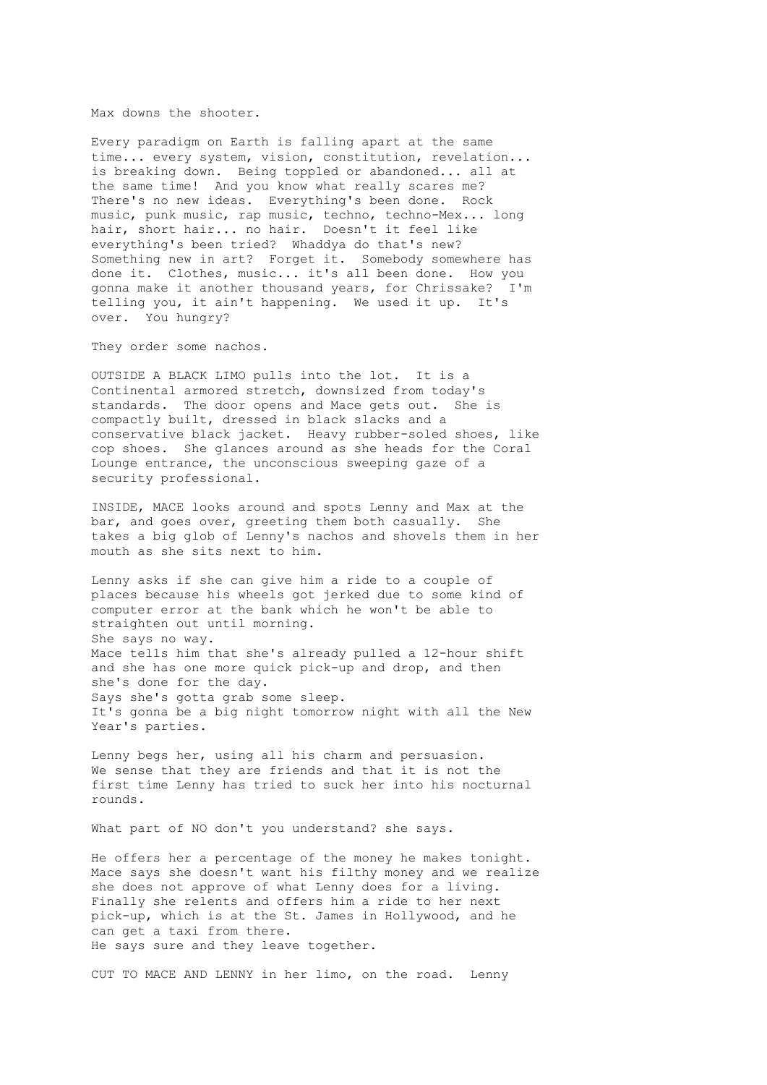Max downs the shooter.

Every paradigm on Earth is falling apart at the same time... every system, vision, constitution, revelation... is breaking down. Being toppled or abandoned... all at the same time! And you know what really scares me? There's no new ideas. Everything's been done. Rock music, punk music, rap music, techno, techno-Mex... long hair, short hair... no hair. Doesn't it feel like everything's been tried? Whaddya do that's new? Something new in art? Forget it. Somebody somewhere has done it. Clothes, music... it's all been done. How you gonna make it another thousand years, for Chrissake? I'm telling you, it ain't happening. We used it up. It's over. You hungry?

They order some nachos.

OUTSIDE A BLACK LIMO pulls into the lot. It is a Continental armored stretch, downsized from today's standards. The door opens and Mace gets out. She is compactly built, dressed in black slacks and a conservative black jacket. Heavy rubber-soled shoes, like cop shoes. She glances around as she heads for the Coral Lounge entrance, the unconscious sweeping gaze of a security professional.

INSIDE, MACE looks around and spots Lenny and Max at the bar, and goes over, greeting them both casually. She takes a big glob of Lenny's nachos and shovels them in her mouth as she sits next to him.

Lenny asks if she can give him a ride to a couple of places because his wheels got jerked due to some kind of computer error at the bank which he won't be able to straighten out until morning. She says no way. Mace tells him that she's already pulled a 12-hour shift and she has one more quick pick-up and drop, and then she's done for the day. Says she's gotta grab some sleep. It's gonna be a big night tomorrow night with all the New Year's parties.

Lenny begs her, using all his charm and persuasion. We sense that they are friends and that it is not the first time Lenny has tried to suck her into his nocturnal rounds.

What part of NO don't you understand? she says.

He offers her a percentage of the money he makes tonight. Mace says she doesn't want his filthy money and we realize she does not approve of what Lenny does for a living. Finally she relents and offers him a ride to her next pick-up, which is at the St. James in Hollywood, and he can get a taxi from there. He says sure and they leave together.

CUT TO MACE AND LENNY in her limo, on the road. Lenny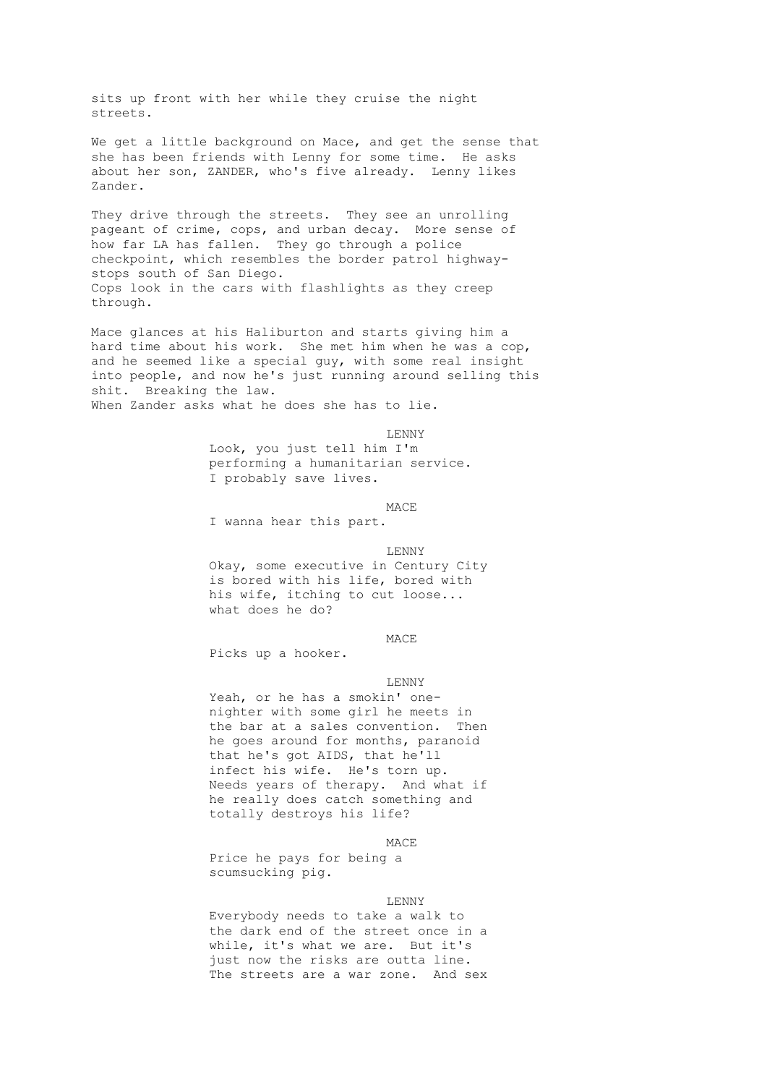sits up front with her while they cruise the night streets.

We get a little background on Mace, and get the sense that she has been friends with Lenny for some time. He asks about her son, ZANDER, who's five already. Lenny likes Zander.

They drive through the streets. They see an unrolling pageant of crime, cops, and urban decay. More sense of how far LA has fallen. They go through a police checkpoint, which resembles the border patrol highwaystops south of San Diego. Cops look in the cars with flashlights as they creep through.

Mace glances at his Haliburton and starts giving him a hard time about his work. She met him when he was a cop, and he seemed like a special guy, with some real insight into people, and now he's just running around selling this shit. Breaking the law. When Zander asks what he does she has to lie.

> LENNY Look, you just tell him I'm performing a humanitarian service. I probably save lives.

> > **MACE**

I wanna hear this part.

### LENNY

Okay, some executive in Century City is bored with his life, bored with his wife, itching to cut loose... what does he do?

**MACE** 

Picks up a hooker.

## LENNY

Yeah, or he has a smokin' onenighter with some girl he meets in the bar at a sales convention. Then he goes around for months, paranoid that he's got AIDS, that he'll infect his wife. He's torn up. Needs years of therapy. And what if he really does catch something and totally destroys his life?

MACE

Price he pays for being a scumsucking pig.

# LENNY

Everybody needs to take a walk to the dark end of the street once in a while, it's what we are. But it's just now the risks are outta line. The streets are a war zone. And sex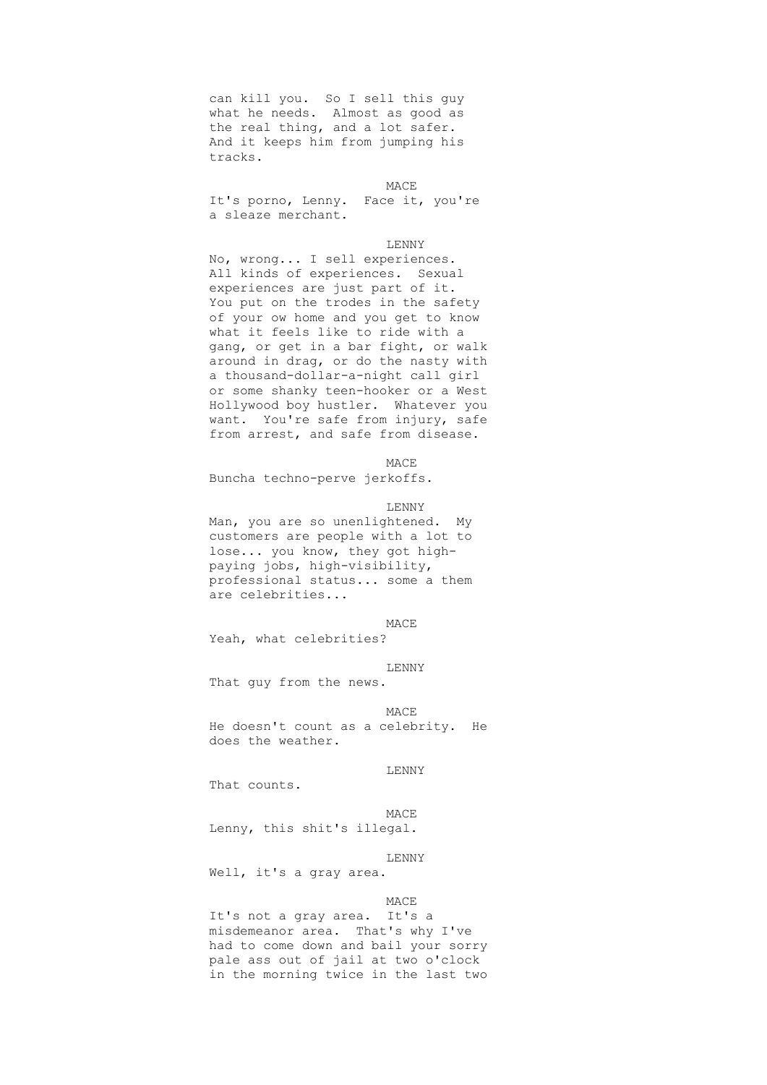can kill you. So I sell this guy what he needs. Almost as good as the real thing, and a lot safer. And it keeps him from jumping his tracks.

## **MACE**

It's porno, Lenny. Face it, you're a sleaze merchant.

LENNY

No, wrong... I sell experiences. All kinds of experiences. Sexual experiences are just part of it. You put on the trodes in the safety of your ow home and you get to know what it feels like to ride with a gang, or get in a bar fight, or walk around in drag, or do the nasty with a thousand-dollar-a-night call girl or some shanky teen-hooker or a West Hollywood boy hustler. Whatever you want. You're safe from injury, safe from arrest, and safe from disease.

MACE

Buncha techno-perve jerkoffs.

LENNY

Man, you are so unenlightened. My customers are people with a lot to lose... you know, they got highpaying jobs, high-visibility, professional status... some a them are celebrities...

MACE

Yeah, what celebrities?

LENNY

That guy from the news.

MACE

He doesn't count as a celebrity. He does the weather.

LENNY

That counts.

MACE Lenny, this shit's illegal.

LENNY

Well, it's a gray area.

MACE

It's not a gray area. It's a misdemeanor area. That's why I've had to come down and bail your sorry pale ass out of jail at two o'clock in the morning twice in the last two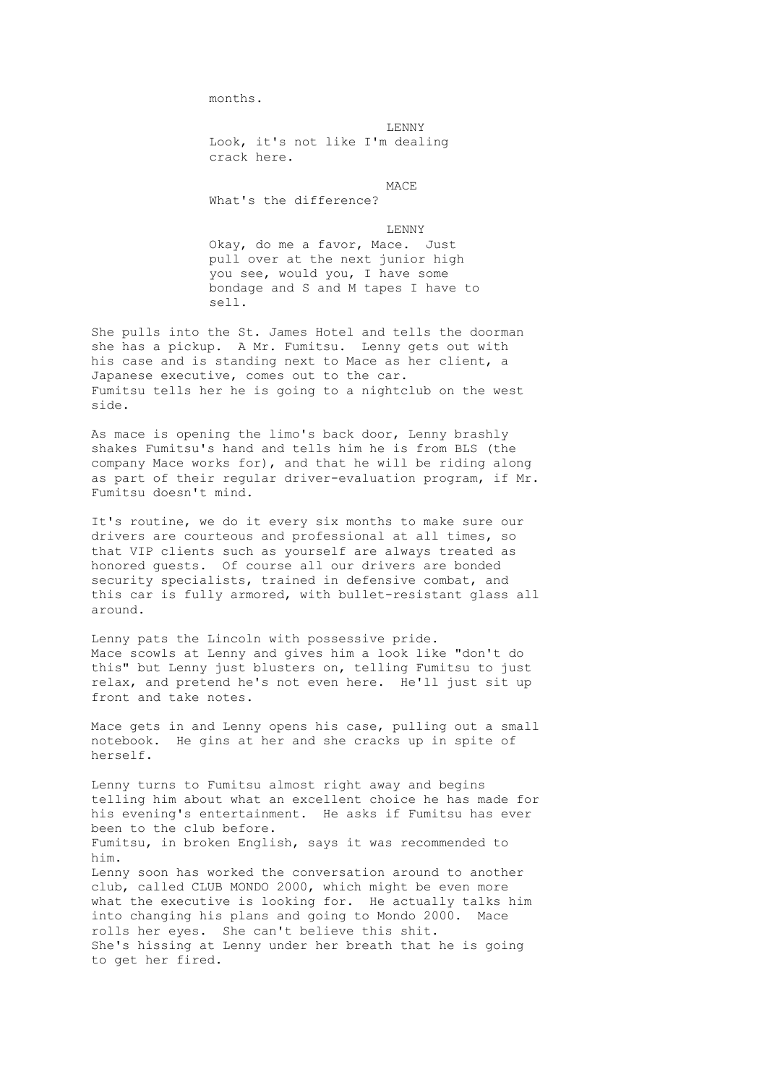months.

LENNY Look, it's not like I'm dealing crack here.

 $MAPE$ 

What's the difference?

LENNY Okay, do me a favor, Mace. Just pull over at the next junior high you see, would you, I have some bondage and S and M tapes I have to sell.

She pulls into the St. James Hotel and tells the doorman she has a pickup. A Mr. Fumitsu. Lenny gets out with his case and is standing next to Mace as her client, a Japanese executive, comes out to the car. Fumitsu tells her he is going to a nightclub on the west side.

As mace is opening the limo's back door, Lenny brashly shakes Fumitsu's hand and tells him he is from BLS (the company Mace works for), and that he will be riding along as part of their regular driver-evaluation program, if Mr. Fumitsu doesn't mind.

It's routine, we do it every six months to make sure our drivers are courteous and professional at all times, so that VIP clients such as yourself are always treated as honored guests. Of course all our drivers are bonded security specialists, trained in defensive combat, and this car is fully armored, with bullet-resistant glass all around.

Lenny pats the Lincoln with possessive pride. Mace scowls at Lenny and gives him a look like "don't do this" but Lenny just blusters on, telling Fumitsu to just relax, and pretend he's not even here. He'll just sit up front and take notes.

Mace gets in and Lenny opens his case, pulling out a small notebook. He gins at her and she cracks up in spite of herself.

Lenny turns to Fumitsu almost right away and begins telling him about what an excellent choice he has made for his evening's entertainment. He asks if Fumitsu has ever been to the club before. Fumitsu, in broken English, says it was recommended to him. Lenny soon has worked the conversation around to another club, called CLUB MONDO 2000, which might be even more what the executive is looking for. He actually talks him into changing his plans and going to Mondo 2000. Mace rolls her eyes. She can't believe this shit. She's hissing at Lenny under her breath that he is going to get her fired.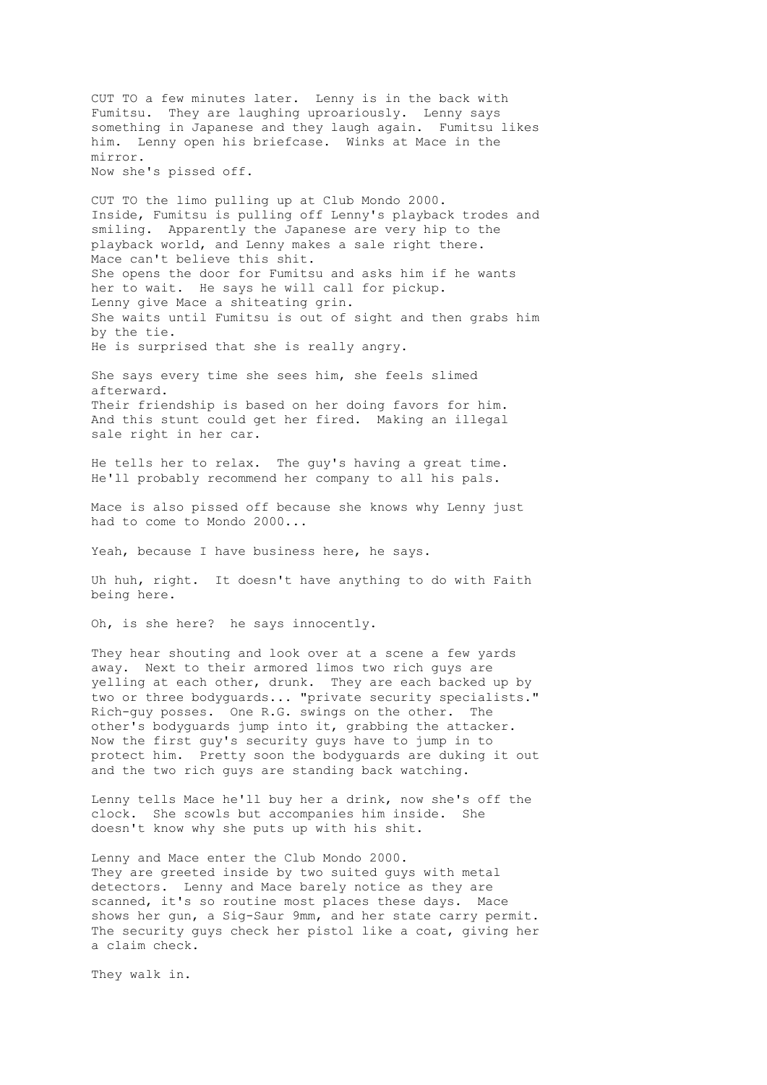CUT TO a few minutes later. Lenny is in the back with Fumitsu. They are laughing uproariously. Lenny says something in Japanese and they laugh again. Fumitsu likes him. Lenny open his briefcase. Winks at Mace in the mirror. Now she's pissed off.

CUT TO the limo pulling up at Club Mondo 2000. Inside, Fumitsu is pulling off Lenny's playback trodes and smiling. Apparently the Japanese are very hip to the playback world, and Lenny makes a sale right there. Mace can't believe this shit. She opens the door for Fumitsu and asks him if he wants her to wait. He says he will call for pickup. Lenny give Mace a shiteating grin. She waits until Fumitsu is out of sight and then grabs him by the tie. He is surprised that she is really angry.

She says every time she sees him, she feels slimed afterward. Their friendship is based on her doing favors for him. And this stunt could get her fired. Making an illegal sale right in her car.

He tells her to relax. The guy's having a great time. He'll probably recommend her company to all his pals.

Mace is also pissed off because she knows why Lenny just had to come to Mondo 2000...

Yeah, because I have business here, he says.

Uh huh, right. It doesn't have anything to do with Faith being here.

Oh, is she here? he says innocently.

They hear shouting and look over at a scene a few yards away. Next to their armored limos two rich guys are yelling at each other, drunk. They are each backed up by two or three bodyguards... "private security specialists." Rich-guy posses. One R.G. swings on the other. The other's bodyguards jump into it, grabbing the attacker. Now the first guy's security guys have to jump in to protect him. Pretty soon the bodyguards are duking it out and the two rich guys are standing back watching.

Lenny tells Mace he'll buy her a drink, now she's off the clock. She scowls but accompanies him inside. She doesn't know why she puts up with his shit.

Lenny and Mace enter the Club Mondo 2000. They are greeted inside by two suited guys with metal detectors. Lenny and Mace barely notice as they are scanned, it's so routine most places these days. Mace shows her gun, a Sig-Saur 9mm, and her state carry permit. The security guys check her pistol like a coat, giving her a claim check.

They walk in.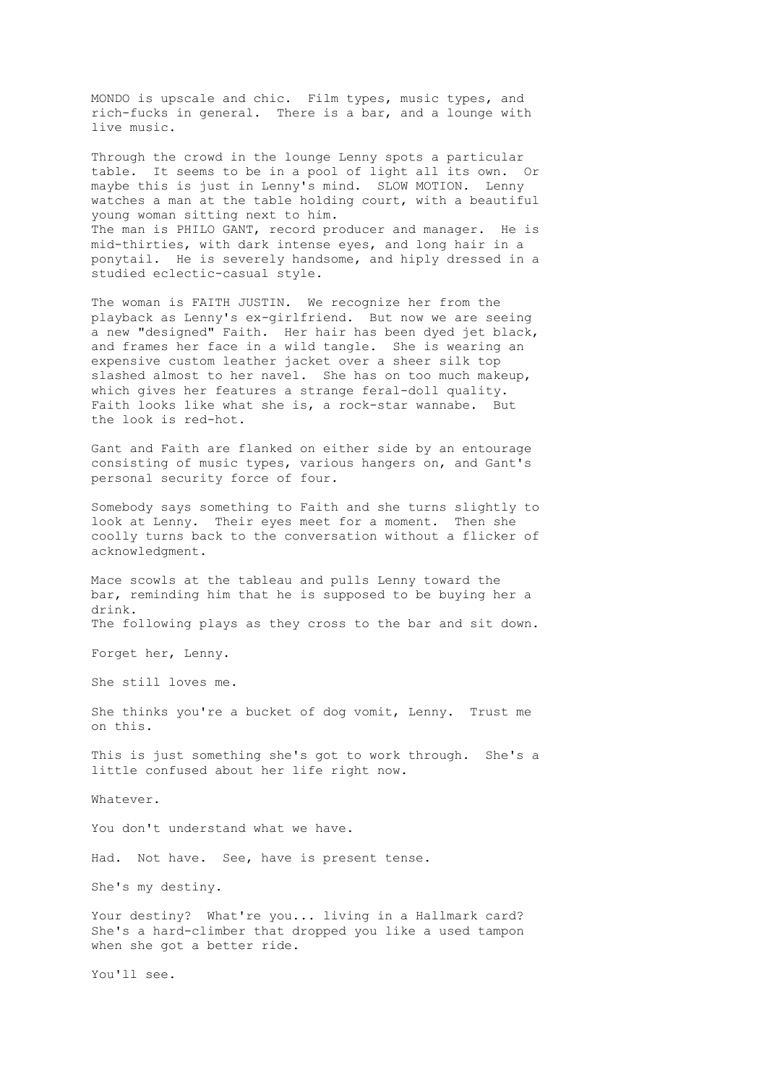MONDO is upscale and chic. Film types, music types, and rich-fucks in general. There is a bar, and a lounge with live music.

Through the crowd in the lounge Lenny spots a particular table. It seems to be in a pool of light all its own. Or maybe this is just in Lenny's mind. SLOW MOTION. Lenny watches a man at the table holding court, with a beautiful young woman sitting next to him. The man is PHILO GANT, record producer and manager. He is mid-thirties, with dark intense eyes, and long hair in a ponytail. He is severely handsome, and hiply dressed in a studied eclectic-casual style.

The woman is FAITH JUSTIN. We recognize her from the playback as Lenny's ex-girlfriend. But now we are seeing a new "designed" Faith. Her hair has been dyed jet black, and frames her face in a wild tangle. She is wearing an expensive custom leather jacket over a sheer silk top slashed almost to her navel. She has on too much makeup, which gives her features a strange feral-doll quality. Faith looks like what she is, a rock-star wannabe. But the look is red-hot.

Gant and Faith are flanked on either side by an entourage consisting of music types, various hangers on, and Gant's personal security force of four.

Somebody says something to Faith and she turns slightly to look at Lenny. Their eyes meet for a moment. Then she coolly turns back to the conversation without a flicker of acknowledgment.

Mace scowls at the tableau and pulls Lenny toward the bar, reminding him that he is supposed to be buying her a drink. The following plays as they cross to the bar and sit down.

Forget her, Lenny.

She still loves me.

She thinks you're a bucket of dog vomit, Lenny. Trust me on this.

This is just something she's got to work through. She's a little confused about her life right now.

Whatever.

You don't understand what we have.

Had. Not have. See, have is present tense.

She's my destiny.

Your destiny? What're you... living in a Hallmark card? She's a hard-climber that dropped you like a used tampon when she got a better ride.

You'll see.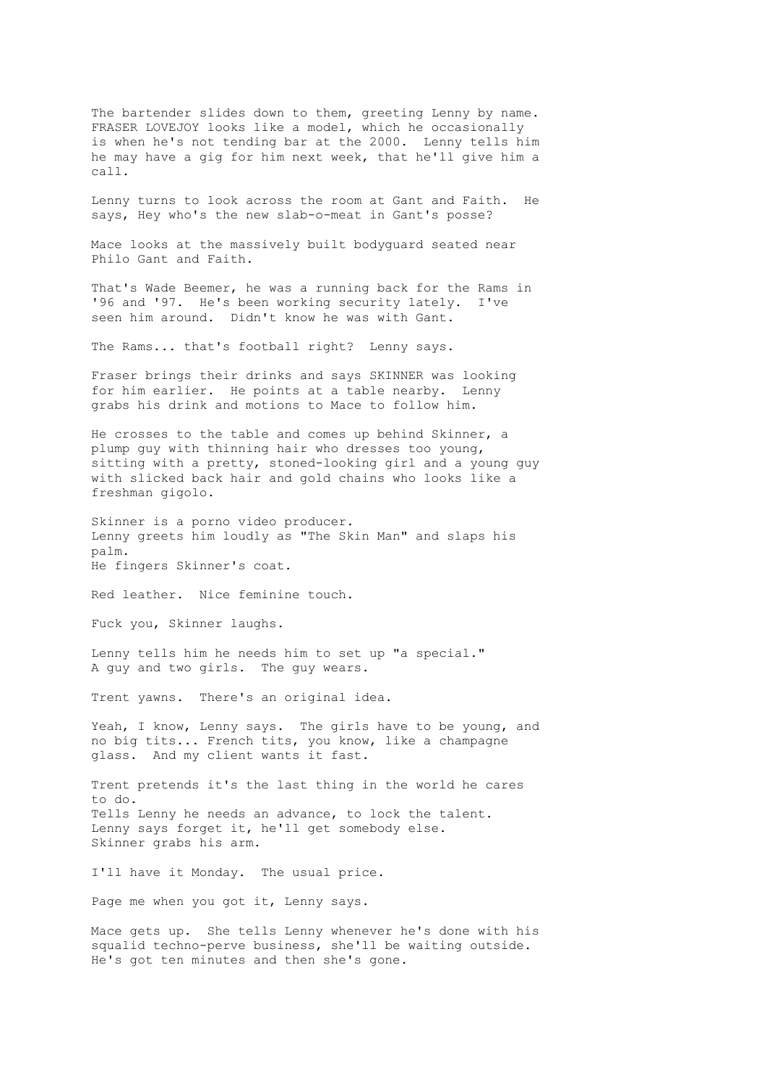The bartender slides down to them, greeting Lenny by name. FRASER LOVEJOY looks like a model, which he occasionally is when he's not tending bar at the 2000. Lenny tells him he may have a gig for him next week, that he'll give him a call.

Lenny turns to look across the room at Gant and Faith. He says, Hey who's the new slab-o-meat in Gant's posse?

Mace looks at the massively built bodyguard seated near Philo Gant and Faith.

That's Wade Beemer, he was a running back for the Rams in '96 and '97. He's been working security lately. I've seen him around. Didn't know he was with Gant.

The Rams... that's football right? Lenny says.

Fraser brings their drinks and says SKINNER was looking for him earlier. He points at a table nearby. Lenny grabs his drink and motions to Mace to follow him.

He crosses to the table and comes up behind Skinner, a plump guy with thinning hair who dresses too young, sitting with a pretty, stoned-looking girl and a young guy with slicked back hair and gold chains who looks like a freshman gigolo.

Skinner is a porno video producer. Lenny greets him loudly as "The Skin Man" and slaps his palm. He fingers Skinner's coat.

Red leather. Nice feminine touch.

Fuck you, Skinner laughs.

Lenny tells him he needs him to set up "a special." A guy and two girls. The guy wears.

Trent yawns. There's an original idea.

Yeah, I know, Lenny says. The girls have to be young, and no big tits... French tits, you know, like a champagne glass. And my client wants it fast.

Trent pretends it's the last thing in the world he cares to do. Tells Lenny he needs an advance, to lock the talent. Lenny says forget it, he'll get somebody else. Skinner grabs his arm.

I'll have it Monday. The usual price.

Page me when you got it, Lenny says.

Mace gets up. She tells Lenny whenever he's done with his squalid techno-perve business, she'll be waiting outside. He's got ten minutes and then she's gone.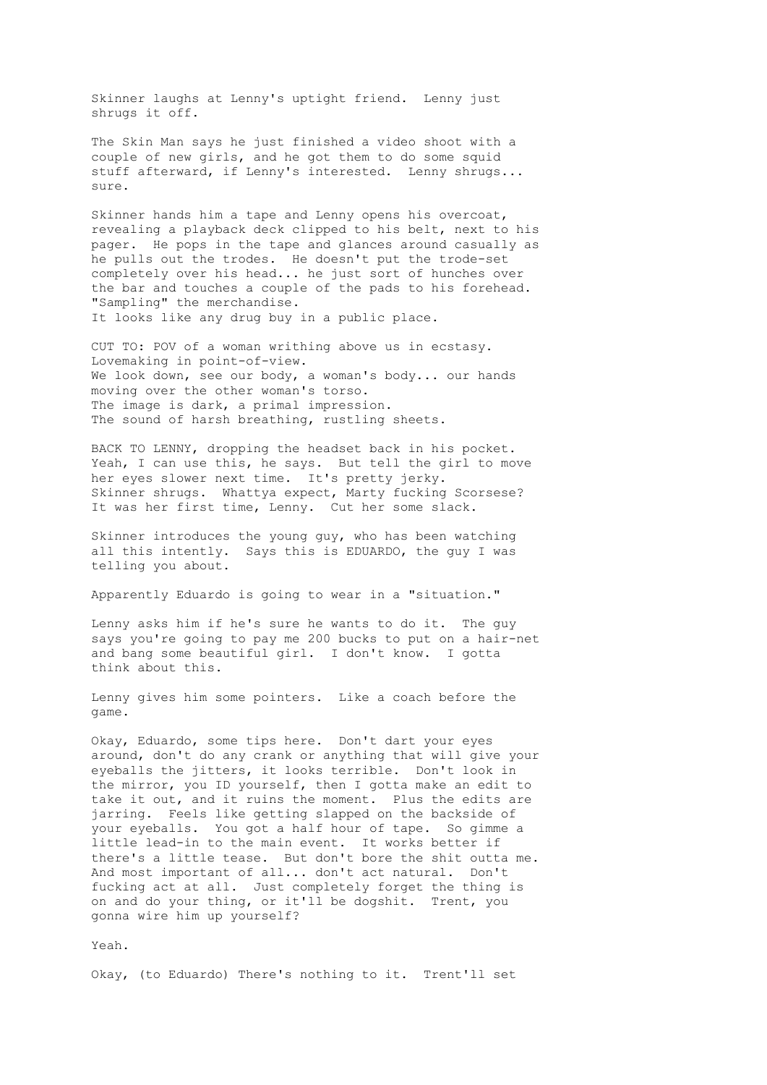Skinner laughs at Lenny's uptight friend. Lenny just shrugs it off.

The Skin Man says he just finished a video shoot with a couple of new girls, and he got them to do some squid stuff afterward, if Lenny's interested. Lenny shrugs... sure.

Skinner hands him a tape and Lenny opens his overcoat, revealing a playback deck clipped to his belt, next to his pager. He pops in the tape and glances around casually as he pulls out the trodes. He doesn't put the trode-set completely over his head... he just sort of hunches over the bar and touches a couple of the pads to his forehead. "Sampling" the merchandise. It looks like any drug buy in a public place.

CUT TO: POV of a woman writhing above us in ecstasy. Lovemaking in point-of-view. We look down, see our body, a woman's body... our hands moving over the other woman's torso. The image is dark, a primal impression. The sound of harsh breathing, rustling sheets.

BACK TO LENNY, dropping the headset back in his pocket. Yeah, I can use this, he says. But tell the girl to move her eyes slower next time. It's pretty jerky. Skinner shrugs. Whattya expect, Marty fucking Scorsese? It was her first time, Lenny. Cut her some slack.

Skinner introduces the young guy, who has been watching all this intently. Says this is EDUARDO, the guy I was telling you about.

Apparently Eduardo is going to wear in a "situation."

Lenny asks him if he's sure he wants to do it. The guy says you're going to pay me 200 bucks to put on a hair-net and bang some beautiful girl. I don't know. I gotta think about this.

Lenny gives him some pointers. Like a coach before the game.

Okay, Eduardo, some tips here. Don't dart your eyes around, don't do any crank or anything that will give your eyeballs the jitters, it looks terrible. Don't look in the mirror, you ID yourself, then I gotta make an edit to take it out, and it ruins the moment. Plus the edits are jarring. Feels like getting slapped on the backside of your eyeballs. You got a half hour of tape. So gimme a little lead-in to the main event. It works better if there's a little tease. But don't bore the shit outta me. And most important of all... don't act natural. Don't fucking act at all. Just completely forget the thing is on and do your thing, or it'll be dogshit. Trent, you gonna wire him up yourself?

Yeah.

Okay, (to Eduardo) There's nothing to it. Trent'll set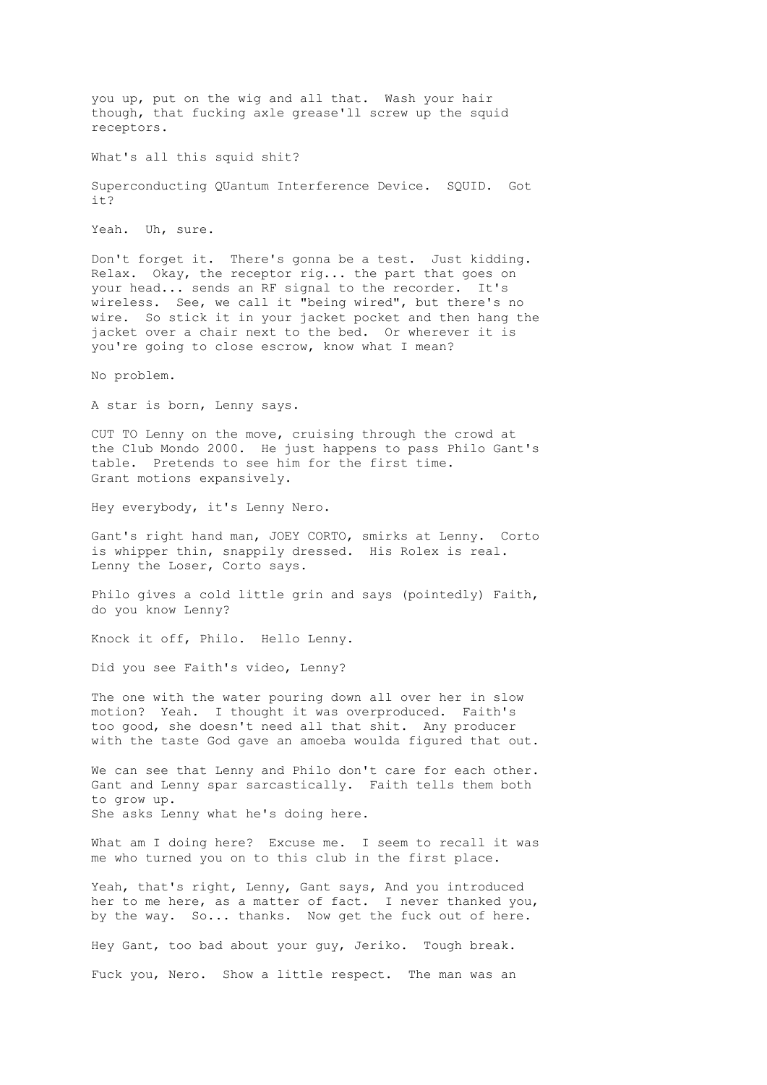you up, put on the wig and all that. Wash your hair though, that fucking axle grease'll screw up the squid receptors.

What's all this squid shit?

Superconducting QUantum Interference Device. SQUID. Got it?

Yeah. Uh, sure.

Don't forget it. There's gonna be a test. Just kidding. Relax. Okay, the receptor rig... the part that goes on your head... sends an RF signal to the recorder. It's wireless. See, we call it "being wired", but there's no wire. So stick it in your jacket pocket and then hang the jacket over a chair next to the bed. Or wherever it is you're going to close escrow, know what I mean?

No problem.

A star is born, Lenny says.

CUT TO Lenny on the move, cruising through the crowd at the Club Mondo 2000. He just happens to pass Philo Gant's table. Pretends to see him for the first time. Grant motions expansively.

Hey everybody, it's Lenny Nero.

Gant's right hand man, JOEY CORTO, smirks at Lenny. Corto is whipper thin, snappily dressed. His Rolex is real. Lenny the Loser, Corto says.

Philo gives a cold little grin and says (pointedly) Faith, do you know Lenny?

Knock it off, Philo. Hello Lenny.

Did you see Faith's video, Lenny?

The one with the water pouring down all over her in slow motion? Yeah. I thought it was overproduced. Faith's too good, she doesn't need all that shit. Any producer with the taste God gave an amoeba woulda figured that out.

We can see that Lenny and Philo don't care for each other. Gant and Lenny spar sarcastically. Faith tells them both to grow up. She asks Lenny what he's doing here.

What am I doing here? Excuse me. I seem to recall it was me who turned you on to this club in the first place.

Yeah, that's right, Lenny, Gant says, And you introduced her to me here, as a matter of fact. I never thanked you, by the way. So... thanks. Now get the fuck out of here.

Hey Gant, too bad about your guy, Jeriko. Tough break. Fuck you, Nero. Show a little respect. The man was an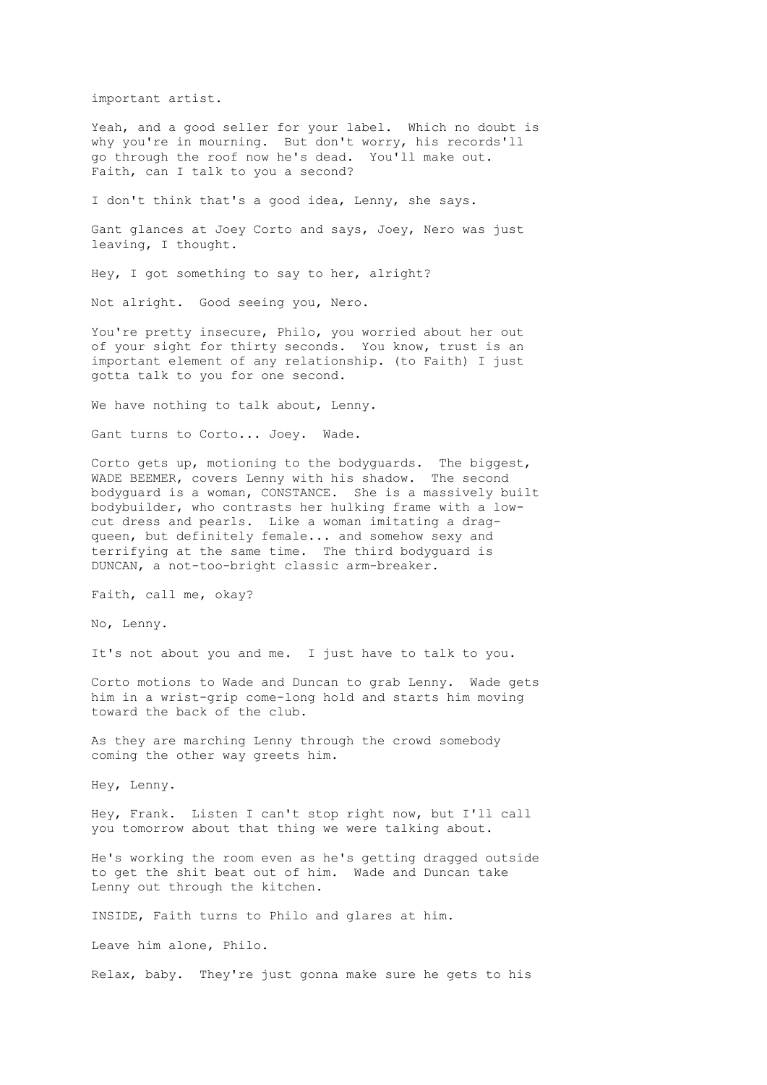important artist.

Yeah, and a good seller for your label. Which no doubt is why you're in mourning. But don't worry, his records'll go through the roof now he's dead. You'll make out. Faith, can I talk to you a second?

I don't think that's a good idea, Lenny, she says.

Gant glances at Joey Corto and says, Joey, Nero was just leaving, I thought.

Hey, I got something to say to her, alright?

Not alright. Good seeing you, Nero.

You're pretty insecure, Philo, you worried about her out of your sight for thirty seconds. You know, trust is an important element of any relationship. (to Faith) I just gotta talk to you for one second.

We have nothing to talk about, Lenny.

Gant turns to Corto... Joey. Wade.

Corto gets up, motioning to the bodyguards. The biggest, WADE BEEMER, covers Lenny with his shadow. The second bodyguard is a woman, CONSTANCE. She is a massively built bodybuilder, who contrasts her hulking frame with a lowcut dress and pearls. Like a woman imitating a dragqueen, but definitely female... and somehow sexy and terrifying at the same time. The third bodyguard is DUNCAN, a not-too-bright classic arm-breaker.

Faith, call me, okay?

No, Lenny.

It's not about you and me. I just have to talk to you.

Corto motions to Wade and Duncan to grab Lenny. Wade gets him in a wrist-grip come-long hold and starts him moving toward the back of the club.

As they are marching Lenny through the crowd somebody coming the other way greets him.

Hey, Lenny.

Hey, Frank. Listen I can't stop right now, but I'll call you tomorrow about that thing we were talking about.

He's working the room even as he's getting dragged outside to get the shit beat out of him. Wade and Duncan take Lenny out through the kitchen.

INSIDE, Faith turns to Philo and glares at him.

Leave him alone, Philo.

Relax, baby. They're just gonna make sure he gets to his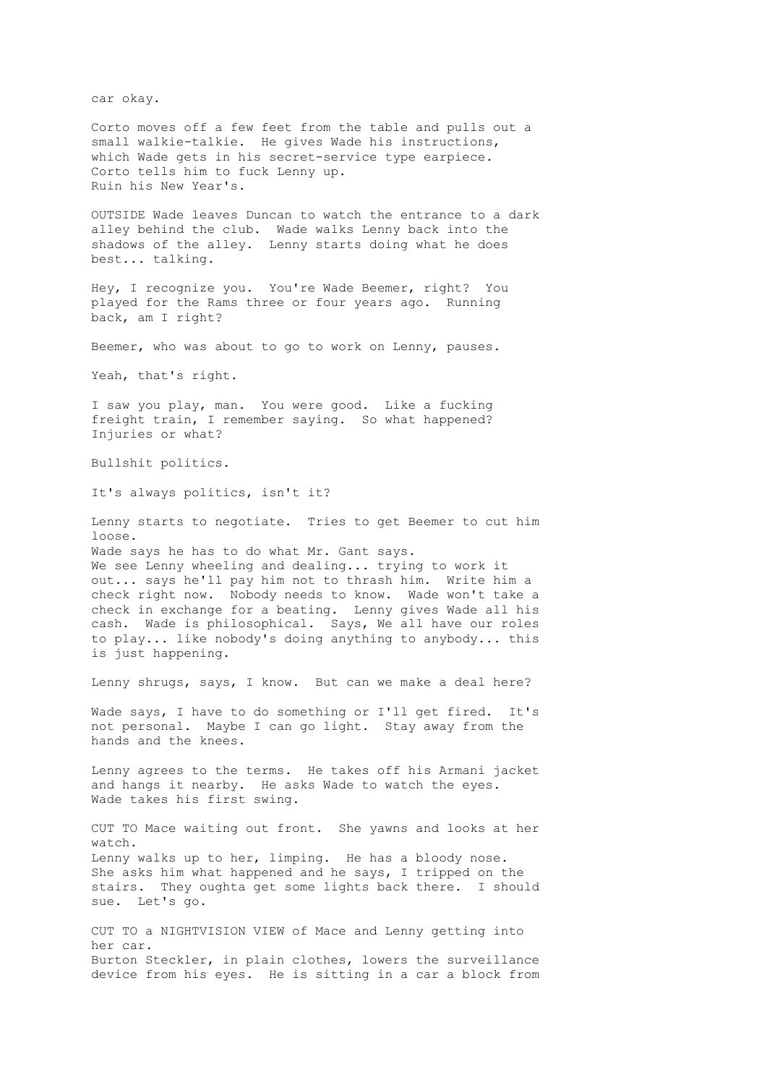car okay. Corto moves off a few feet from the table and pulls out a small walkie-talkie. He gives Wade his instructions, which Wade gets in his secret-service type earpiece. Corto tells him to fuck Lenny up. Ruin his New Year's. OUTSIDE Wade leaves Duncan to watch the entrance to a dark alley behind the club. Wade walks Lenny back into the shadows of the alley. Lenny starts doing what he does best... talking. Hey, I recognize you. You're Wade Beemer, right? You played for the Rams three or four years ago. Running back, am I right? Beemer, who was about to go to work on Lenny, pauses. Yeah, that's right. I saw you play, man. You were good. Like a fucking freight train, I remember saying. So what happened? Injuries or what? Bullshit politics. It's always politics, isn't it? Lenny starts to negotiate. Tries to get Beemer to cut him loose. Wade says he has to do what Mr. Gant says. We see Lenny wheeling and dealing... trying to work it out... says he'll pay him not to thrash him. Write him a check right now. Nobody needs to know. Wade won't take a check in exchange for a beating. Lenny gives Wade all his cash. Wade is philosophical. Says, We all have our roles to play... like nobody's doing anything to anybody... this is just happening. Lenny shrugs, says, I know. But can we make a deal here? Wade says, I have to do something or I'll get fired. It's not personal. Maybe I can go light. Stay away from the hands and the knees. Lenny agrees to the terms. He takes off his Armani jacket and hangs it nearby. He asks Wade to watch the eyes. Wade takes his first swing. CUT TO Mace waiting out front. She yawns and looks at her watch. Lenny walks up to her, limping. He has a bloody nose. She asks him what happened and he says, I tripped on the stairs. They oughta get some lights back there. I should sue. Let's go. CUT TO a NIGHTVISION VIEW of Mace and Lenny getting into her car. Burton Steckler, in plain clothes, lowers the surveillance device from his eyes. He is sitting in a car a block from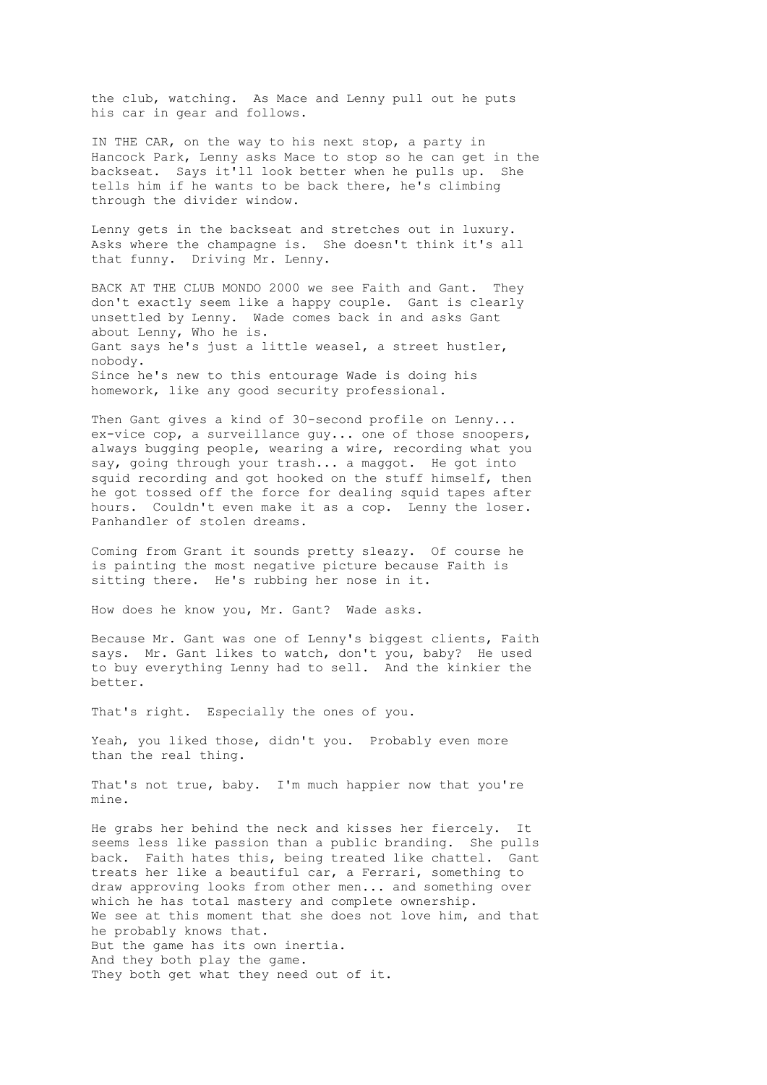the club, watching. As Mace and Lenny pull out he puts his car in gear and follows.

IN THE CAR, on the way to his next stop, a party in Hancock Park, Lenny asks Mace to stop so he can get in the backseat. Says it'll look better when he pulls up. She tells him if he wants to be back there, he's climbing through the divider window.

Lenny gets in the backseat and stretches out in luxury. Asks where the champagne is. She doesn't think it's all that funny. Driving Mr. Lenny.

BACK AT THE CLUB MONDO 2000 we see Faith and Gant. They don't exactly seem like a happy couple. Gant is clearly unsettled by Lenny. Wade comes back in and asks Gant about Lenny, Who he is. Gant says he's just a little weasel, a street hustler, nobody. Since he's new to this entourage Wade is doing his homework, like any good security professional.

Then Gant gives a kind of 30-second profile on Lenny... ex-vice cop, a surveillance guy... one of those snoopers, always bugging people, wearing a wire, recording what you say, going through your trash... a maggot. He got into squid recording and got hooked on the stuff himself, then he got tossed off the force for dealing squid tapes after hours. Couldn't even make it as a cop. Lenny the loser. Panhandler of stolen dreams.

Coming from Grant it sounds pretty sleazy. Of course he is painting the most negative picture because Faith is sitting there. He's rubbing her nose in it.

How does he know you, Mr. Gant? Wade asks.

Because Mr. Gant was one of Lenny's biggest clients, Faith says. Mr. Gant likes to watch, don't you, baby? He used to buy everything Lenny had to sell. And the kinkier the better.

That's right. Especially the ones of you.

Yeah, you liked those, didn't you. Probably even more than the real thing.

That's not true, baby. I'm much happier now that you're mine.

He grabs her behind the neck and kisses her fiercely. It seems less like passion than a public branding. She pulls back. Faith hates this, being treated like chattel. Gant treats her like a beautiful car, a Ferrari, something to draw approving looks from other men... and something over which he has total mastery and complete ownership. We see at this moment that she does not love him, and that he probably knows that. But the game has its own inertia. And they both play the game. They both get what they need out of it.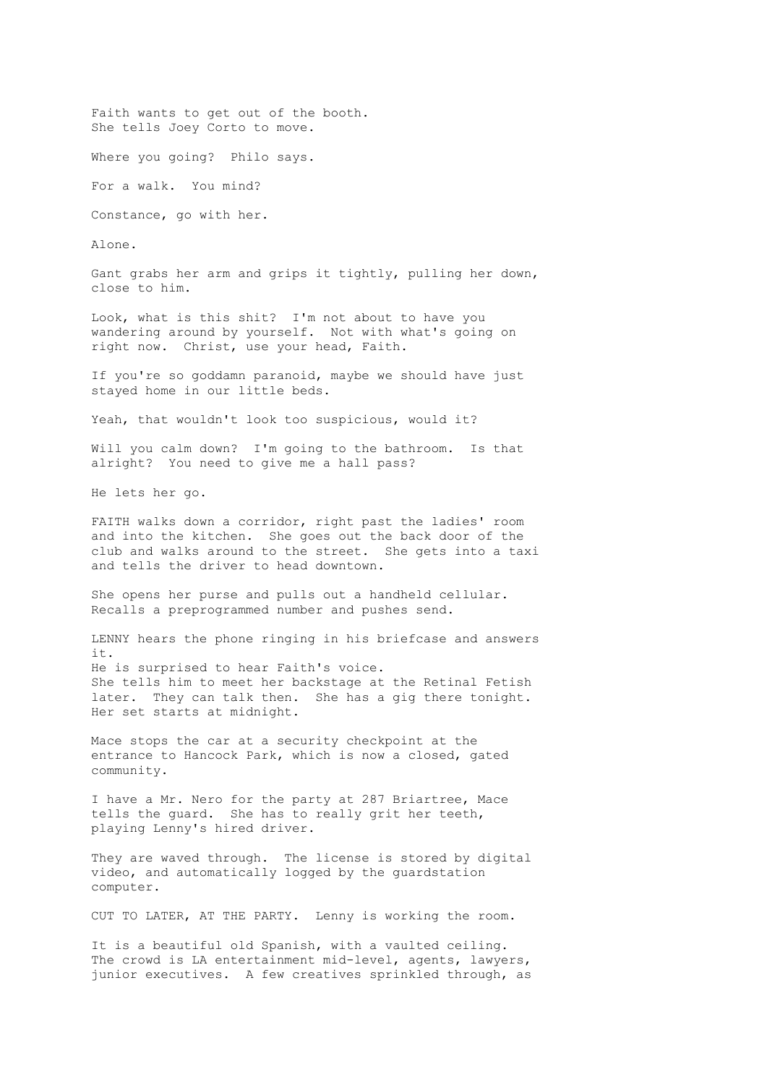Faith wants to get out of the booth. She tells Joey Corto to move. Where you going? Philo says. For a walk. You mind? Constance, go with her. Alone. Gant grabs her arm and grips it tightly, pulling her down, close to him. Look, what is this shit? I'm not about to have you wandering around by yourself. Not with what's going on right now. Christ, use your head, Faith. If you're so goddamn paranoid, maybe we should have just stayed home in our little beds. Yeah, that wouldn't look too suspicious, would it? Will you calm down? I'm going to the bathroom. Is that alright? You need to give me a hall pass? He lets her go. FAITH walks down a corridor, right past the ladies' room and into the kitchen. She goes out the back door of the club and walks around to the street. She gets into a taxi and tells the driver to head downtown. She opens her purse and pulls out a handheld cellular. Recalls a preprogrammed number and pushes send. LENNY hears the phone ringing in his briefcase and answers it. He is surprised to hear Faith's voice. She tells him to meet her backstage at the Retinal Fetish later. They can talk then. She has a gig there tonight. Her set starts at midnight. Mace stops the car at a security checkpoint at the entrance to Hancock Park, which is now a closed, gated community. I have a Mr. Nero for the party at 287 Briartree, Mace tells the guard. She has to really grit her teeth, playing Lenny's hired driver. They are waved through. The license is stored by digital video, and automatically logged by the guardstation computer. CUT TO LATER, AT THE PARTY. Lenny is working the room. It is a beautiful old Spanish, with a vaulted ceiling. The crowd is LA entertainment mid-level, agents, lawyers, junior executives. A few creatives sprinkled through, as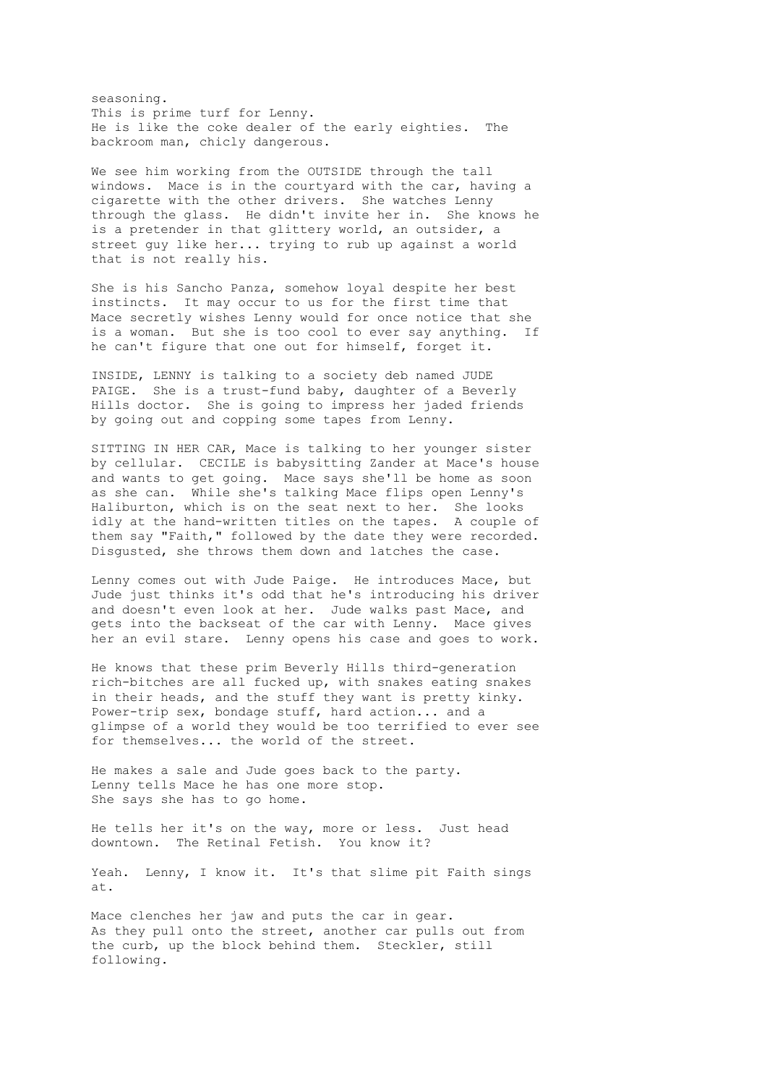seasoning. This is prime turf for Lenny. He is like the coke dealer of the early eighties. The backroom man, chicly dangerous.

We see him working from the OUTSIDE through the tall windows. Mace is in the courtyard with the car, having a cigarette with the other drivers. She watches Lenny through the glass. He didn't invite her in. She knows he is a pretender in that glittery world, an outsider, a street guy like her... trying to rub up against a world that is not really his.

She is his Sancho Panza, somehow loyal despite her best instincts. It may occur to us for the first time that Mace secretly wishes Lenny would for once notice that she is a woman. But she is too cool to ever say anything. If he can't figure that one out for himself, forget it.

INSIDE, LENNY is talking to a society deb named JUDE PAIGE. She is a trust-fund baby, daughter of a Beverly Hills doctor. She is going to impress her jaded friends by going out and copping some tapes from Lenny.

SITTING IN HER CAR, Mace is talking to her younger sister by cellular. CECILE is babysitting Zander at Mace's house and wants to get going. Mace says she'll be home as soon as she can. While she's talking Mace flips open Lenny's Haliburton, which is on the seat next to her. She looks idly at the hand-written titles on the tapes. A couple of them say "Faith," followed by the date they were recorded. Disgusted, she throws them down and latches the case.

Lenny comes out with Jude Paige. He introduces Mace, but Jude just thinks it's odd that he's introducing his driver and doesn't even look at her. Jude walks past Mace, and gets into the backseat of the car with Lenny. Mace gives her an evil stare. Lenny opens his case and goes to work.

He knows that these prim Beverly Hills third-generation rich-bitches are all fucked up, with snakes eating snakes in their heads, and the stuff they want is pretty kinky. Power-trip sex, bondage stuff, hard action... and a glimpse of a world they would be too terrified to ever see for themselves... the world of the street.

He makes a sale and Jude goes back to the party. Lenny tells Mace he has one more stop. She says she has to go home.

He tells her it's on the way, more or less. Just head downtown. The Retinal Fetish. You know it?

Yeah. Lenny, I know it. It's that slime pit Faith sings at.

Mace clenches her jaw and puts the car in gear. As they pull onto the street, another car pulls out from the curb, up the block behind them. Steckler, still following.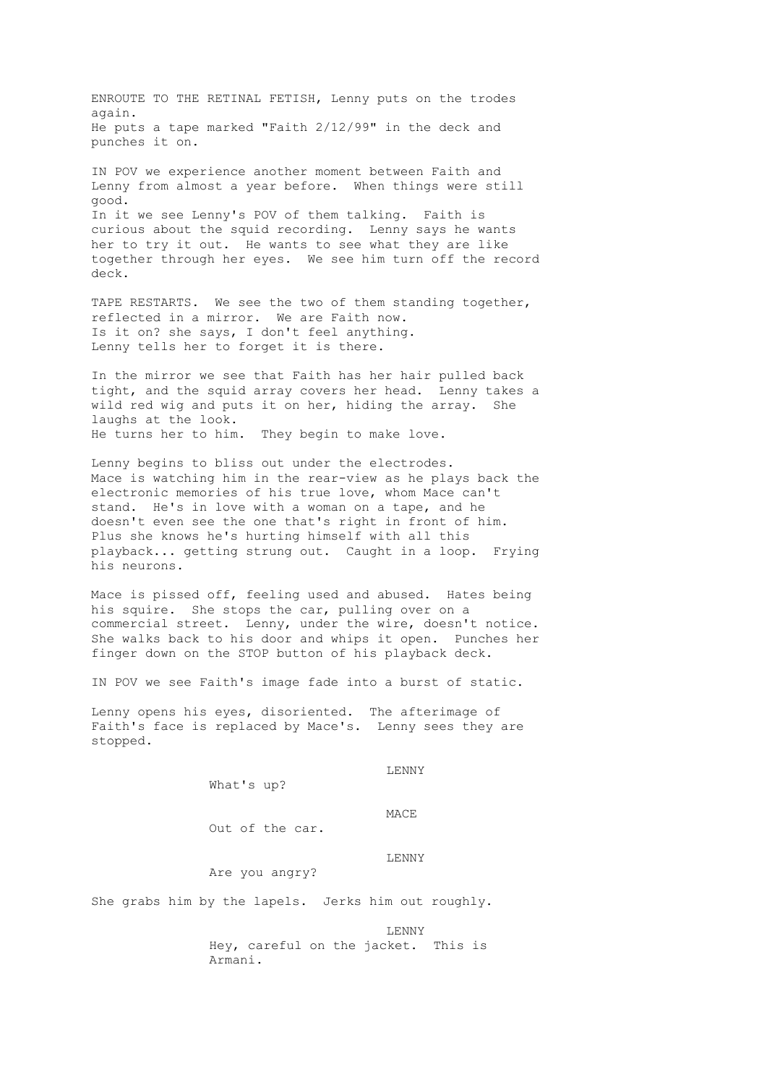ENROUTE TO THE RETINAL FETISH, Lenny puts on the trodes again. He puts a tape marked "Faith 2/12/99" in the deck and punches it on.

IN POV we experience another moment between Faith and Lenny from almost a year before. When things were still good. In it we see Lenny's POV of them talking. Faith is curious about the squid recording. Lenny says he wants her to try it out. He wants to see what they are like together through her eyes. We see him turn off the record deck.

TAPE RESTARTS. We see the two of them standing together, reflected in a mirror. We are Faith now. Is it on? she says, I don't feel anything. Lenny tells her to forget it is there.

In the mirror we see that Faith has her hair pulled back tight, and the squid array covers her head. Lenny takes a wild red wig and puts it on her, hiding the array. She laughs at the look. He turns her to him. They begin to make love.

Lenny begins to bliss out under the electrodes. Mace is watching him in the rear-view as he plays back the electronic memories of his true love, whom Mace can't stand. He's in love with a woman on a tape, and he doesn't even see the one that's right in front of him. Plus she knows he's hurting himself with all this playback... getting strung out. Caught in a loop. Frying his neurons.

Mace is pissed off, feeling used and abused. Hates being his squire. She stops the car, pulling over on a commercial street. Lenny, under the wire, doesn't notice. She walks back to his door and whips it open. Punches her finger down on the STOP button of his playback deck.

IN POV we see Faith's image fade into a burst of static.

Lenny opens his eyes, disoriented. The afterimage of Faith's face is replaced by Mace's. Lenny sees they are stopped.

LENNY

What's up?

MACE

Out of the car.

LENNY

Are you angry?

She grabs him by the lapels. Jerks him out roughly.

LENNY Hey, careful on the jacket. This is Armani.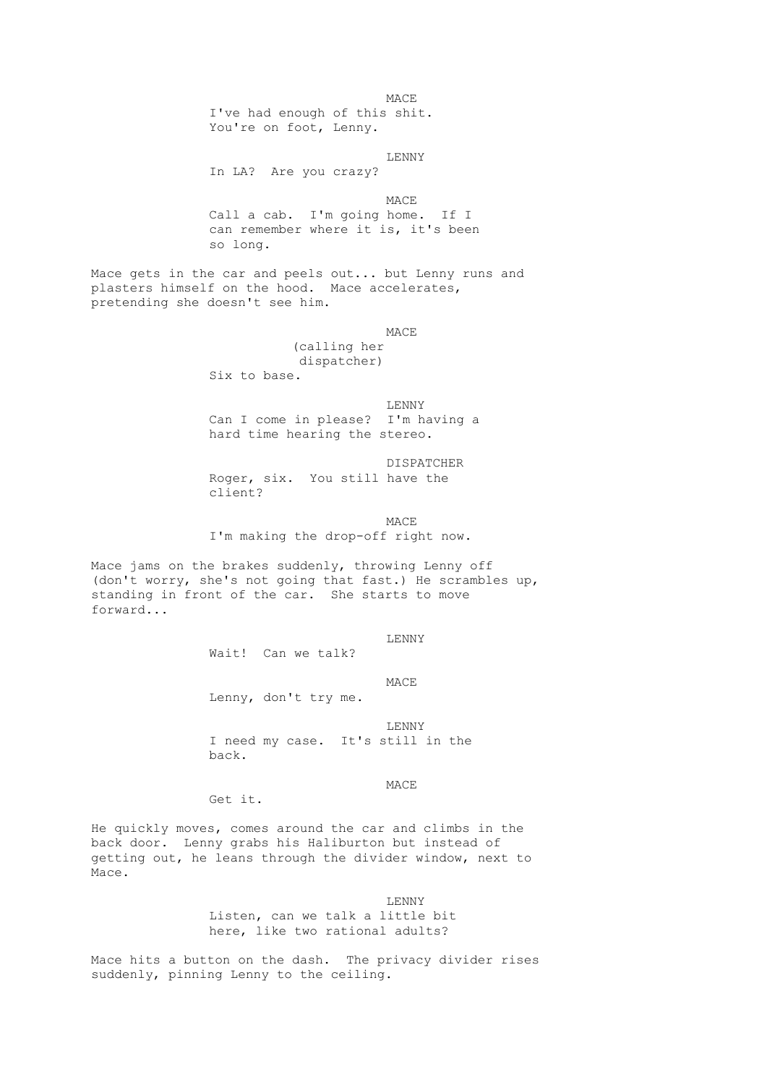MACE I've had enough of this shit. You're on foot, Lenny. LENNY In LA? Are you crazy? MACE Call a cab. I'm going home. If I can remember where it is, it's been so long. Mace gets in the car and peels out... but Lenny runs and plasters himself on the hood. Mace accelerates, pretending she doesn't see him. MACE (calling her dispatcher) Six to base. LENNY Can I come in please? I'm having a hard time hearing the stereo. DISPATCHER Roger, six. You still have the client? MACE I'm making the drop-off right now. Mace jams on the brakes suddenly, throwing Lenny off (don't worry, she's not going that fast.) He scrambles up, standing in front of the car. She starts to move forward... LENNY Wait! Can we talk? MACE Lenny, don't try me. LENNY I need my case. It's still in the back. MACE Get it. He quickly moves, comes around the car and climbs in the

back door. Lenny grabs his Haliburton but instead of getting out, he leans through the divider window, next to Mace.

> LENNY Listen, can we talk a little bit here, like two rational adults?

Mace hits a button on the dash. The privacy divider rises suddenly, pinning Lenny to the ceiling.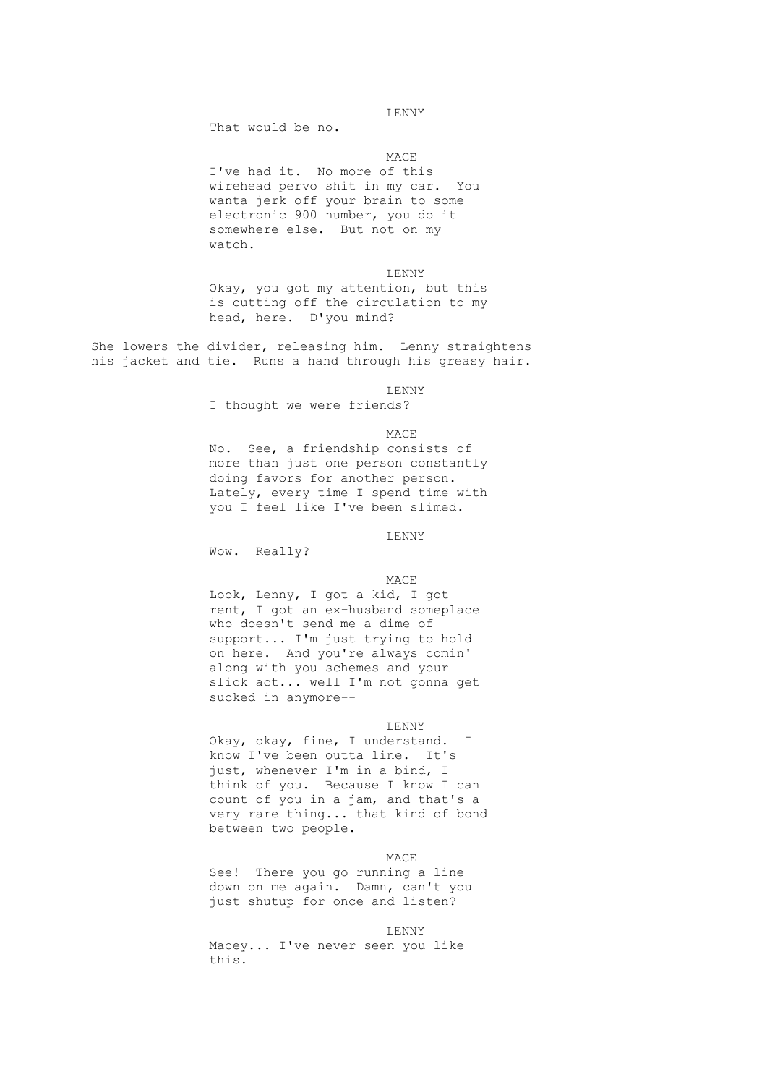# LENNY

That would be no.

MACE

I've had it. No more of this wirehead pervo shit in my car. You wanta jerk off your brain to some electronic 900 number, you do it somewhere else. But not on my watch.

LENNY

Okay, you got my attention, but this is cutting off the circulation to my head, here. D'you mind?

She lowers the divider, releasing him. Lenny straightens his jacket and tie. Runs a hand through his greasy hair.

LENNY

I thought we were friends?

## MACE

No. See, a friendship consists of more than just one person constantly doing favors for another person. Lately, every time I spend time with you I feel like I've been slimed.

LENNY

Wow. Really?

MACE

Look, Lenny, I got a kid, I got rent, I got an ex-husband someplace who doesn't send me a dime of support... I'm just trying to hold on here. And you're always comin' along with you schemes and your slick act... well I'm not gonna get sucked in anymore--

### LENNY

Okay, okay, fine, I understand. I know I've been outta line. It's just, whenever I'm in a bind, I think of you. Because I know I can count of you in a jam, and that's a very rare thing... that kind of bond between two people.

MACE

See! There you go running a line down on me again. Damn, can't you just shutup for once and listen?

LENNY Macey... I've never seen you like this.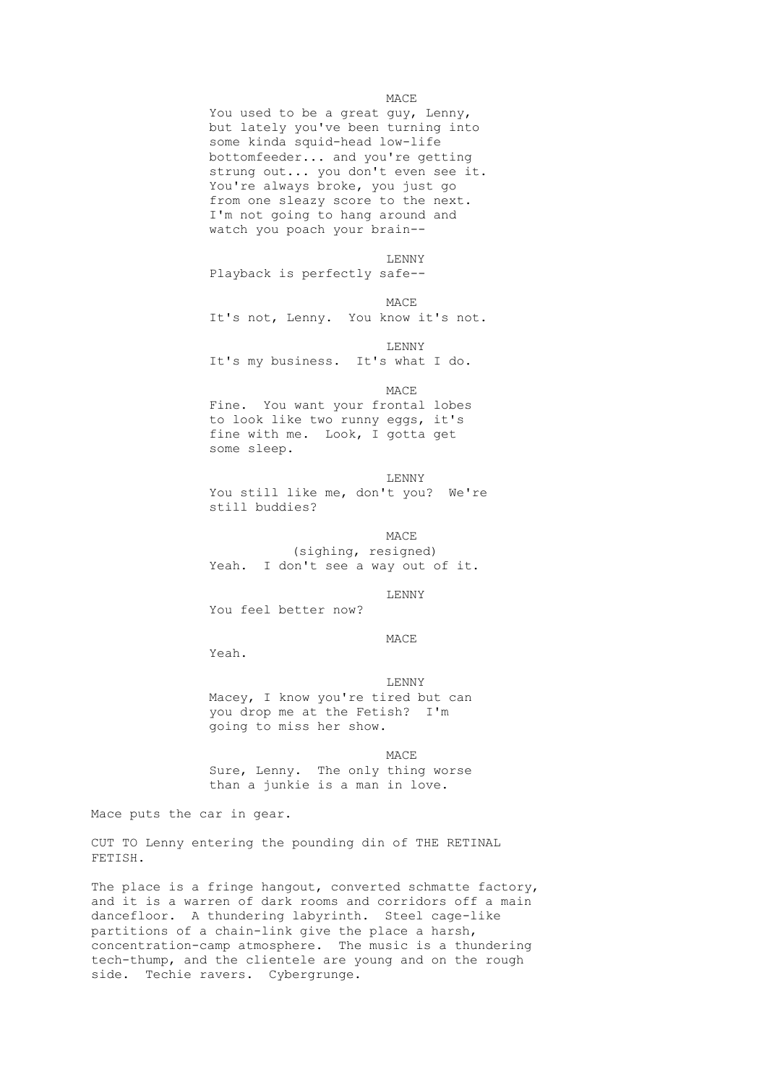MACE You used to be a great guy, Lenny, but lately you've been turning into some kinda squid-head low-life bottomfeeder... and you're getting strung out... you don't even see it. You're always broke, you just go from one sleazy score to the next. I'm not going to hang around and watch you poach your brain-- LENNY Playback is perfectly safe-- MACE It's not, Lenny. You know it's not. LENNY It's my business. It's what I do. MACE Fine. You want your frontal lobes to look like two runny eggs, it's fine with me. Look, I gotta get some sleep. LENNY You still like me, don't you? We're still buddies? MACE (sighing, resigned) Yeah. I don't see a way out of it. LENNY You feel better now? MACE Yeah. LENNY Macey, I know you're tired but can you drop me at the Fetish? I'm going to miss her show. MACE Sure, Lenny. The only thing worse than a junkie is a man in love. Mace puts the car in gear.

CUT TO Lenny entering the pounding din of THE RETINAL FETISH.

The place is a fringe hangout, converted schmatte factory, and it is a warren of dark rooms and corridors off a main dancefloor. A thundering labyrinth. Steel cage-like partitions of a chain-link give the place a harsh, concentration-camp atmosphere. The music is a thundering tech-thump, and the clientele are young and on the rough side. Techie ravers. Cybergrunge.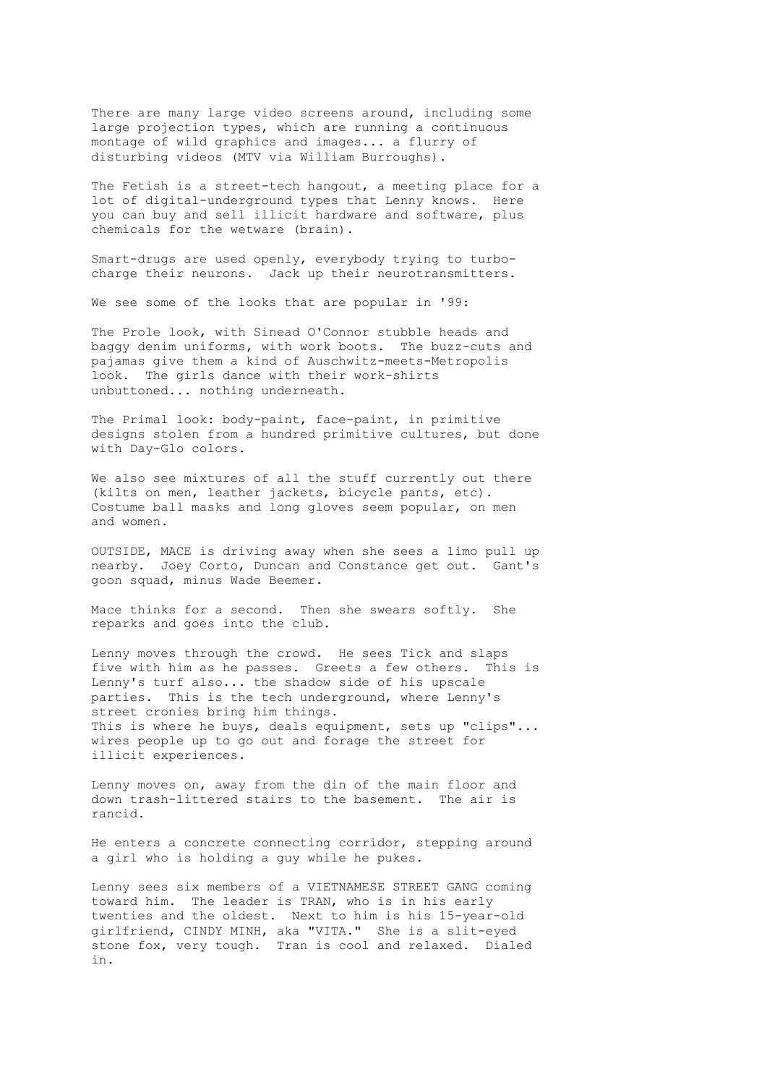There are many large video screens around, including some large projection types, which are running a continuous montage of wild graphics and images... a flurry of disturbing videos (MTV via William Burroughs).

The Fetish is a street-tech hangout, a meeting place for a lot of digital-underground types that Lenny knows. Here you can buy and sell illicit hardware and software, plus chemicals for the wetware (brain).

Smart-drugs are used openly, everybody trying to turbocharge their neurons. Jack up their neurotransmitters.

We see some of the looks that are popular in '99:

The Prole look, with Sinead O'Connor stubble heads and baggy denim uniforms, with work boots. The buzz-cuts and pajamas give them a kind of Auschwitz-meets-Metropolis look. The girls dance with their work-shirts unbuttoned... nothing underneath.

The Primal look: body-paint, face-paint, in primitive designs stolen from a hundred primitive cultures, but done with Day-Glo colors.

We also see mixtures of all the stuff currently out there (kilts on men, leather jackets, bicycle pants, etc). Costume ball masks and long gloves seem popular, on men and women.

OUTSIDE, MACE is driving away when she sees a limo pull up nearby. Joey Corto, Duncan and Constance get out. Gant's goon squad, minus Wade Beemer.

Mace thinks for a second. Then she swears softly. She reparks and goes into the club.

Lenny moves through the crowd. He sees Tick and slaps five with him as he passes. Greets a few others. This is Lenny's turf also... the shadow side of his upscale parties. This is the tech underground, where Lenny's street cronies bring him things. This is where he buys, deals equipment, sets up "clips"... wires people up to go out and forage the street for illicit experiences.

Lenny moves on, away from the din of the main floor and down trash-littered stairs to the basement. The air is rancid.

He enters a concrete connecting corridor, stepping around a girl who is holding a guy while he pukes.

Lenny sees six members of a VIETNAMESE STREET GANG coming toward him. The leader is TRAN, who is in his early twenties and the oldest. Next to him is his 15-year-old girlfriend, CINDY MINH, aka "VITA." She is a slit-eyed stone fox, very tough. Tran is cool and relaxed. Dialed in.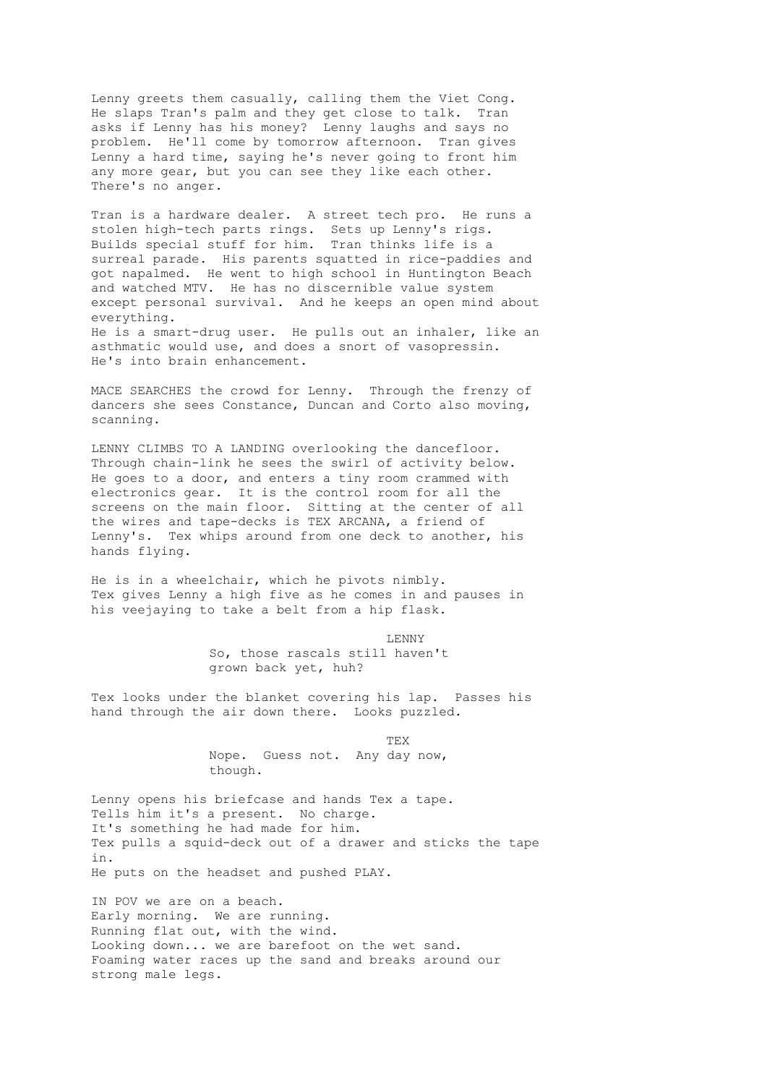Lenny greets them casually, calling them the Viet Cong. He slaps Tran's palm and they get close to talk. Tran asks if Lenny has his money? Lenny laughs and says no problem. He'll come by tomorrow afternoon. Tran gives Lenny a hard time, saying he's never going to front him any more gear, but you can see they like each other. There's no anger.

Tran is a hardware dealer. A street tech pro. He runs a stolen high-tech parts rings. Sets up Lenny's rigs. Builds special stuff for him. Tran thinks life is a surreal parade. His parents squatted in rice-paddies and got napalmed. He went to high school in Huntington Beach and watched MTV. He has no discernible value system except personal survival. And he keeps an open mind about everything. He is a smart-drug user. He pulls out an inhaler, like an asthmatic would use, and does a snort of vasopressin. He's into brain enhancement.

MACE SEARCHES the crowd for Lenny. Through the frenzy of dancers she sees Constance, Duncan and Corto also moving, scanning.

LENNY CLIMBS TO A LANDING overlooking the dancefloor. Through chain-link he sees the swirl of activity below. He goes to a door, and enters a tiny room crammed with electronics gear. It is the control room for all the screens on the main floor. Sitting at the center of all the wires and tape-decks is TEX ARCANA, a friend of Lenny's. Tex whips around from one deck to another, his hands flying.

He is in a wheelchair, which he pivots nimbly. Tex gives Lenny a high five as he comes in and pauses in his veejaying to take a belt from a hip flask.

> LENNY So, those rascals still haven't grown back yet, huh?

Tex looks under the blanket covering his lap. Passes his hand through the air down there. Looks puzzled.

> TEX Nope. Guess not. Any day now, though.

Lenny opens his briefcase and hands Tex a tape. Tells him it's a present. No charge. It's something he had made for him. Tex pulls a squid-deck out of a drawer and sticks the tape in. He puts on the headset and pushed PLAY.

IN POV we are on a beach. Early morning. We are running. Running flat out, with the wind. Looking down... we are barefoot on the wet sand. Foaming water races up the sand and breaks around our strong male legs.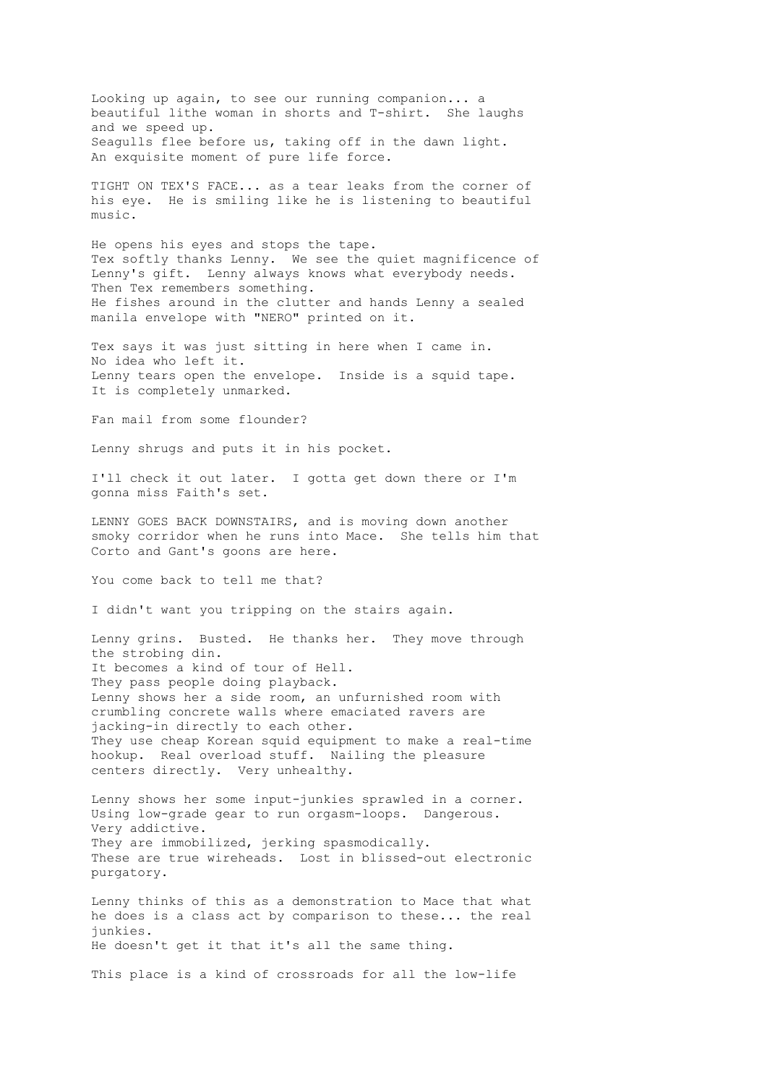Looking up again, to see our running companion... a beautiful lithe woman in shorts and T-shirt. She laughs and we speed up. Seagulls flee before us, taking off in the dawn light. An exquisite moment of pure life force.

TIGHT ON TEX'S FACE... as a tear leaks from the corner of his eye. He is smiling like he is listening to beautiful music.

He opens his eyes and stops the tape. Tex softly thanks Lenny. We see the quiet magnificence of Lenny's gift. Lenny always knows what everybody needs. Then Tex remembers something. He fishes around in the clutter and hands Lenny a sealed manila envelope with "NERO" printed on it.

Tex says it was just sitting in here when I came in. No idea who left it. Lenny tears open the envelope. Inside is a squid tape. It is completely unmarked.

Fan mail from some flounder?

Lenny shrugs and puts it in his pocket.

I'll check it out later. I gotta get down there or I'm gonna miss Faith's set.

LENNY GOES BACK DOWNSTAIRS, and is moving down another smoky corridor when he runs into Mace. She tells him that Corto and Gant's goons are here.

You come back to tell me that?

I didn't want you tripping on the stairs again.

Lenny grins. Busted. He thanks her. They move through the strobing din. It becomes a kind of tour of Hell. They pass people doing playback. Lenny shows her a side room, an unfurnished room with crumbling concrete walls where emaciated ravers are jacking-in directly to each other. They use cheap Korean squid equipment to make a real-time hookup. Real overload stuff. Nailing the pleasure centers directly. Very unhealthy.

Lenny shows her some input-junkies sprawled in a corner. Using low-grade gear to run orgasm-loops. Dangerous. Very addictive. They are immobilized, jerking spasmodically. These are true wireheads. Lost in blissed-out electronic purgatory.

Lenny thinks of this as a demonstration to Mace that what he does is a class act by comparison to these... the real junkies. He doesn't get it that it's all the same thing.

This place is a kind of crossroads for all the low-life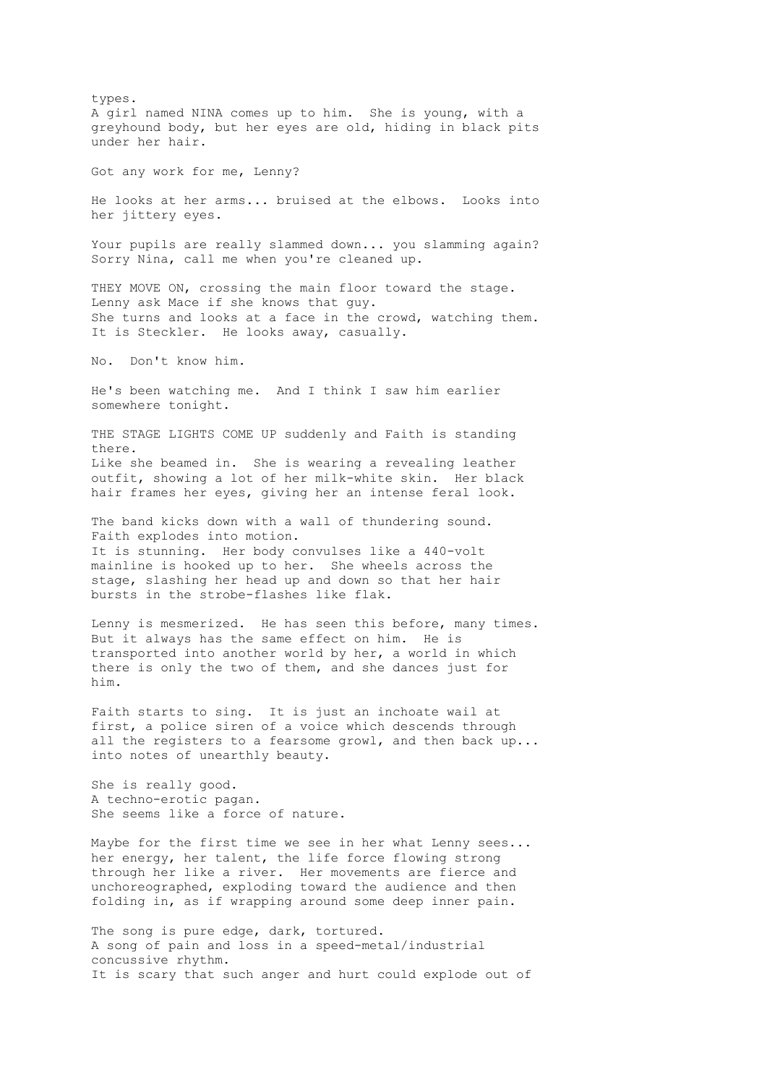types. A girl named NINA comes up to him. She is young, with a greyhound body, but her eyes are old, hiding in black pits under her hair. Got any work for me, Lenny? He looks at her arms... bruised at the elbows. Looks into her jittery eyes. Your pupils are really slammed down... you slamming again? Sorry Nina, call me when you're cleaned up. THEY MOVE ON, crossing the main floor toward the stage. Lenny ask Mace if she knows that guy. She turns and looks at a face in the crowd, watching them. It is Steckler. He looks away, casually. No. Don't know him. He's been watching me. And I think I saw him earlier somewhere tonight. THE STAGE LIGHTS COME UP suddenly and Faith is standing there. Like she beamed in. She is wearing a revealing leather outfit, showing a lot of her milk-white skin. Her black hair frames her eyes, giving her an intense feral look. The band kicks down with a wall of thundering sound. Faith explodes into motion. It is stunning. Her body convulses like a 440-volt mainline is hooked up to her. She wheels across the stage, slashing her head up and down so that her hair bursts in the strobe-flashes like flak. Lenny is mesmerized. He has seen this before, many times. But it always has the same effect on him. He is transported into another world by her, a world in which there is only the two of them, and she dances just for him. Faith starts to sing. It is just an inchoate wail at first, a police siren of a voice which descends through all the registers to a fearsome growl, and then back up... into notes of unearthly beauty. She is really good. A techno-erotic pagan. She seems like a force of nature. Maybe for the first time we see in her what Lenny sees... her energy, her talent, the life force flowing strong through her like a river. Her movements are fierce and unchoreographed, exploding toward the audience and then folding in, as if wrapping around some deep inner pain. The song is pure edge, dark, tortured. A song of pain and loss in a speed-metal/industrial concussive rhythm.

It is scary that such anger and hurt could explode out of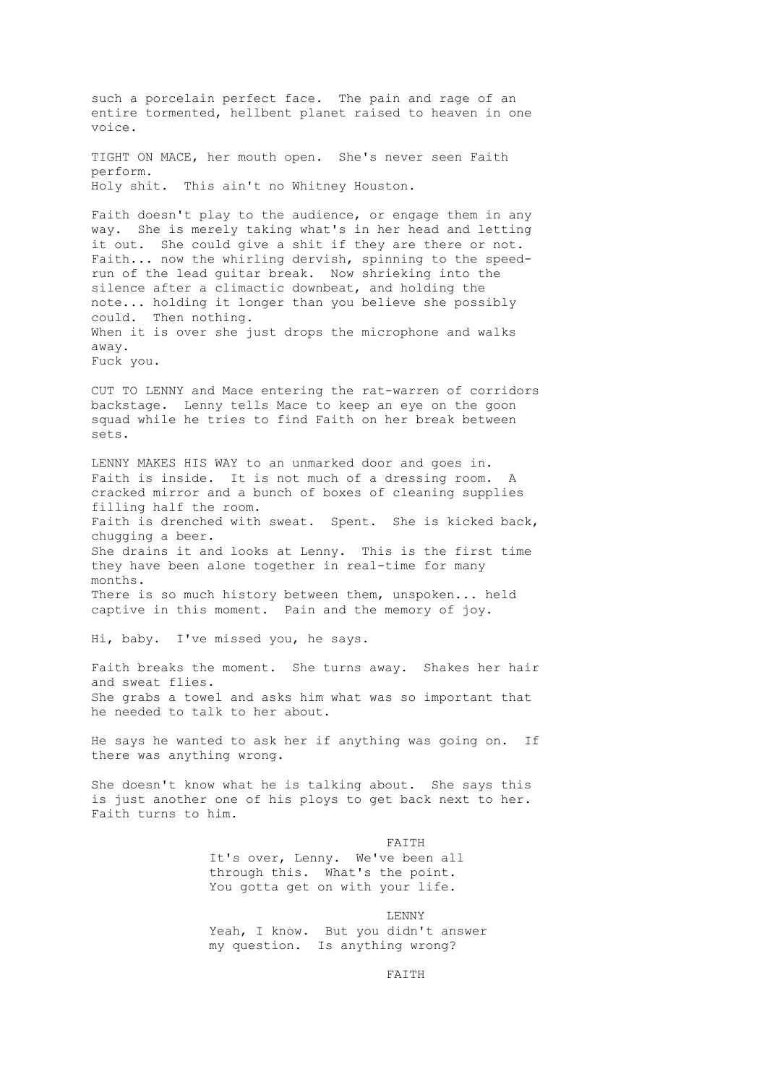such a porcelain perfect face. The pain and rage of an entire tormented, hellbent planet raised to heaven in one voice. TIGHT ON MACE, her mouth open. She's never seen Faith perform. Holy shit. This ain't no Whitney Houston. Faith doesn't play to the audience, or engage them in any way. She is merely taking what's in her head and letting it out. She could give a shit if they are there or not. Faith... now the whirling dervish, spinning to the speedrun of the lead guitar break. Now shrieking into the silence after a climactic downbeat, and holding the note... holding it longer than you believe she possibly could. Then nothing. When it is over she just drops the microphone and walks away. Fuck you. CUT TO LENNY and Mace entering the rat-warren of corridors backstage. Lenny tells Mace to keep an eye on the goon squad while he tries to find Faith on her break between sets. LENNY MAKES HIS WAY to an unmarked door and goes in. Faith is inside. It is not much of a dressing room. A cracked mirror and a bunch of boxes of cleaning supplies filling half the room. Faith is drenched with sweat. Spent. She is kicked back, chugging a beer. She drains it and looks at Lenny. This is the first time they have been alone together in real-time for many months. There is so much history between them, unspoken... held captive in this moment. Pain and the memory of joy. Hi, baby. I've missed you, he says. Faith breaks the moment. She turns away. Shakes her hair and sweat flies. She grabs a towel and asks him what was so important that he needed to talk to her about. He says he wanted to ask her if anything was going on. If there was anything wrong. She doesn't know what he is talking about. She says this is just another one of his ploys to get back next to her. Faith turns to him. FAITH It's over, Lenny. We've been all through this. What's the point. You gotta get on with your life. LENNY Yeah, I know. But you didn't answer my question. Is anything wrong? FAITH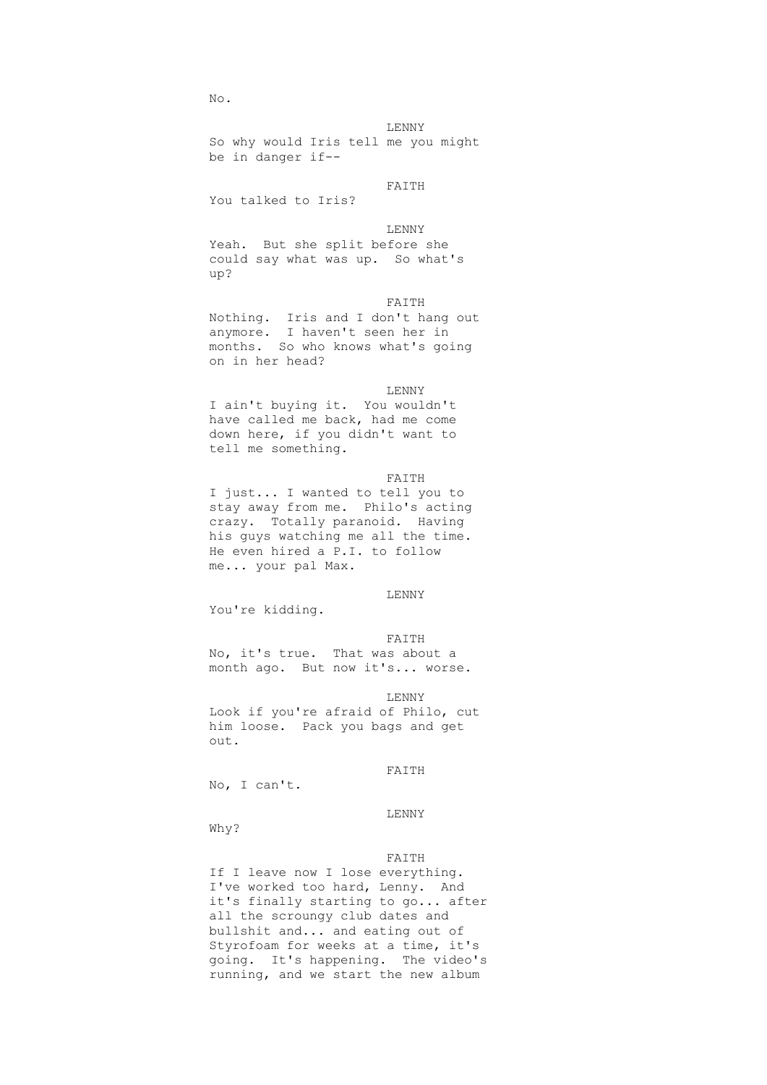No.

LENNY So why would Iris tell me you might be in danger if-- FAITH You talked to Iris? LENNY Yeah. But she split before she could say what was up. So what's up? FAITH Nothing. Iris and I don't hang out anymore. I haven't seen her in months. So who knows what's going on in her head? LENNY I ain't buying it. You wouldn't have called me back, had me come down here, if you didn't want to tell me something. FAITH I just... I wanted to tell you to stay away from me. Philo's acting crazy. Totally paranoid. Having his guys watching me all the time. He even hired a P.I. to follow me... your pal Max. LENNY You're kidding. FAITH No, it's true. That was about a month ago. But now it's... worse. LENNY Look if you're afraid of Philo, cut him loose. Pack you bags and get out. FAITH No, I can't. LENNY Why? FAITH If I leave now I lose everything. I've worked too hard, Lenny. And it's finally starting to go... after all the scroungy club dates and bullshit and... and eating out of Styrofoam for weeks at a time, it's going. It's happening. The video's running, and we start the new album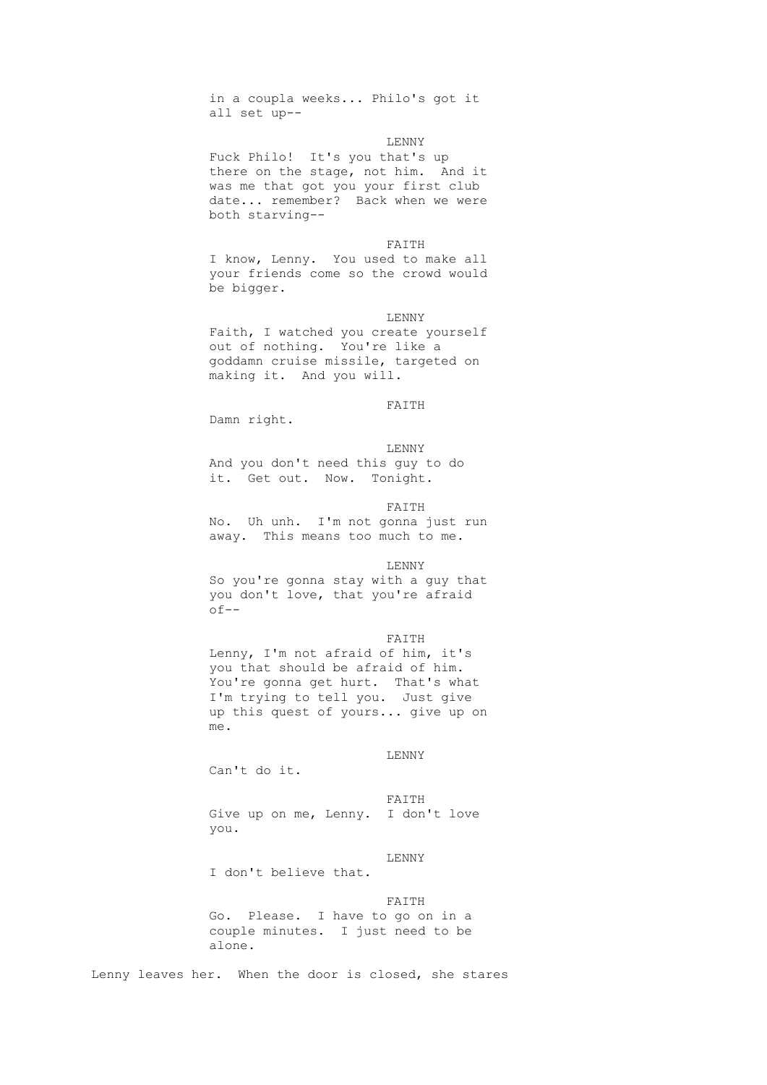in a coupla weeks... Philo's got it all set up--

### LENNY

Fuck Philo! It's you that's up there on the stage, not him. And it was me that got you your first club date... remember? Back when we were both starving--

## FAITH

I know, Lenny. You used to make all your friends come so the crowd would be bigger.

LENNY

Faith, I watched you create yourself out of nothing. You're like a goddamn cruise missile, targeted on making it. And you will.

FAITH

Damn right.

LENNY And you don't need this guy to do it. Get out. Now. Tonight.

FAITH

No. Uh unh. I'm not gonna just run away. This means too much to me.

LENNY

So you're gonna stay with a guy that you don't love, that you're afraid of--

FAITH

Lenny, I'm not afraid of him, it's you that should be afraid of him. You're gonna get hurt. That's what I'm trying to tell you. Just give up this quest of yours... give up on me.

LENNY

Can't do it.

FAITH Give up on me, Lenny. I don't love you.

LENNY

I don't believe that.

# FAITH

Go. Please. I have to go on in a couple minutes. I just need to be alone.

Lenny leaves her. When the door is closed, she stares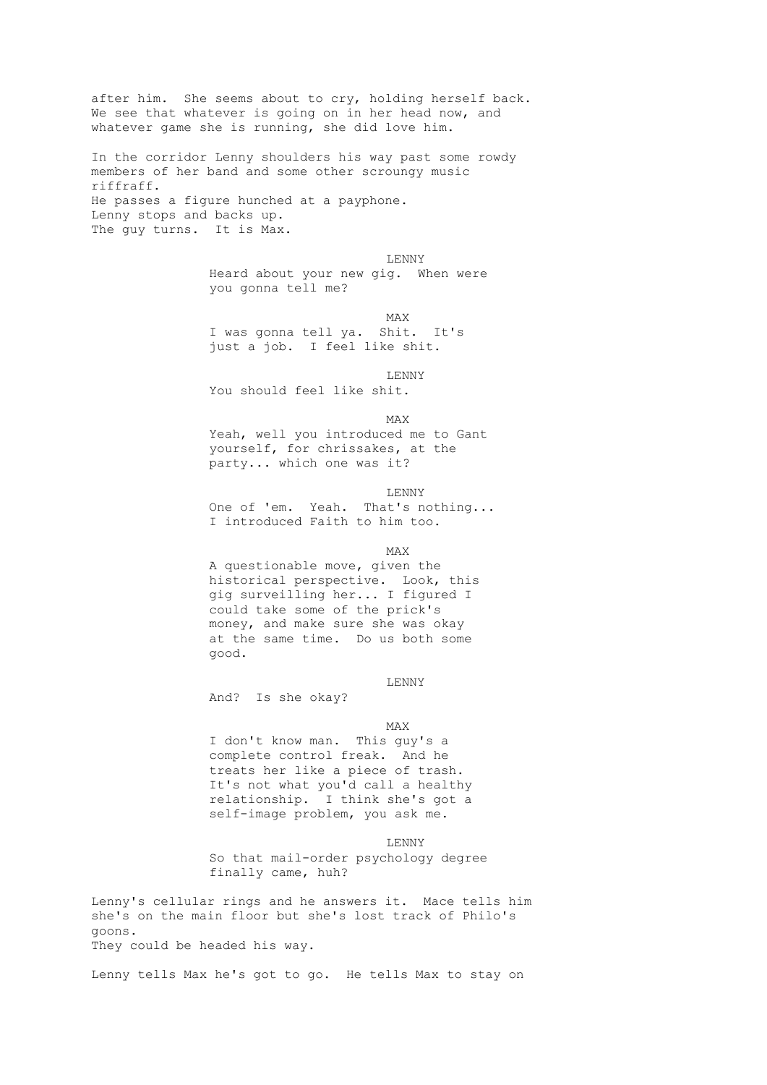after him. She seems about to cry, holding herself back. We see that whatever is going on in her head now, and whatever game she is running, she did love him. In the corridor Lenny shoulders his way past some rowdy members of her band and some other scroungy music riffraff. He passes a figure hunched at a payphone. Lenny stops and backs up. The guy turns. It is Max. LENNY Heard about your new gig. When were you gonna tell me? MAX I was gonna tell ya. Shit. It's just a job. I feel like shit. LENNY You should feel like shit. MAX Yeah, well you introduced me to Gant yourself, for chrissakes, at the party... which one was it? LENNY One of 'em. Yeah. That's nothing... I introduced Faith to him too. MAX A questionable move, given the historical perspective. Look, this gig surveilling her... I figured I could take some of the prick's money, and make sure she was okay at the same time. Do us both some good. LENNY And? Is she okay? MAX I don't know man. This guy's a complete control freak. And he treats her like a piece of trash. It's not what you'd call a healthy relationship. I think she's got a self-image problem, you ask me. LENNY So that mail-order psychology degree finally came, huh? Lenny's cellular rings and he answers it. Mace tells him she's on the main floor but she's lost track of Philo's goons.

They could be headed his way.

Lenny tells Max he's got to go. He tells Max to stay on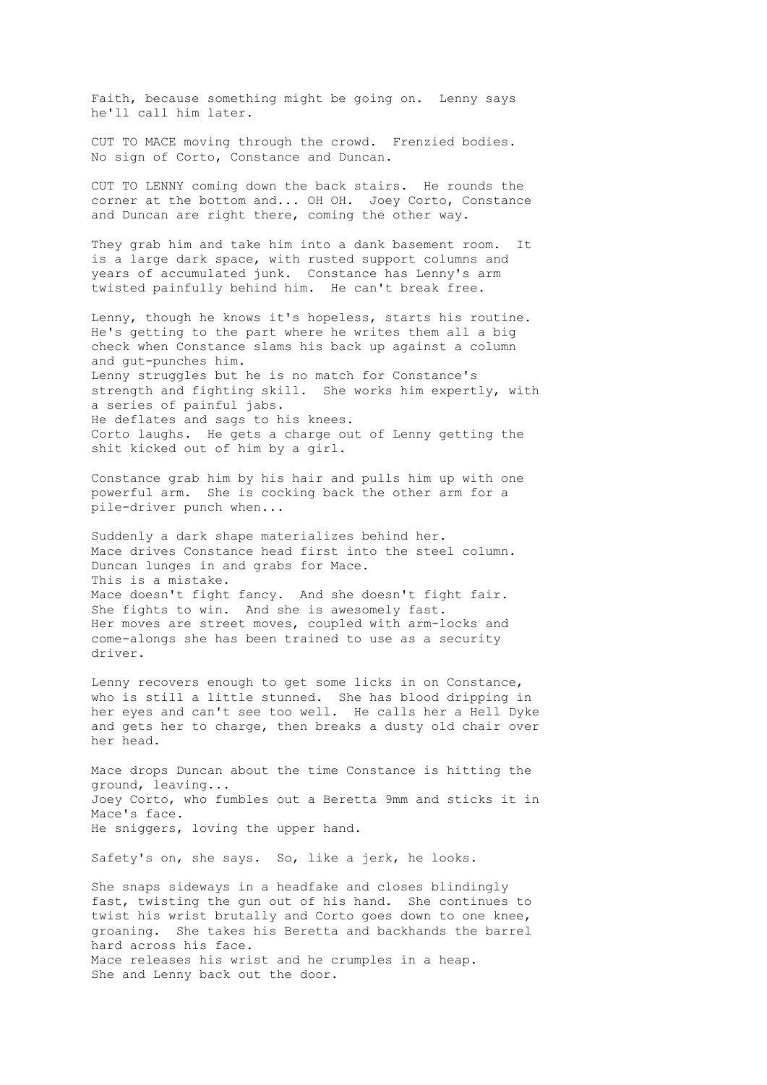Faith, because something might be going on. Lenny says he'll call him later.

CUT TO MACE moving through the crowd. Frenzied bodies. No sign of Corto, Constance and Duncan.

CUT TO LENNY coming down the back stairs. He rounds the corner at the bottom and... OH OH. Joey Corto, Constance and Duncan are right there, coming the other way.

They grab him and take him into a dank basement room. It is a large dark space, with rusted support columns and years of accumulated junk. Constance has Lenny's arm twisted painfully behind him. He can't break free.

Lenny, though he knows it's hopeless, starts his routine. He's getting to the part where he writes them all a big check when Constance slams his back up against a column and gut-punches him. Lenny struggles but he is no match for Constance's strength and fighting skill. She works him expertly, with a series of painful jabs. He deflates and sags to his knees. Corto laughs. He gets a charge out of Lenny getting the shit kicked out of him by a girl.

Constance grab him by his hair and pulls him up with one powerful arm. She is cocking back the other arm for a pile-driver punch when...

Suddenly a dark shape materializes behind her. Mace drives Constance head first into the steel column. Duncan lunges in and grabs for Mace. This is a mistake. Mace doesn't fight fancy. And she doesn't fight fair. She fights to win. And she is awesomely fast. Her moves are street moves, coupled with arm-locks and come-alongs she has been trained to use as a security driver.

Lenny recovers enough to get some licks in on Constance, who is still a little stunned. She has blood dripping in her eyes and can't see too well. He calls her a Hell Dyke and gets her to charge, then breaks a dusty old chair over her head.

Mace drops Duncan about the time Constance is hitting the ground, leaving... Joey Corto, who fumbles out a Beretta 9mm and sticks it in Mace's face. He sniggers, loving the upper hand.

Safety's on, she says. So, like a jerk, he looks.

She snaps sideways in a headfake and closes blindingly fast, twisting the gun out of his hand. She continues to twist his wrist brutally and Corto goes down to one knee, groaning. She takes his Beretta and backhands the barrel hard across his face. Mace releases his wrist and he crumples in a heap. She and Lenny back out the door.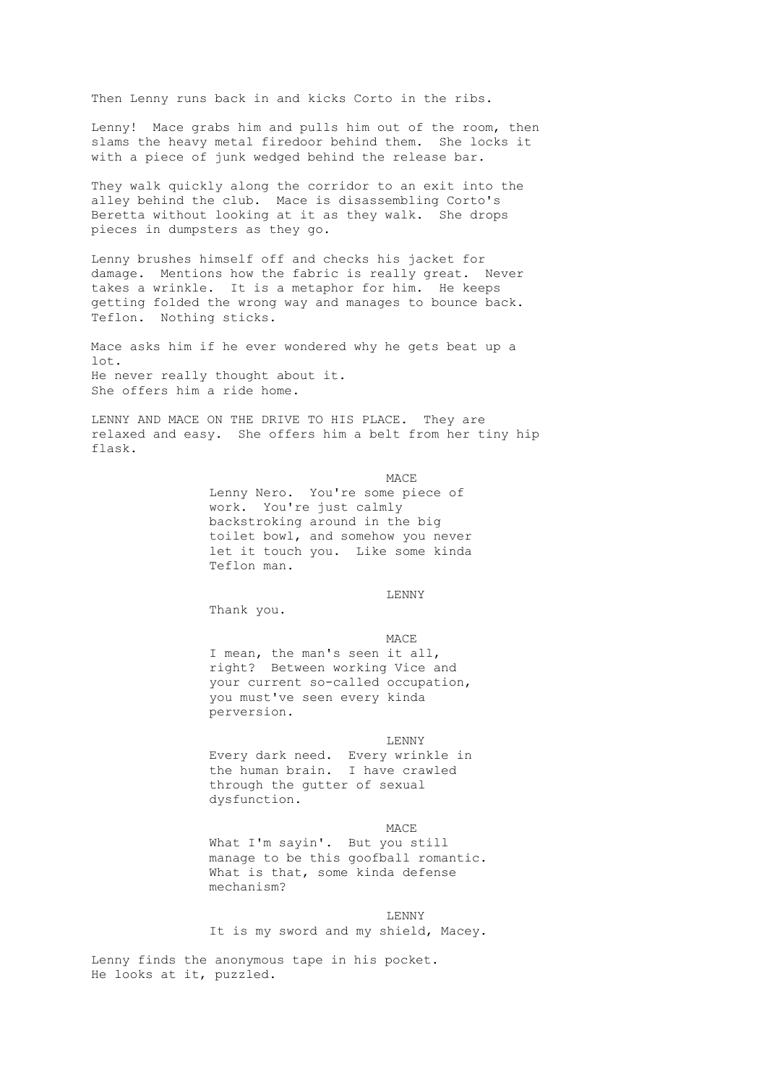Then Lenny runs back in and kicks Corto in the ribs.

Lenny! Mace grabs him and pulls him out of the room, then slams the heavy metal firedoor behind them. She locks it with a piece of junk wedged behind the release bar.

They walk quickly along the corridor to an exit into the alley behind the club. Mace is disassembling Corto's Beretta without looking at it as they walk. She drops pieces in dumpsters as they go.

Lenny brushes himself off and checks his jacket for damage. Mentions how the fabric is really great. Never takes a wrinkle. It is a metaphor for him. He keeps getting folded the wrong way and manages to bounce back. Teflon. Nothing sticks.

Mace asks him if he ever wondered why he gets beat up a lot. He never really thought about it. She offers him a ride home.

LENNY AND MACE ON THE DRIVE TO HIS PLACE. They are relaxed and easy. She offers him a belt from her tiny hip flask.

> MACE Lenny Nero. You're some piece of work. You're just calmly backstroking around in the big toilet bowl, and somehow you never let it touch you. Like some kinda Teflon man.

> > LENNY

Thank you.

#### MACE

I mean, the man's seen it all, right? Between working Vice and your current so-called occupation, you must've seen every kinda perversion.

#### LENNY

Every dark need. Every wrinkle in the human brain. I have crawled through the gutter of sexual dysfunction.

### MACE

What I'm sayin'. But you still manage to be this goofball romantic. What is that, some kinda defense mechanism?

LENNY It is my sword and my shield, Macey.

Lenny finds the anonymous tape in his pocket. He looks at it, puzzled.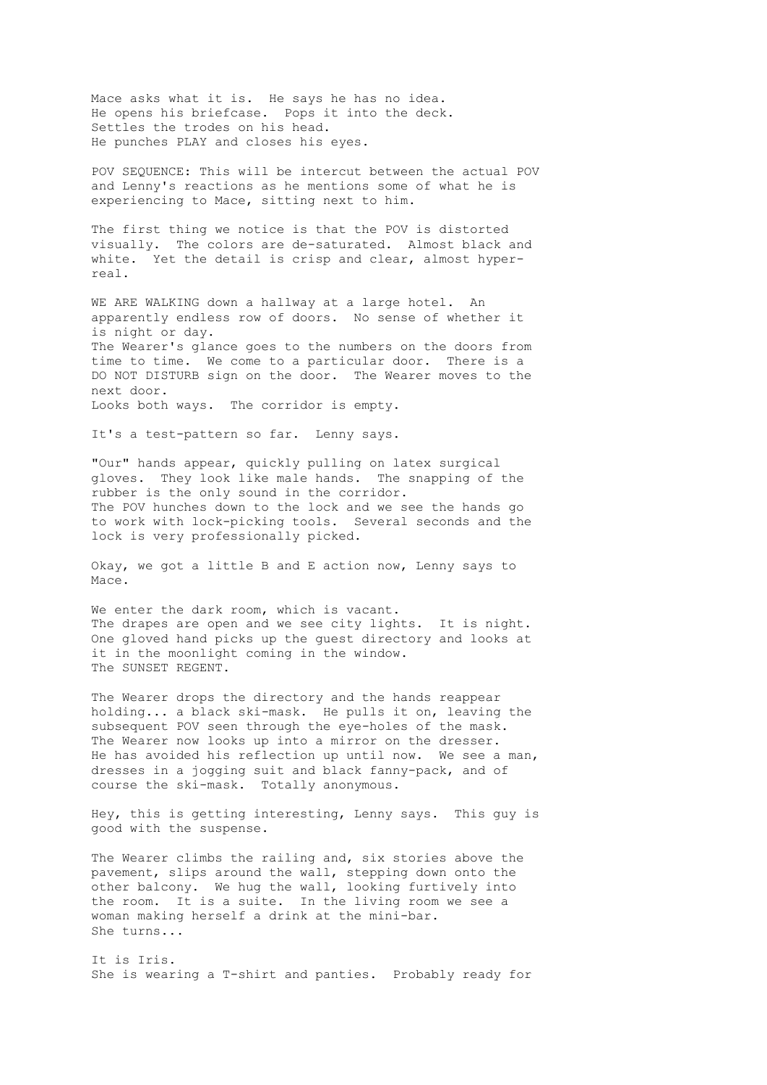Mace asks what it is. He says he has no idea. He opens his briefcase. Pops it into the deck. Settles the trodes on his head. He punches PLAY and closes his eyes.

POV SEQUENCE: This will be intercut between the actual POV and Lenny's reactions as he mentions some of what he is experiencing to Mace, sitting next to him.

The first thing we notice is that the POV is distorted visually. The colors are de-saturated. Almost black and white. Yet the detail is crisp and clear, almost hyperreal.

WE ARE WALKING down a hallway at a large hotel. An apparently endless row of doors. No sense of whether it is night or day. The Wearer's glance goes to the numbers on the doors from time to time. We come to a particular door. There is a DO NOT DISTURB sign on the door. The Wearer moves to the next door. Looks both ways. The corridor is empty.

It's a test-pattern so far. Lenny says.

"Our" hands appear, quickly pulling on latex surgical gloves. They look like male hands. The snapping of the rubber is the only sound in the corridor. The POV hunches down to the lock and we see the hands go to work with lock-picking tools. Several seconds and the lock is very professionally picked.

Okay, we got a little B and E action now, Lenny says to Mace.

We enter the dark room, which is vacant. The drapes are open and we see city lights. It is night. One gloved hand picks up the guest directory and looks at it in the moonlight coming in the window. The SUNSET REGENT.

The Wearer drops the directory and the hands reappear holding... a black ski-mask. He pulls it on, leaving the subsequent POV seen through the eye-holes of the mask. The Wearer now looks up into a mirror on the dresser. He has avoided his reflection up until now. We see a man, dresses in a jogging suit and black fanny-pack, and of course the ski-mask. Totally anonymous.

Hey, this is getting interesting, Lenny says. This guy is good with the suspense.

The Wearer climbs the railing and, six stories above the pavement, slips around the wall, stepping down onto the other balcony. We hug the wall, looking furtively into the room. It is a suite. In the living room we see a woman making herself a drink at the mini-bar. She turns...

It is Iris. She is wearing a T-shirt and panties. Probably ready for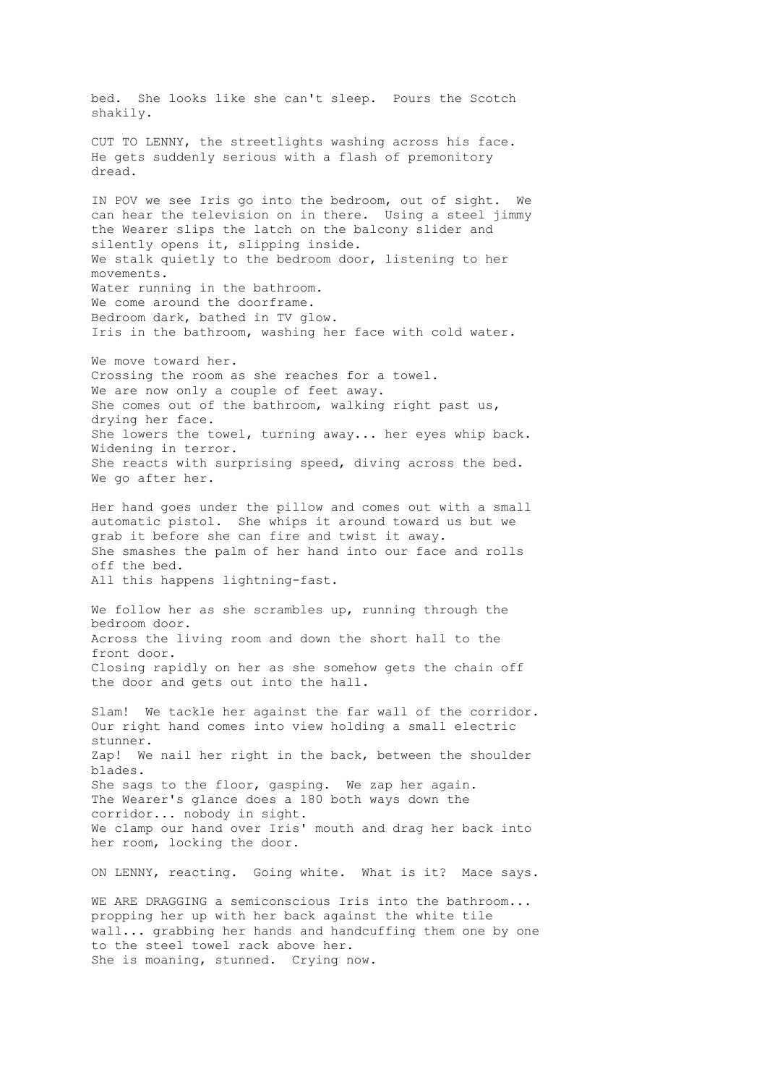bed. She looks like she can't sleep. Pours the Scotch shakily. CUT TO LENNY, the streetlights washing across his face. He gets suddenly serious with a flash of premonitory dread. IN POV we see Iris go into the bedroom, out of sight. We can hear the television on in there. Using a steel jimmy the Wearer slips the latch on the balcony slider and silently opens it, slipping inside. We stalk quietly to the bedroom door, listening to her movements. Water running in the bathroom. We come around the doorframe. Bedroom dark, bathed in TV glow. Iris in the bathroom, washing her face with cold water. We move toward her. Crossing the room as she reaches for a towel. We are now only a couple of feet away. She comes out of the bathroom, walking right past us, drying her face. She lowers the towel, turning away... her eyes whip back. Widening in terror. She reacts with surprising speed, diving across the bed. We go after her. Her hand goes under the pillow and comes out with a small automatic pistol. She whips it around toward us but we grab it before she can fire and twist it away. She smashes the palm of her hand into our face and rolls off the bed. All this happens lightning-fast. We follow her as she scrambles up, running through the bedroom door. Across the living room and down the short hall to the front door. Closing rapidly on her as she somehow gets the chain off the door and gets out into the hall. Slam! We tackle her against the far wall of the corridor. Our right hand comes into view holding a small electric stunner. Zap! We nail her right in the back, between the shoulder blades. She sags to the floor, gasping. We zap her again. The Wearer's glance does a 180 both ways down the corridor... nobody in sight. We clamp our hand over Iris' mouth and drag her back into her room, locking the door. ON LENNY, reacting. Going white. What is it? Mace says. WE ARE DRAGGING a semiconscious Iris into the bathroom... propping her up with her back against the white tile wall... grabbing her hands and handcuffing them one by one to the steel towel rack above her. She is moaning, stunned. Crying now.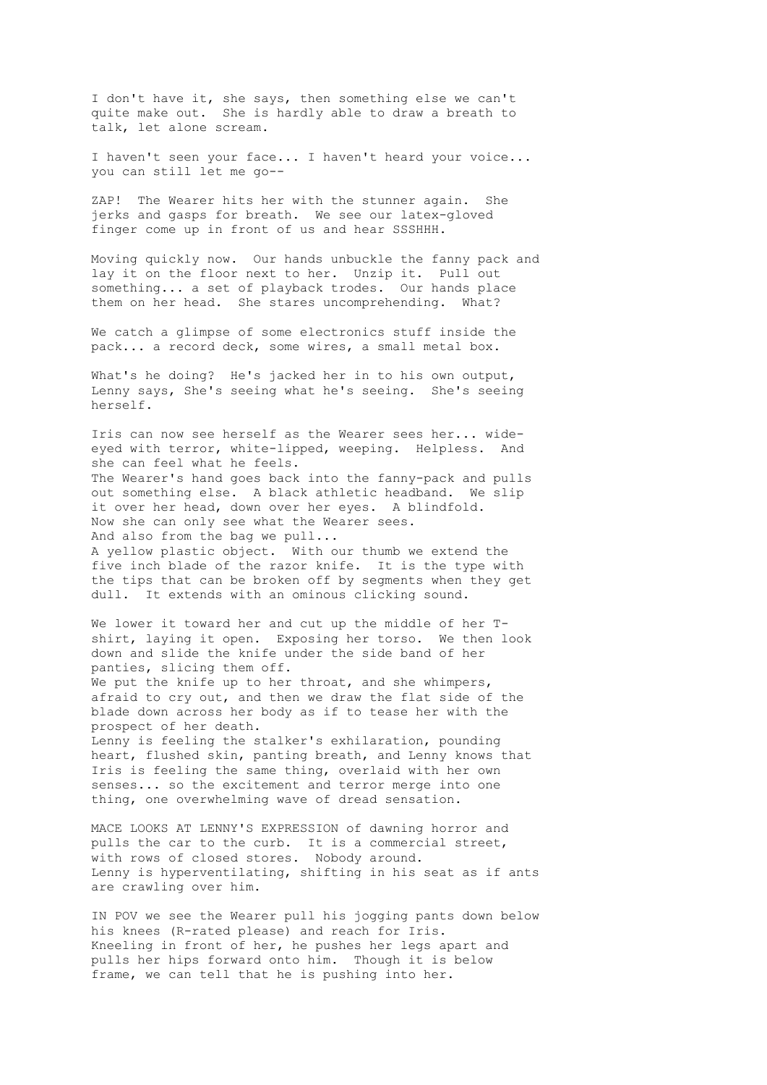I don't have it, she says, then something else we can't quite make out. She is hardly able to draw a breath to talk, let alone scream.

I haven't seen your face... I haven't heard your voice... you can still let me go--

ZAP! The Wearer hits her with the stunner again. She jerks and gasps for breath. We see our latex-gloved finger come up in front of us and hear SSSHHH.

Moving quickly now. Our hands unbuckle the fanny pack and lay it on the floor next to her. Unzip it. Pull out something... a set of playback trodes. Our hands place them on her head. She stares uncomprehending. What?

We catch a glimpse of some electronics stuff inside the pack... a record deck, some wires, a small metal box.

What's he doing? He's jacked her in to his own output, Lenny says, She's seeing what he's seeing. She's seeing herself.

Iris can now see herself as the Wearer sees her... wideeyed with terror, white-lipped, weeping. Helpless. And she can feel what he feels. The Wearer's hand goes back into the fanny-pack and pulls out something else. A black athletic headband. We slip it over her head, down over her eyes. A blindfold. Now she can only see what the Wearer sees. And also from the bag we pull... A yellow plastic object. With our thumb we extend the five inch blade of the razor knife. It is the type with the tips that can be broken off by segments when they get dull. It extends with an ominous clicking sound.

We lower it toward her and cut up the middle of her Tshirt, laying it open. Exposing her torso. We then look down and slide the knife under the side band of her panties, slicing them off. We put the knife up to her throat, and she whimpers, afraid to cry out, and then we draw the flat side of the blade down across her body as if to tease her with the prospect of her death. Lenny is feeling the stalker's exhilaration, pounding heart, flushed skin, panting breath, and Lenny knows that Iris is feeling the same thing, overlaid with her own senses... so the excitement and terror merge into one thing, one overwhelming wave of dread sensation.

MACE LOOKS AT LENNY'S EXPRESSION of dawning horror and pulls the car to the curb. It is a commercial street, with rows of closed stores. Nobody around. Lenny is hyperventilating, shifting in his seat as if ants are crawling over him.

IN POV we see the Wearer pull his jogging pants down below his knees (R-rated please) and reach for Iris. Kneeling in front of her, he pushes her legs apart and pulls her hips forward onto him. Though it is below frame, we can tell that he is pushing into her.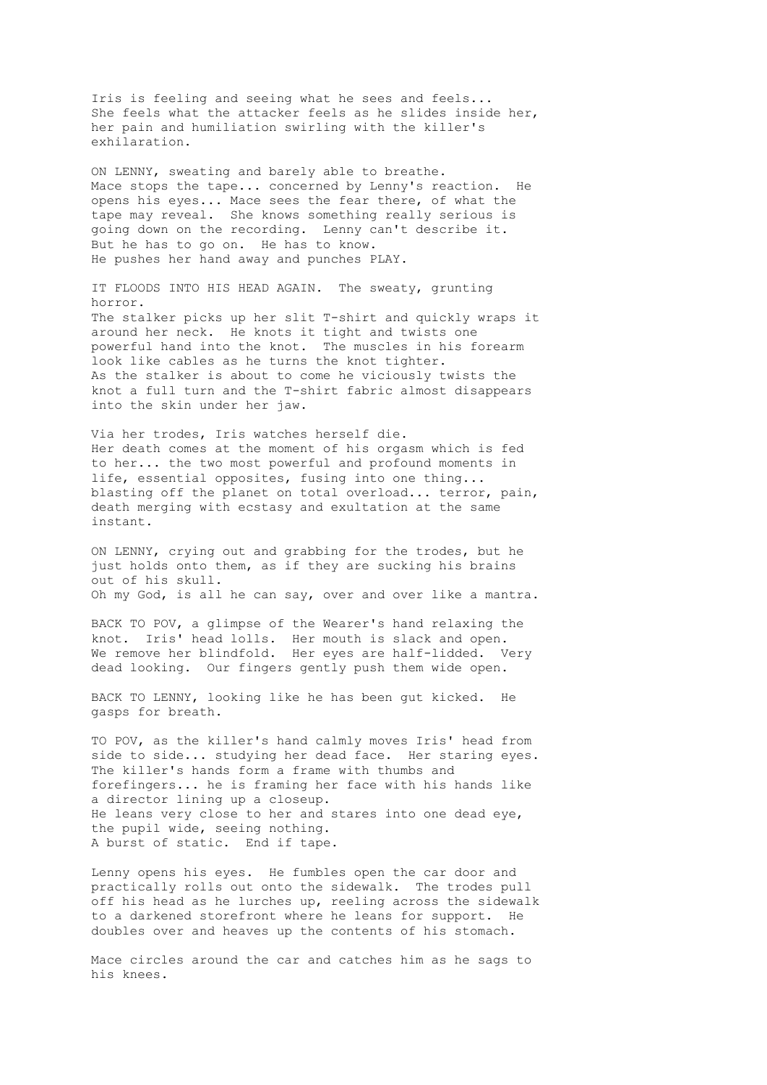Iris is feeling and seeing what he sees and feels... She feels what the attacker feels as he slides inside her, her pain and humiliation swirling with the killer's exhilaration.

ON LENNY, sweating and barely able to breathe. Mace stops the tape... concerned by Lenny's reaction. He opens his eyes... Mace sees the fear there, of what the tape may reveal. She knows something really serious is going down on the recording. Lenny can't describe it. But he has to go on. He has to know. He pushes her hand away and punches PLAY.

IT FLOODS INTO HIS HEAD AGAIN. The sweaty, grunting horror. The stalker picks up her slit T-shirt and quickly wraps it around her neck. He knots it tight and twists one powerful hand into the knot. The muscles in his forearm look like cables as he turns the knot tighter. As the stalker is about to come he viciously twists the knot a full turn and the T-shirt fabric almost disappears into the skin under her jaw.

Via her trodes, Iris watches herself die. Her death comes at the moment of his orgasm which is fed to her... the two most powerful and profound moments in life, essential opposites, fusing into one thing... blasting off the planet on total overload... terror, pain, death merging with ecstasy and exultation at the same instant.

ON LENNY, crying out and grabbing for the trodes, but he just holds onto them, as if they are sucking his brains out of his skull. Oh my God, is all he can say, over and over like a mantra.

BACK TO POV, a glimpse of the Wearer's hand relaxing the knot. Iris' head lolls. Her mouth is slack and open. We remove her blindfold. Her eyes are half-lidded. Very dead looking. Our fingers gently push them wide open.

BACK TO LENNY, looking like he has been gut kicked. He gasps for breath.

TO POV, as the killer's hand calmly moves Iris' head from side to side... studying her dead face. Her staring eyes. The killer's hands form a frame with thumbs and forefingers... he is framing her face with his hands like a director lining up a closeup. He leans very close to her and stares into one dead eye, the pupil wide, seeing nothing. A burst of static. End if tape.

Lenny opens his eyes. He fumbles open the car door and practically rolls out onto the sidewalk. The trodes pull off his head as he lurches up, reeling across the sidewalk to a darkened storefront where he leans for support. He doubles over and heaves up the contents of his stomach.

Mace circles around the car and catches him as he sags to his knees.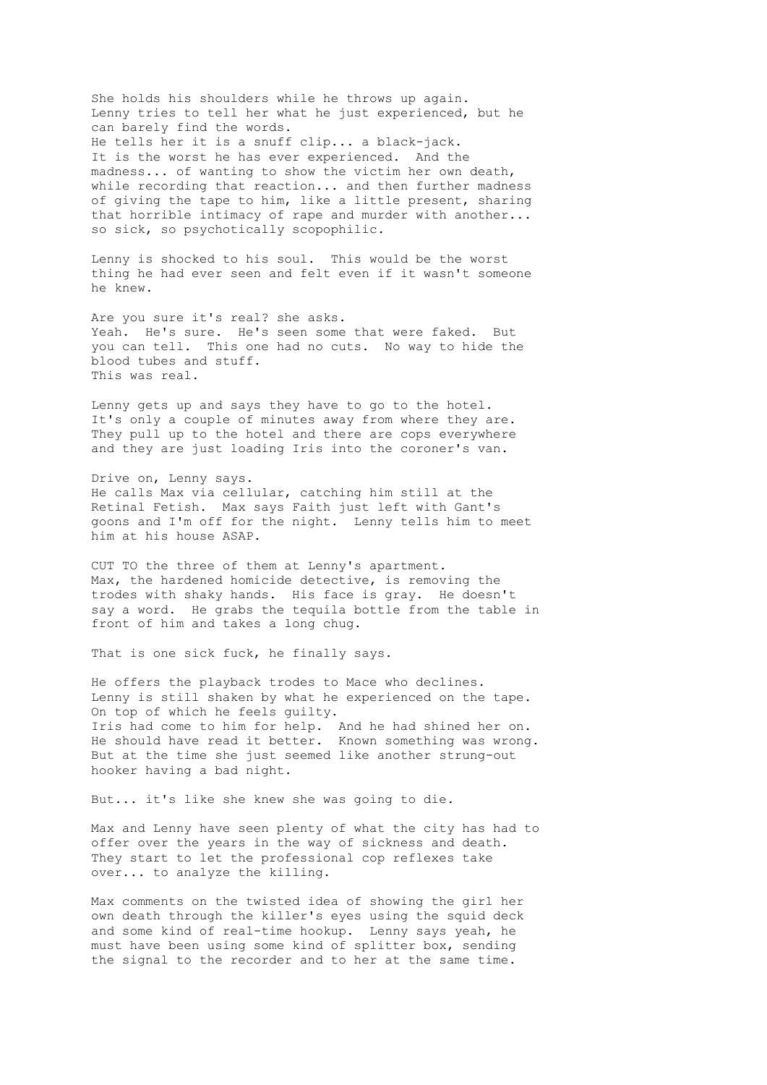She holds his shoulders while he throws up again. Lenny tries to tell her what he just experienced, but he can barely find the words. He tells her it is a snuff clip... a black-jack. It is the worst he has ever experienced. And the madness... of wanting to show the victim her own death, while recording that reaction... and then further madness of giving the tape to him, like a little present, sharing that horrible intimacy of rape and murder with another... so sick, so psychotically scopophilic.

Lenny is shocked to his soul. This would be the worst thing he had ever seen and felt even if it wasn't someone he knew.

Are you sure it's real? she asks. Yeah. He's sure. He's seen some that were faked. But you can tell. This one had no cuts. No way to hide the blood tubes and stuff. This was real.

Lenny gets up and says they have to go to the hotel. It's only a couple of minutes away from where they are. They pull up to the hotel and there are cops everywhere and they are just loading Iris into the coroner's van.

Drive on, Lenny says.

He calls Max via cellular, catching him still at the Retinal Fetish. Max says Faith just left with Gant's goons and I'm off for the night. Lenny tells him to meet him at his house ASAP.

CUT TO the three of them at Lenny's apartment. Max, the hardened homicide detective, is removing the trodes with shaky hands. His face is gray. He doesn't say a word. He grabs the tequila bottle from the table in front of him and takes a long chug.

That is one sick fuck, he finally says.

He offers the playback trodes to Mace who declines. Lenny is still shaken by what he experienced on the tape. On top of which he feels guilty. Iris had come to him for help. And he had shined her on. He should have read it better. Known something was wrong. But at the time she just seemed like another strung-out hooker having a bad night.

But... it's like she knew she was going to die.

Max and Lenny have seen plenty of what the city has had to offer over the years in the way of sickness and death. They start to let the professional cop reflexes take over... to analyze the killing.

Max comments on the twisted idea of showing the girl her own death through the killer's eyes using the squid deck and some kind of real-time hookup. Lenny says yeah, he must have been using some kind of splitter box, sending the signal to the recorder and to her at the same time.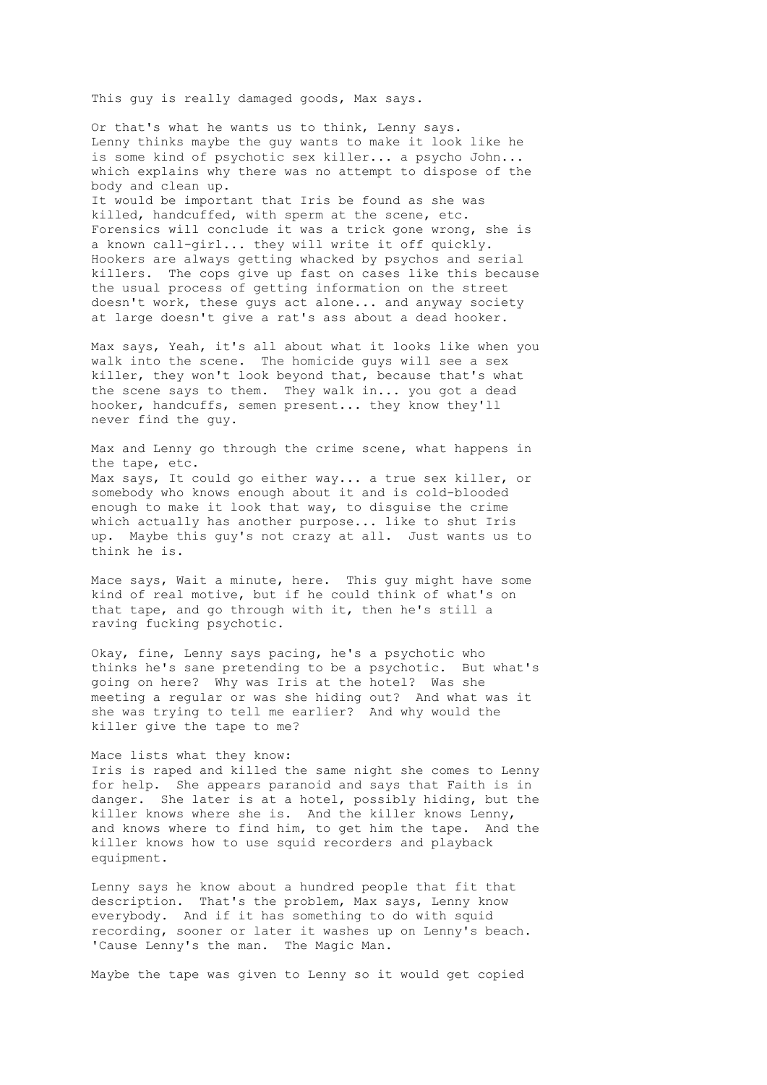This guy is really damaged goods, Max says.

Or that's what he wants us to think, Lenny says. Lenny thinks maybe the guy wants to make it look like he is some kind of psychotic sex killer... a psycho John... which explains why there was no attempt to dispose of the body and clean up. It would be important that Iris be found as she was

killed, handcuffed, with sperm at the scene, etc. Forensics will conclude it was a trick gone wrong, she is a known call-girl... they will write it off quickly. Hookers are always getting whacked by psychos and serial killers. The cops give up fast on cases like this because the usual process of getting information on the street doesn't work, these guys act alone... and anyway society at large doesn't give a rat's ass about a dead hooker.

Max says, Yeah, it's all about what it looks like when you walk into the scene. The homicide guys will see a sex killer, they won't look beyond that, because that's what the scene says to them. They walk in... you got a dead hooker, handcuffs, semen present... they know they'll never find the guy.

Max and Lenny go through the crime scene, what happens in the tape, etc. Max says, It could go either way... a true sex killer, or somebody who knows enough about it and is cold-blooded enough to make it look that way, to disguise the crime which actually has another purpose... like to shut Iris up. Maybe this guy's not crazy at all. Just wants us to think he is.

Mace says, Wait a minute, here. This guy might have some kind of real motive, but if he could think of what's on that tape, and go through with it, then he's still a raving fucking psychotic.

Okay, fine, Lenny says pacing, he's a psychotic who thinks he's sane pretending to be a psychotic. But what's going on here? Why was Iris at the hotel? Was she meeting a regular or was she hiding out? And what was it she was trying to tell me earlier? And why would the killer give the tape to me?

# Mace lists what they know:

Iris is raped and killed the same night she comes to Lenny for help. She appears paranoid and says that Faith is in danger. She later is at a hotel, possibly hiding, but the killer knows where she is. And the killer knows Lenny, and knows where to find him, to get him the tape. And the killer knows how to use squid recorders and playback equipment.

Lenny says he know about a hundred people that fit that description. That's the problem, Max says, Lenny know everybody. And if it has something to do with squid recording, sooner or later it washes up on Lenny's beach. 'Cause Lenny's the man. The Magic Man.

Maybe the tape was given to Lenny so it would get copied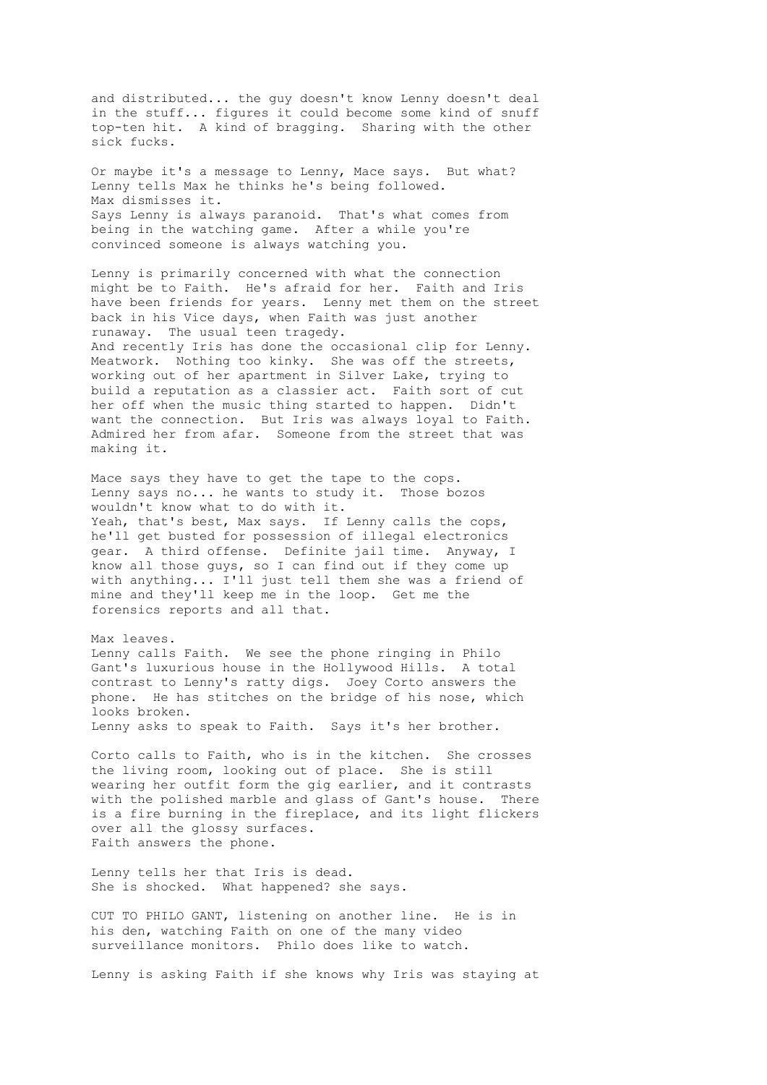and distributed... the guy doesn't know Lenny doesn't deal in the stuff... figures it could become some kind of snuff top-ten hit. A kind of bragging. Sharing with the other sick fucks.

Or maybe it's a message to Lenny, Mace says. But what? Lenny tells Max he thinks he's being followed. Max dismisses it. Says Lenny is always paranoid. That's what comes from being in the watching game. After a while you're convinced someone is always watching you.

Lenny is primarily concerned with what the connection might be to Faith. He's afraid for her. Faith and Iris have been friends for years. Lenny met them on the street back in his Vice days, when Faith was just another runaway. The usual teen tragedy. And recently Iris has done the occasional clip for Lenny. Meatwork. Nothing too kinky. She was off the streets, working out of her apartment in Silver Lake, trying to build a reputation as a classier act. Faith sort of cut her off when the music thing started to happen. Didn't want the connection. But Iris was always loyal to Faith. Admired her from afar. Someone from the street that was making it.

Mace says they have to get the tape to the cops. Lenny says no... he wants to study it. Those bozos wouldn't know what to do with it. Yeah, that's best, Max says. If Lenny calls the cops, he'll get busted for possession of illegal electronics gear. A third offense. Definite jail time. Anyway, I know all those guys, so I can find out if they come up with anything... I'll just tell them she was a friend of mine and they'll keep me in the loop. Get me the forensics reports and all that.

Max leaves. Lenny calls Faith. We see the phone ringing in Philo Gant's luxurious house in the Hollywood Hills. A total contrast to Lenny's ratty digs. Joey Corto answers the phone. He has stitches on the bridge of his nose, which looks broken. Lenny asks to speak to Faith. Says it's her brother.

Corto calls to Faith, who is in the kitchen. She crosses the living room, looking out of place. She is still wearing her outfit form the gig earlier, and it contrasts with the polished marble and glass of Gant's house. There is a fire burning in the fireplace, and its light flickers over all the glossy surfaces. Faith answers the phone.

Lenny tells her that Iris is dead. She is shocked. What happened? she says.

CUT TO PHILO GANT, listening on another line. He is in his den, watching Faith on one of the many video surveillance monitors. Philo does like to watch.

Lenny is asking Faith if she knows why Iris was staying at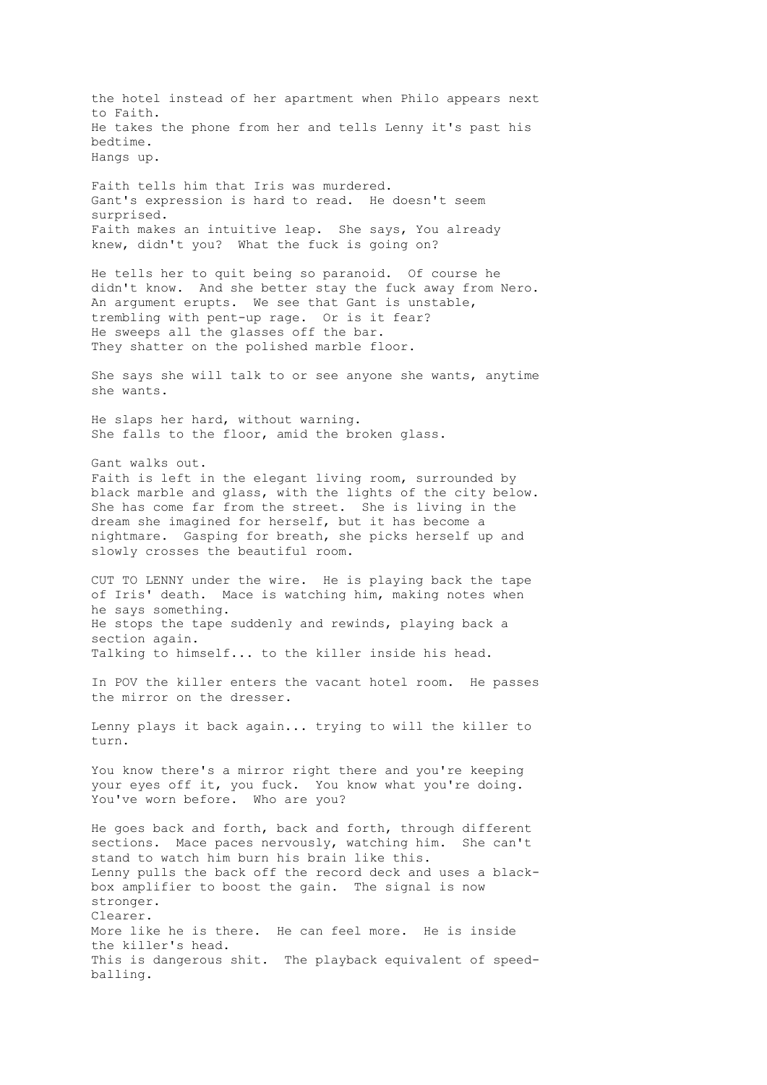the hotel instead of her apartment when Philo appears next to Faith. He takes the phone from her and tells Lenny it's past his bedtime. Hangs up. Faith tells him that Iris was murdered. Gant's expression is hard to read. He doesn't seem surprised. Faith makes an intuitive leap. She says, You already knew, didn't you? What the fuck is going on? He tells her to quit being so paranoid. Of course he didn't know. And she better stay the fuck away from Nero. An argument erupts. We see that Gant is unstable, trembling with pent-up rage. Or is it fear? He sweeps all the glasses off the bar. They shatter on the polished marble floor. She says she will talk to or see anyone she wants, anytime she wants. He slaps her hard, without warning. She falls to the floor, amid the broken glass. Gant walks out. Faith is left in the elegant living room, surrounded by black marble and glass, with the lights of the city below. She has come far from the street. She is living in the dream she imagined for herself, but it has become a nightmare. Gasping for breath, she picks herself up and slowly crosses the beautiful room. CUT TO LENNY under the wire. He is playing back the tape of Iris' death. Mace is watching him, making notes when he says something. He stops the tape suddenly and rewinds, playing back a section again. Talking to himself... to the killer inside his head. In POV the killer enters the vacant hotel room. He passes the mirror on the dresser. Lenny plays it back again... trying to will the killer to turn. You know there's a mirror right there and you're keeping your eyes off it, you fuck. You know what you're doing. You've worn before. Who are you? He goes back and forth, back and forth, through different sections. Mace paces nervously, watching him. She can't stand to watch him burn his brain like this. Lenny pulls the back off the record deck and uses a blackbox amplifier to boost the gain. The signal is now stronger. Clearer. More like he is there. He can feel more. He is inside the killer's head. This is dangerous shit. The playback equivalent of speedballing.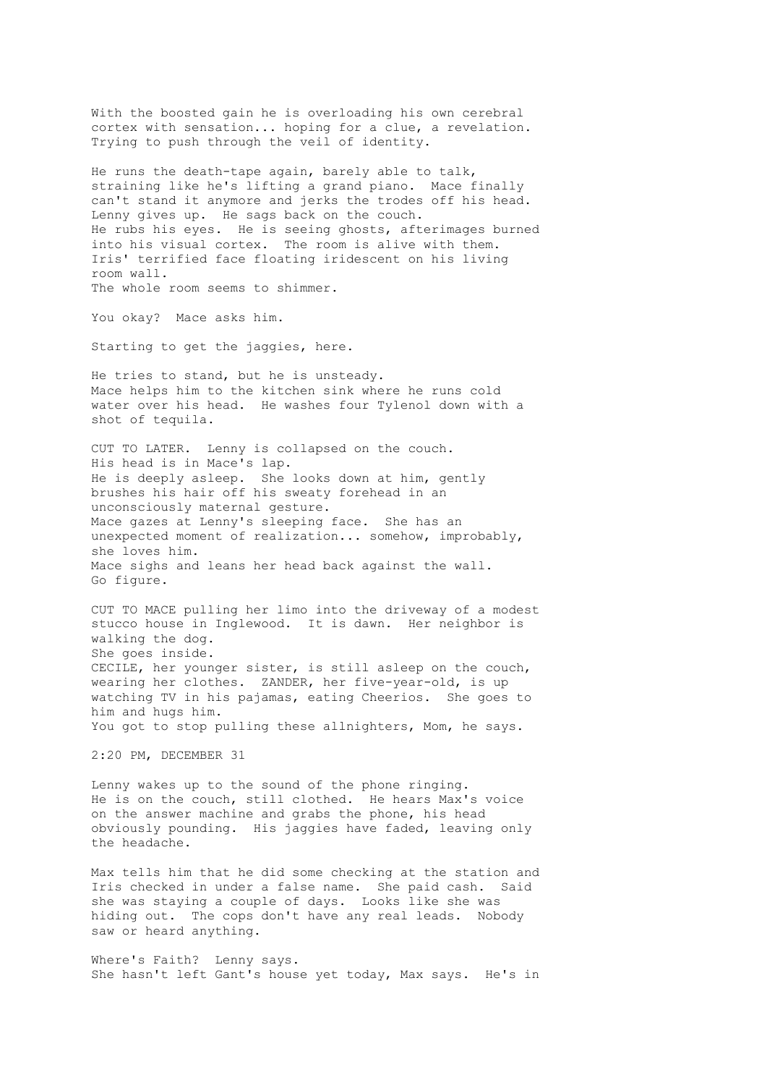With the boosted gain he is overloading his own cerebral cortex with sensation... hoping for a clue, a revelation. Trying to push through the veil of identity. He runs the death-tape again, barely able to talk, straining like he's lifting a grand piano. Mace finally can't stand it anymore and jerks the trodes off his head. Lenny gives up. He sags back on the couch. He rubs his eyes. He is seeing ghosts, afterimages burned into his visual cortex. The room is alive with them. Iris' terrified face floating iridescent on his living room wall. The whole room seems to shimmer. You okay? Mace asks him. Starting to get the jaggies, here. He tries to stand, but he is unsteady. Mace helps him to the kitchen sink where he runs cold water over his head. He washes four Tylenol down with a shot of tequila. CUT TO LATER. Lenny is collapsed on the couch. His head is in Mace's lap. He is deeply asleep. She looks down at him, gently brushes his hair off his sweaty forehead in an unconsciously maternal gesture. Mace gazes at Lenny's sleeping face. She has an unexpected moment of realization... somehow, improbably, she loves him. Mace sighs and leans her head back against the wall. Go figure. CUT TO MACE pulling her limo into the driveway of a modest stucco house in Inglewood. It is dawn. Her neighbor is walking the dog.

She goes inside. CECILE, her younger sister, is still asleep on the couch, wearing her clothes. ZANDER, her five-year-old, is up watching TV in his pajamas, eating Cheerios. She goes to him and hugs him. You got to stop pulling these allnighters, Mom, he says.

2:20 PM, DECEMBER 31

Lenny wakes up to the sound of the phone ringing. He is on the couch, still clothed. He hears Max's voice on the answer machine and grabs the phone, his head obviously pounding. His jaggies have faded, leaving only the headache.

Max tells him that he did some checking at the station and Iris checked in under a false name. She paid cash. Said she was staying a couple of days. Looks like she was hiding out. The cops don't have any real leads. Nobody saw or heard anything.

Where's Faith? Lenny says. She hasn't left Gant's house yet today, Max says. He's in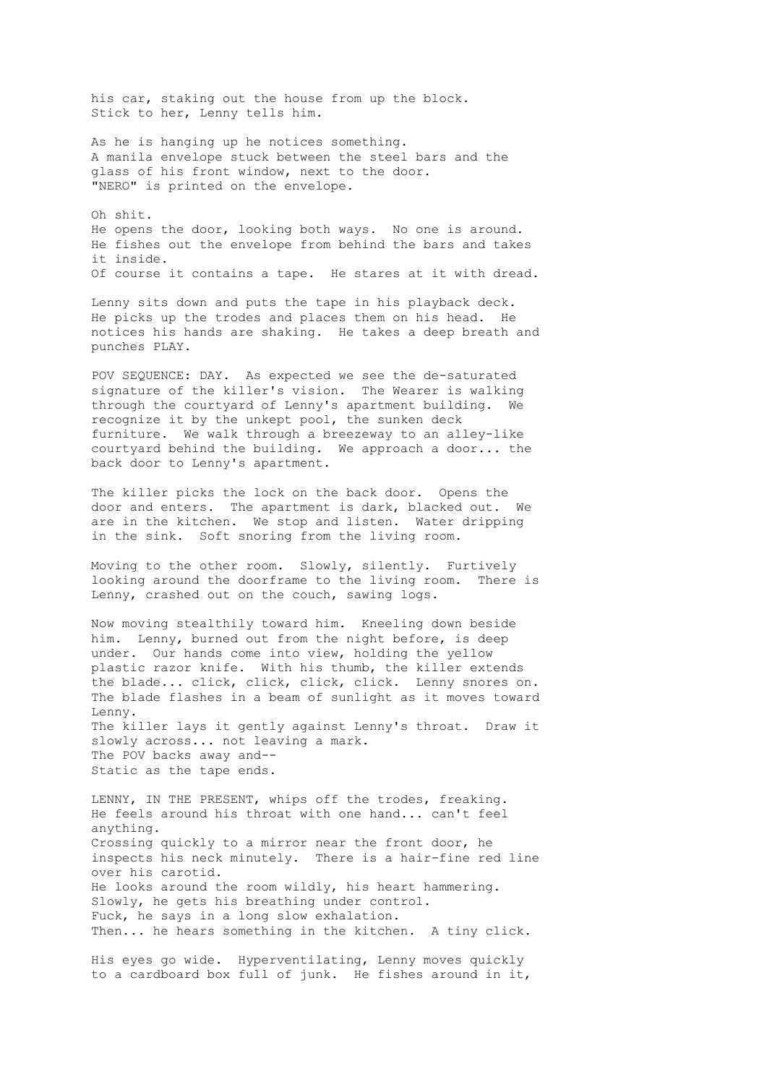his car, staking out the house from up the block. Stick to her, Lenny tells him.

As he is hanging up he notices something. A manila envelope stuck between the steel bars and the glass of his front window, next to the door. "NERO" is printed on the envelope.

Oh shit. He opens the door, looking both ways. No one is around. He fishes out the envelope from behind the bars and takes it inside. Of course it contains a tape. He stares at it with dread.

Lenny sits down and puts the tape in his playback deck. He picks up the trodes and places them on his head. He notices his hands are shaking. He takes a deep breath and punches PLAY.

POV SEQUENCE: DAY. As expected we see the de-saturated signature of the killer's vision. The Wearer is walking through the courtyard of Lenny's apartment building. We recognize it by the unkept pool, the sunken deck furniture. We walk through a breezeway to an alley-like courtyard behind the building. We approach a door... the back door to Lenny's apartment.

The killer picks the lock on the back door. Opens the door and enters. The apartment is dark, blacked out. We are in the kitchen. We stop and listen. Water dripping in the sink. Soft snoring from the living room.

Moving to the other room. Slowly, silently. Furtively looking around the doorframe to the living room. There is Lenny, crashed out on the couch, sawing logs.

Now moving stealthily toward him. Kneeling down beside him. Lenny, burned out from the night before, is deep under. Our hands come into view, holding the yellow plastic razor knife. With his thumb, the killer extends the blade... click, click, click, click. Lenny snores on. The blade flashes in a beam of sunlight as it moves toward Lenny. The killer lays it gently against Lenny's throat. Draw it slowly across... not leaving a mark. The POV backs away and-- Static as the tape ends.

LENNY, IN THE PRESENT, whips off the trodes, freaking. He feels around his throat with one hand... can't feel anything. Crossing quickly to a mirror near the front door, he inspects his neck minutely. There is a hair-fine red line over his carotid. He looks around the room wildly, his heart hammering. Slowly, he gets his breathing under control. Fuck, he says in a long slow exhalation. Then... he hears something in the kitchen. A tiny click.

His eyes go wide. Hyperventilating, Lenny moves quickly to a cardboard box full of junk. He fishes around in it,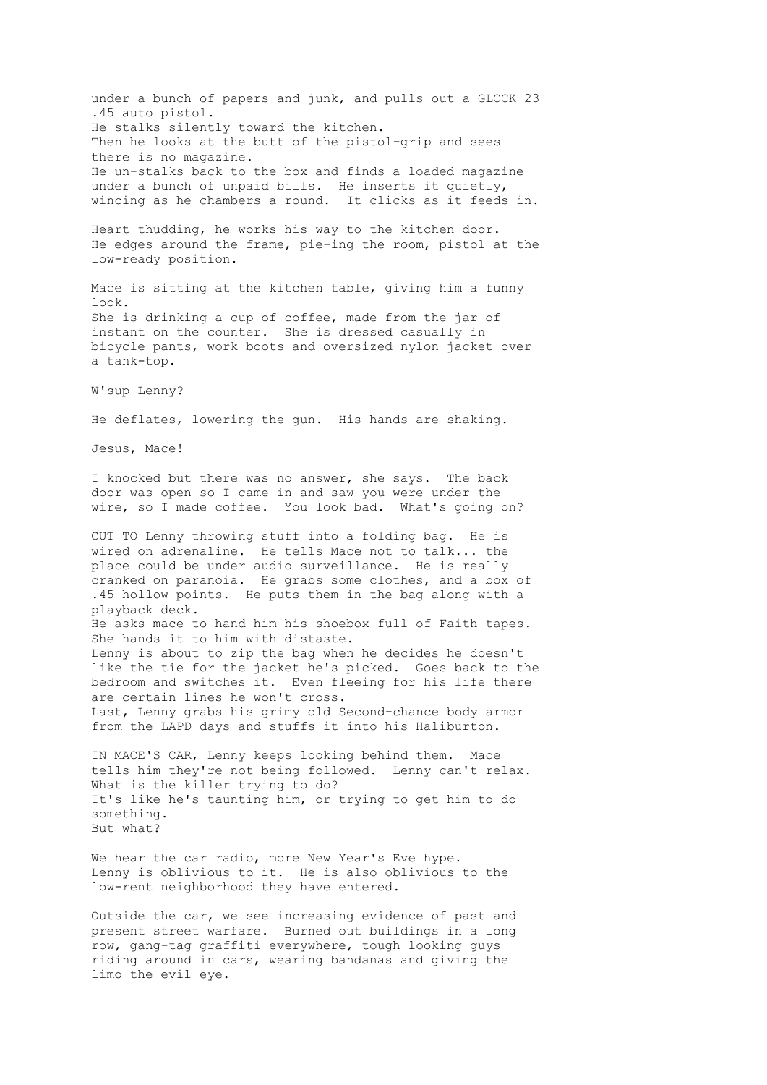under a bunch of papers and junk, and pulls out a GLOCK 23 .45 auto pistol. He stalks silently toward the kitchen. Then he looks at the butt of the pistol-grip and sees there is no magazine. He un-stalks back to the box and finds a loaded magazine under a bunch of unpaid bills. He inserts it quietly, wincing as he chambers a round. It clicks as it feeds in. Heart thudding, he works his way to the kitchen door. He edges around the frame, pie-ing the room, pistol at the low-ready position. Mace is sitting at the kitchen table, giving him a funny look. She is drinking a cup of coffee, made from the jar of instant on the counter. She is dressed casually in bicycle pants, work boots and oversized nylon jacket over a tank-top. W'sup Lenny? He deflates, lowering the gun. His hands are shaking. Jesus, Mace! I knocked but there was no answer, she says. The back door was open so I came in and saw you were under the wire, so I made coffee. You look bad. What's going on? CUT TO Lenny throwing stuff into a folding bag. He is wired on adrenaline. He tells Mace not to talk... the place could be under audio surveillance. He is really cranked on paranoia. He grabs some clothes, and a box of .45 hollow points. He puts them in the bag along with a playback deck. He asks mace to hand him his shoebox full of Faith tapes. She hands it to him with distaste. Lenny is about to zip the bag when he decides he doesn't like the tie for the jacket he's picked. Goes back to the bedroom and switches it. Even fleeing for his life there are certain lines he won't cross. Last, Lenny grabs his grimy old Second-chance body armor from the LAPD days and stuffs it into his Haliburton. IN MACE'S CAR, Lenny keeps looking behind them. Mace tells him they're not being followed. Lenny can't relax. What is the killer trying to do? It's like he's taunting him, or trying to get him to do something. But what? We hear the car radio, more New Year's Eve hype. Lenny is oblivious to it. He is also oblivious to the low-rent neighborhood they have entered.

Outside the car, we see increasing evidence of past and present street warfare. Burned out buildings in a long row, gang-tag graffiti everywhere, tough looking guys riding around in cars, wearing bandanas and giving the limo the evil eye.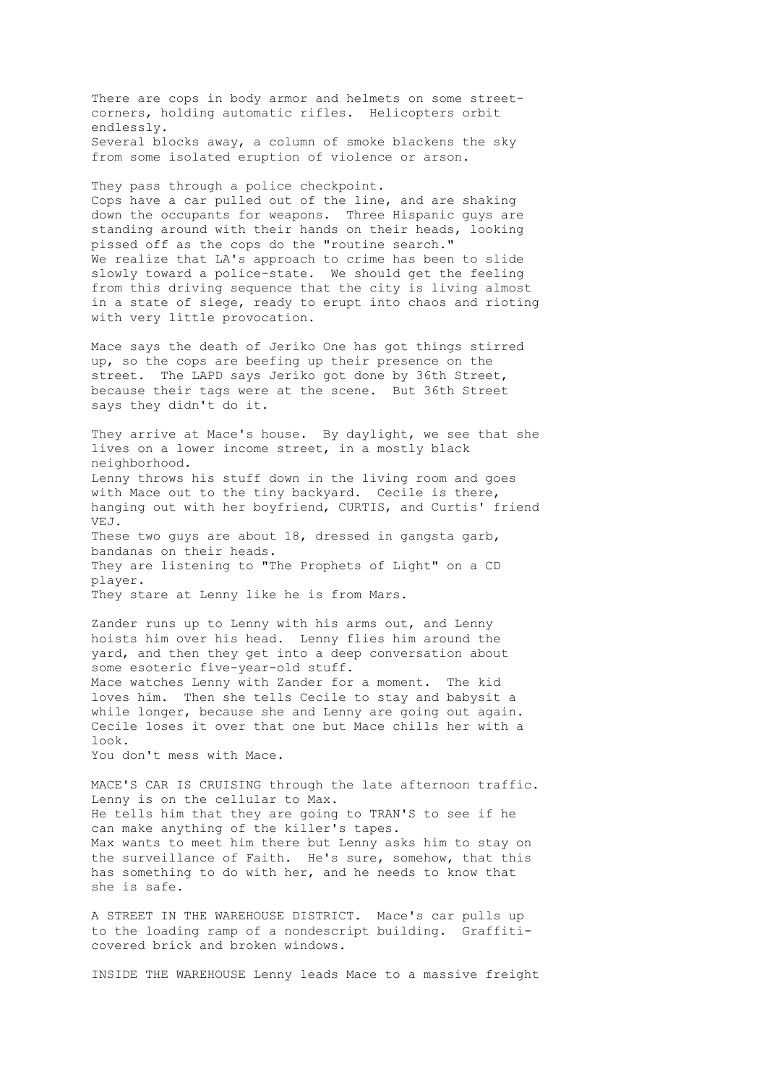There are cops in body armor and helmets on some streetcorners, holding automatic rifles. Helicopters orbit endlessly. Several blocks away, a column of smoke blackens the sky from some isolated eruption of violence or arson.

They pass through a police checkpoint.

Cops have a car pulled out of the line, and are shaking down the occupants for weapons. Three Hispanic guys are standing around with their hands on their heads, looking pissed off as the cops do the "routine search." We realize that LA's approach to crime has been to slide slowly toward a police-state. We should get the feeling from this driving sequence that the city is living almost in a state of siege, ready to erupt into chaos and rioting with very little provocation.

Mace says the death of Jeriko One has got things stirred up, so the cops are beefing up their presence on the street. The LAPD says Jeriko got done by 36th Street, because their tags were at the scene. But 36th Street says they didn't do it.

They arrive at Mace's house. By daylight, we see that she lives on a lower income street, in a mostly black neighborhood. Lenny throws his stuff down in the living room and goes with Mace out to the tiny backyard. Cecile is there, hanging out with her boyfriend, CURTIS, and Curtis' friend VEJ. These two guys are about 18, dressed in gangsta garb, bandanas on their heads. They are listening to "The Prophets of Light" on a CD player. They stare at Lenny like he is from Mars.

Zander runs up to Lenny with his arms out, and Lenny hoists him over his head. Lenny flies him around the yard, and then they get into a deep conversation about some esoteric five-year-old stuff. Mace watches Lenny with Zander for a moment. The kid loves him. Then she tells Cecile to stay and babysit a while longer, because she and Lenny are going out again. Cecile loses it over that one but Mace chills her with a look. You don't mess with Mace.

MACE'S CAR IS CRUISING through the late afternoon traffic. Lenny is on the cellular to Max. He tells him that they are going to TRAN'S to see if he can make anything of the killer's tapes. Max wants to meet him there but Lenny asks him to stay on the surveillance of Faith. He's sure, somehow, that this has something to do with her, and he needs to know that she is safe.

A STREET IN THE WAREHOUSE DISTRICT. Mace's car pulls up to the loading ramp of a nondescript building. Graffiticovered brick and broken windows.

INSIDE THE WAREHOUSE Lenny leads Mace to a massive freight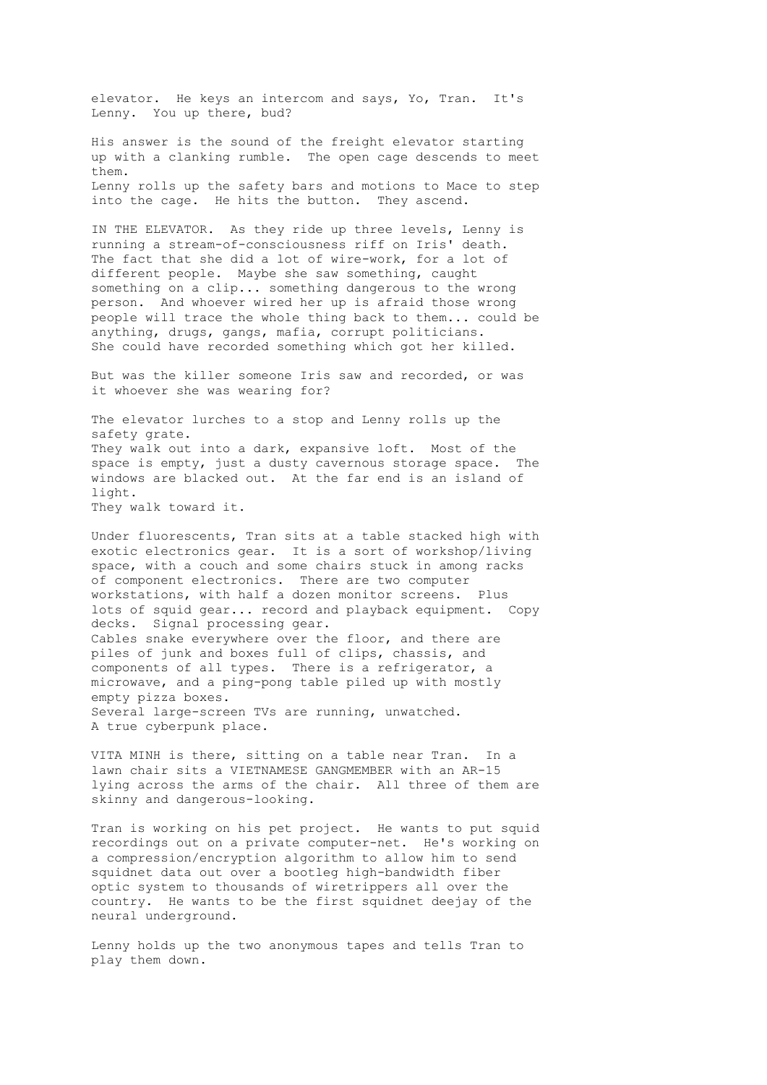elevator. He keys an intercom and says, Yo, Tran. It's Lenny. You up there, bud?

His answer is the sound of the freight elevator starting up with a clanking rumble. The open cage descends to meet them. Lenny rolls up the safety bars and motions to Mace to step into the cage. He hits the button. They ascend.

IN THE ELEVATOR. As they ride up three levels, Lenny is running a stream-of-consciousness riff on Iris' death. The fact that she did a lot of wire-work, for a lot of different people. Maybe she saw something, caught something on a clip... something dangerous to the wrong person. And whoever wired her up is afraid those wrong people will trace the whole thing back to them... could be anything, drugs, gangs, mafia, corrupt politicians. She could have recorded something which got her killed.

But was the killer someone Iris saw and recorded, or was it whoever she was wearing for?

The elevator lurches to a stop and Lenny rolls up the safety grate. They walk out into a dark, expansive loft. Most of the space is empty, just a dusty cavernous storage space. The windows are blacked out. At the far end is an island of light.

They walk toward it.

Under fluorescents, Tran sits at a table stacked high with exotic electronics gear. It is a sort of workshop/living space, with a couch and some chairs stuck in among racks of component electronics. There are two computer workstations, with half a dozen monitor screens. Plus lots of squid gear... record and playback equipment. Copy decks. Signal processing gear. Cables snake everywhere over the floor, and there are piles of junk and boxes full of clips, chassis, and components of all types. There is a refrigerator, a microwave, and a ping-pong table piled up with mostly empty pizza boxes. Several large-screen TVs are running, unwatched. A true cyberpunk place.

VITA MINH is there, sitting on a table near Tran. In a lawn chair sits a VIETNAMESE GANGMEMBER with an AR-15 lying across the arms of the chair. All three of them are skinny and dangerous-looking.

Tran is working on his pet project. He wants to put squid recordings out on a private computer-net. He's working on a compression/encryption algorithm to allow him to send squidnet data out over a bootleg high-bandwidth fiber optic system to thousands of wiretrippers all over the country. He wants to be the first squidnet deejay of the neural underground.

Lenny holds up the two anonymous tapes and tells Tran to play them down.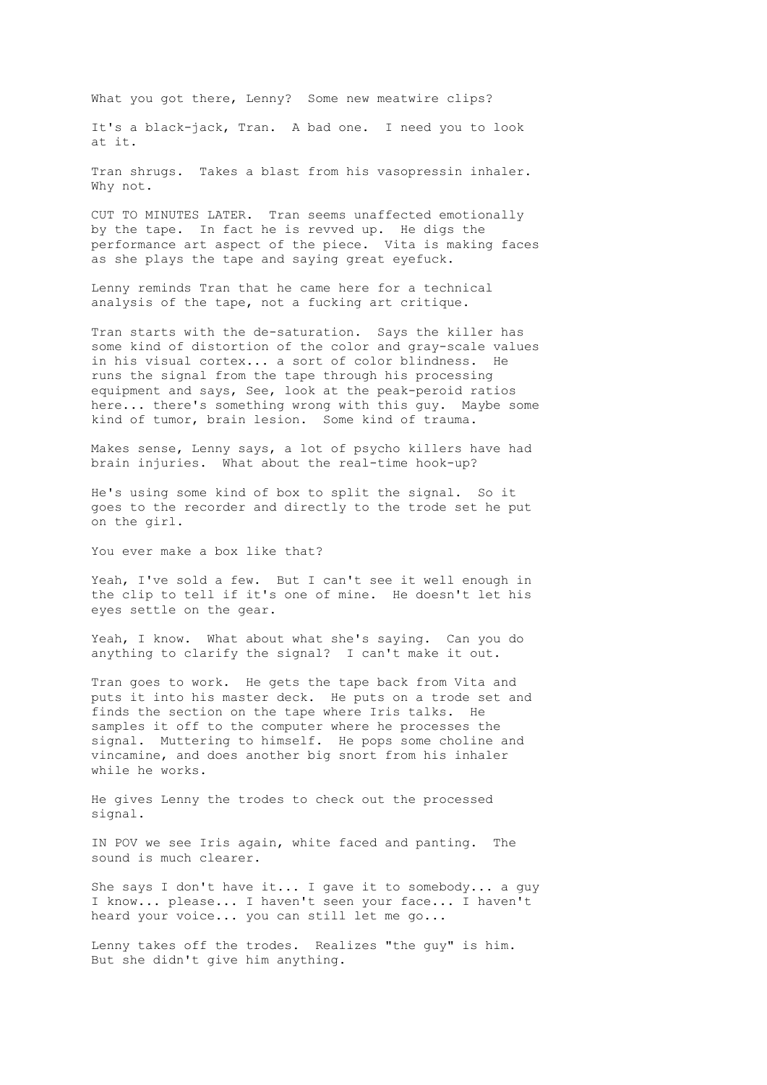What you got there, Lenny? Some new meatwire clips?

It's a black-jack, Tran. A bad one. I need you to look at it.

Tran shrugs. Takes a blast from his vasopressin inhaler. Why not.

CUT TO MINUTES LATER. Tran seems unaffected emotionally by the tape. In fact he is revved up. He digs the performance art aspect of the piece. Vita is making faces as she plays the tape and saying great eyefuck.

Lenny reminds Tran that he came here for a technical analysis of the tape, not a fucking art critique.

Tran starts with the de-saturation. Says the killer has some kind of distortion of the color and gray-scale values in his visual cortex... a sort of color blindness. He runs the signal from the tape through his processing equipment and says, See, look at the peak-peroid ratios here... there's something wrong with this guy. Maybe some kind of tumor, brain lesion. Some kind of trauma.

Makes sense, Lenny says, a lot of psycho killers have had brain injuries. What about the real-time hook-up?

He's using some kind of box to split the signal. So it goes to the recorder and directly to the trode set he put on the girl.

You ever make a box like that?

Yeah, I've sold a few. But I can't see it well enough in the clip to tell if it's one of mine. He doesn't let his eyes settle on the gear.

Yeah, I know. What about what she's saying. Can you do anything to clarify the signal? I can't make it out.

Tran goes to work. He gets the tape back from Vita and puts it into his master deck. He puts on a trode set and finds the section on the tape where Iris talks. He samples it off to the computer where he processes the signal. Muttering to himself. He pops some choline and vincamine, and does another big snort from his inhaler while he works.

He gives Lenny the trodes to check out the processed signal.

IN POV we see Iris again, white faced and panting. The sound is much clearer.

She says I don't have it... I gave it to somebody... a guy I know... please... I haven't seen your face... I haven't heard your voice... you can still let me go...

Lenny takes off the trodes. Realizes "the guy" is him. But she didn't give him anything.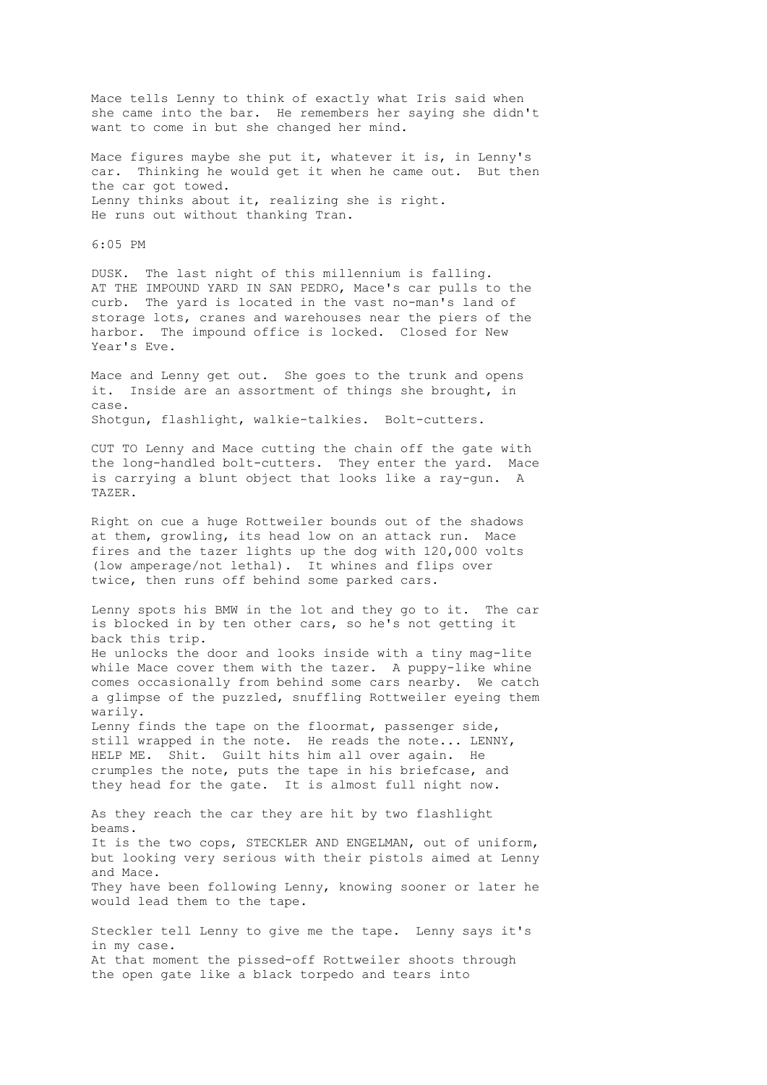Mace tells Lenny to think of exactly what Iris said when she came into the bar. He remembers her saying she didn't want to come in but she changed her mind.

Mace figures maybe she put it, whatever it is, in Lenny's car. Thinking he would get it when he came out. But then the car got towed. Lenny thinks about it, realizing she is right. He runs out without thanking Tran.

6:05 PM

DUSK. The last night of this millennium is falling. AT THE IMPOUND YARD IN SAN PEDRO, Mace's car pulls to the curb. The yard is located in the vast no-man's land of storage lots, cranes and warehouses near the piers of the harbor. The impound office is locked. Closed for New Year's Eve.

Mace and Lenny get out. She goes to the trunk and opens it. Inside are an assortment of things she brought, in case. Shotgun, flashlight, walkie-talkies. Bolt-cutters.

CUT TO Lenny and Mace cutting the chain off the gate with the long-handled bolt-cutters. They enter the yard. Mace is carrying a blunt object that looks like a ray-gun. A TAZER.

Right on cue a huge Rottweiler bounds out of the shadows at them, growling, its head low on an attack run. Mace fires and the tazer lights up the dog with 120,000 volts (low amperage/not lethal). It whines and flips over twice, then runs off behind some parked cars.

Lenny spots his BMW in the lot and they go to it. The car is blocked in by ten other cars, so he's not getting it back this trip. He unlocks the door and looks inside with a tiny mag-lite while Mace cover them with the tazer. A puppy-like whine comes occasionally from behind some cars nearby. We catch a glimpse of the puzzled, snuffling Rottweiler eyeing them warily. Lenny finds the tape on the floormat, passenger side, still wrapped in the note. He reads the note... LENNY, HELP ME. Shit. Guilt hits him all over again. He crumples the note, puts the tape in his briefcase, and they head for the gate. It is almost full night now.

As they reach the car they are hit by two flashlight beams. It is the two cops, STECKLER AND ENGELMAN, out of uniform, but looking very serious with their pistols aimed at Lenny and Mace. They have been following Lenny, knowing sooner or later he would lead them to the tape.

Steckler tell Lenny to give me the tape. Lenny says it's in my case. At that moment the pissed-off Rottweiler shoots through the open gate like a black torpedo and tears into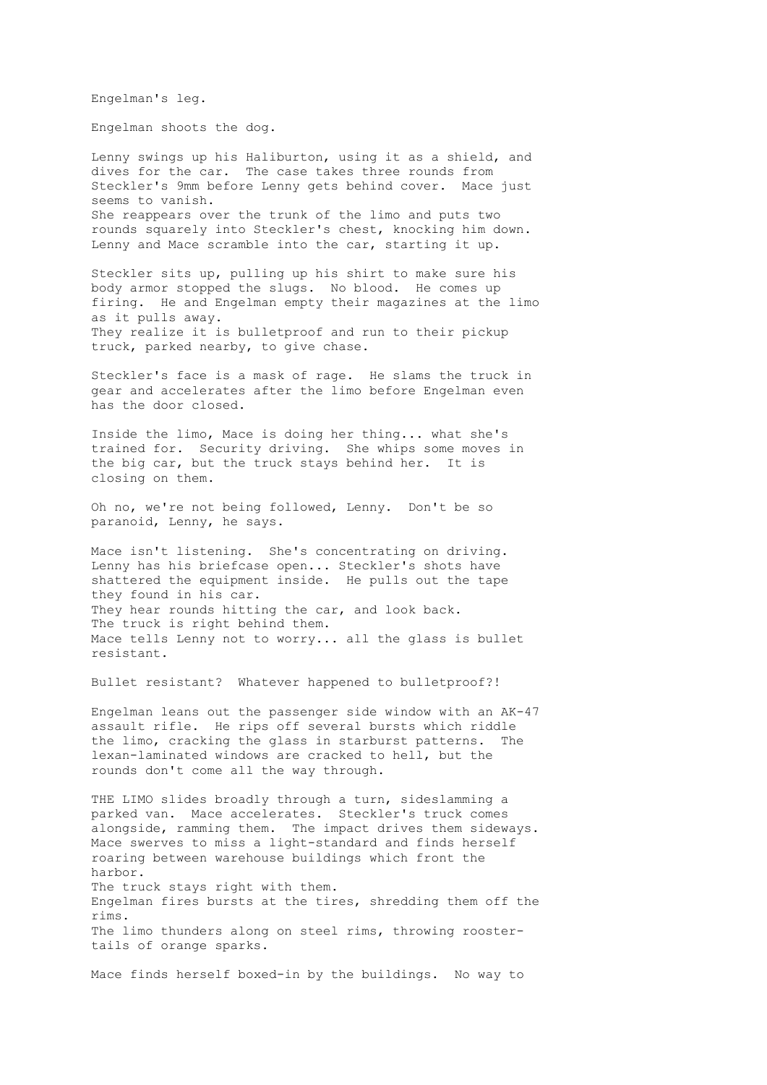Engelman's leg.

Engelman shoots the dog.

Lenny swings up his Haliburton, using it as a shield, and dives for the car. The case takes three rounds from Steckler's 9mm before Lenny gets behind cover. Mace just seems to vanish. She reappears over the trunk of the limo and puts two rounds squarely into Steckler's chest, knocking him down. Lenny and Mace scramble into the car, starting it up.

Steckler sits up, pulling up his shirt to make sure his body armor stopped the slugs. No blood. He comes up firing. He and Engelman empty their magazines at the limo as it pulls away. They realize it is bulletproof and run to their pickup truck, parked nearby, to give chase.

Steckler's face is a mask of rage. He slams the truck in gear and accelerates after the limo before Engelman even has the door closed.

Inside the limo, Mace is doing her thing... what she's trained for. Security driving. She whips some moves in the big car, but the truck stays behind her. It is closing on them.

Oh no, we're not being followed, Lenny. Don't be so paranoid, Lenny, he says.

Mace isn't listening. She's concentrating on driving. Lenny has his briefcase open... Steckler's shots have shattered the equipment inside. He pulls out the tape they found in his car. They hear rounds hitting the car, and look back. The truck is right behind them. Mace tells Lenny not to worry... all the glass is bullet resistant.

Bullet resistant? Whatever happened to bulletproof?!

Engelman leans out the passenger side window with an AK-47 assault rifle. He rips off several bursts which riddle the limo, cracking the glass in starburst patterns. The lexan-laminated windows are cracked to hell, but the rounds don't come all the way through.

THE LIMO slides broadly through a turn, sideslamming a parked van. Mace accelerates. Steckler's truck comes alongside, ramming them. The impact drives them sideways. Mace swerves to miss a light-standard and finds herself roaring between warehouse buildings which front the harbor. The truck stays right with them. Engelman fires bursts at the tires, shredding them off the rims. The limo thunders along on steel rims, throwing roostertails of orange sparks.

Mace finds herself boxed-in by the buildings. No way to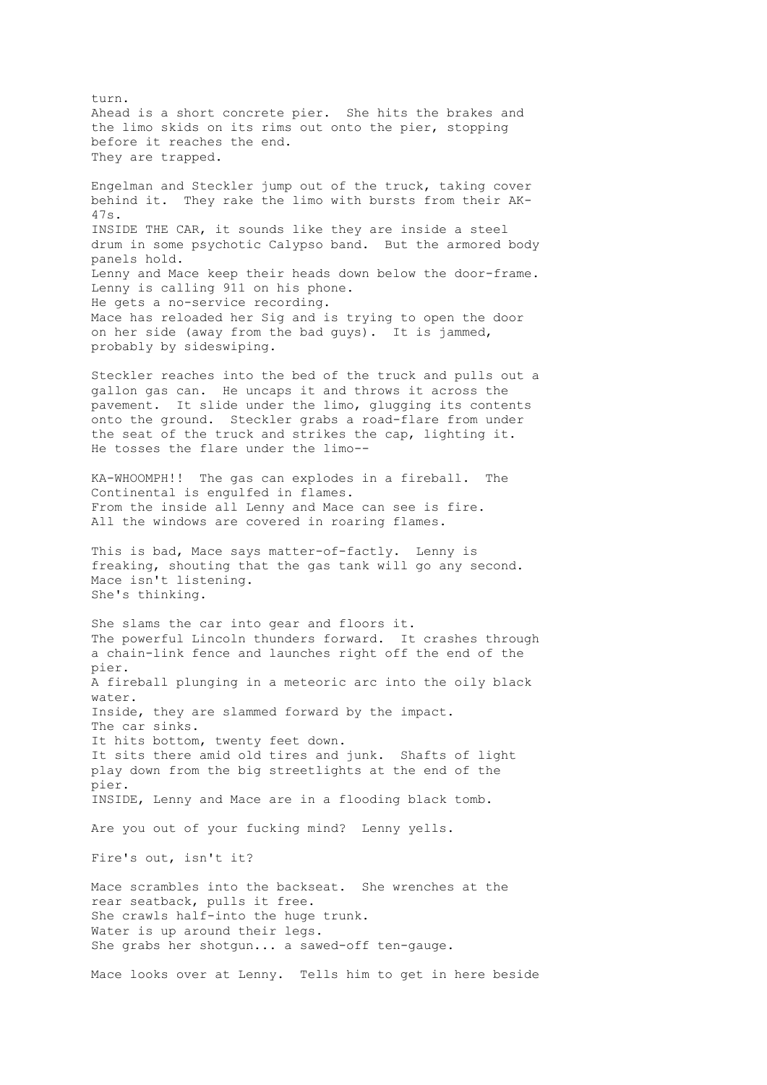turn. Ahead is a short concrete pier. She hits the brakes and the limo skids on its rims out onto the pier, stopping before it reaches the end. They are trapped. Engelman and Steckler jump out of the truck, taking cover behind it. They rake the limo with bursts from their AK-47s. INSIDE THE CAR, it sounds like they are inside a steel drum in some psychotic Calypso band. But the armored body panels hold. Lenny and Mace keep their heads down below the door-frame. Lenny is calling 911 on his phone. He gets a no-service recording. Mace has reloaded her Sig and is trying to open the door on her side (away from the bad guys). It is jammed, probably by sideswiping. Steckler reaches into the bed of the truck and pulls out a gallon gas can. He uncaps it and throws it across the pavement. It slide under the limo, glugging its contents onto the ground. Steckler grabs a road-flare from under the seat of the truck and strikes the cap, lighting it. He tosses the flare under the limo-- KA-WHOOMPH!! The gas can explodes in a fireball. The Continental is engulfed in flames. From the inside all Lenny and Mace can see is fire. All the windows are covered in roaring flames. This is bad, Mace says matter-of-factly. Lenny is freaking, shouting that the gas tank will go any second. Mace isn't listening. She's thinking. She slams the car into gear and floors it. The powerful Lincoln thunders forward. It crashes through a chain-link fence and launches right off the end of the pier. A fireball plunging in a meteoric arc into the oily black water. Inside, they are slammed forward by the impact. The car sinks. It hits bottom, twenty feet down. It sits there amid old tires and junk. Shafts of light play down from the big streetlights at the end of the pier. INSIDE, Lenny and Mace are in a flooding black tomb. Are you out of your fucking mind? Lenny yells. Fire's out, isn't it? Mace scrambles into the backseat. She wrenches at the rear seatback, pulls it free. She crawls half-into the huge trunk. Water is up around their legs. She grabs her shotgun... a sawed-off ten-gauge. Mace looks over at Lenny. Tells him to get in here beside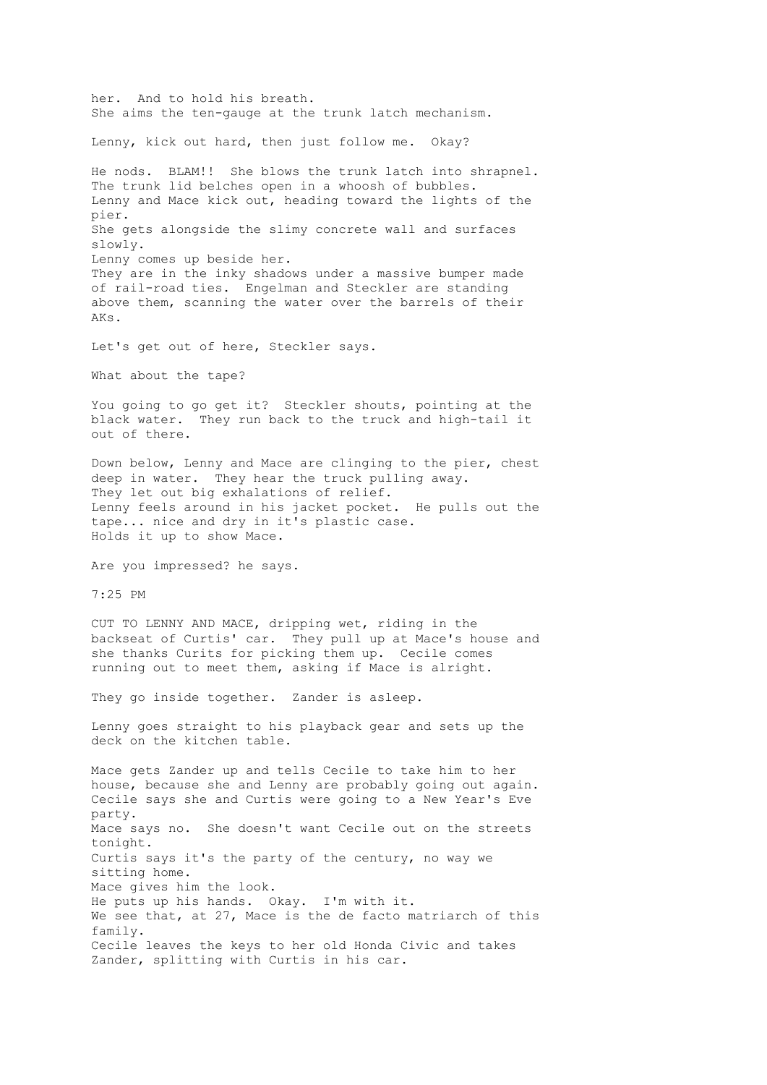her. And to hold his breath. She aims the ten-gauge at the trunk latch mechanism. Lenny, kick out hard, then just follow me. Okay? He nods. BLAM!! She blows the trunk latch into shrapnel. The trunk lid belches open in a whoosh of bubbles. Lenny and Mace kick out, heading toward the lights of the pier. She gets alongside the slimy concrete wall and surfaces slowly. Lenny comes up beside her. They are in the inky shadows under a massive bumper made of rail-road ties. Engelman and Steckler are standing above them, scanning the water over the barrels of their AKs. Let's get out of here, Steckler says. What about the tape? You going to go get it? Steckler shouts, pointing at the black water. They run back to the truck and high-tail it out of there. Down below, Lenny and Mace are clinging to the pier, chest deep in water. They hear the truck pulling away. They let out big exhalations of relief. Lenny feels around in his jacket pocket. He pulls out the tape... nice and dry in it's plastic case. Holds it up to show Mace. Are you impressed? he says. 7:25 PM CUT TO LENNY AND MACE, dripping wet, riding in the backseat of Curtis' car. They pull up at Mace's house and she thanks Curits for picking them up. Cecile comes running out to meet them, asking if Mace is alright. They go inside together. Zander is asleep. Lenny goes straight to his playback gear and sets up the deck on the kitchen table. Mace gets Zander up and tells Cecile to take him to her house, because she and Lenny are probably going out again. Cecile says she and Curtis were going to a New Year's Eve party. Mace says no. She doesn't want Cecile out on the streets tonight. Curtis says it's the party of the century, no way we sitting home.

Mace gives him the look.

He puts up his hands. Okay. I'm with it. We see that, at 27, Mace is the de facto matriarch of this family. Cecile leaves the keys to her old Honda Civic and takes Zander, splitting with Curtis in his car.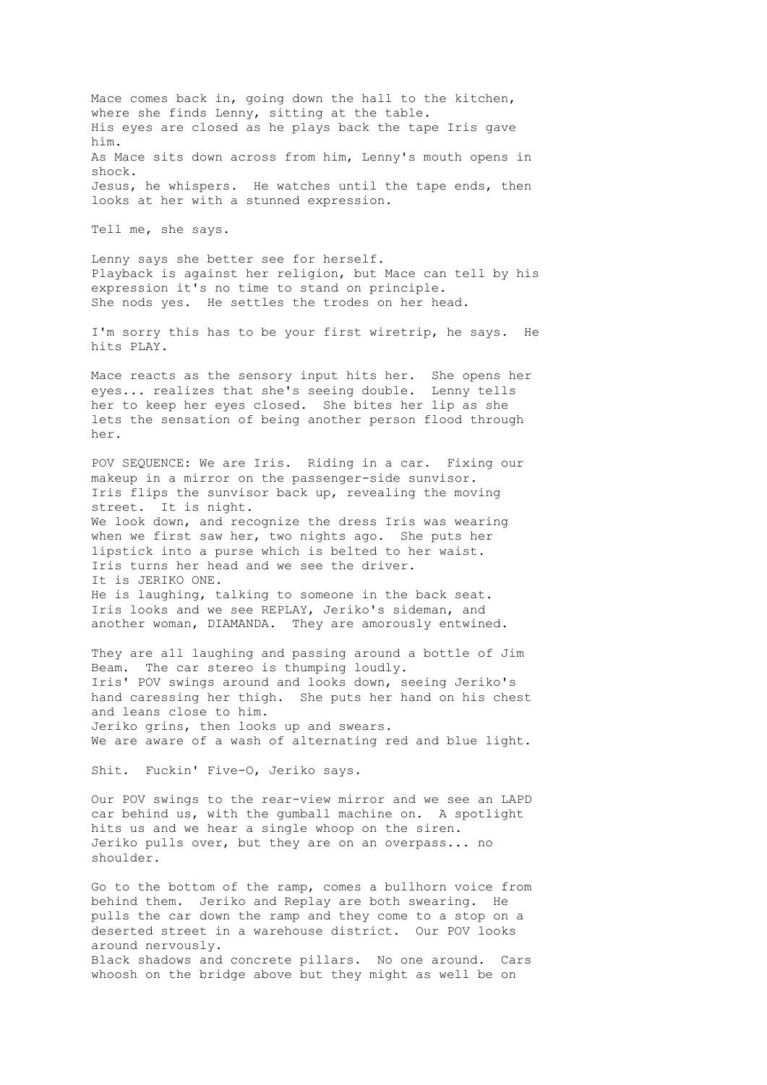Mace comes back in, going down the hall to the kitchen, where she finds Lenny, sitting at the table. His eyes are closed as he plays back the tape Iris gave him. As Mace sits down across from him, Lenny's mouth opens in shock. Jesus, he whispers. He watches until the tape ends, then looks at her with a stunned expression. Tell me, she says. Lenny says she better see for herself. Playback is against her religion, but Mace can tell by his expression it's no time to stand on principle. She nods yes. He settles the trodes on her head. I'm sorry this has to be your first wiretrip, he says. He hits PLAY. Mace reacts as the sensory input hits her. She opens her eyes... realizes that she's seeing double. Lenny tells her to keep her eyes closed. She bites her lip as she lets the sensation of being another person flood through her. POV SEQUENCE: We are Iris. Riding in a car. Fixing our makeup in a mirror on the passenger-side sunvisor. Iris flips the sunvisor back up, revealing the moving street. It is night. We look down, and recognize the dress Iris was wearing when we first saw her, two nights ago. She puts her lipstick into a purse which is belted to her waist. Iris turns her head and we see the driver. It is JERIKO ONE. He is laughing, talking to someone in the back seat. Iris looks and we see REPLAY, Jeriko's sideman, and another woman, DIAMANDA. They are amorously entwined. They are all laughing and passing around a bottle of Jim Beam. The car stereo is thumping loudly. Iris' POV swings around and looks down, seeing Jeriko's hand caressing her thigh. She puts her hand on his chest and leans close to him. Jeriko grins, then looks up and swears. We are aware of a wash of alternating red and blue light. Shit. Fuckin' Five-O, Jeriko says. Our POV swings to the rear-view mirror and we see an LAPD car behind us, with the gumball machine on. A spotlight hits us and we hear a single whoop on the siren. Jeriko pulls over, but they are on an overpass... no shoulder. Go to the bottom of the ramp, comes a bullhorn voice from behind them. Jeriko and Replay are both swearing. He pulls the car down the ramp and they come to a stop on a

deserted street in a warehouse district. Our POV looks around nervously. Black shadows and concrete pillars. No one around. Cars whoosh on the bridge above but they might as well be on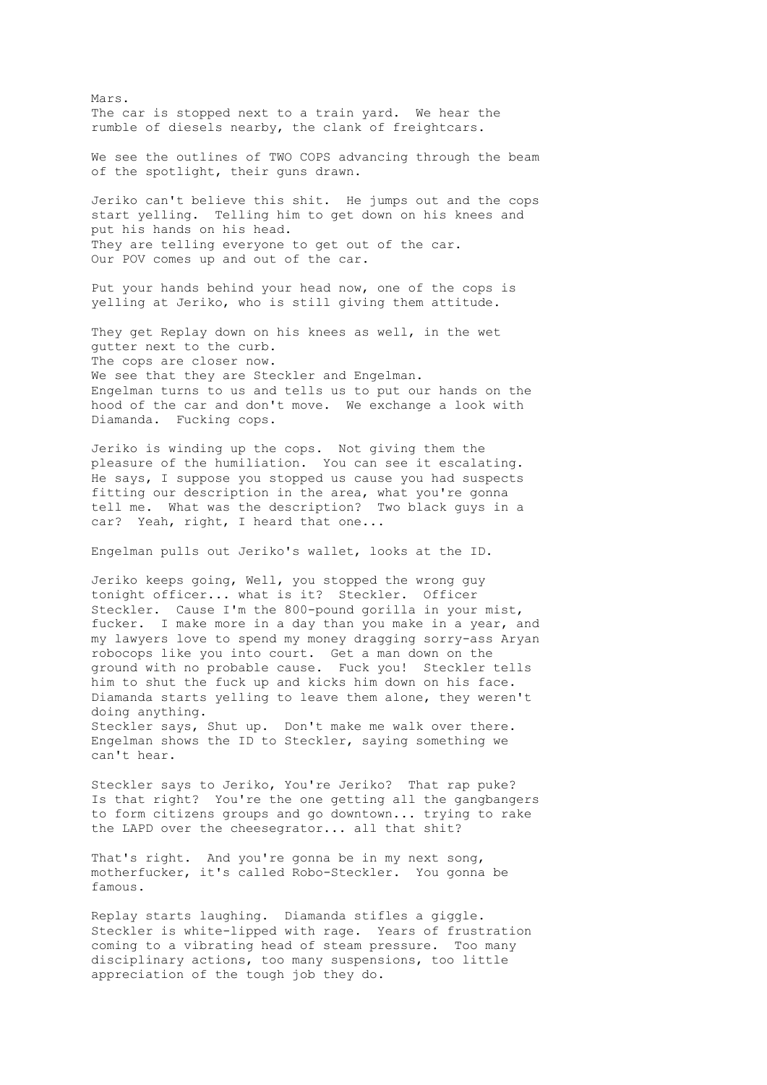Mars. The car is stopped next to a train yard. We hear the rumble of diesels nearby, the clank of freightcars. We see the outlines of TWO COPS advancing through the beam of the spotlight, their guns drawn. Jeriko can't believe this shit. He jumps out and the cops start yelling. Telling him to get down on his knees and put his hands on his head. They are telling everyone to get out of the car. Our POV comes up and out of the car. Put your hands behind your head now, one of the cops is yelling at Jeriko, who is still giving them attitude. They get Replay down on his knees as well, in the wet gutter next to the curb. The cops are closer now. We see that they are Steckler and Engelman. Engelman turns to us and tells us to put our hands on the hood of the car and don't move. We exchange a look with Diamanda. Fucking cops. Jeriko is winding up the cops. Not giving them the pleasure of the humiliation. You can see it escalating. He says, I suppose you stopped us cause you had suspects fitting our description in the area, what you're gonna tell me. What was the description? Two black guys in a car? Yeah, right, I heard that one... Engelman pulls out Jeriko's wallet, looks at the ID. Jeriko keeps going, Well, you stopped the wrong guy tonight officer... what is it? Steckler. Officer Steckler. Cause I'm the 800-pound gorilla in your mist, fucker. I make more in a day than you make in a year, and my lawyers love to spend my money dragging sorry-ass Aryan robocops like you into court. Get a man down on the ground with no probable cause. Fuck you! Steckler tells him to shut the fuck up and kicks him down on his face. Diamanda starts yelling to leave them alone, they weren't doing anything. Steckler says, Shut up. Don't make me walk over there. Engelman shows the ID to Steckler, saying something we can't hear. Steckler says to Jeriko, You're Jeriko? That rap puke? Is that right? You're the one getting all the gangbangers to form citizens groups and go downtown... trying to rake the LAPD over the cheesegrator... all that shit?

That's right. And you're gonna be in my next song, motherfucker, it's called Robo-Steckler. You gonna be famous.

Replay starts laughing. Diamanda stifles a giggle. Steckler is white-lipped with rage. Years of frustration coming to a vibrating head of steam pressure. Too many disciplinary actions, too many suspensions, too little appreciation of the tough job they do.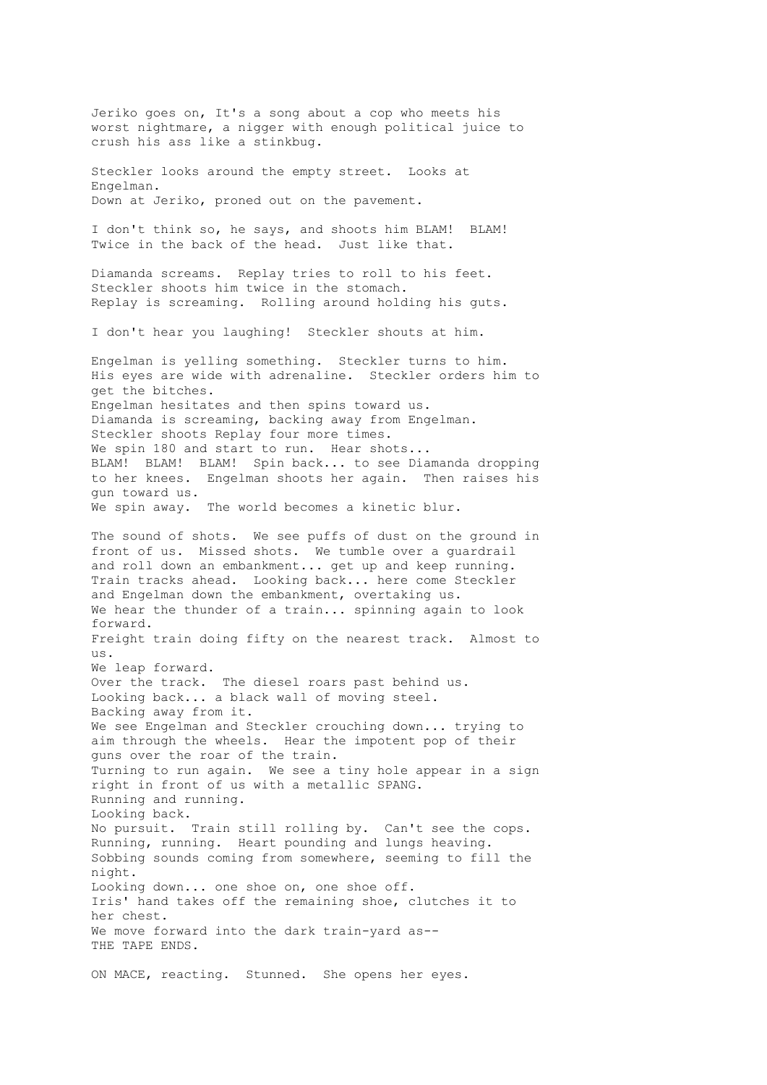Jeriko goes on, It's a song about a cop who meets his worst nightmare, a nigger with enough political juice to crush his ass like a stinkbug. Steckler looks around the empty street. Looks at Engelman. Down at Jeriko, proned out on the pavement. I don't think so, he says, and shoots him BLAM! BLAM! Twice in the back of the head. Just like that. Diamanda screams. Replay tries to roll to his feet. Steckler shoots him twice in the stomach. Replay is screaming. Rolling around holding his guts. I don't hear you laughing! Steckler shouts at him. Engelman is yelling something. Steckler turns to him. His eyes are wide with adrenaline. Steckler orders him to get the bitches. Engelman hesitates and then spins toward us. Diamanda is screaming, backing away from Engelman. Steckler shoots Replay four more times. We spin 180 and start to run. Hear shots... BLAM! BLAM! BLAM! Spin back... to see Diamanda dropping to her knees. Engelman shoots her again. Then raises his gun toward us. We spin away. The world becomes a kinetic blur. The sound of shots. We see puffs of dust on the ground in front of us. Missed shots. We tumble over a guardrail and roll down an embankment... get up and keep running. Train tracks ahead. Looking back... here come Steckler and Engelman down the embankment, overtaking us. We hear the thunder of a train... spinning again to look forward. Freight train doing fifty on the nearest track. Almost to us. We leap forward. Over the track. The diesel roars past behind us. Looking back... a black wall of moving steel. Backing away from it. We see Engelman and Steckler crouching down... trying to aim through the wheels. Hear the impotent pop of their guns over the roar of the train. Turning to run again. We see a tiny hole appear in a sign right in front of us with a metallic SPANG. Running and running. Looking back. No pursuit. Train still rolling by. Can't see the cops. Running, running. Heart pounding and lungs heaving. Sobbing sounds coming from somewhere, seeming to fill the night. Looking down... one shoe on, one shoe off. Iris' hand takes off the remaining shoe, clutches it to her chest. We move forward into the dark train-yard as--THE TAPE ENDS. ON MACE, reacting. Stunned. She opens her eyes.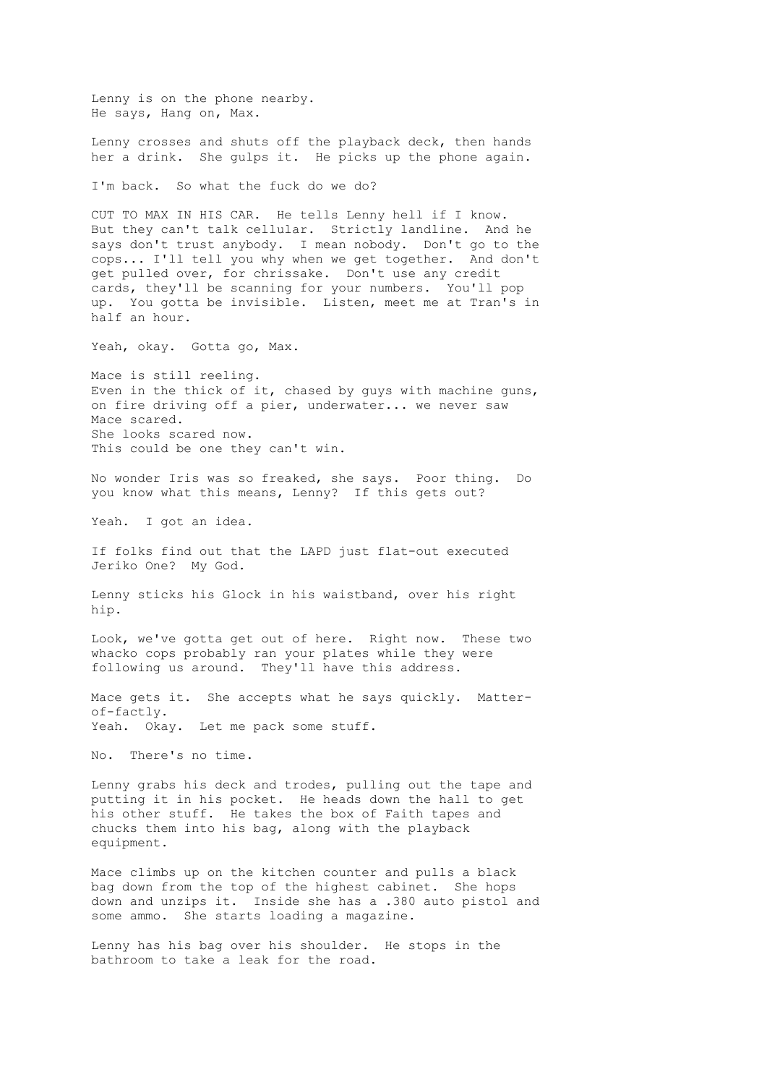Lenny is on the phone nearby. He says, Hang on, Max. Lenny crosses and shuts off the playback deck, then hands her a drink. She gulps it. He picks up the phone again. I'm back. So what the fuck do we do? CUT TO MAX IN HIS CAR. He tells Lenny hell if I know. But they can't talk cellular. Strictly landline. And he says don't trust anybody. I mean nobody. Don't go to the cops... I'll tell you why when we get together. And don't get pulled over, for chrissake. Don't use any credit cards, they'll be scanning for your numbers. You'll pop up. You gotta be invisible. Listen, meet me at Tran's in half an hour. Yeah, okay. Gotta go, Max. Mace is still reeling. Even in the thick of it, chased by guys with machine guns, on fire driving off a pier, underwater... we never saw Mace scared. She looks scared now. This could be one they can't win. No wonder Iris was so freaked, she says. Poor thing. Do you know what this means, Lenny? If this gets out? Yeah. I got an idea. If folks find out that the LAPD just flat-out executed Jeriko One? My God. Lenny sticks his Glock in his waistband, over his right hip. Look, we've gotta get out of here. Right now. These two whacko cops probably ran your plates while they were following us around. They'll have this address. Mace gets it. She accepts what he says quickly. Matterof-factly. Yeah. Okay. Let me pack some stuff. No. There's no time. Lenny grabs his deck and trodes, pulling out the tape and putting it in his pocket. He heads down the hall to get his other stuff. He takes the box of Faith tapes and chucks them into his bag, along with the playback equipment. Mace climbs up on the kitchen counter and pulls a black bag down from the top of the highest cabinet. She hops down and unzips it. Inside she has a .380 auto pistol and some ammo. She starts loading a magazine.

Lenny has his bag over his shoulder. He stops in the bathroom to take a leak for the road.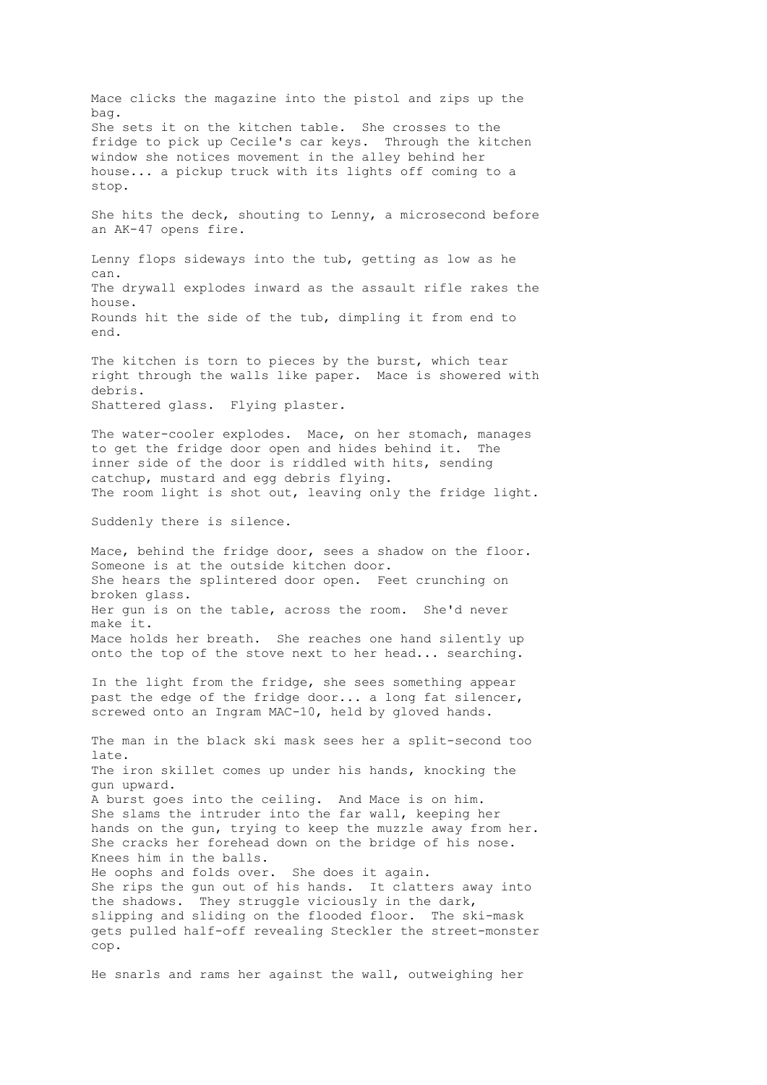Mace clicks the magazine into the pistol and zips up the bag. She sets it on the kitchen table. She crosses to the fridge to pick up Cecile's car keys. Through the kitchen window she notices movement in the alley behind her house... a pickup truck with its lights off coming to a stop. She hits the deck, shouting to Lenny, a microsecond before an AK-47 opens fire. Lenny flops sideways into the tub, getting as low as he can. The drywall explodes inward as the assault rifle rakes the house. Rounds hit the side of the tub, dimpling it from end to end. The kitchen is torn to pieces by the burst, which tear right through the walls like paper. Mace is showered with debris. Shattered glass. Flying plaster. The water-cooler explodes. Mace, on her stomach, manages to get the fridge door open and hides behind it. The inner side of the door is riddled with hits, sending catchup, mustard and egg debris flying. The room light is shot out, leaving only the fridge light. Suddenly there is silence. Mace, behind the fridge door, sees a shadow on the floor. Someone is at the outside kitchen door. She hears the splintered door open. Feet crunching on broken glass. Her gun is on the table, across the room. She'd never make it. Mace holds her breath. She reaches one hand silently up onto the top of the stove next to her head... searching. In the light from the fridge, she sees something appear past the edge of the fridge door... a long fat silencer, screwed onto an Ingram MAC-10, held by gloved hands. The man in the black ski mask sees her a split-second too late. The iron skillet comes up under his hands, knocking the gun upward. A burst goes into the ceiling. And Mace is on him. She slams the intruder into the far wall, keeping her hands on the gun, trying to keep the muzzle away from her. She cracks her forehead down on the bridge of his nose. Knees him in the balls. He oophs and folds over. She does it again. She rips the gun out of his hands. It clatters away into the shadows. They struggle viciously in the dark, slipping and sliding on the flooded floor. The ski-mask gets pulled half-off revealing Steckler the street-monster cop.

He snarls and rams her against the wall, outweighing her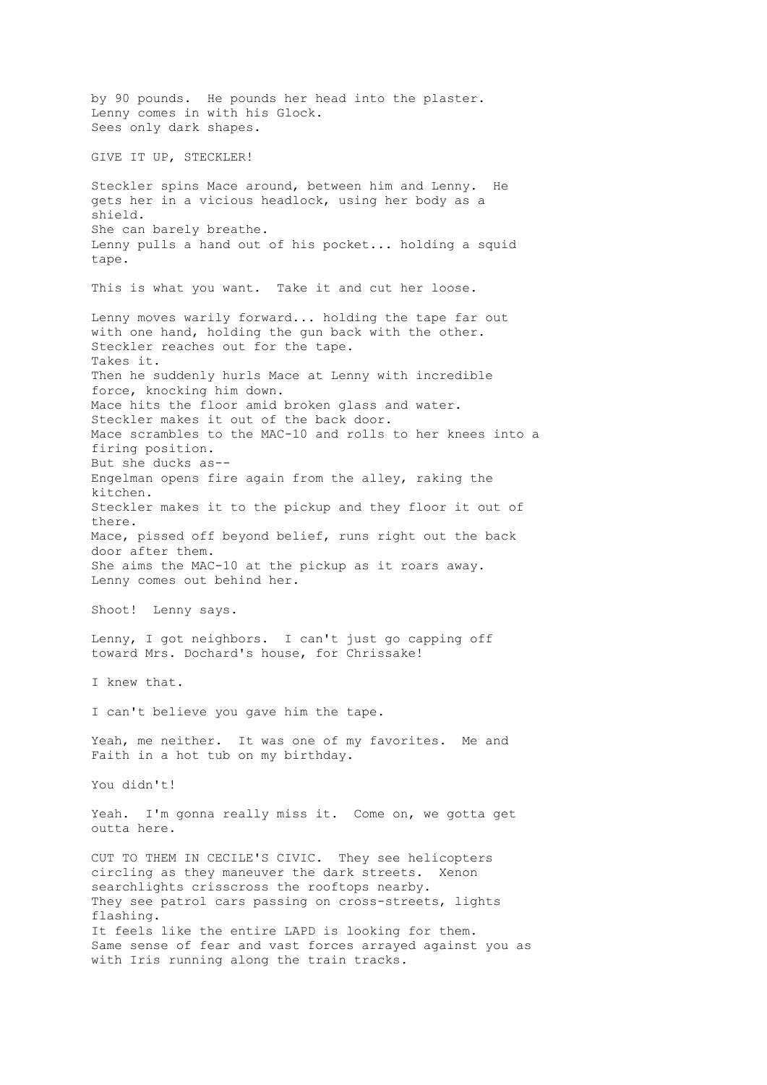by 90 pounds. He pounds her head into the plaster. Lenny comes in with his Glock. Sees only dark shapes. GIVE IT UP, STECKLER! Steckler spins Mace around, between him and Lenny. He gets her in a vicious headlock, using her body as a shield. She can barely breathe. Lenny pulls a hand out of his pocket... holding a squid tape. This is what you want. Take it and cut her loose. Lenny moves warily forward... holding the tape far out with one hand, holding the gun back with the other. Steckler reaches out for the tape. Takes it. Then he suddenly hurls Mace at Lenny with incredible force, knocking him down. Mace hits the floor amid broken glass and water. Steckler makes it out of the back door. Mace scrambles to the MAC-10 and rolls to her knees into a firing position. But she ducks as-- Engelman opens fire again from the alley, raking the kitchen. Steckler makes it to the pickup and they floor it out of there. Mace, pissed off beyond belief, runs right out the back door after them. She aims the MAC-10 at the pickup as it roars away. Lenny comes out behind her. Shoot! Lenny says. Lenny, I got neighbors. I can't just go capping off toward Mrs. Dochard's house, for Chrissake! I knew that. I can't believe you gave him the tape. Yeah, me neither. It was one of my favorites. Me and Faith in a hot tub on my birthday. You didn't! Yeah. I'm gonna really miss it. Come on, we gotta get outta here. CUT TO THEM IN CECILE'S CIVIC. They see helicopters circling as they maneuver the dark streets. Xenon searchlights crisscross the rooftops nearby. They see patrol cars passing on cross-streets, lights flashing. It feels like the entire LAPD is looking for them. Same sense of fear and vast forces arrayed against you as with Iris running along the train tracks.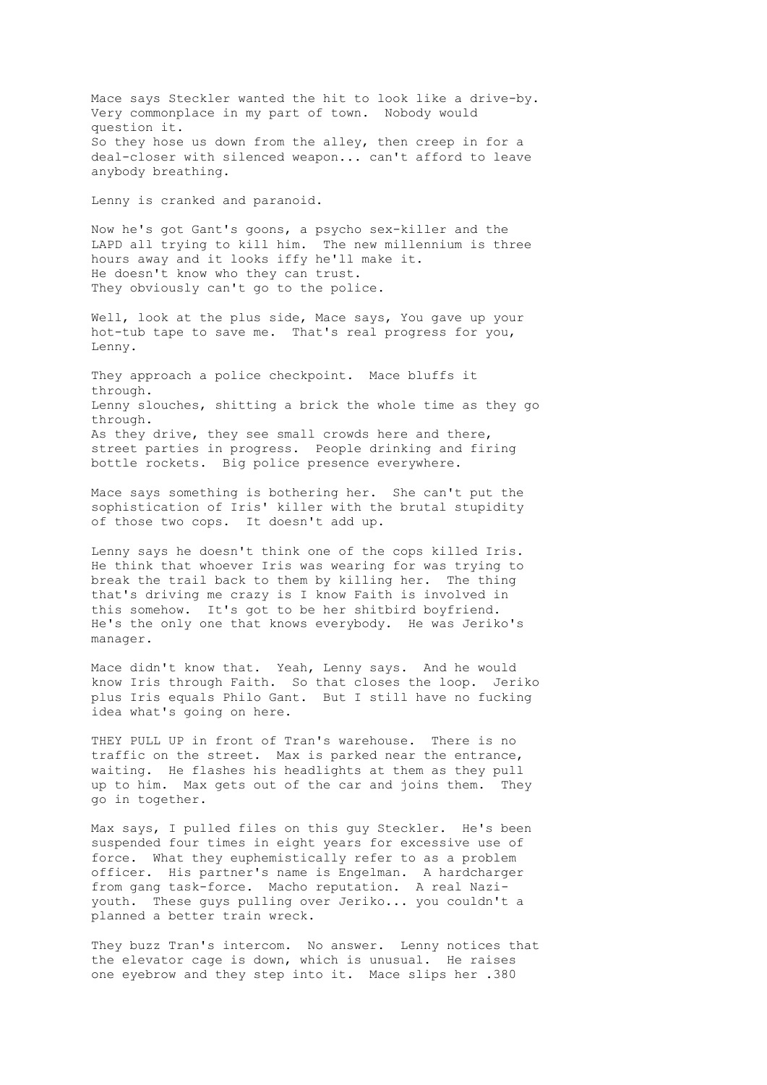Mace says Steckler wanted the hit to look like a drive-by. Very commonplace in my part of town. Nobody would question it. So they hose us down from the alley, then creep in for a deal-closer with silenced weapon... can't afford to leave anybody breathing.

Lenny is cranked and paranoid.

Now he's got Gant's goons, a psycho sex-killer and the LAPD all trying to kill him. The new millennium is three hours away and it looks iffy he'll make it. He doesn't know who they can trust. They obviously can't go to the police.

Well, look at the plus side, Mace says, You gave up your hot-tub tape to save me. That's real progress for you, Lenny.

They approach a police checkpoint. Mace bluffs it through. Lenny slouches, shitting a brick the whole time as they go through. As they drive, they see small crowds here and there, street parties in progress. People drinking and firing bottle rockets. Big police presence everywhere.

Mace says something is bothering her. She can't put the sophistication of Iris' killer with the brutal stupidity of those two cops. It doesn't add up.

Lenny says he doesn't think one of the cops killed Iris. He think that whoever Iris was wearing for was trying to break the trail back to them by killing her. The thing that's driving me crazy is I know Faith is involved in this somehow. It's got to be her shitbird boyfriend. He's the only one that knows everybody. He was Jeriko's manager.

Mace didn't know that. Yeah, Lenny says. And he would know Iris through Faith. So that closes the loop. Jeriko plus Iris equals Philo Gant. But I still have no fucking idea what's going on here.

THEY PULL UP in front of Tran's warehouse. There is no traffic on the street. Max is parked near the entrance, waiting. He flashes his headlights at them as they pull up to him. Max gets out of the car and joins them. They go in together.

Max says, I pulled files on this guy Steckler. He's been suspended four times in eight years for excessive use of force. What they euphemistically refer to as a problem officer. His partner's name is Engelman. A hardcharger from gang task-force. Macho reputation. A real Naziyouth. These guys pulling over Jeriko... you couldn't a planned a better train wreck.

They buzz Tran's intercom. No answer. Lenny notices that the elevator cage is down, which is unusual. He raises one eyebrow and they step into it. Mace slips her .380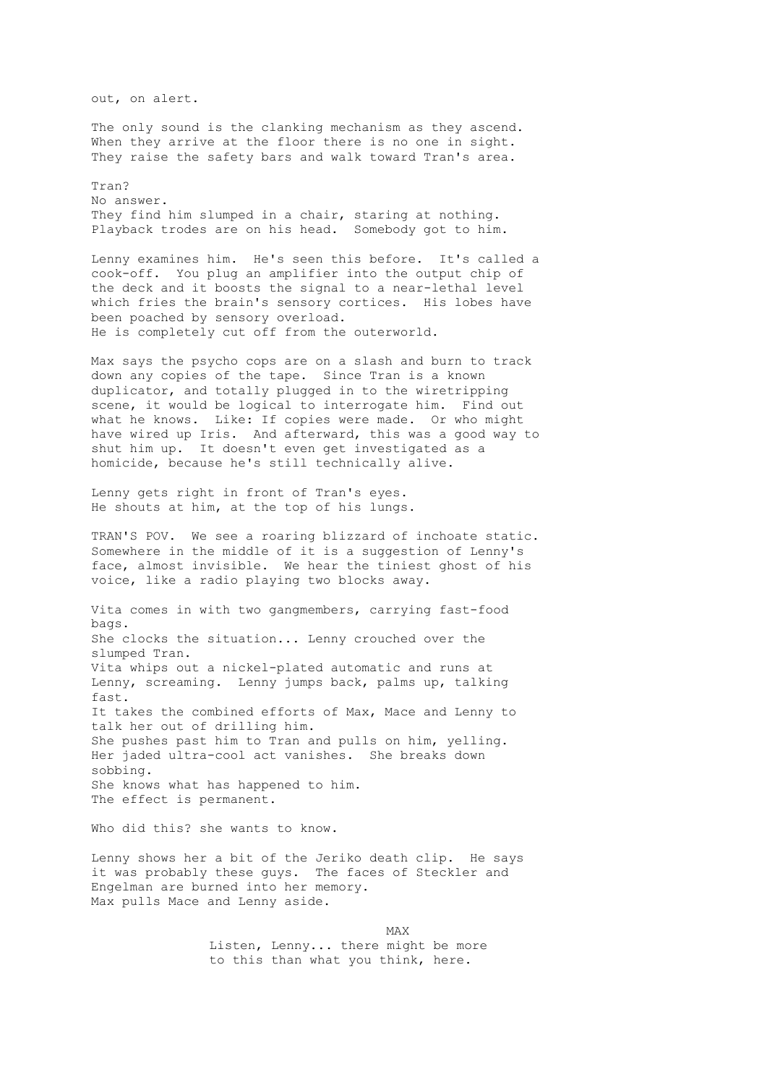out, on alert. The only sound is the clanking mechanism as they ascend. When they arrive at the floor there is no one in sight. They raise the safety bars and walk toward Tran's area. Tran? No answer. They find him slumped in a chair, staring at nothing. Playback trodes are on his head. Somebody got to him. Lenny examines him. He's seen this before. It's called a cook-off. You plug an amplifier into the output chip of the deck and it boosts the signal to a near-lethal level which fries the brain's sensory cortices. His lobes have been poached by sensory overload. He is completely cut off from the outerworld. Max says the psycho cops are on a slash and burn to track down any copies of the tape. Since Tran is a known duplicator, and totally plugged in to the wiretripping scene, it would be logical to interrogate him. Find out what he knows. Like: If copies were made. Or who might have wired up Iris. And afterward, this was a good way to shut him up. It doesn't even get investigated as a homicide, because he's still technically alive. Lenny gets right in front of Tran's eyes. He shouts at him, at the top of his lungs. TRAN'S POV. We see a roaring blizzard of inchoate static. Somewhere in the middle of it is a suggestion of Lenny's face, almost invisible. We hear the tiniest ghost of his voice, like a radio playing two blocks away. Vita comes in with two gangmembers, carrying fast-food bags. She clocks the situation... Lenny crouched over the slumped Tran. Vita whips out a nickel-plated automatic and runs at Lenny, screaming. Lenny jumps back, palms up, talking fast. It takes the combined efforts of Max, Mace and Lenny to talk her out of drilling him. She pushes past him to Tran and pulls on him, yelling. Her jaded ultra-cool act vanishes. She breaks down sobbing. She knows what has happened to him. The effect is permanent. Who did this? she wants to know. Lenny shows her a bit of the Jeriko death clip. He says it was probably these guys. The faces of Steckler and Engelman are burned into her memory. Max pulls Mace and Lenny aside. MAX Listen, Lenny... there might be more to this than what you think, here.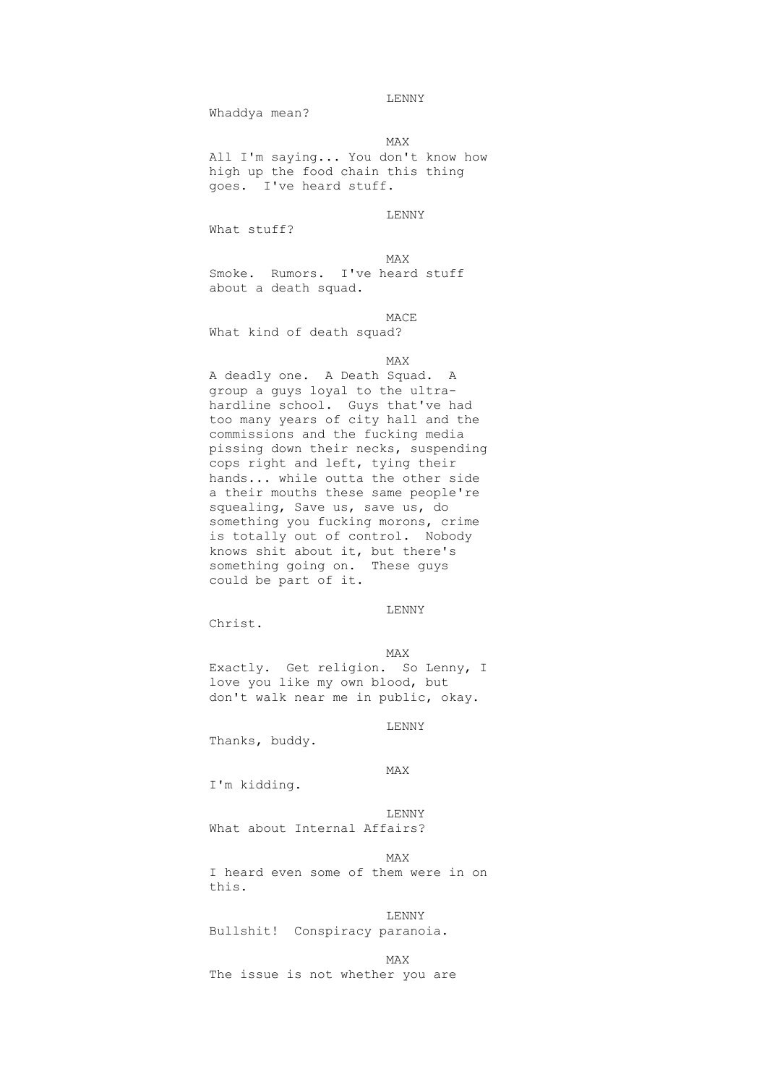LENNY

Whaddya mean?

MAX

All I'm saying... You don't know how high up the food chain this thing goes. I've heard stuff.

LENNY

What stuff?

MAX Smoke. Rumors. I've heard stuff about a death squad.

MACE

What kind of death squad?

# MAX

A deadly one. A Death Squad. A group a guys loyal to the ultrahardline school. Guys that've had too many years of city hall and the commissions and the fucking media pissing down their necks, suspending cops right and left, tying their hands... while outta the other side a their mouths these same people're squealing, Save us, save us, do something you fucking morons, crime is totally out of control. Nobody knows shit about it, but there's something going on. These guys could be part of it.

LENNY

Christ.

MAX Exactly. Get religion. So Lenny, I love you like my own blood, but don't walk near me in public, okay.

LENNY

Thanks, buddy.

MAX

I'm kidding.

LENNY What about Internal Affairs?

MAX

I heard even some of them were in on this.

LENNY

Bullshit! Conspiracy paranoia.

MAX

The issue is not whether you are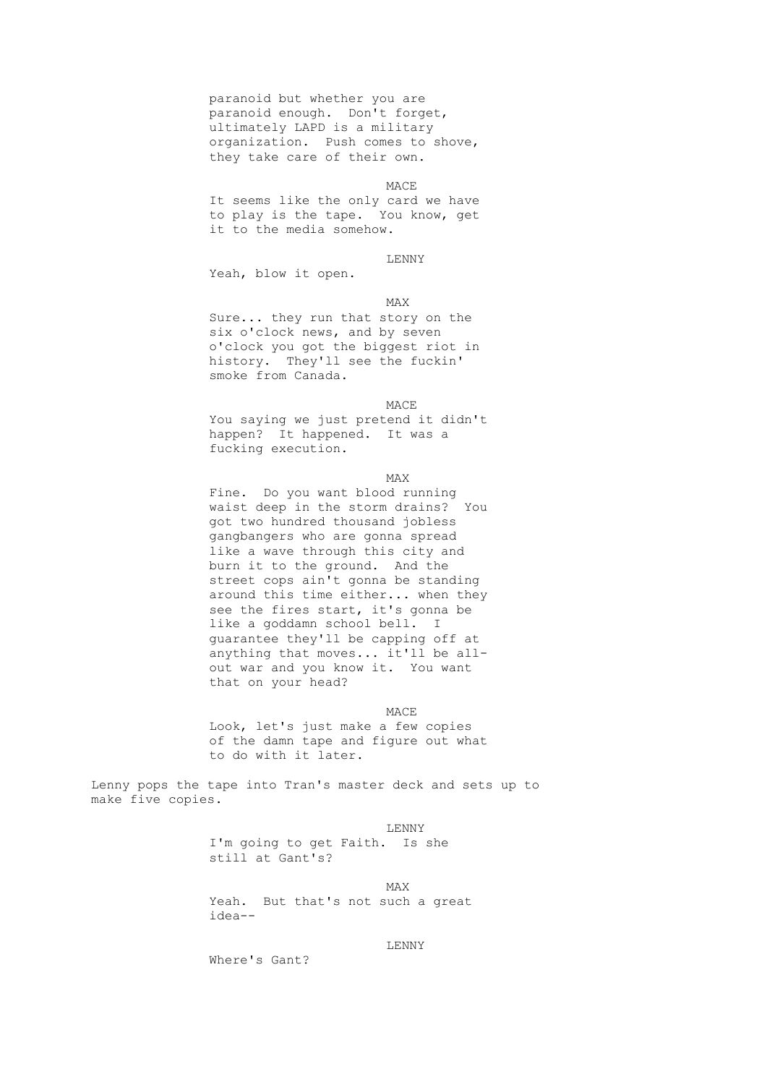paranoid but whether you are paranoid enough. Don't forget, ultimately LAPD is a military organization. Push comes to shove, they take care of their own.

#### MACE.

It seems like the only card we have to play is the tape. You know, get it to the media somehow.

LENNY

Yeah, blow it open.

MAX

Sure... they run that story on the six o'clock news, and by seven o'clock you got the biggest riot in history. They'll see the fuckin' smoke from Canada.

#### MACE

You saying we just pretend it didn't happen? It happened. It was a fucking execution.

### MAX

Fine. Do you want blood running waist deep in the storm drains? You got two hundred thousand jobless gangbangers who are gonna spread like a wave through this city and burn it to the ground. And the street cops ain't gonna be standing around this time either... when they see the fires start, it's gonna be like a goddamn school bell. I guarantee they'll be capping off at anything that moves... it'll be allout war and you know it. You want that on your head?

MACE

Look, let's just make a few copies of the damn tape and figure out what to do with it later.

Lenny pops the tape into Tran's master deck and sets up to make five copies.

> LENNY I'm going to get Faith. Is she still at Gant's?

MAX Yeah. But that's not such a great idea--

LENNY

Where's Gant?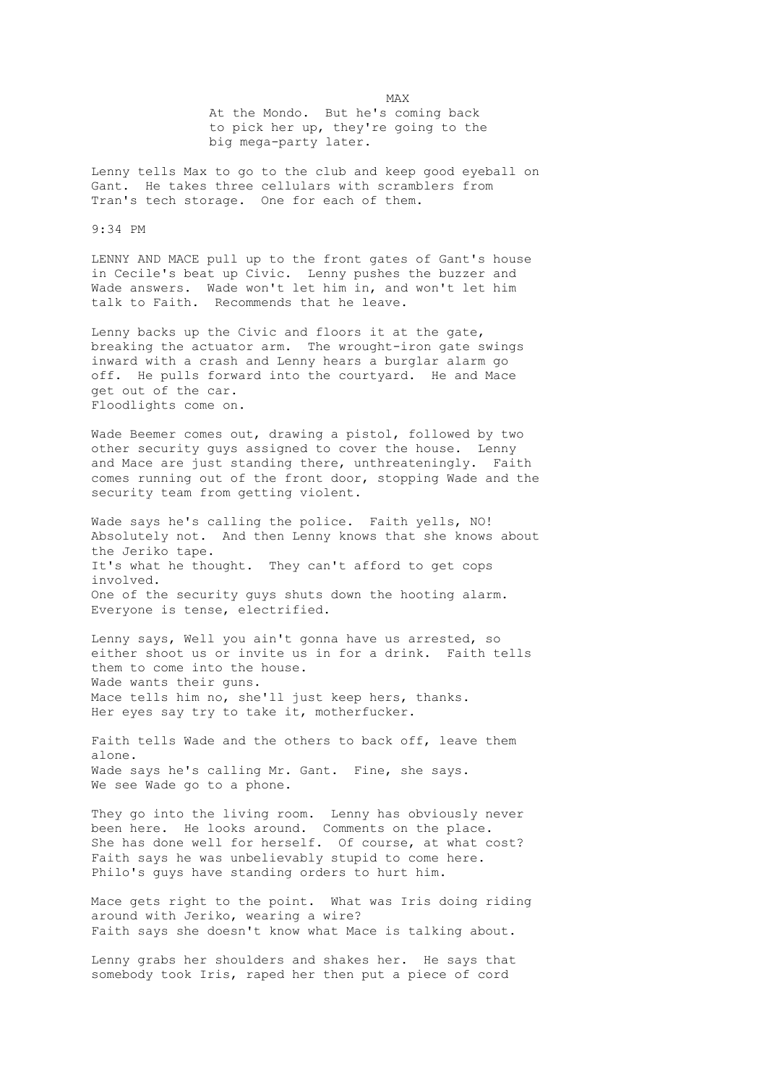MAX At the Mondo. But he's coming back to pick her up, they're going to the big mega-party later.

Lenny tells Max to go to the club and keep good eyeball on Gant. He takes three cellulars with scramblers from Tran's tech storage. One for each of them.

9:34 PM

LENNY AND MACE pull up to the front gates of Gant's house in Cecile's beat up Civic. Lenny pushes the buzzer and Wade answers. Wade won't let him in, and won't let him talk to Faith. Recommends that he leave.

Lenny backs up the Civic and floors it at the gate, breaking the actuator arm. The wrought-iron gate swings inward with a crash and Lenny hears a burglar alarm go off. He pulls forward into the courtyard. He and Mace get out of the car. Floodlights come on.

Wade Beemer comes out, drawing a pistol, followed by two other security guys assigned to cover the house. Lenny and Mace are just standing there, unthreateningly. Faith comes running out of the front door, stopping Wade and the security team from getting violent.

Wade says he's calling the police. Faith yells, NO! Absolutely not. And then Lenny knows that she knows about the Jeriko tape. It's what he thought. They can't afford to get cops involved. One of the security guys shuts down the hooting alarm. Everyone is tense, electrified.

Lenny says, Well you ain't gonna have us arrested, so either shoot us or invite us in for a drink. Faith tells them to come into the house. Wade wants their guns. Mace tells him no, she'll just keep hers, thanks. Her eyes say try to take it, motherfucker.

Faith tells Wade and the others to back off, leave them alone. Wade says he's calling Mr. Gant. Fine, she says. We see Wade go to a phone.

They go into the living room. Lenny has obviously never been here. He looks around. Comments on the place. She has done well for herself. Of course, at what cost? Faith says he was unbelievably stupid to come here. Philo's guys have standing orders to hurt him.

Mace gets right to the point. What was Iris doing riding around with Jeriko, wearing a wire? Faith says she doesn't know what Mace is talking about.

Lenny grabs her shoulders and shakes her. He says that somebody took Iris, raped her then put a piece of cord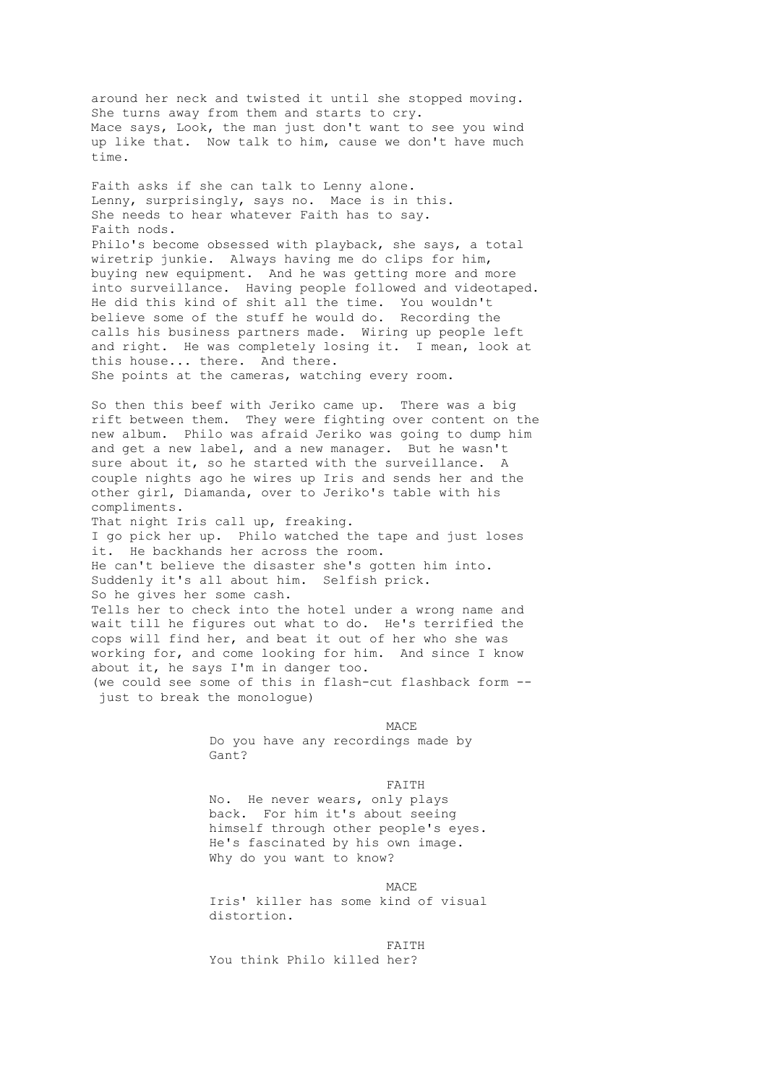around her neck and twisted it until she stopped moving. She turns away from them and starts to cry. Mace says, Look, the man just don't want to see you wind up like that. Now talk to him, cause we don't have much time. Faith asks if she can talk to Lenny alone. Lenny, surprisingly, says no. Mace is in this. She needs to hear whatever Faith has to say. Faith nods. Philo's become obsessed with playback, she says, a total wiretrip junkie. Always having me do clips for him, buying new equipment. And he was getting more and more into surveillance. Having people followed and videotaped. He did this kind of shit all the time. You wouldn't believe some of the stuff he would do. Recording the calls his business partners made. Wiring up people left and right. He was completely losing it. I mean, look at this house... there. And there. She points at the cameras, watching every room. So then this beef with Jeriko came up. There was a big rift between them. They were fighting over content on the new album. Philo was afraid Jeriko was going to dump him and get a new label, and a new manager. But he wasn't sure about it, so he started with the surveillance. A couple nights ago he wires up Iris and sends her and the other girl, Diamanda, over to Jeriko's table with his compliments. That night Iris call up, freaking. I go pick her up. Philo watched the tape and just loses it. He backhands her across the room. He can't believe the disaster she's gotten him into. Suddenly it's all about him. Selfish prick. So he gives her some cash. Tells her to check into the hotel under a wrong name and wait till he figures out what to do. He's terrified the cops will find her, and beat it out of her who she was working for, and come looking for him. And since I know about it, he says I'm in danger too. (we could see some of this in flash-cut flashback form - just to break the monologue)

MACE

Do you have any recordings made by Gant?

FAITH No. He never wears, only plays back. For him it's about seeing himself through other people's eyes. He's fascinated by his own image. Why do you want to know?

**MACE** Iris' killer has some kind of visual distortion.

FAITH You think Philo killed her?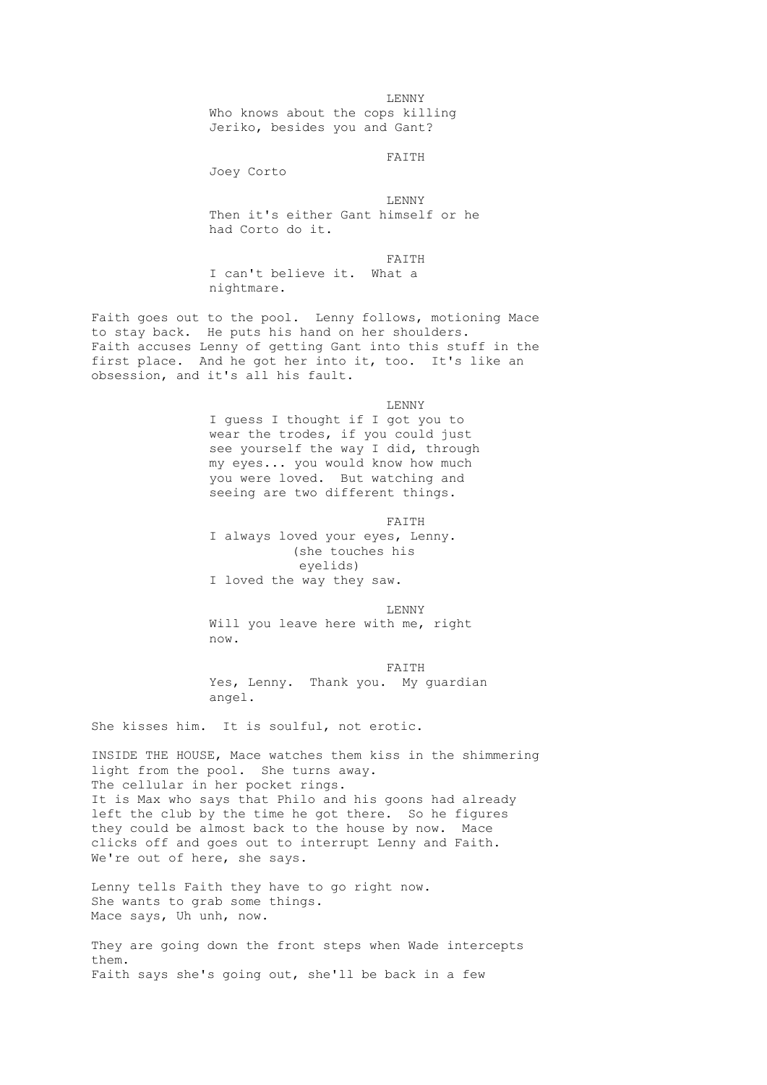LENNY Who knows about the cops killing Jeriko, besides you and Gant?

FAITH

Joey Corto

LENNY Then it's either Gant himself or he had Corto do it.

FAITH

I can't believe it. What a nightmare.

Faith goes out to the pool. Lenny follows, motioning Mace to stay back. He puts his hand on her shoulders. Faith accuses Lenny of getting Gant into this stuff in the first place. And he got her into it, too. It's like an obsession, and it's all his fault.

LENNY

I guess I thought if I got you to wear the trodes, if you could just see yourself the way I did, through my eyes... you would know how much you were loved. But watching and seeing are two different things.

FAITH I always loved your eyes, Lenny. (she touches his eyelids) I loved the way they saw.

LENNY Will you leave here with me, right now.

FAITH Yes, Lenny. Thank you. My guardian angel.

She kisses him. It is soulful, not erotic.

INSIDE THE HOUSE, Mace watches them kiss in the shimmering light from the pool. She turns away. The cellular in her pocket rings. It is Max who says that Philo and his goons had already left the club by the time he got there. So he figures they could be almost back to the house by now. Mace clicks off and goes out to interrupt Lenny and Faith. We're out of here, she says.

Lenny tells Faith they have to go right now. She wants to grab some things. Mace says, Uh unh, now.

They are going down the front steps when Wade intercepts them. Faith says she's going out, she'll be back in a few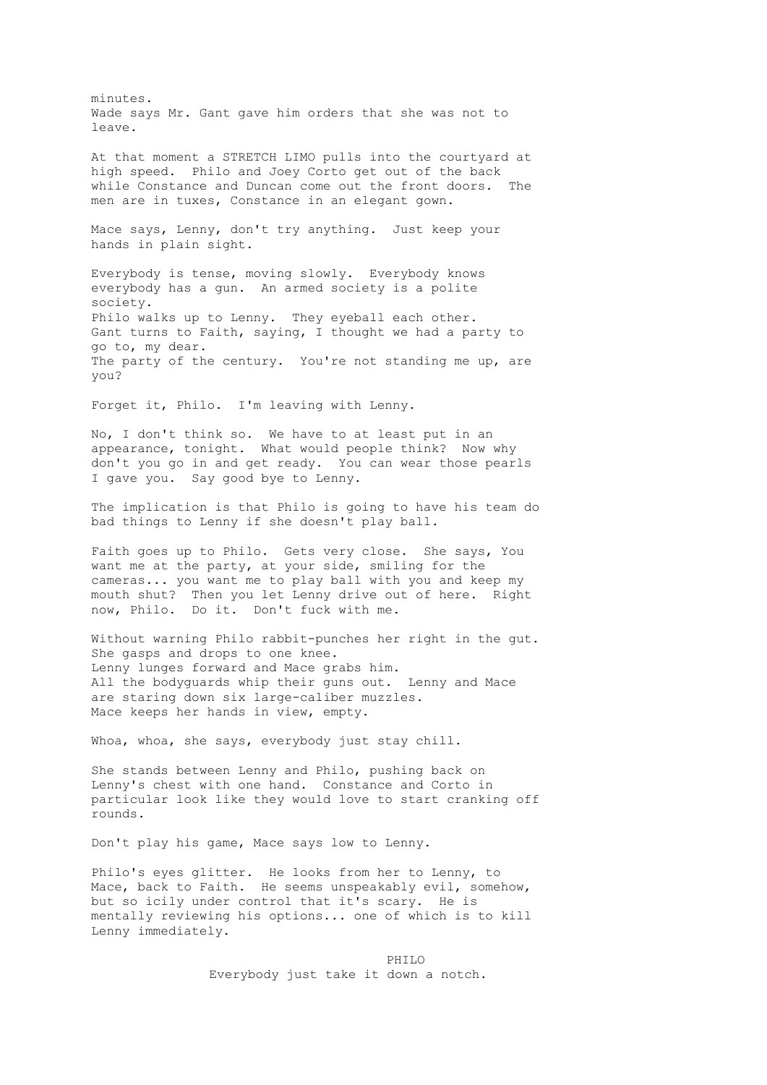minutes. Wade says Mr. Gant gave him orders that she was not to leave. At that moment a STRETCH LIMO pulls into the courtyard at high speed. Philo and Joey Corto get out of the back while Constance and Duncan come out the front doors. The men are in tuxes, Constance in an elegant gown. Mace says, Lenny, don't try anything. Just keep your hands in plain sight. Everybody is tense, moving slowly. Everybody knows everybody has a gun. An armed society is a polite society. Philo walks up to Lenny. They eyeball each other. Gant turns to Faith, saying, I thought we had a party to go to, my dear. The party of the century. You're not standing me up, are you? Forget it, Philo. I'm leaving with Lenny. No, I don't think so. We have to at least put in an appearance, tonight. What would people think? Now why don't you go in and get ready. You can wear those pearls I gave you. Say good bye to Lenny. The implication is that Philo is going to have his team do bad things to Lenny if she doesn't play ball. Faith goes up to Philo. Gets very close. She says, You want me at the party, at your side, smiling for the cameras... you want me to play ball with you and keep my mouth shut? Then you let Lenny drive out of here. Right now, Philo. Do it. Don't fuck with me. Without warning Philo rabbit-punches her right in the gut. She gasps and drops to one knee. Lenny lunges forward and Mace grabs him. All the bodyguards whip their guns out. Lenny and Mace are staring down six large-caliber muzzles. Mace keeps her hands in view, empty. Whoa, whoa, she says, everybody just stay chill. She stands between Lenny and Philo, pushing back on Lenny's chest with one hand. Constance and Corto in particular look like they would love to start cranking off rounds. Don't play his game, Mace says low to Lenny. Philo's eyes glitter. He looks from her to Lenny, to Mace, back to Faith. He seems unspeakably evil, somehow, but so icily under control that it's scary. He is mentally reviewing his options... one of which is to kill Lenny immediately.

> PHILO Everybody just take it down a notch.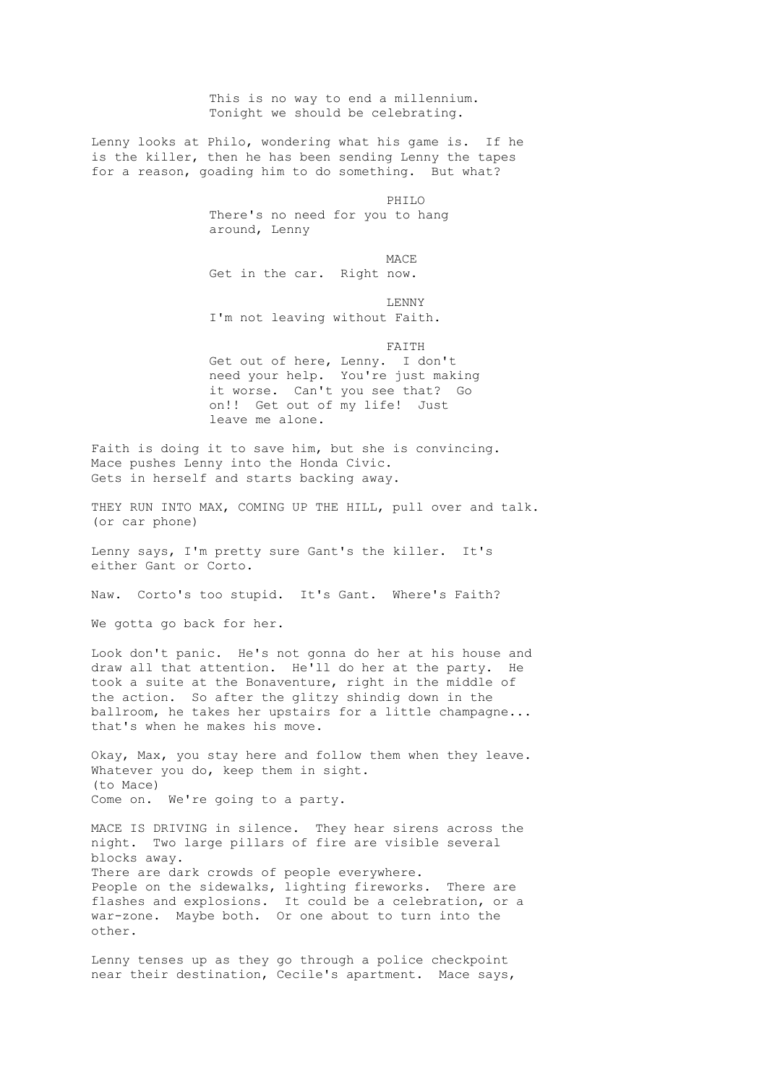This is no way to end a millennium. Tonight we should be celebrating.

Lenny looks at Philo, wondering what his game is. If he is the killer, then he has been sending Lenny the tapes for a reason, goading him to do something. But what?

> PHILO There's no need for you to hang around, Lenny

MACE Get in the car. Right now.

LENNY

I'm not leaving without Faith.

FAITH

Get out of here, Lenny. I don't need your help. You're just making it worse. Can't you see that? Go on!! Get out of my life! Just leave me alone.

Faith is doing it to save him, but she is convincing. Mace pushes Lenny into the Honda Civic. Gets in herself and starts backing away.

THEY RUN INTO MAX, COMING UP THE HILL, pull over and talk. (or car phone)

Lenny says, I'm pretty sure Gant's the killer. It's either Gant or Corto.

Naw. Corto's too stupid. It's Gant. Where's Faith?

We gotta go back for her.

Look don't panic. He's not gonna do her at his house and draw all that attention. He'll do her at the party. He took a suite at the Bonaventure, right in the middle of the action. So after the glitzy shindig down in the ballroom, he takes her upstairs for a little champagne... that's when he makes his move.

Okay, Max, you stay here and follow them when they leave. Whatever you do, keep them in sight. (to Mace) Come on. We're going to a party.

MACE IS DRIVING in silence. They hear sirens across the night. Two large pillars of fire are visible several blocks away. There are dark crowds of people everywhere. People on the sidewalks, lighting fireworks. There are flashes and explosions. It could be a celebration, or a war-zone. Maybe both. Or one about to turn into the other.

Lenny tenses up as they go through a police checkpoint near their destination, Cecile's apartment. Mace says,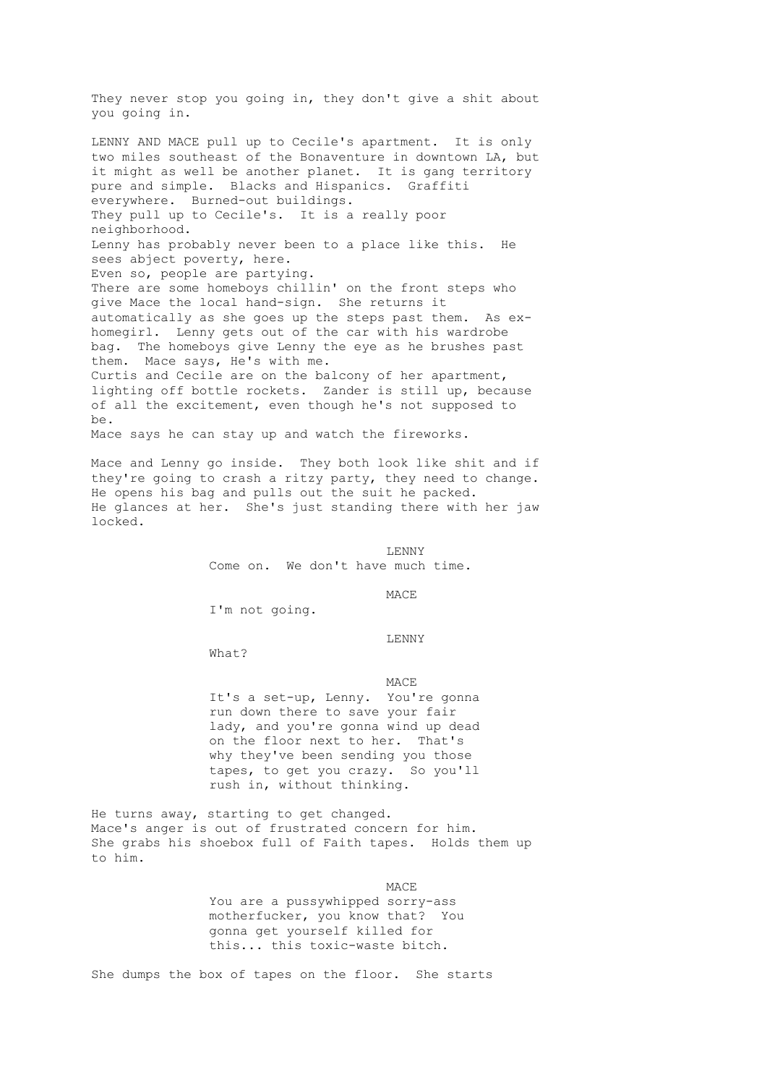They never stop you going in, they don't give a shit about you going in. LENNY AND MACE pull up to Cecile's apartment. It is only two miles southeast of the Bonaventure in downtown LA, but it might as well be another planet. It is gang territory pure and simple. Blacks and Hispanics. Graffiti everywhere. Burned-out buildings. They pull up to Cecile's. It is a really poor neighborhood. Lenny has probably never been to a place like this. He sees abject poverty, here. Even so, people are partying. There are some homeboys chillin' on the front steps who give Mace the local hand-sign. She returns it automatically as she goes up the steps past them. As exhomegirl. Lenny gets out of the car with his wardrobe bag. The homeboys give Lenny the eye as he brushes past them. Mace says, He's with me. Curtis and Cecile are on the balcony of her apartment, lighting off bottle rockets. Zander is still up, because of all the excitement, even though he's not supposed to be. Mace says he can stay up and watch the fireworks.

Mace and Lenny go inside. They both look like shit and if they're going to crash a ritzy party, they need to change. He opens his bag and pulls out the suit he packed. He glances at her. She's just standing there with her jaw locked.

> LENNY Come on. We don't have much time.

> > MACE

I'm not going.

LENNY

What?

## MACE

It's a set-up, Lenny. You're gonna run down there to save your fair lady, and you're gonna wind up dead on the floor next to her. That's why they've been sending you those tapes, to get you crazy. So you'll rush in, without thinking.

He turns away, starting to get changed. Mace's anger is out of frustrated concern for him. She grabs his shoebox full of Faith tapes. Holds them up to him.

MACE

You are a pussywhipped sorry-ass motherfucker, you know that? You gonna get yourself killed for this... this toxic-waste bitch.

She dumps the box of tapes on the floor. She starts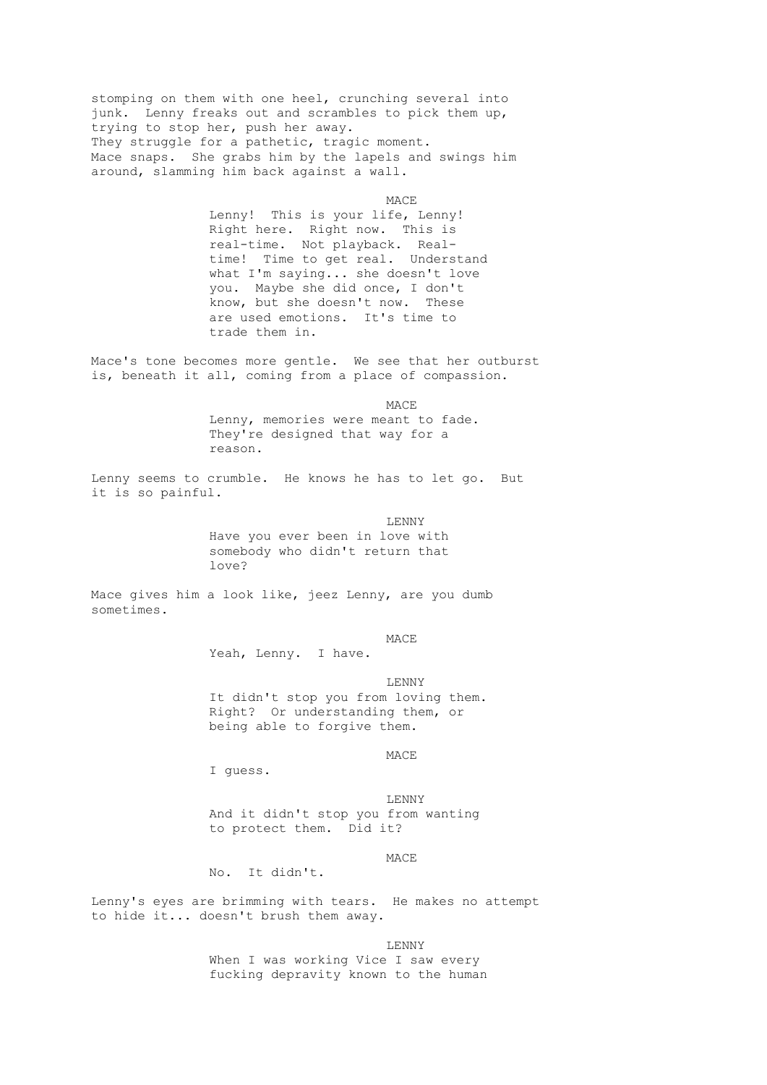stomping on them with one heel, crunching several into junk. Lenny freaks out and scrambles to pick them up, trying to stop her, push her away. They struggle for a pathetic, tragic moment. Mace snaps. She grabs him by the lapels and swings him around, slamming him back against a wall.

MACE

Lenny! This is your life, Lenny! Right here. Right now. This is real-time. Not playback. Realtime! Time to get real. Understand what I'm saying... she doesn't love you. Maybe she did once, I don't know, but she doesn't now. These are used emotions. It's time to trade them in.

Mace's tone becomes more gentle. We see that her outburst is, beneath it all, coming from a place of compassion.

MACE

Lenny, memories were meant to fade. They're designed that way for a reason.

Lenny seems to crumble. He knows he has to let go. But it is so painful.

> LENNY Have you ever been in love with somebody who didn't return that love?

Mace gives him a look like, jeez Lenny, are you dumb sometimes.

MACE

Yeah, Lenny. I have.

LENNY It didn't stop you from loving them. Right? Or understanding them, or being able to forgive them.

MACE

I guess.

LENNY And it didn't stop you from wanting to protect them. Did it?

MACE

No. It didn't.

Lenny's eyes are brimming with tears. He makes no attempt to hide it... doesn't brush them away.

LENNY

When I was working Vice I saw every fucking depravity known to the human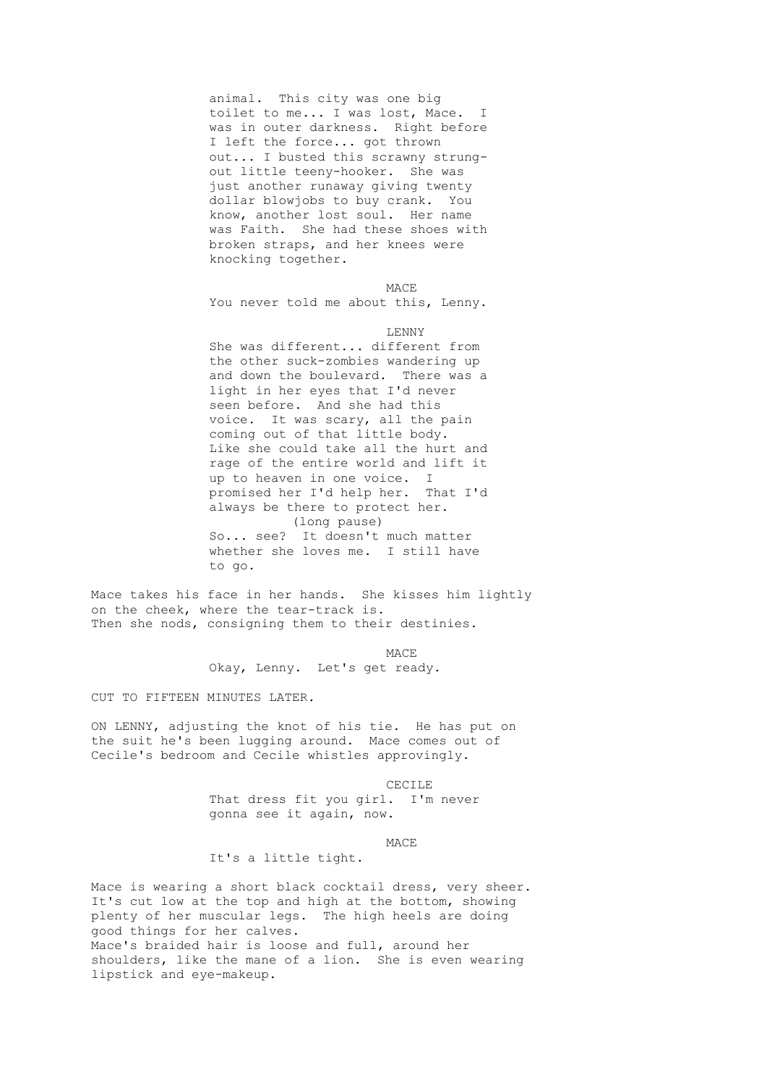animal. This city was one big toilet to me... I was lost, Mace. I was in outer darkness. Right before I left the force... got thrown out... I busted this scrawny strungout little teeny-hooker. She was just another runaway giving twenty dollar blowjobs to buy crank. You know, another lost soul. Her name was Faith. She had these shoes with broken straps, and her knees were knocking together.

MACE

You never told me about this, Lenny.

LENNY

She was different... different from the other suck-zombies wandering up and down the boulevard. There was a light in her eyes that I'd never seen before. And she had this voice. It was scary, all the pain coming out of that little body. Like she could take all the hurt and rage of the entire world and lift it up to heaven in one voice. I promised her I'd help her. That I'd always be there to protect her. (long pause) So... see? It doesn't much matter whether she loves me. I still have to go.

Mace takes his face in her hands. She kisses him lightly on the cheek, where the tear-track is. Then she nods, consigning them to their destinies.

> MACE Okay, Lenny. Let's get ready.

CUT TO FIFTEEN MINUTES LATER.

ON LENNY, adjusting the knot of his tie. He has put on the suit he's been lugging around. Mace comes out of Cecile's bedroom and Cecile whistles approvingly.

> CECILE That dress fit you girl. I'm never gonna see it again, now.

> > MACE

It's a little tight.

Mace is wearing a short black cocktail dress, very sheer. It's cut low at the top and high at the bottom, showing plenty of her muscular legs. The high heels are doing good things for her calves. Mace's braided hair is loose and full, around her shoulders, like the mane of a lion. She is even wearing lipstick and eye-makeup.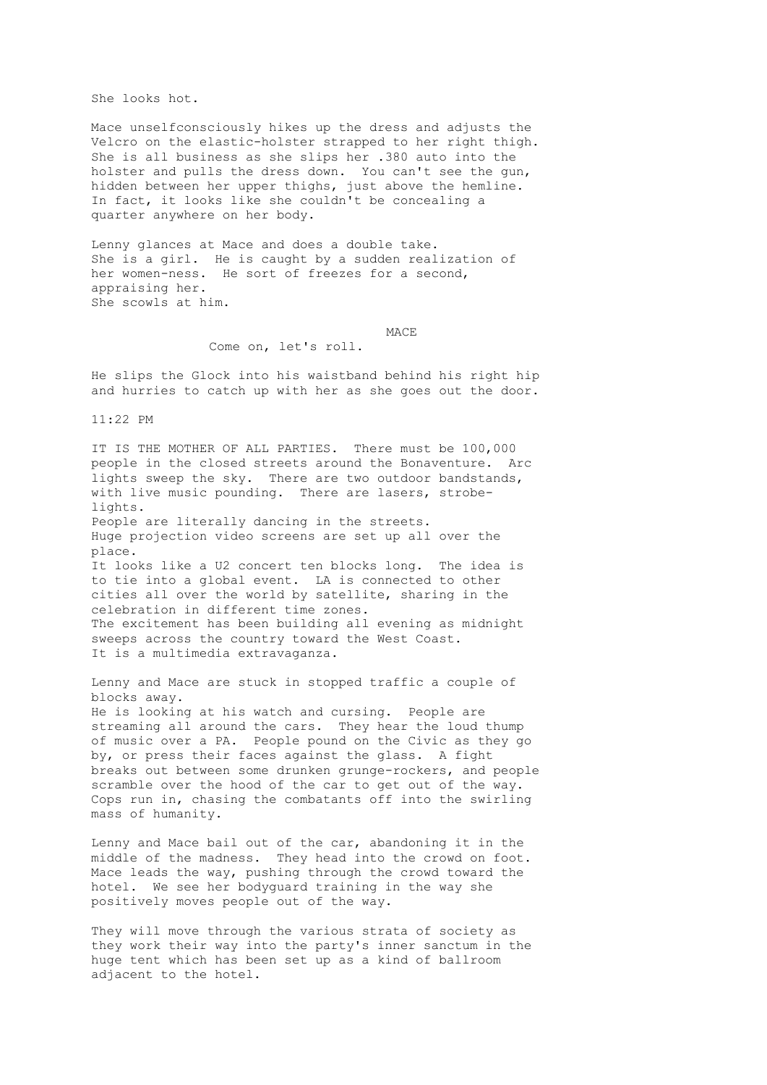She looks hot.

Mace unselfconsciously hikes up the dress and adjusts the Velcro on the elastic-holster strapped to her right thigh. She is all business as she slips her .380 auto into the holster and pulls the dress down. You can't see the gun, hidden between her upper thighs, just above the hemline. In fact, it looks like she couldn't be concealing a quarter anywhere on her body.

Lenny glances at Mace and does a double take. She is a girl. He is caught by a sudden realization of her women-ness. He sort of freezes for a second, appraising her. She scowls at him.

MACE

Come on, let's roll.

He slips the Glock into his waistband behind his right hip and hurries to catch up with her as she goes out the door.

11:22 PM

IT IS THE MOTHER OF ALL PARTIES. There must be 100,000 people in the closed streets around the Bonaventure. Arc lights sweep the sky. There are two outdoor bandstands, with live music pounding. There are lasers, strobelights. People are literally dancing in the streets. Huge projection video screens are set up all over the place. It looks like a U2 concert ten blocks long. The idea is to tie into a global event. LA is connected to other cities all over the world by satellite, sharing in the celebration in different time zones. The excitement has been building all evening as midnight sweeps across the country toward the West Coast. It is a multimedia extravaganza.

Lenny and Mace are stuck in stopped traffic a couple of blocks away. He is looking at his watch and cursing. People are streaming all around the cars. They hear the loud thump of music over a PA. People pound on the Civic as they go by, or press their faces against the glass. A fight breaks out between some drunken grunge-rockers, and people scramble over the hood of the car to get out of the way. Cops run in, chasing the combatants off into the swirling mass of humanity.

Lenny and Mace bail out of the car, abandoning it in the middle of the madness. They head into the crowd on foot. Mace leads the way, pushing through the crowd toward the hotel. We see her bodyguard training in the way she positively moves people out of the way.

They will move through the various strata of society as they work their way into the party's inner sanctum in the huge tent which has been set up as a kind of ballroom adjacent to the hotel.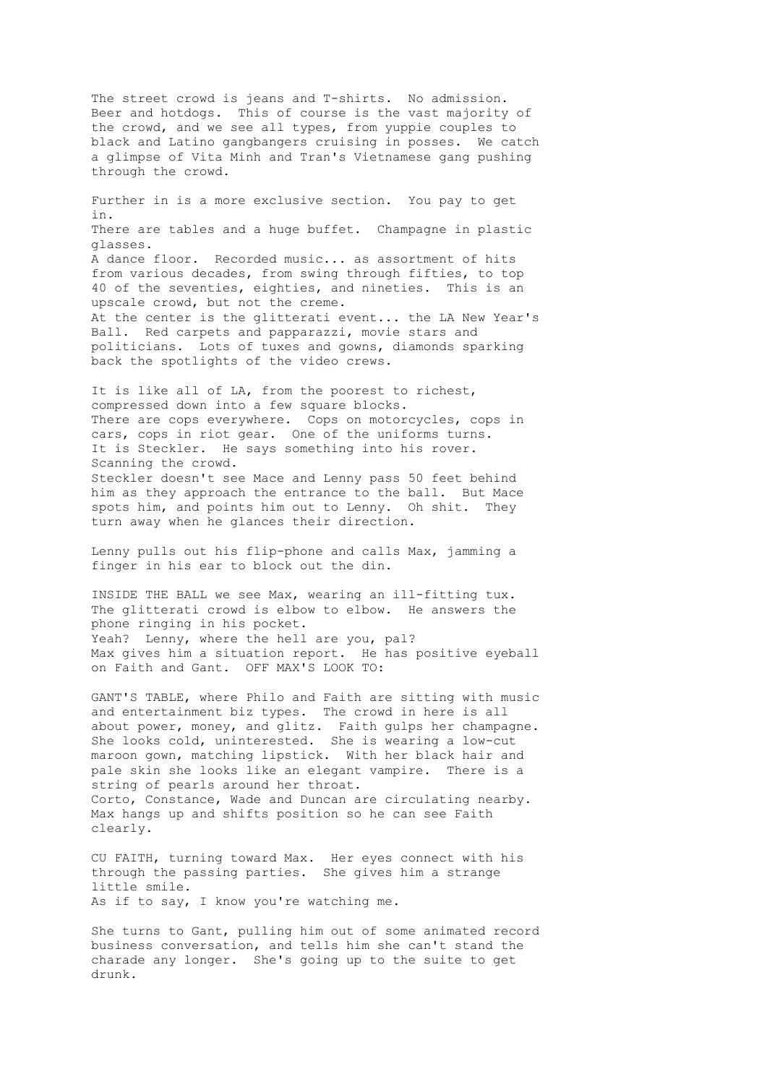The street crowd is jeans and T-shirts. No admission. Beer and hotdogs. This of course is the vast majority of the crowd, and we see all types, from yuppie couples to black and Latino gangbangers cruising in posses. We catch a glimpse of Vita Minh and Tran's Vietnamese gang pushing through the crowd.

Further in is a more exclusive section. You pay to get in. There are tables and a huge buffet. Champagne in plastic glasses. A dance floor. Recorded music... as assortment of hits from various decades, from swing through fifties, to top 40 of the seventies, eighties, and nineties. This is an upscale crowd, but not the creme. At the center is the glitterati event... the LA New Year's Ball. Red carpets and papparazzi, movie stars and politicians. Lots of tuxes and gowns, diamonds sparking back the spotlights of the video crews.

It is like all of LA, from the poorest to richest, compressed down into a few square blocks. There are cops everywhere. Cops on motorcycles, cops in cars, cops in riot gear. One of the uniforms turns. It is Steckler. He says something into his rover. Scanning the crowd. Steckler doesn't see Mace and Lenny pass 50 feet behind him as they approach the entrance to the ball. But Mace spots him, and points him out to Lenny. Oh shit. They turn away when he glances their direction.

Lenny pulls out his flip-phone and calls Max, jamming a finger in his ear to block out the din.

INSIDE THE BALL we see Max, wearing an ill-fitting tux. The glitterati crowd is elbow to elbow. He answers the phone ringing in his pocket. Yeah? Lenny, where the hell are you, pal? Max gives him a situation report. He has positive eyeball on Faith and Gant. OFF MAX'S LOOK TO:

GANT'S TABLE, where Philo and Faith are sitting with music and entertainment biz types. The crowd in here is all about power, money, and glitz. Faith gulps her champagne. She looks cold, uninterested. She is wearing a low-cut maroon gown, matching lipstick. With her black hair and pale skin she looks like an elegant vampire. There is a string of pearls around her throat. Corto, Constance, Wade and Duncan are circulating nearby. Max hangs up and shifts position so he can see Faith clearly.

CU FAITH, turning toward Max. Her eyes connect with his through the passing parties. She gives him a strange little smile. As if to say, I know you're watching me.

She turns to Gant, pulling him out of some animated record business conversation, and tells him she can't stand the charade any longer. She's going up to the suite to get drunk.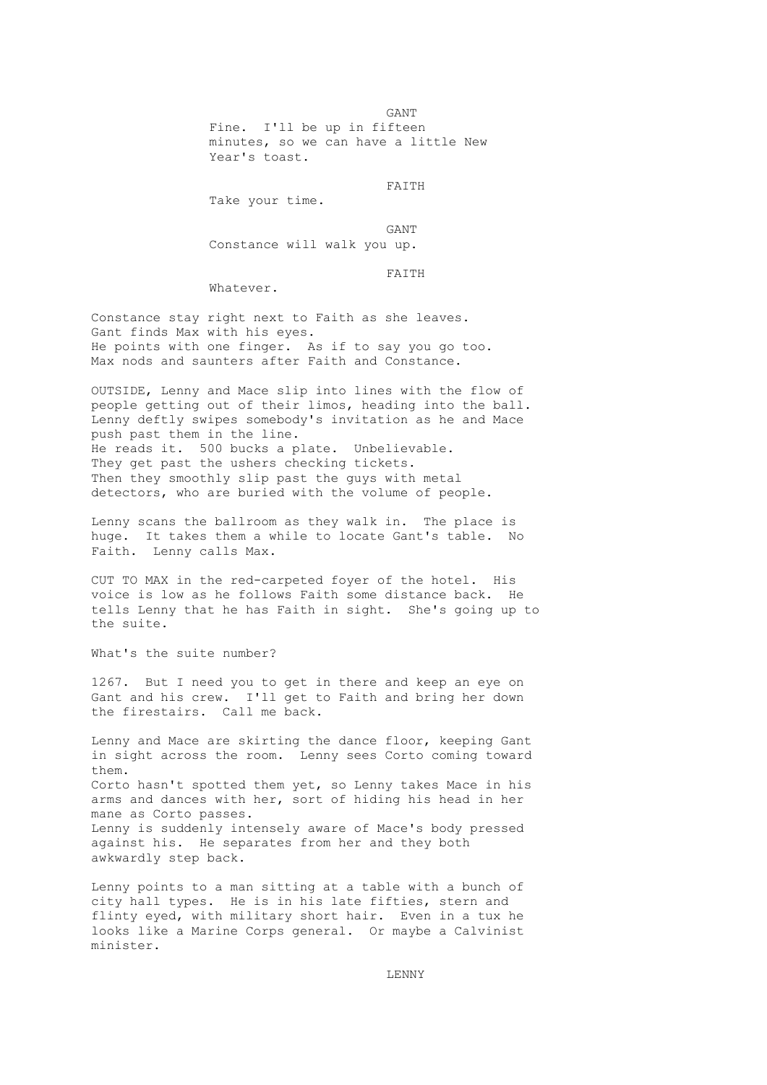GANT Fine. I'll be up in fifteen minutes, so we can have a little New Year's toast.

FAITH

Take your time.

GANT Constance will walk you up.

FAITH

Whatever.

Constance stay right next to Faith as she leaves. Gant finds Max with his eyes. He points with one finger. As if to say you go too. Max nods and saunters after Faith and Constance.

OUTSIDE, Lenny and Mace slip into lines with the flow of people getting out of their limos, heading into the ball. Lenny deftly swipes somebody's invitation as he and Mace push past them in the line. He reads it. 500 bucks a plate. Unbelievable. They get past the ushers checking tickets. Then they smoothly slip past the guys with metal detectors, who are buried with the volume of people.

Lenny scans the ballroom as they walk in. The place is huge. It takes them a while to locate Gant's table. No Faith. Lenny calls Max.

CUT TO MAX in the red-carpeted foyer of the hotel. His voice is low as he follows Faith some distance back. He tells Lenny that he has Faith in sight. She's going up to the suite.

What's the suite number?

1267. But I need you to get in there and keep an eye on Gant and his crew. I'll get to Faith and bring her down the firestairs. Call me back.

Lenny and Mace are skirting the dance floor, keeping Gant in sight across the room. Lenny sees Corto coming toward them. Corto hasn't spotted them yet, so Lenny takes Mace in his arms and dances with her, sort of hiding his head in her mane as Corto passes. Lenny is suddenly intensely aware of Mace's body pressed against his. He separates from her and they both awkwardly step back.

Lenny points to a man sitting at a table with a bunch of city hall types. He is in his late fifties, stern and flinty eyed, with military short hair. Even in a tux he looks like a Marine Corps general. Or maybe a Calvinist minister.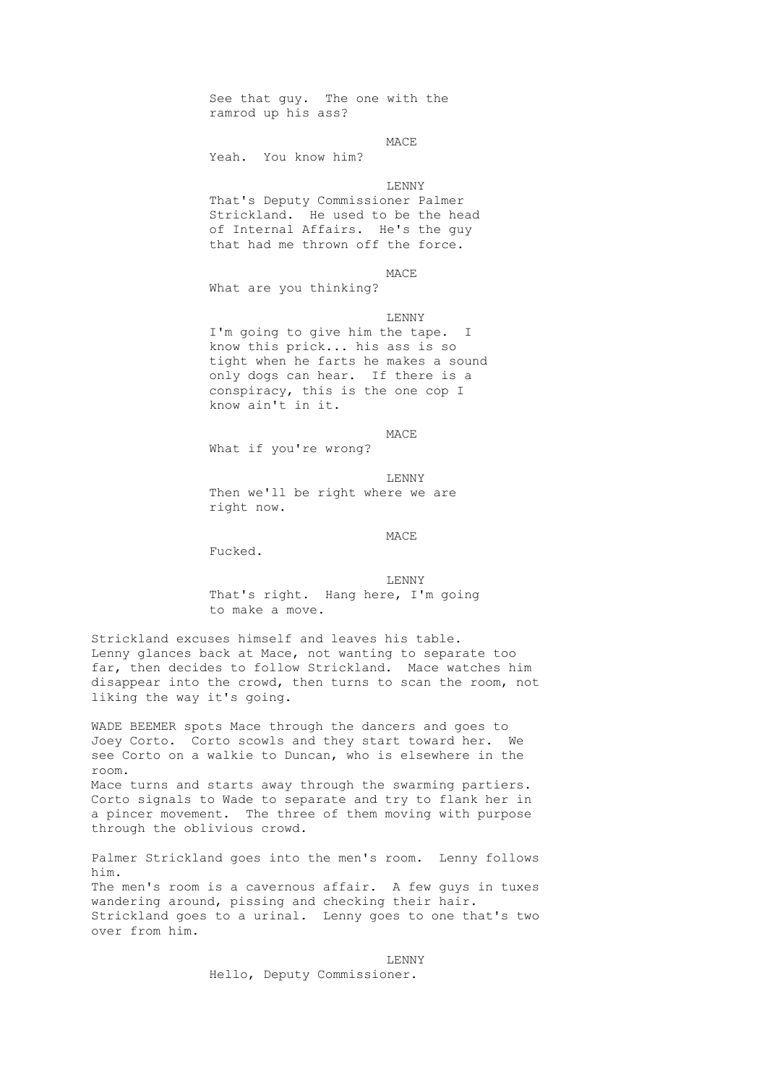See that guy. The one with the ramrod up his ass?

MACE

Yeah. You know him?

### LENNY

That's Deputy Commissioner Palmer Strickland. He used to be the head of Internal Affairs. He's the guy that had me thrown off the force.

MACE

What are you thinking?

LENNY

I'm going to give him the tape. I know this prick... his ass is so tight when he farts he makes a sound only dogs can hear. If there is a conspiracy, this is the one cop I know ain't in it.

MACE

What if you're wrong?

LENNY Then we'll be right where we are right now.

MACE

Fucked.

LENNY

That's right. Hang here, I'm going to make a move.

Strickland excuses himself and leaves his table. Lenny glances back at Mace, not wanting to separate too far, then decides to follow Strickland. Mace watches him disappear into the crowd, then turns to scan the room, not liking the way it's going.

WADE BEEMER spots Mace through the dancers and goes to Joey Corto. Corto scowls and they start toward her. We see Corto on a walkie to Duncan, who is elsewhere in the room. Mace turns and starts away through the swarming partiers. Corto signals to Wade to separate and try to flank her in a pincer movement. The three of them moving with purpose through the oblivious crowd.

Palmer Strickland goes into the men's room. Lenny follows him. The men's room is a cavernous affair. A few guys in tuxes wandering around, pissing and checking their hair. Strickland goes to a urinal. Lenny goes to one that's two over from him.

> LENNY Hello, Deputy Commissioner.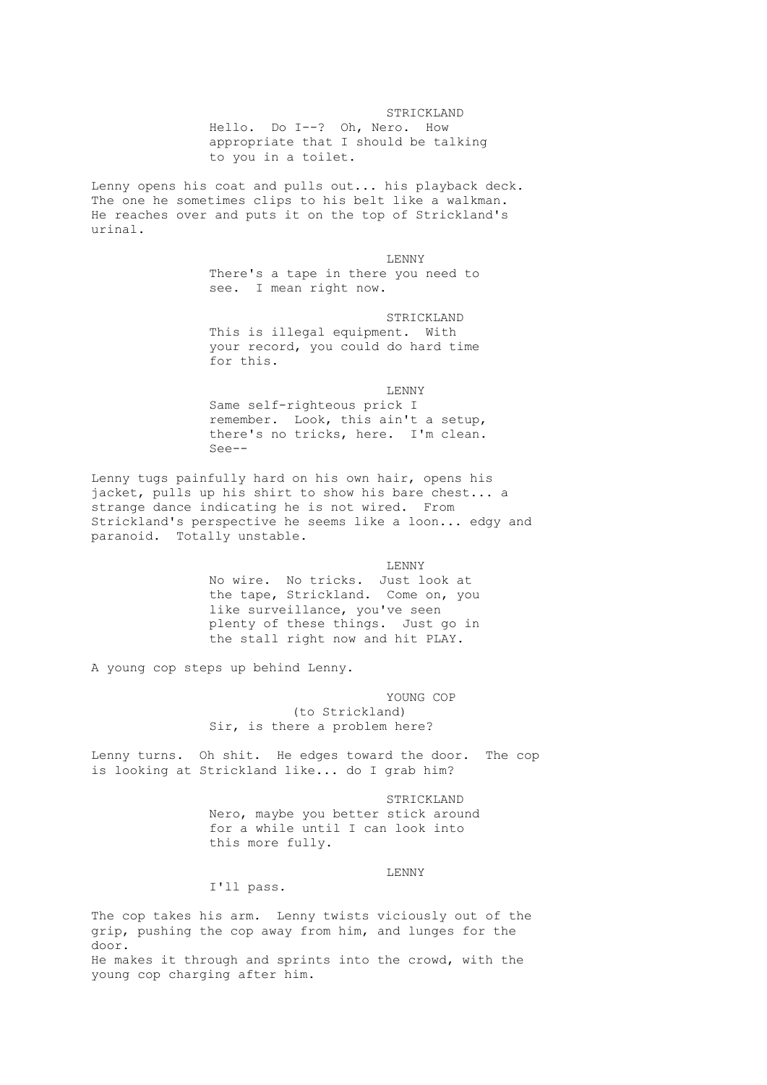STRICKLAND Hello. Do I--? Oh, Nero. How appropriate that I should be talking to you in a toilet.

Lenny opens his coat and pulls out... his playback deck. The one he sometimes clips to his belt like a walkman. He reaches over and puts it on the top of Strickland's urinal.

> LENNY There's a tape in there you need to see. I mean right now.

> STRICKLAND This is illegal equipment. With your record, you could do hard time for this.

LENNY Same self-righteous prick I remember. Look, this ain't a setup, there's no tricks, here. I'm clean. See--

Lenny tugs painfully hard on his own hair, opens his jacket, pulls up his shirt to show his bare chest... a strange dance indicating he is not wired. From Strickland's perspective he seems like a loon... edgy and paranoid. Totally unstable.

> LENNY No wire. No tricks. Just look at the tape, Strickland. Come on, you like surveillance, you've seen plenty of these things. Just go in the stall right now and hit PLAY.

A young cop steps up behind Lenny.

YOUNG COP (to Strickland) Sir, is there a problem here?

Lenny turns. Oh shit. He edges toward the door. The cop is looking at Strickland like... do I grab him?

> STRICKLAND Nero, maybe you better stick around for a while until I can look into this more fully.

> > LENNY

I'll pass.

The cop takes his arm. Lenny twists viciously out of the grip, pushing the cop away from him, and lunges for the door. He makes it through and sprints into the crowd, with the young cop charging after him.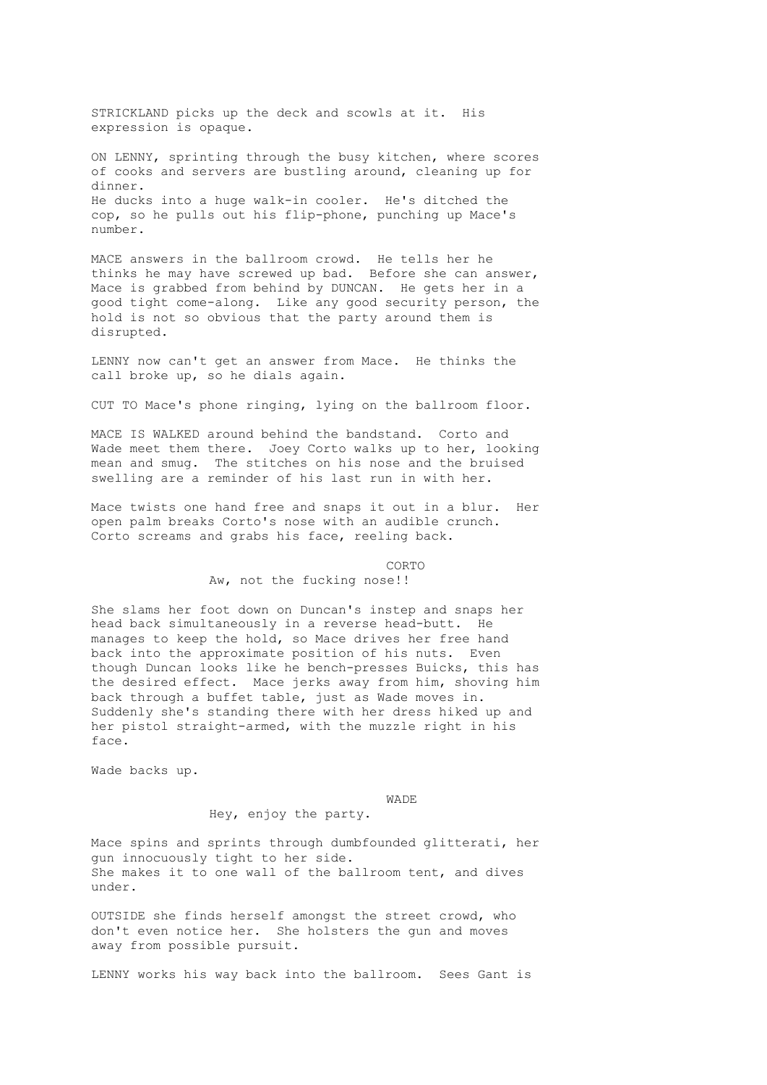STRICKLAND picks up the deck and scowls at it. His expression is opaque.

ON LENNY, sprinting through the busy kitchen, where scores of cooks and servers are bustling around, cleaning up for dinner. He ducks into a huge walk-in cooler. He's ditched the cop, so he pulls out his flip-phone, punching up Mace's number.

MACE answers in the ballroom crowd. He tells her he thinks he may have screwed up bad. Before she can answer, Mace is grabbed from behind by DUNCAN. He gets her in a good tight come-along. Like any good security person, the hold is not so obvious that the party around them is disrupted.

LENNY now can't get an answer from Mace. He thinks the call broke up, so he dials again.

CUT TO Mace's phone ringing, lying on the ballroom floor.

MACE IS WALKED around behind the bandstand. Corto and Wade meet them there. Joey Corto walks up to her, looking mean and smug. The stitches on his nose and the bruised swelling are a reminder of his last run in with her.

Mace twists one hand free and snaps it out in a blur. Her open palm breaks Corto's nose with an audible crunch. Corto screams and grabs his face, reeling back.

> CORTO Aw, not the fucking nose!!

She slams her foot down on Duncan's instep and snaps her head back simultaneously in a reverse head-butt. He manages to keep the hold, so Mace drives her free hand back into the approximate position of his nuts. Even though Duncan looks like he bench-presses Buicks, this has the desired effect. Mace jerks away from him, shoving him back through a buffet table, just as Wade moves in. Suddenly she's standing there with her dress hiked up and her pistol straight-armed, with the muzzle right in his face.

Wade backs up.

WADE

Hey, enjoy the party.

Mace spins and sprints through dumbfounded glitterati, her gun innocuously tight to her side. She makes it to one wall of the ballroom tent, and dives under.

OUTSIDE she finds herself amongst the street crowd, who don't even notice her. She holsters the gun and moves away from possible pursuit.

LENNY works his way back into the ballroom. Sees Gant is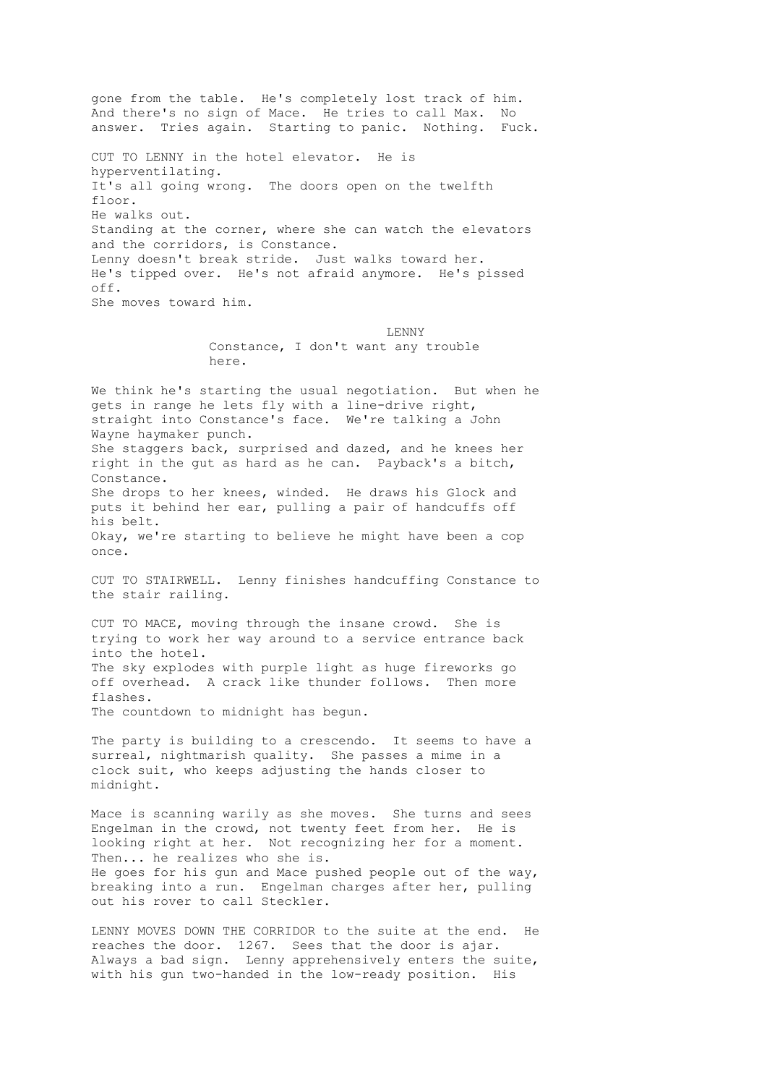And there's no sign of Mace. He tries to call Max. No answer. Tries again. Starting to panic. Nothing. Fuck. CUT TO LENNY in the hotel elevator. He is hyperventilating. It's all going wrong. The doors open on the twelfth floor. He walks out. Standing at the corner, where she can watch the elevators and the corridors, is Constance. Lenny doesn't break stride. Just walks toward her. He's tipped over. He's not afraid anymore. He's pissed off. She moves toward him.

gone from the table. He's completely lost track of him.

LENNY

Constance, I don't want any trouble here.

We think he's starting the usual negotiation. But when he gets in range he lets fly with a line-drive right, straight into Constance's face. We're talking a John Wayne haymaker punch. She staggers back, surprised and dazed, and he knees her right in the gut as hard as he can. Payback's a bitch, Constance. She drops to her knees, winded. He draws his Glock and puts it behind her ear, pulling a pair of handcuffs off his belt. Okay, we're starting to believe he might have been a cop once. CUT TO STAIRWELL. Lenny finishes handcuffing Constance to the stair railing. CUT TO MACE, moving through the insane crowd. She is

trying to work her way around to a service entrance back into the hotel. The sky explodes with purple light as huge fireworks go off overhead. A crack like thunder follows. Then more flashes. The countdown to midnight has begun.

The party is building to a crescendo. It seems to have a surreal, nightmarish quality. She passes a mime in a clock suit, who keeps adjusting the hands closer to midnight.

Mace is scanning warily as she moves. She turns and sees Engelman in the crowd, not twenty feet from her. He is looking right at her. Not recognizing her for a moment. Then... he realizes who she is. He goes for his gun and Mace pushed people out of the way, breaking into a run. Engelman charges after her, pulling out his rover to call Steckler.

LENNY MOVES DOWN THE CORRIDOR to the suite at the end. He reaches the door. 1267. Sees that the door is ajar. Always a bad sign. Lenny apprehensively enters the suite, with his gun two-handed in the low-ready position. His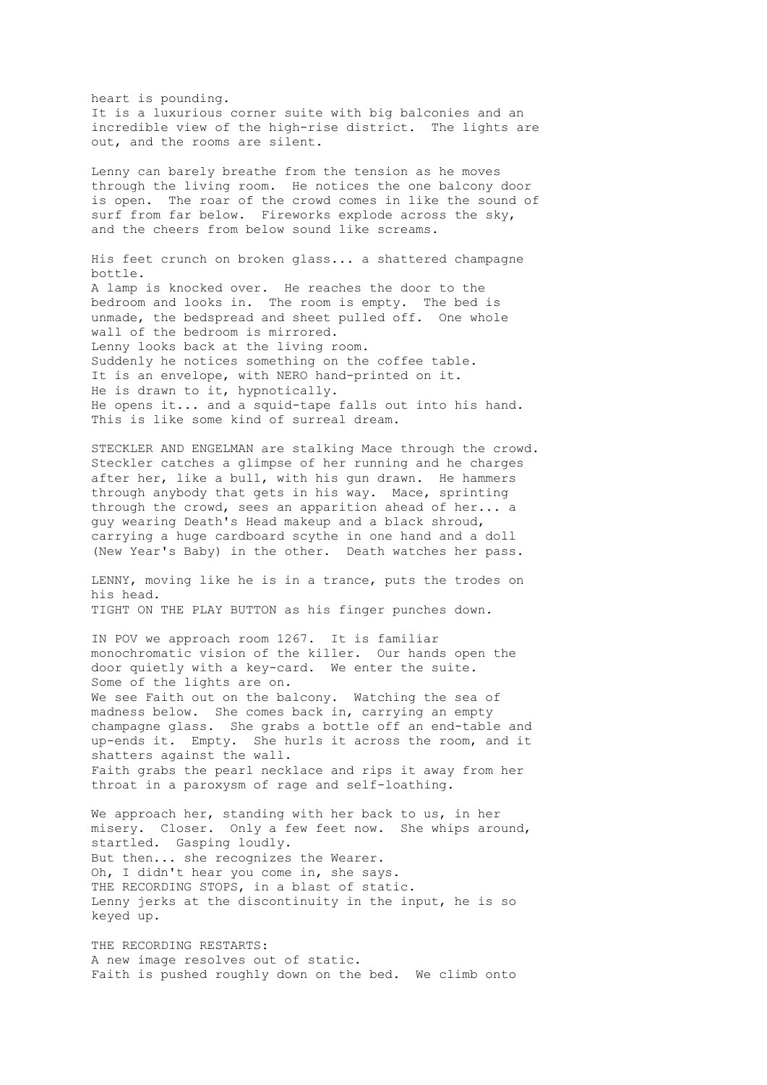heart is pounding. It is a luxurious corner suite with big balconies and an incredible view of the high-rise district. The lights are out, and the rooms are silent. Lenny can barely breathe from the tension as he moves through the living room. He notices the one balcony door is open. The roar of the crowd comes in like the sound of surf from far below. Fireworks explode across the sky, and the cheers from below sound like screams. His feet crunch on broken glass... a shattered champagne bottle. A lamp is knocked over. He reaches the door to the bedroom and looks in. The room is empty. The bed is unmade, the bedspread and sheet pulled off. One whole wall of the bedroom is mirrored. Lenny looks back at the living room. Suddenly he notices something on the coffee table. It is an envelope, with NERO hand-printed on it. He is drawn to it, hypnotically. He opens it... and a squid-tape falls out into his hand. This is like some kind of surreal dream. STECKLER AND ENGELMAN are stalking Mace through the crowd. Steckler catches a glimpse of her running and he charges after her, like a bull, with his gun drawn. He hammers through anybody that gets in his way. Mace, sprinting through the crowd, sees an apparition ahead of her... a guy wearing Death's Head makeup and a black shroud, carrying a huge cardboard scythe in one hand and a doll (New Year's Baby) in the other. Death watches her pass. LENNY, moving like he is in a trance, puts the trodes on his head. TIGHT ON THE PLAY BUTTON as his finger punches down. IN POV we approach room 1267. It is familiar monochromatic vision of the killer. Our hands open the door quietly with a key-card. We enter the suite. Some of the lights are on. We see Faith out on the balcony. Watching the sea of madness below. She comes back in, carrying an empty champagne glass. She grabs a bottle off an end-table and up-ends it. Empty. She hurls it across the room, and it shatters against the wall.

Faith grabs the pearl necklace and rips it away from her throat in a paroxysm of rage and self-loathing.

We approach her, standing with her back to us, in her misery. Closer. Only a few feet now. She whips around, startled. Gasping loudly. But then... she recognizes the Wearer. Oh, I didn't hear you come in, she says. THE RECORDING STOPS, in a blast of static. Lenny jerks at the discontinuity in the input, he is so keyed up.

THE RECORDING RESTARTS: A new image resolves out of static. Faith is pushed roughly down on the bed. We climb onto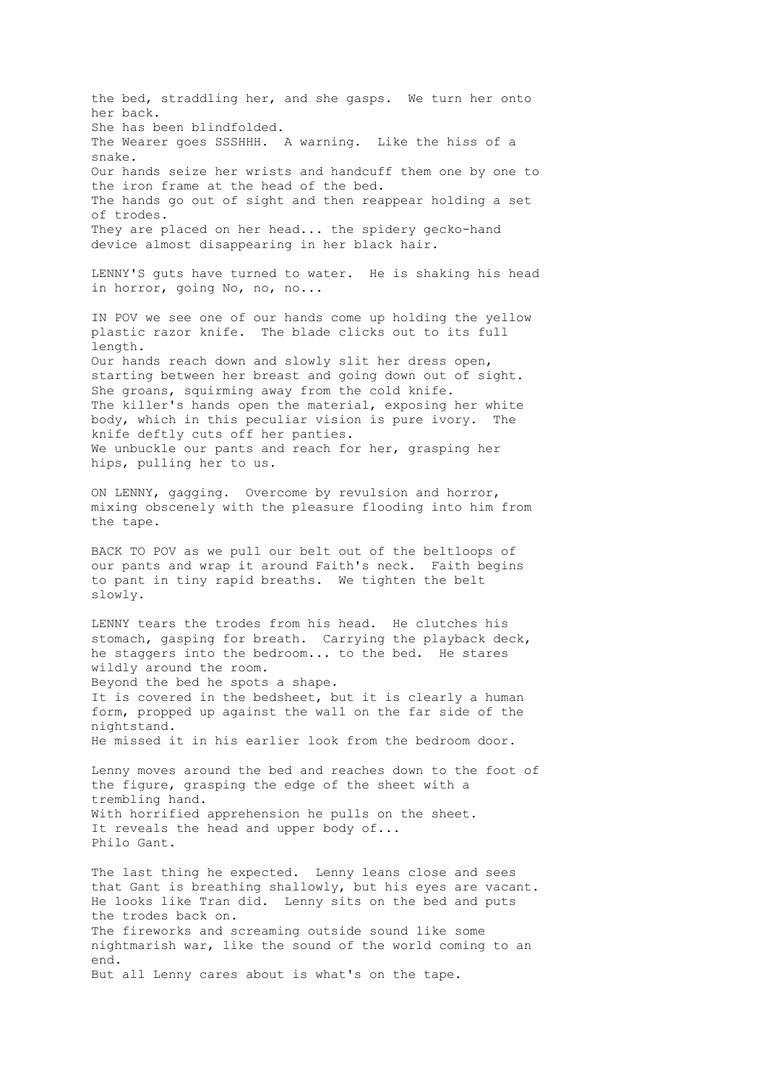the bed, straddling her, and she gasps. We turn her onto her back. She has been blindfolded. The Wearer goes SSSHHH. A warning. Like the hiss of a snake. Our hands seize her wrists and handcuff them one by one to the iron frame at the head of the bed. The hands go out of sight and then reappear holding a set of trodes. They are placed on her head... the spidery gecko-hand device almost disappearing in her black hair. LENNY'S guts have turned to water. He is shaking his head in horror, going No, no, no... IN POV we see one of our hands come up holding the yellow plastic razor knife. The blade clicks out to its full length. Our hands reach down and slowly slit her dress open, starting between her breast and going down out of sight. She groans, squirming away from the cold knife. The killer's hands open the material, exposing her white body, which in this peculiar vision is pure ivory. The knife deftly cuts off her panties. We unbuckle our pants and reach for her, grasping her hips, pulling her to us. ON LENNY, gagging. Overcome by revulsion and horror, mixing obscenely with the pleasure flooding into him from the tape. BACK TO POV as we pull our belt out of the beltloops of our pants and wrap it around Faith's neck. Faith begins to pant in tiny rapid breaths. We tighten the belt slowly. LENNY tears the trodes from his head. He clutches his stomach, gasping for breath. Carrying the playback deck, he staggers into the bedroom... to the bed. He stares wildly around the room. Beyond the bed he spots a shape. It is covered in the bedsheet, but it is clearly a human form, propped up against the wall on the far side of the nightstand. He missed it in his earlier look from the bedroom door. Lenny moves around the bed and reaches down to the foot of the figure, grasping the edge of the sheet with a trembling hand. With horrified apprehension he pulls on the sheet. It reveals the head and upper body of... Philo Gant. The last thing he expected. Lenny leans close and sees that Gant is breathing shallowly, but his eyes are vacant. He looks like Tran did. Lenny sits on the bed and puts the trodes back on. The fireworks and screaming outside sound like some nightmarish war, like the sound of the world coming to an end. But all Lenny cares about is what's on the tape.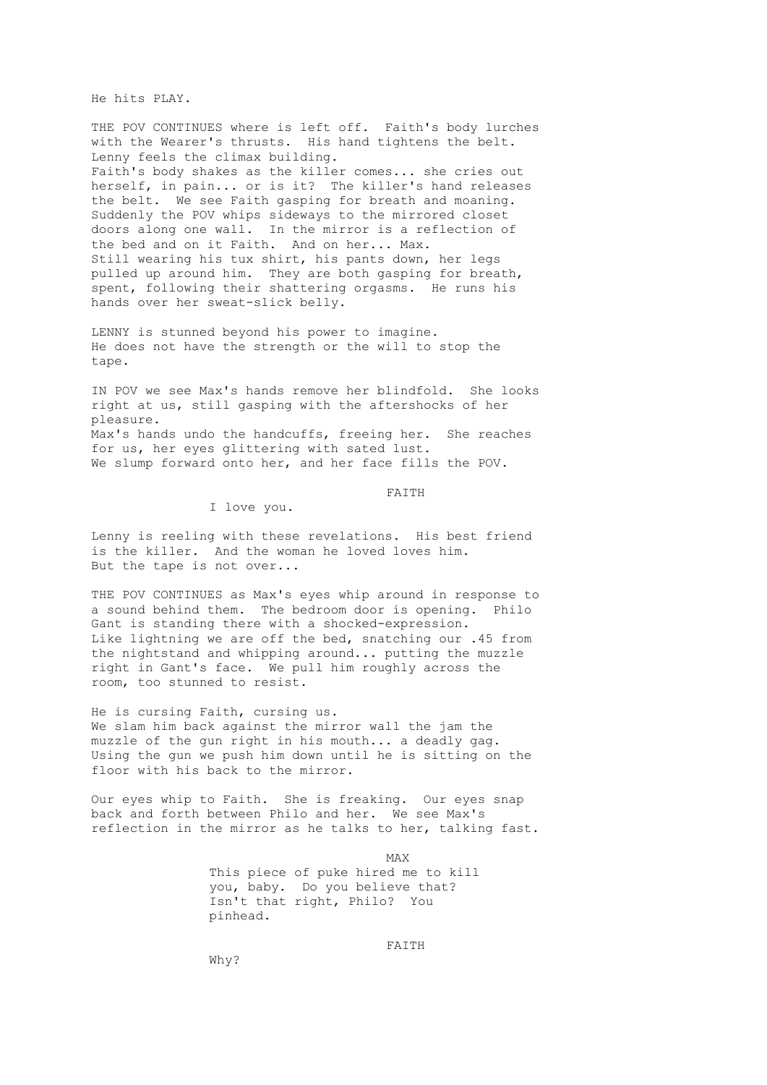He hits PLAY.

THE POV CONTINUES where is left off. Faith's body lurches with the Wearer's thrusts. His hand tightens the belt. Lenny feels the climax building. Faith's body shakes as the killer comes... she cries out herself, in pain... or is it? The killer's hand releases the belt. We see Faith gasping for breath and moaning. Suddenly the POV whips sideways to the mirrored closet doors along one wall. In the mirror is a reflection of the bed and on it Faith. And on her... Max. Still wearing his tux shirt, his pants down, her legs pulled up around him. They are both gasping for breath, spent, following their shattering orgasms. He runs his hands over her sweat-slick belly.

LENNY is stunned beyond his power to imagine. He does not have the strength or the will to stop the tape.

IN POV we see Max's hands remove her blindfold. She looks right at us, still gasping with the aftershocks of her pleasure. Max's hands undo the handcuffs, freeing her. She reaches for us, her eyes glittering with sated lust. We slump forward onto her, and her face fills the POV.

FAITH

I love you.

Lenny is reeling with these revelations. His best friend is the killer. And the woman he loved loves him. But the tape is not over...

THE POV CONTINUES as Max's eyes whip around in response to a sound behind them. The bedroom door is opening. Philo Gant is standing there with a shocked-expression. Like lightning we are off the bed, snatching our .45 from the nightstand and whipping around... putting the muzzle right in Gant's face. We pull him roughly across the room, too stunned to resist.

He is cursing Faith, cursing us. We slam him back against the mirror wall the jam the muzzle of the gun right in his mouth... a deadly gag. Using the gun we push him down until he is sitting on the floor with his back to the mirror.

Our eyes whip to Faith. She is freaking. Our eyes snap back and forth between Philo and her. We see Max's reflection in the mirror as he talks to her, talking fast.

> MAX This piece of puke hired me to kill you, baby. Do you believe that? Isn't that right, Philo? You pinhead.

> > FAITH

Why?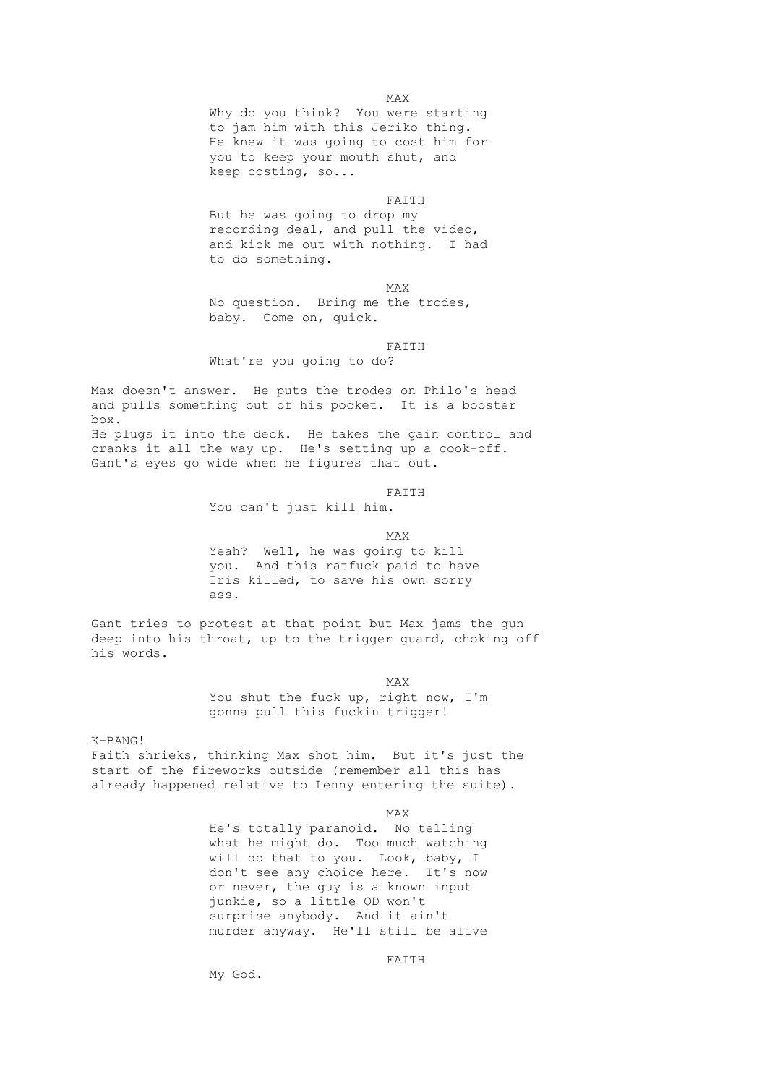MAX Why do you think? You were starting to jam him with this Jeriko thing. He knew it was going to cost him for you to keep your mouth shut, and keep costing, so...

#### FAITH

But he was going to drop my recording deal, and pull the video, and kick me out with nothing. I had to do something.

MAX

No question. Bring me the trodes, baby. Come on, quick.

FAITH

What're you going to do?

Max doesn't answer. He puts the trodes on Philo's head and pulls something out of his pocket. It is a booster box. He plugs it into the deck. He takes the gain control and cranks it all the way up. He's setting up a cook-off. Gant's eyes go wide when he figures that out.

FAITH

You can't just kill him.

MAX

Yeah? Well, he was going to kill you. And this ratfuck paid to have Iris killed, to save his own sorry ass.

Gant tries to protest at that point but Max jams the gun deep into his throat, up to the trigger guard, choking off his words.

> MAX You shut the fuck up, right now, I'm gonna pull this fuckin trigger!

K-BANG!

Faith shrieks, thinking Max shot him. But it's just the start of the fireworks outside (remember all this has already happened relative to Lenny entering the suite).

MAX

He's totally paranoid. No telling what he might do. Too much watching will do that to you. Look, baby, I don't see any choice here. It's now or never, the guy is a known input junkie, so a little OD won't surprise anybody. And it ain't murder anyway. He'll still be alive

FAITH

My God.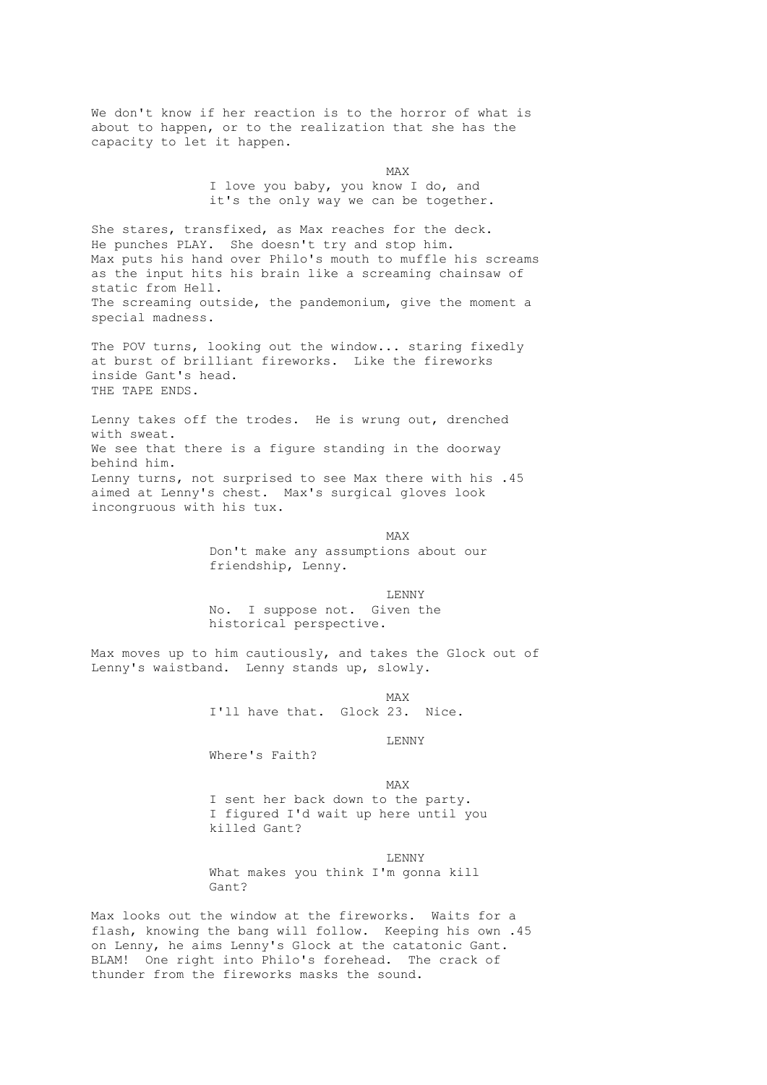We don't know if her reaction is to the horror of what is about to happen, or to the realization that she has the capacity to let it happen.

MAX

I love you baby, you know I do, and it's the only way we can be together.

She stares, transfixed, as Max reaches for the deck. He punches PLAY. She doesn't try and stop him. Max puts his hand over Philo's mouth to muffle his screams as the input hits his brain like a screaming chainsaw of static from Hell. The screaming outside, the pandemonium, give the moment a special madness.

The POV turns, looking out the window... staring fixedly at burst of brilliant fireworks. Like the fireworks inside Gant's head. THE TAPE ENDS.

Lenny takes off the trodes. He is wrung out, drenched with sweat. We see that there is a figure standing in the doorway behind him. Lenny turns, not surprised to see Max there with his .45 aimed at Lenny's chest. Max's surgical gloves look incongruous with his tux.

> MAX Don't make any assumptions about our friendship, Lenny.

LENNY No. I suppose not. Given the historical perspective.

Max moves up to him cautiously, and takes the Glock out of Lenny's waistband. Lenny stands up, slowly.

> MAX I'll have that. Glock 23. Nice.

> > LENNY

Where's Faith?

MAX

I sent her back down to the party. I figured I'd wait up here until you killed Gant?

LENNY What makes you think I'm gonna kill Gant?

Max looks out the window at the fireworks. Waits for a flash, knowing the bang will follow. Keeping his own .45 on Lenny, he aims Lenny's Glock at the catatonic Gant. BLAM! One right into Philo's forehead. The crack of thunder from the fireworks masks the sound.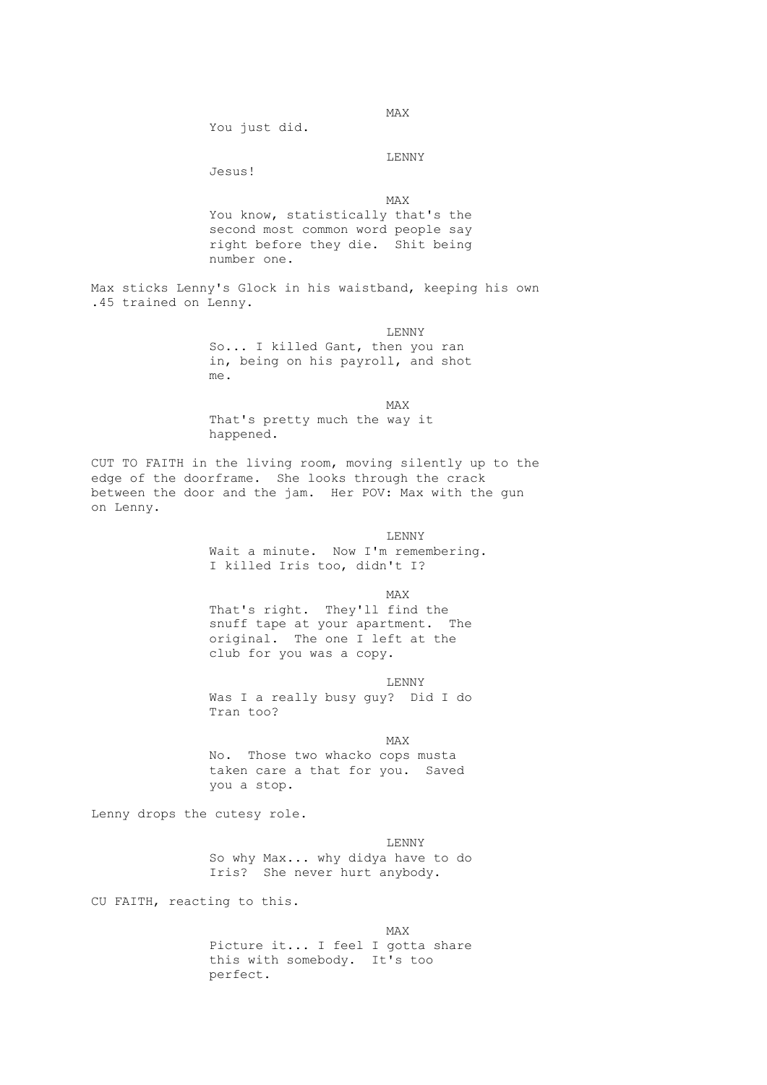You just did.

LENNY

Jesus!

me.

MAX

You know, statistically that's the second most common word people say right before they die. Shit being number one.

Max sticks Lenny's Glock in his waistband, keeping his own .45 trained on Lenny.

> LENNY So... I killed Gant, then you ran in, being on his payroll, and shot

MAX That's pretty much the way it happened.

CUT TO FAITH in the living room, moving silently up to the edge of the doorframe. She looks through the crack between the door and the jam. Her POV: Max with the gun on Lenny.

> LENNY Wait a minute. Now I'm remembering. I killed Iris too, didn't I?

> > MAX

That's right. They'll find the snuff tape at your apartment. The original. The one I left at the club for you was a copy.

LENNY Was I a really busy guy? Did I do Tran too?

MAX No. Those two whacko cops musta taken care a that for you. Saved you a stop.

Lenny drops the cutesy role.

LENNY So why Max... why didya have to do Iris? She never hurt anybody.

CU FAITH, reacting to this.

MAX Picture it... I feel I gotta share this with somebody. It's too perfect.

MAX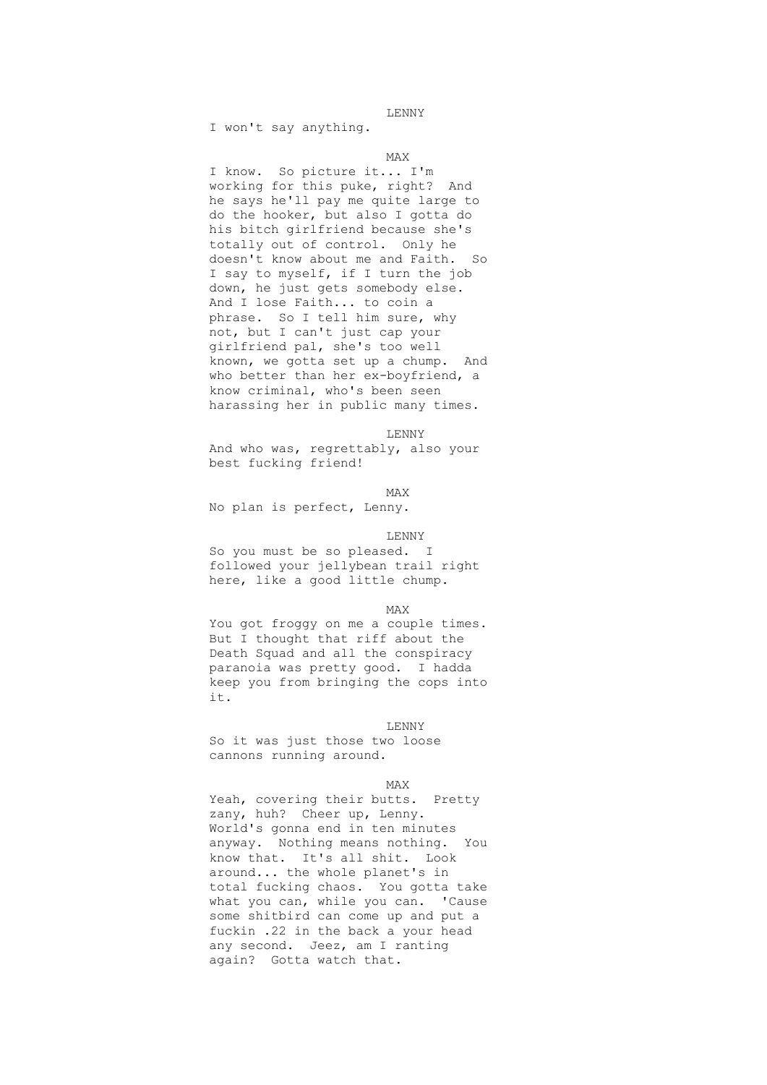I won't say anything.

## MAX

LENNY

I know. So picture it... I'm working for this puke, right? And he says he'll pay me quite large to do the hooker, but also I gotta do his bitch girlfriend because she's totally out of control. Only he doesn't know about me and Faith. So I say to myself, if I turn the job down, he just gets somebody else. And I lose Faith... to coin a phrase. So I tell him sure, why not, but I can't just cap your girlfriend pal, she's too well known, we gotta set up a chump. And who better than her ex-boyfriend, a know criminal, who's been seen harassing her in public many times.

LENNY

And who was, regrettably, also your best fucking friend!

MAX

No plan is perfect, Lenny.

### LENNY

So you must be so pleased. I followed your jellybean trail right here, like a good little chump.

MAX

You got froggy on me a couple times. But I thought that riff about the Death Squad and all the conspiracy paranoia was pretty good. I hadda keep you from bringing the cops into it.

## LENNY

So it was just those two loose cannons running around.

MAX

Yeah, covering their butts. Pretty zany, huh? Cheer up, Lenny. World's gonna end in ten minutes anyway. Nothing means nothing. You know that. It's all shit. Look around... the whole planet's in total fucking chaos. You gotta take what you can, while you can. 'Cause some shitbird can come up and put a fuckin .22 in the back a your head any second. Jeez, am I ranting again? Gotta watch that.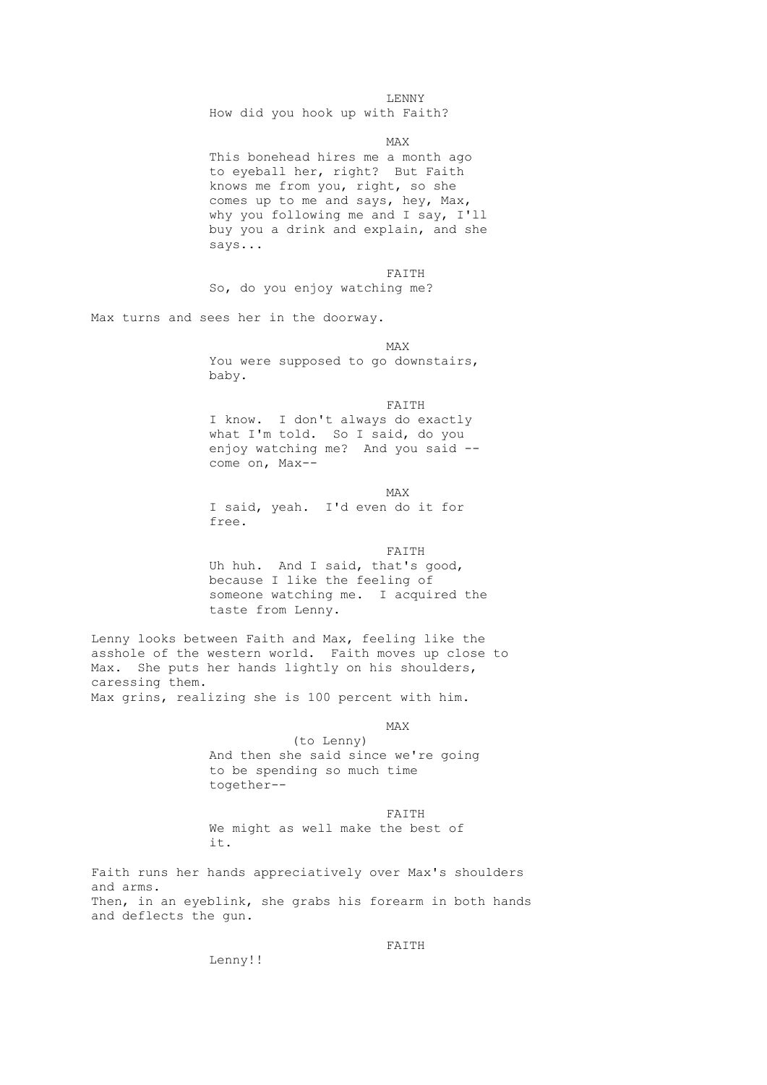LENNY How did you hook up with Faith?

MAX

This bonehead hires me a month ago to eyeball her, right? But Faith knows me from you, right, so she comes up to me and says, hey, Max, why you following me and I say, I'll buy you a drink and explain, and she says...

FAITH So, do you enjoy watching me?

Max turns and sees her in the doorway.

MAX You were supposed to go downstairs, baby.

FAITH

I know. I don't always do exactly what I'm told. So I said, do you enjoy watching me? And you said - come on, Max--

MAX I said, yeah. I'd even do it for free.

FAITH

Uh huh. And I said, that's good, because I like the feeling of someone watching me. I acquired the taste from Lenny.

Lenny looks between Faith and Max, feeling like the asshole of the western world. Faith moves up close to Max. She puts her hands lightly on his shoulders, caressing them. Max grins, realizing she is 100 percent with him.

MAX

 (to Lenny) And then she said since we're going to be spending so much time together--

FAITH We might as well make the best of it.

Faith runs her hands appreciatively over Max's shoulders and arms. Then, in an eyeblink, she grabs his forearm in both hands and deflects the gun.

FAITH

Lenny!!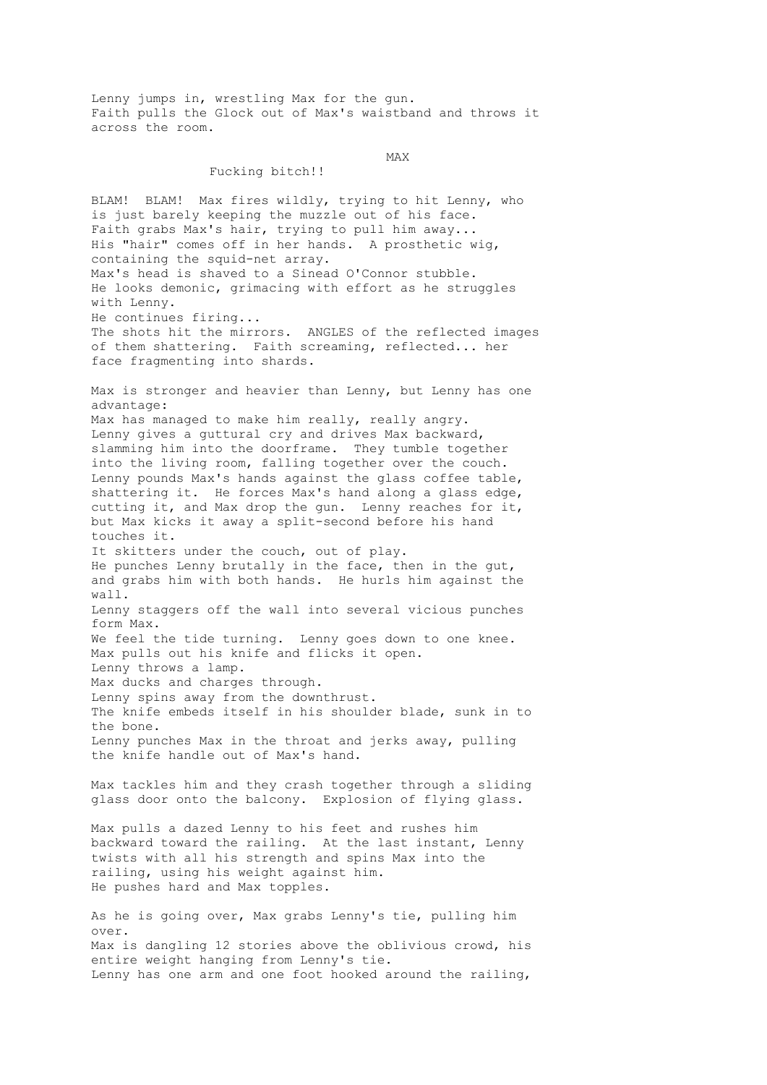Lenny jumps in, wrestling Max for the gun. Faith pulls the Glock out of Max's waistband and throws it across the room.

```
MAX
```
# Fucking bitch!!

BLAM! BLAM! Max fires wildly, trying to hit Lenny, who is just barely keeping the muzzle out of his face. Faith grabs Max's hair, trying to pull him away... His "hair" comes off in her hands. A prosthetic wig, containing the squid-net array. Max's head is shaved to a Sinead O'Connor stubble. He looks demonic, grimacing with effort as he struggles with Lenny. He continues firing... The shots hit the mirrors. ANGLES of the reflected images of them shattering. Faith screaming, reflected... her face fragmenting into shards. Max is stronger and heavier than Lenny, but Lenny has one advantage: Max has managed to make him really, really angry. Lenny gives a guttural cry and drives Max backward, slamming him into the doorframe. They tumble together into the living room, falling together over the couch. Lenny pounds Max's hands against the glass coffee table, shattering it. He forces Max's hand along a glass edge, cutting it, and Max drop the gun. Lenny reaches for it, but Max kicks it away a split-second before his hand touches it. It skitters under the couch, out of play. He punches Lenny brutally in the face, then in the gut, and grabs him with both hands. He hurls him against the wall. Lenny staggers off the wall into several vicious punches form Max. We feel the tide turning. Lenny goes down to one knee. Max pulls out his knife and flicks it open. Lenny throws a lamp. Max ducks and charges through. Lenny spins away from the downthrust. The knife embeds itself in his shoulder blade, sunk in to the bone. Lenny punches Max in the throat and jerks away, pulling the knife handle out of Max's hand. Max tackles him and they crash together through a sliding glass door onto the balcony. Explosion of flying glass. Max pulls a dazed Lenny to his feet and rushes him backward toward the railing. At the last instant, Lenny twists with all his strength and spins Max into the railing, using his weight against him. He pushes hard and Max topples.

As he is going over, Max grabs Lenny's tie, pulling him over. Max is dangling 12 stories above the oblivious crowd, his entire weight hanging from Lenny's tie. Lenny has one arm and one foot hooked around the railing,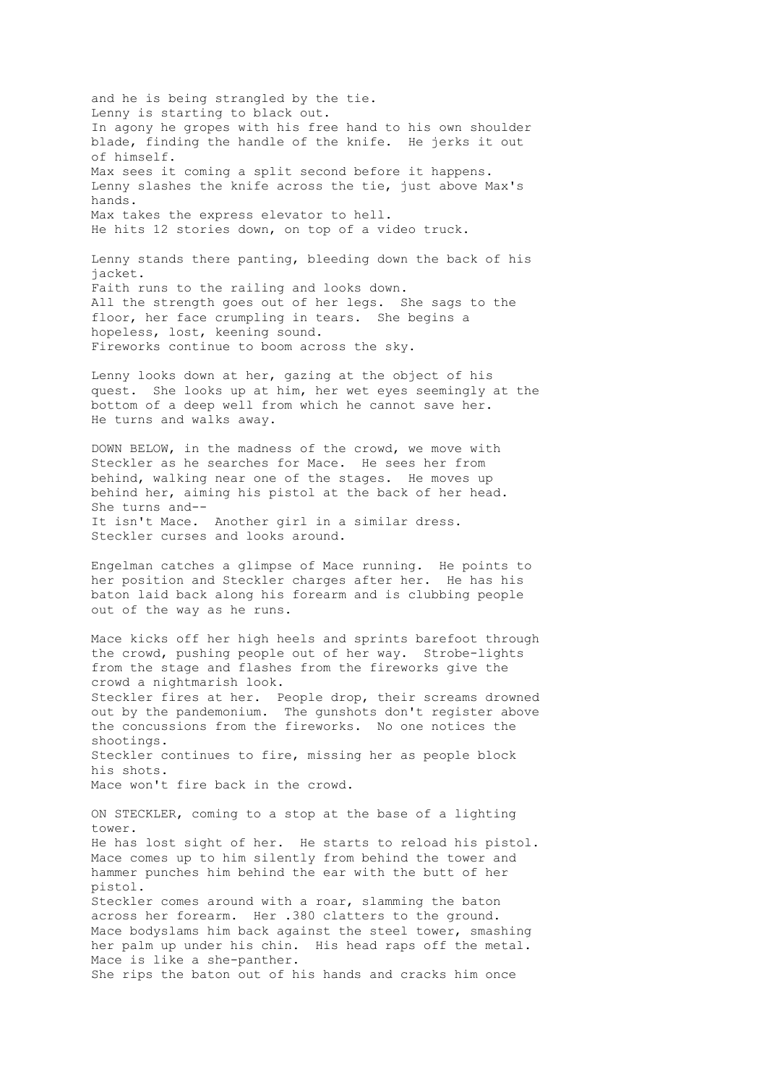and he is being strangled by the tie. Lenny is starting to black out. In agony he gropes with his free hand to his own shoulder blade, finding the handle of the knife. He jerks it out of himself. Max sees it coming a split second before it happens. Lenny slashes the knife across the tie, just above Max's hands. Max takes the express elevator to hell. He hits 12 stories down, on top of a video truck.

Lenny stands there panting, bleeding down the back of his jacket. Faith runs to the railing and looks down. All the strength goes out of her legs. She sags to the floor, her face crumpling in tears. She begins a hopeless, lost, keening sound. Fireworks continue to boom across the sky.

Lenny looks down at her, gazing at the object of his quest. She looks up at him, her wet eyes seemingly at the bottom of a deep well from which he cannot save her. He turns and walks away.

DOWN BELOW, in the madness of the crowd, we move with Steckler as he searches for Mace. He sees her from behind, walking near one of the stages. He moves up behind her, aiming his pistol at the back of her head. She turns and-- It isn't Mace. Another girl in a similar dress. Steckler curses and looks around.

Engelman catches a glimpse of Mace running. He points to her position and Steckler charges after her. He has his baton laid back along his forearm and is clubbing people out of the way as he runs.

Mace kicks off her high heels and sprints barefoot through the crowd, pushing people out of her way. Strobe-lights from the stage and flashes from the fireworks give the crowd a nightmarish look. Steckler fires at her. People drop, their screams drowned out by the pandemonium. The gunshots don't register above the concussions from the fireworks. No one notices the shootings. Steckler continues to fire, missing her as people block his shots. Mace won't fire back in the crowd.

ON STECKLER, coming to a stop at the base of a lighting tower. He has lost sight of her. He starts to reload his pistol. Mace comes up to him silently from behind the tower and hammer punches him behind the ear with the butt of her pistol. Steckler comes around with a roar, slamming the baton across her forearm. Her .380 clatters to the ground. Mace bodyslams him back against the steel tower, smashing her palm up under his chin. His head raps off the metal. Mace is like a she-panther. She rips the baton out of his hands and cracks him once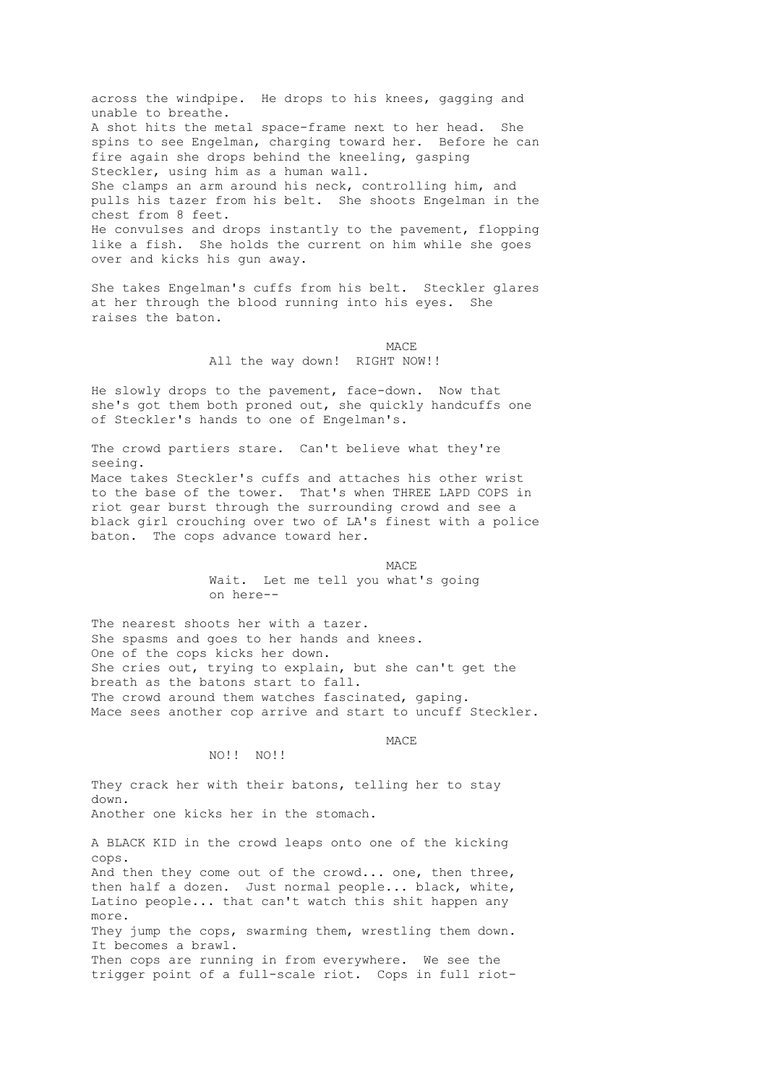across the windpipe. He drops to his knees, gagging and unable to breathe. A shot hits the metal space-frame next to her head. She spins to see Engelman, charging toward her. Before he can fire again she drops behind the kneeling, gasping Steckler, using him as a human wall. She clamps an arm around his neck, controlling him, and pulls his tazer from his belt. She shoots Engelman in the chest from 8 feet. He convulses and drops instantly to the pavement, flopping like a fish. She holds the current on him while she goes over and kicks his gun away.

She takes Engelman's cuffs from his belt. Steckler glares at her through the blood running into his eyes. She raises the baton.

> MACE All the way down! RIGHT NOW!!

He slowly drops to the pavement, face-down. Now that she's got them both proned out, she quickly handcuffs one of Steckler's hands to one of Engelman's.

The crowd partiers stare. Can't believe what they're seeing. Mace takes Steckler's cuffs and attaches his other wrist to the base of the tower. That's when THREE LAPD COPS in riot gear burst through the surrounding crowd and see a black girl crouching over two of LA's finest with a police baton. The cops advance toward her.

> **MACE** Wait. Let me tell you what's going on here--

The nearest shoots her with a tazer. She spasms and goes to her hands and knees. One of the cops kicks her down. She cries out, trying to explain, but she can't get the breath as the batons start to fall. The crowd around them watches fascinated, gaping. Mace sees another cop arrive and start to uncuff Steckler.

MACE

NO!! NO!!

They crack her with their batons, telling her to stay down. Another one kicks her in the stomach.

A BLACK KID in the crowd leaps onto one of the kicking cops. And then they come out of the crowd... one, then three, then half a dozen. Just normal people... black, white, Latino people... that can't watch this shit happen any more. They jump the cops, swarming them, wrestling them down. It becomes a brawl. Then cops are running in from everywhere. We see the trigger point of a full-scale riot. Cops in full riot-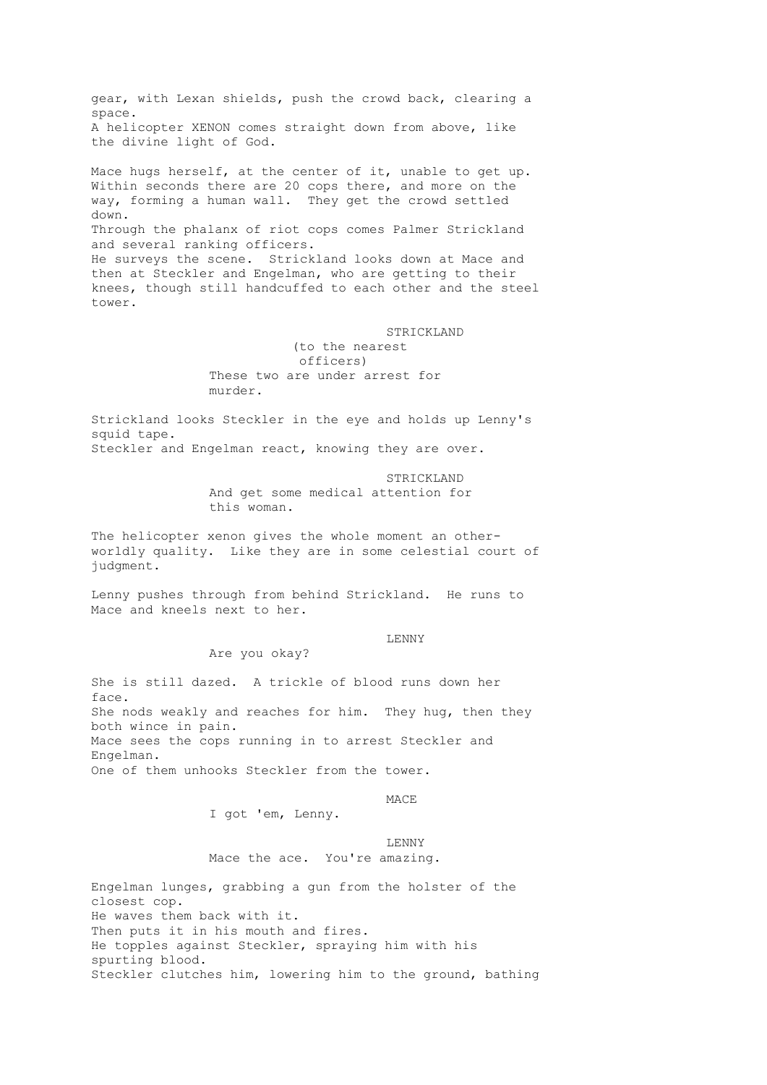gear, with Lexan shields, push the crowd back, clearing a space. A helicopter XENON comes straight down from above, like the divine light of God.

Mace hugs herself, at the center of it, unable to get up. Within seconds there are 20 cops there, and more on the way, forming a human wall. They get the crowd settled down. Through the phalanx of riot cops comes Palmer Strickland and several ranking officers. He surveys the scene. Strickland looks down at Mace and then at Steckler and Engelman, who are getting to their knees, though still handcuffed to each other and the steel tower.

> STRICKLAND (to the nearest officers) These two are under arrest for murder.

Strickland looks Steckler in the eye and holds up Lenny's squid tape. Steckler and Engelman react, knowing they are over.

> STRICKLAND And get some medical attention for this woman.

The helicopter xenon gives the whole moment an otherworldly quality. Like they are in some celestial court of judgment.

Lenny pushes through from behind Strickland. He runs to Mace and kneels next to her.

LENNY

Are you okay?

She is still dazed. A trickle of blood runs down her face. She nods weakly and reaches for him. They hug, then they both wince in pain. Mace sees the cops running in to arrest Steckler and Engelman. One of them unhooks Steckler from the tower.

MACE

I got 'em, Lenny.

LENNY Mace the ace. You're amazing.

Engelman lunges, grabbing a gun from the holster of the closest cop. He waves them back with it. Then puts it in his mouth and fires. He topples against Steckler, spraying him with his spurting blood. Steckler clutches him, lowering him to the ground, bathing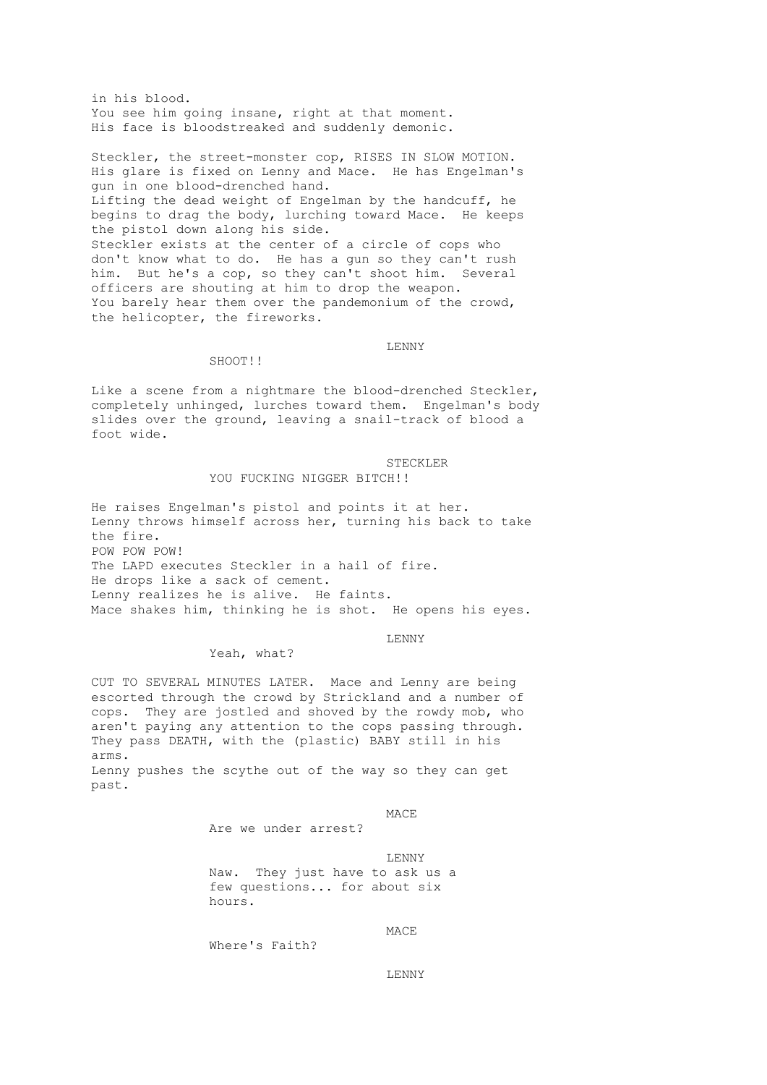in his blood. You see him going insane, right at that moment. His face is bloodstreaked and suddenly demonic.

Steckler, the street-monster cop, RISES IN SLOW MOTION. His glare is fixed on Lenny and Mace. He has Engelman's gun in one blood-drenched hand. Lifting the dead weight of Engelman by the handcuff, he begins to drag the body, lurching toward Mace. He keeps the pistol down along his side. Steckler exists at the center of a circle of cops who don't know what to do. He has a gun so they can't rush him. But he's a cop, so they can't shoot him. Several officers are shouting at him to drop the weapon. You barely hear them over the pandemonium of the crowd, the helicopter, the fireworks.

LENNY

SHOOT!!

Like a scene from a nightmare the blood-drenched Steckler, completely unhinged, lurches toward them. Engelman's body slides over the ground, leaving a snail-track of blood a foot wide.

**STECKLER** 

YOU FUCKING NIGGER BITCH!!

He raises Engelman's pistol and points it at her. Lenny throws himself across her, turning his back to take the fire. POW POW POW! The LAPD executes Steckler in a hail of fire. He drops like a sack of cement. Lenny realizes he is alive. He faints. Mace shakes him, thinking he is shot. He opens his eyes.

LENNY

Yeah, what?

CUT TO SEVERAL MINUTES LATER. Mace and Lenny are being escorted through the crowd by Strickland and a number of cops. They are jostled and shoved by the rowdy mob, who aren't paying any attention to the cops passing through. They pass DEATH, with the (plastic) BABY still in his arms. Lenny pushes the scythe out of the way so they can get

past.

MACE

Are we under arrest?

LENNY Naw. They just have to ask us a few questions... for about six hours.

MACE

Where's Faith?

LENNY